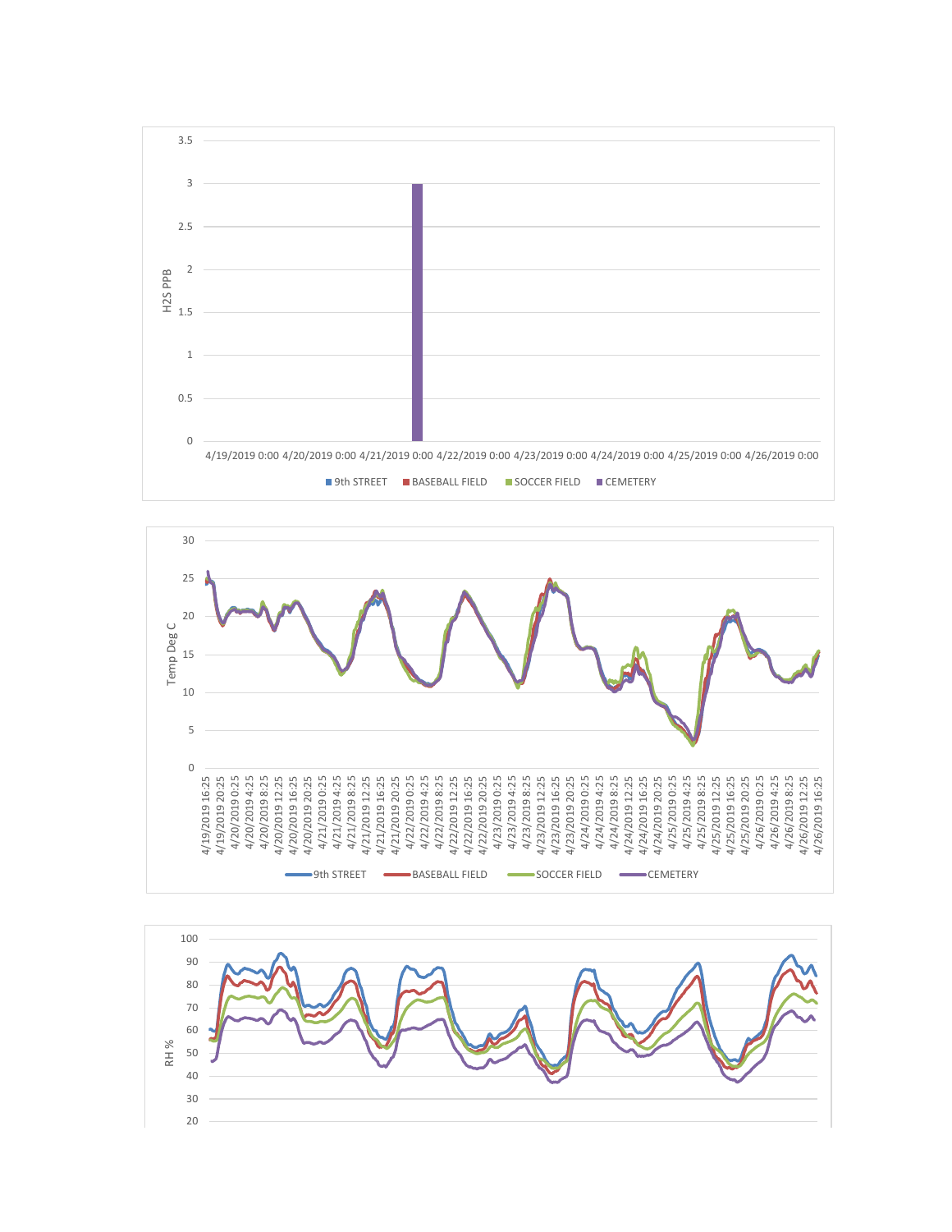



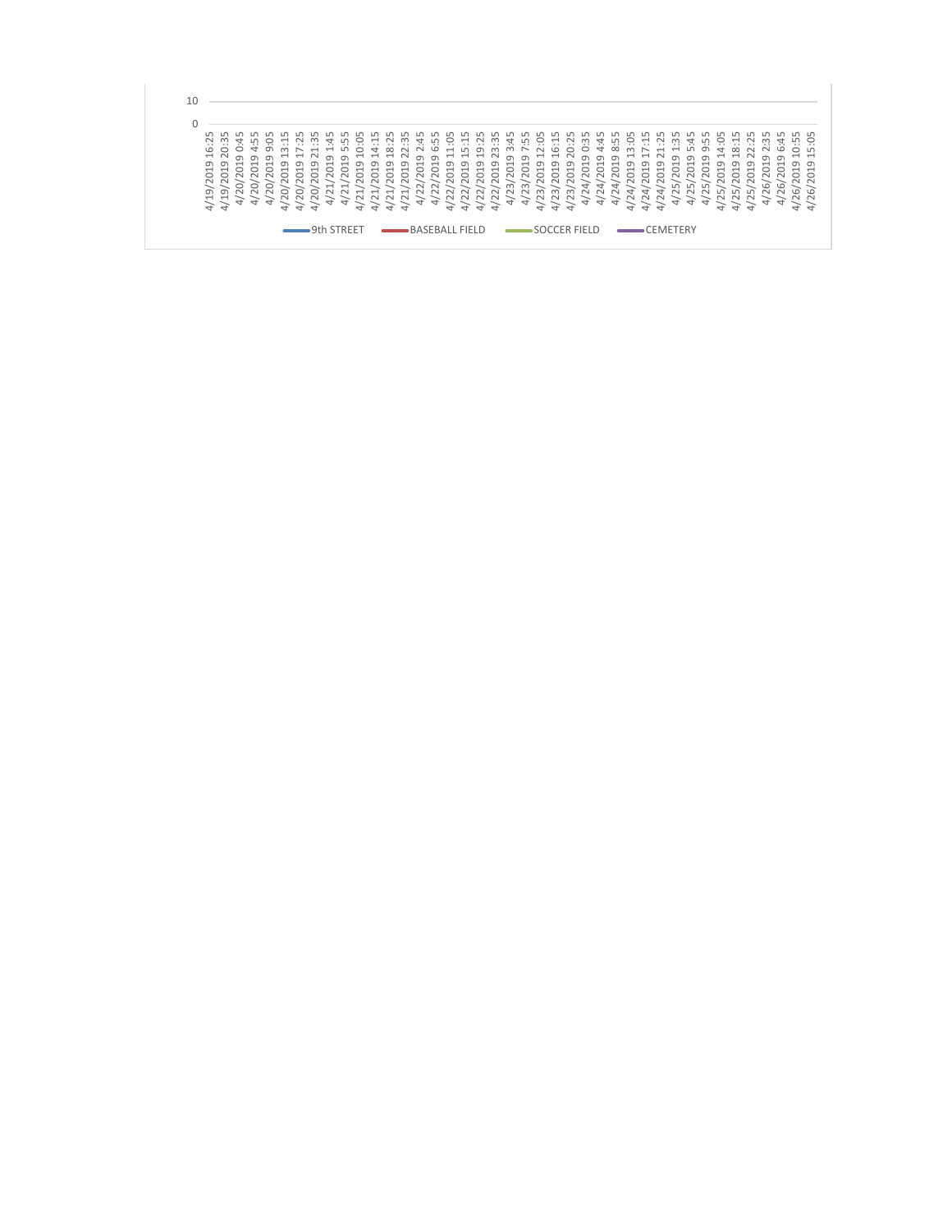| LO.<br>$\sim$<br>G<br>$\overline{\phantom{0}}$<br>$\circ$<br>$\geq$<br>ᡡ | ഥ<br>$\infty$<br>$\cdot$ $\cdot$<br>$\cdots$<br>$\circ$<br>$\overline{a}$<br>$\sigma$<br>$\sigma$<br>$\overline{\phantom{0}}$<br>$\circ$<br>$\sim$<br>ത<br>4/1<br>$\overline{\phantom{0}}$<br>$\overline{4}$ | LO<br>ᆃ<br>$\circ$<br>$\sigma$<br>$\overline{ }$<br>$\sim$<br>$\sim$<br>4 | ப<br>$\overline{ }$<br>$\bigcirc$<br>$\overline{ }$<br>⌒<br>$\sim$<br>0<br>$\sim$<br>$\overline{a}$ | ப<br>○<br>ന<br>ന<br>$\sigma$<br>$\overline{\phantom{0}}$<br>ന<br>○<br>$\sim$<br>$\bigcap$<br>0<br>$\sim$<br>$\circ$<br>$\sim$<br>4<br>$\overline{ }$ | $\cdot$ .<br>$\overline{\phantom{0}}$<br>4 4 0 9 9<br>ന<br>⌒<br>0<br>$\sim$<br>4 | $\overline{\phantom{0}}$<br>ന<br>$\circ$<br>$\sim$<br>0<br>$\sim$<br>4 | $\overline{\phantom{0}}$<br>$\overline{\phantom{0}}$<br>$\sim$<br>$\sim$ | ம<br>$\overline{\phantom{0}}$<br>$\circ$<br>$\sim$<br>$\overline{\phantom{0}}$<br>$\sim$<br>4 | o<br>$\cdot$ $\cdot$<br>$\circ$<br>$A$ $A$ $A$ $N$ $\Omega$ $\Omega$<br>ᡡ<br>○<br>$\sim$<br>$\overline{\phantom{0}}$<br>$\sim$<br>4 | $\overline{\phantom{0}}$<br>$\overline{ }$<br>$\sigma$<br>$\overline{\phantom{0}}$<br>◠<br>$\sim$<br>$\overline{\phantom{0}}$<br>$\sim$<br>$\overline{ }$ | $\infty$<br>ᡡ<br>౧<br>$\sim$<br>$\overline{\phantom{0}}$<br>$\sim$<br>4 | $\cdot$ .<br>$\sim$<br>ന<br>$\overline{\phantom{0}}$<br>○<br>$\sim$<br>$\overline{\phantom{0}}$<br>$\sim$<br>$\overline{a}$ | ↴<br>$\sim$<br>$\overline{ }$<br>$\circ$<br>$\sim$<br>$\sim$<br>$\overline{\phantom{0}}$<br>4 | ഥ<br>G<br>$\overline{ }$<br>$\circ$<br>$\sim$<br>$\sim$<br>$\sim$<br>$\overline{a}$ | S.<br>$\overline{\phantom{0}}$<br>ന<br>$\overline{\phantom{0}}$<br>$\circ$<br>$\sim$<br>$\sim$<br>$\sim$<br>$\overline{ }$ | H<br>$\cdot$ $\cdot$<br>LN<br>$\sigma$<br>$\overline{\phantom{0}}$<br>0<br>$\sim$<br>$\sim$<br>$\sim$<br>$\overline{a}$ | بن.<br>$\sigma$<br>H H H N <sub>9</sub> 9 H H N 9 9 9<br>$\sigma$<br>$\overline{\phantom{0}}$<br>$\overline{C}$<br>$\sim$<br>$\tilde{\phantom{a}}$<br>$\overline{a}$ | က္<br>ന<br>ന<br>$\overline{\phantom{0}}$<br>$\circ$<br>$\sim$<br>$\sim$<br>$\overline{z}$<br>$\overline{a}$ | 7.<br>ന<br>$\overline{ }$<br>$\circ$<br>$\sim$<br>$\approx$<br>$\sim$<br>$\frac{1}{4}$ | ப<br>LŊ<br>$\overline{\phantom{0}}$<br>$\overline{ }$<br>$\circ$<br>$\sim$<br>$\sim$<br>$\sim$<br>$\overline{a}$ | ë<br>$\sim$<br>$\sigma$<br>$\overline{\phantom{0}}$<br>$\circ$<br>$\sim$<br>$\infty$<br>S 5<br>$\overline{a}$ | $\overline{\phantom{0}}$<br>$\cdots$<br>G<br>$\sigma$<br>$\overline{\phantom{0}}$<br>$\circ$<br>$\overline{\sim}$<br>$\infty$<br>$\overline{4}$ | $\cdot$ .<br>$\circ$<br>$\sigma$<br>$\overline{\phantom{0}}$<br>$\circ$<br>$\sim$<br>$\infty$<br>$\sim$<br>$\overline{ }$ | ന<br>$\cdot$ $\cdot$<br>$\circ$<br>$\overline{\phantom{0}}$<br>$\circ$<br>$\sim$<br>$\sim$<br>$\overleftrightarrow{+}$ | ᇦ<br>$\overline{ }$<br>$\overline{\phantom{0}}$<br>$\circ$<br>$\sim$<br>24/<br>$\overline{\phantom{0}}$<br>$\overline{a}$ | ဟ<br>$\infty$<br>$\overline{ }$<br>$\circ$<br>$\sim$<br>う<br>$\sim$<br>$\overline{a}$ | ë<br>$\infty$<br>$H$ $H$ $N$ $D$ $D$ $D$<br>$\sigma$<br>ᅳ<br>⌒<br>$\sim$<br>$\overline{r}$<br>$\sim$<br>4 | $\overline{\phantom{0}}$<br>$\overline{\phantom{0}}$<br>$\sigma$<br>$\overline{\phantom{0}}$<br>$\circ$<br>$\overline{\sim}$<br>$\rightarrow$<br>$\tilde{\mathcal{C}}$<br>$\overline{4}$ | $\overline{\phantom{0}}$<br>ന<br>$\circ$<br>$\sim$<br>ਚੇ<br>$\sim$<br>$\overline{ }$ | $\overline{\phantom{0}}$<br>$\overline{ }$<br>$\circ$<br>$\sim$<br>4 | ᆉ<br>LO<br>$\overline{\phantom{0}}$<br>$\circ$<br>$\sim$<br>$\sqrt{ }$<br>$\sim$<br>4 | $\sigma$<br>$\overline{\phantom{0}}$<br>$\sim$<br>$\sim$<br>$\overline{4}$ | ç.<br>$\overline{ }$<br>$\sigma$<br>$\circ$<br>ம<br>4 | $\overline{\phantom{0}}$<br>$\infty$<br>ന<br>$\overline{\phantom{0}}$<br>○<br>$\sim$<br>LN<br>$\sim$<br>$\overline{a}$ | $\sim$<br>ന<br>◠<br>$\sim$<br>LO.<br>$\sim$<br>$\overline{a}$ | $\sim$<br>$\vec{H}$ $\vec{H}$ $N$ $\sigma$<br>$\overline{\phantom{0}}$<br>0<br>$\sim$ | ᆉ<br>$\circ$<br>$\sigma$<br>$\overline{ }$<br>$\circ$<br>$\sim$<br>G<br>$\sim$<br>4 | $\circ$<br>$\overline{\phantom{0}}$<br>ന<br>$\overline{\phantom{0}}$<br>$\sim$ $\sim$<br>G<br>$\sim$ $\sim$<br>$\rightarrow$ | फ़<br>$\cdots$<br>ഥ<br>$\overline{\phantom{0}}$<br>ന<br>$\overline{\phantom{0}}$<br>$\circ$<br>G<br>$\overline{ }$ |
|--------------------------------------------------------------------------|--------------------------------------------------------------------------------------------------------------------------------------------------------------------------------------------------------------|---------------------------------------------------------------------------|-----------------------------------------------------------------------------------------------------|------------------------------------------------------------------------------------------------------------------------------------------------------|----------------------------------------------------------------------------------|------------------------------------------------------------------------|--------------------------------------------------------------------------|-----------------------------------------------------------------------------------------------|-------------------------------------------------------------------------------------------------------------------------------------|-----------------------------------------------------------------------------------------------------------------------------------------------------------|-------------------------------------------------------------------------|-----------------------------------------------------------------------------------------------------------------------------|-----------------------------------------------------------------------------------------------|-------------------------------------------------------------------------------------|----------------------------------------------------------------------------------------------------------------------------|-------------------------------------------------------------------------------------------------------------------------|----------------------------------------------------------------------------------------------------------------------------------------------------------------------|-------------------------------------------------------------------------------------------------------------|----------------------------------------------------------------------------------------|------------------------------------------------------------------------------------------------------------------|---------------------------------------------------------------------------------------------------------------|-------------------------------------------------------------------------------------------------------------------------------------------------|---------------------------------------------------------------------------------------------------------------------------|------------------------------------------------------------------------------------------------------------------------|---------------------------------------------------------------------------------------------------------------------------|---------------------------------------------------------------------------------------|-----------------------------------------------------------------------------------------------------------|------------------------------------------------------------------------------------------------------------------------------------------------------------------------------------------|--------------------------------------------------------------------------------------|----------------------------------------------------------------------|---------------------------------------------------------------------------------------|----------------------------------------------------------------------------|-------------------------------------------------------|------------------------------------------------------------------------------------------------------------------------|---------------------------------------------------------------|---------------------------------------------------------------------------------------|-------------------------------------------------------------------------------------|------------------------------------------------------------------------------------------------------------------------------|--------------------------------------------------------------------------------------------------------------------|
|--------------------------------------------------------------------------|--------------------------------------------------------------------------------------------------------------------------------------------------------------------------------------------------------------|---------------------------------------------------------------------------|-----------------------------------------------------------------------------------------------------|------------------------------------------------------------------------------------------------------------------------------------------------------|----------------------------------------------------------------------------------|------------------------------------------------------------------------|--------------------------------------------------------------------------|-----------------------------------------------------------------------------------------------|-------------------------------------------------------------------------------------------------------------------------------------|-----------------------------------------------------------------------------------------------------------------------------------------------------------|-------------------------------------------------------------------------|-----------------------------------------------------------------------------------------------------------------------------|-----------------------------------------------------------------------------------------------|-------------------------------------------------------------------------------------|----------------------------------------------------------------------------------------------------------------------------|-------------------------------------------------------------------------------------------------------------------------|----------------------------------------------------------------------------------------------------------------------------------------------------------------------|-------------------------------------------------------------------------------------------------------------|----------------------------------------------------------------------------------------|------------------------------------------------------------------------------------------------------------------|---------------------------------------------------------------------------------------------------------------|-------------------------------------------------------------------------------------------------------------------------------------------------|---------------------------------------------------------------------------------------------------------------------------|------------------------------------------------------------------------------------------------------------------------|---------------------------------------------------------------------------------------------------------------------------|---------------------------------------------------------------------------------------|-----------------------------------------------------------------------------------------------------------|------------------------------------------------------------------------------------------------------------------------------------------------------------------------------------------|--------------------------------------------------------------------------------------|----------------------------------------------------------------------|---------------------------------------------------------------------------------------|----------------------------------------------------------------------------|-------------------------------------------------------|------------------------------------------------------------------------------------------------------------------------|---------------------------------------------------------------|---------------------------------------------------------------------------------------|-------------------------------------------------------------------------------------|------------------------------------------------------------------------------------------------------------------------------|--------------------------------------------------------------------------------------------------------------------|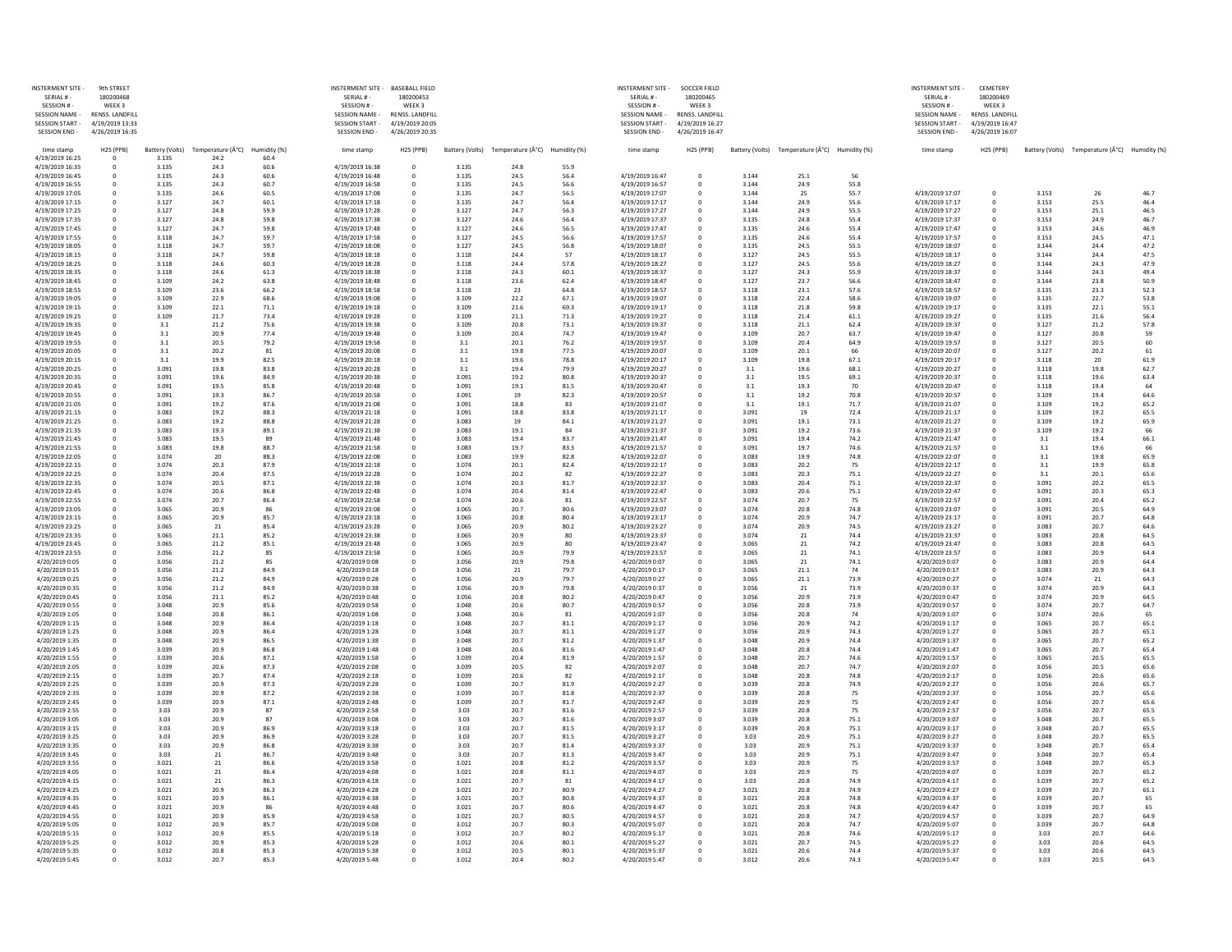| <b>INSTERMENT SITE -</b>                    | 9th STREET                         |                 |                  |              | INSTERMENT SITE - BASEBALL FIELD                |                                    |                 |                  |              | <b>INSTERMENT SITE -</b>                        | <b>SOCCER FIELD</b>                |                 |                               |              | <b>INSTERMENT SITE -</b>                    | <b>CEMETERY</b>                    |                |                                               |              |
|---------------------------------------------|------------------------------------|-----------------|------------------|--------------|-------------------------------------------------|------------------------------------|-----------------|------------------|--------------|-------------------------------------------------|------------------------------------|-----------------|-------------------------------|--------------|---------------------------------------------|------------------------------------|----------------|-----------------------------------------------|--------------|
| SERIAL # -                                  | 180200468                          |                 |                  |              | SERIAL #-                                       | 180200453                          |                 |                  |              | SERIAL #-                                       | 180200465                          |                 |                               |              | SERIAL #-                                   | 180200469                          |                |                                               |              |
| SESSION # -                                 | WEEK 3                             |                 |                  |              | SESSION # -                                     | WEEK <sub>3</sub>                  |                 |                  |              | SESSION #-                                      | WEEK 3                             |                 |                               |              | SESSION # -                                 | WEEK3                              |                |                                               |              |
| <b>SESSION NAME</b><br><b>SESSION START</b> | RENSS. LANDFILL<br>4/19/2019 13:33 |                 |                  |              | <b>SESSION NAME -</b><br><b>SESSION START -</b> | RENSS. LANDFILL<br>4/19/2019 20:05 |                 |                  |              | <b>SESSION NAME -</b><br><b>SESSION START -</b> | RENSS. LANDFILL<br>4/19/2019 16:27 |                 |                               |              | <b>SESSION NAME</b><br><b>SESSION START</b> | RENSS. LANDFILI<br>4/19/2019 16:47 |                |                                               |              |
| <b>SESSION END-</b>                         | 4/26/2019 16:35                    |                 |                  |              | <b>SESSION END -</b>                            | 4/26/2019 20:35                    |                 |                  |              | <b>SESSION END</b>                              | 4/26/2019 16:47                    |                 |                               |              | <b>SESSION END</b>                          | 4/26/2019 16:07                    |                |                                               |              |
| time stamp                                  | H2S (PPB)                          | Battery (Volts) | Temperature (°C) | Humidity (%) | time stamp                                      | H2S (PPB)                          | Battery (Volts) | Temperature (°C) | Humidity (%) | time stamp                                      | H2S (PPB)                          | Battery (Volts) | Temperature (°C) Humidity (%) |              | time stamp                                  | H2S (PPB)                          |                | Battery (Volts) Temperature (°C) Humidity (%) |              |
| 4/19/2019 16:25                             |                                    | 3.135           | 24.2             | 60.4         |                                                 |                                    |                 |                  |              |                                                 |                                    |                 |                               |              |                                             |                                    |                |                                               |              |
| 4/19/2019 16:35                             |                                    | 3.135           | 24.3             | 60.6         | 4/19/2019 16:38                                 | $\overline{0}$                     | 3.135           | 24.8             | 55.9         |                                                 |                                    |                 |                               |              |                                             |                                    |                |                                               |              |
| 4/19/2019 16:45<br>4/19/2019 16:55          |                                    | 3.135<br>3.135  | 24.3<br>24.3     | 60.6<br>60.7 | 4/19/2019 16:48<br>4/19/2019 16:58              | 0                                  | 3.135<br>3.135  | 24.5<br>24.5     | 56.4<br>56.6 | 4/19/2019 16:47<br>4/19/2019 16:57              |                                    | 3.144<br>3.144  | 25.1<br>24.9                  | 56<br>55.8   |                                             |                                    |                |                                               |              |
| 4/19/2019 17:05                             |                                    | 3.135           | 24.6             | 60.5         | 4/19/2019 17:08                                 |                                    | 3.135           | 24.7             | 56.5         | 4/19/2019 17:07                                 |                                    | 3.144           | 25                            | 55.7         | 4/19/2019 17:07                             |                                    | 3.153          | 26                                            | 46.7         |
| 4/19/2019 17:15                             |                                    | 3.127           | 24.7             | 60.1         | 4/19/2019 17:18                                 |                                    | 3.135           | 24.7             | 56.4         | 4/19/2019 17:17                                 |                                    | 3.144           | 24.9                          | 55.6         | 4/19/2019 17:17                             |                                    | 3.153          | 25.5                                          | 46.4         |
| 4/19/2019 17:25                             |                                    | 3.127           | 24.8             | 59.9         | 4/19/2019 17:28                                 |                                    | 3.127           | 24.7             | 56.3         | 4/19/2019 17:27                                 |                                    | 3.144           | 24.9                          | 55.5         | 4/19/2019 17:27                             |                                    | 3.153          | 25.1                                          | 46.5         |
| 4/19/2019 17:35                             |                                    | 3.127           | 24.8             | 59.8         | 4/19/2019 17:38                                 |                                    | 3.127           | 24.6             | 56.4         | 4/19/2019 17:37                                 |                                    | 3.135           | 24.8                          | 55.4         | 4/19/2019 17:37                             |                                    | 3.153          | 24.9                                          | 46.7         |
| 4/19/2019 17:45                             |                                    | 3.127           | 24.7             | 59.8         | 4/19/2019 17:48                                 |                                    | 3.127           | 24.6             | 56.5         | 4/19/2019 17:47                                 |                                    | 3.135           | 24.6                          | 55.4         | 4/19/2019 17:47                             |                                    | 3.153          | 24.6                                          | 46.9         |
| 4/19/2019 17:55                             |                                    | 3.118           | 24.7             | 59.7         | 4/19/2019 17:58                                 |                                    | 3.127           | 24.5             | 56.6         | 4/19/2019 17:57                                 |                                    | 3.135           | 24.6                          | 55.4         | 4/19/2019 17:57                             |                                    | 3.153          | 24.5                                          | 47.1         |
| 4/19/2019 18:05                             |                                    | 3.118           | 24.7             | 59.7         | 4/19/2019 18:08                                 |                                    | 3.127           | 24.5             | 56.8         | 4/19/2019 18:07                                 |                                    | 3.135           | 24.5                          | 55.5         | 4/19/2019 18:07                             |                                    | 3.144          | 24.4                                          | 47.2         |
| 4/19/2019 18:15                             |                                    | 3.118           | 24.7<br>24.6     | 59.8<br>60.3 | 4/19/2019 18:18<br>4/19/2019 18:28              |                                    | 3.118<br>3.118  | 24.4<br>24.4     | 57<br>57.8   | 4/19/2019 18:17<br>4/19/2019 18:27              |                                    | 3.127<br>3.127  | 24.5<br>24.5                  | 55.5         | 4/19/2019 18:17<br>4/19/2019 18:27          |                                    | 3.144<br>3.144 | 24.4<br>24.3                                  | 47.5<br>47.9 |
| 4/19/2019 18:25<br>4/19/2019 18:35          |                                    | 3.118<br>3.118  | 24.6             | 61.3         | 4/19/2019 18:38                                 |                                    | 3.118           | 24.3             | 60.1         | 4/19/2019 18:37                                 |                                    | 3.127           | 24.3                          | 55.6<br>55.9 | 4/19/2019 18:37                             |                                    | 3.144          | 24.3                                          | 49.4         |
| 4/19/2019 18:45                             |                                    | 3.109           | 24.2             | 63.8         | 4/19/2019 18:48                                 |                                    | 3.118           | 23.6             | 62.4         | 4/19/2019 18:47                                 |                                    | 3.127           | 23.7                          | 56.6         | 4/19/2019 18:47                             |                                    | 3.144          | 23.8                                          | 50.9         |
| 4/19/2019 18:55                             |                                    | 3.109           | 23.6             | 66.2         | 4/19/2019 18:58                                 |                                    | 3.118           | 23               | 64.8         | 4/19/2019 18:57                                 |                                    | 3.118           | 23.1                          | 57.6         | 4/19/2019 18:57                             |                                    | 3.135          | 23.3                                          | 52.3         |
| 4/19/2019 19:05                             |                                    | 3.109           | 22.9             | 68.6         | 4/19/2019 19:08                                 |                                    | 3.109           | 22.2             | 67.1         | 4/19/2019 19:07                                 |                                    | 3.118           | 22.4                          | 58.6         | 4/19/2019 19:07                             |                                    | 3.135          | 22.7                                          | 53.8         |
| 4/19/2019 19:15                             |                                    | 3.109           | 22.1             | 71.1         | 4/19/2019 19:18                                 |                                    | 3.109           | 21.6             | 69.3         | 4/19/2019 19:17                                 |                                    | 3.118           | 21.8                          | 59.8         | 4/19/2019 19:17                             |                                    | 3.135          | 22.1                                          | 55.1         |
| 4/19/2019 19:25                             |                                    | 3.109           | 21.7             | 73.4         | 4/19/2019 19:28                                 |                                    | 3.109           | 21.1             | 71.3         | 4/19/2019 19:27                                 |                                    | 3.118           | 21.4                          | 61.1         | 4/19/2019 19:27                             |                                    | 3.135          | 21.6                                          | 56.4         |
| 4/19/2019 19:35                             |                                    | 3.1             | 21.2             | 75.6         | 4/19/2019 19:38                                 |                                    | 3.109           | 20.8             | 73.1         | 4/19/2019 19:37                                 |                                    | 3.118           | 21.1                          | 62.4         | 4/19/2019 19:37                             |                                    | 3.127          | 21.2                                          | 57.8         |
| 4/19/2019 19:45<br>4/19/2019 19:55          |                                    | 3.1<br>3.1      | 20.9<br>20.5     | 77.4<br>79.2 | 4/19/2019 19:48<br>4/19/2019 19:58              |                                    | 3.109<br>3.1    | 20.4<br>20.1     | 74.7<br>76.2 | 4/19/2019 19:47<br>4/19/2019 19:57              |                                    | 3.109<br>3.109  | 20.7<br>20.4                  | 63.7<br>64.9 | 4/19/2019 19:47<br>4/19/2019 19:57          |                                    | 3.127<br>3.127 | 20.8<br>20.5                                  | 59<br>60     |
| 4/19/2019 20:05                             |                                    | 3.1             | 20.2             | 81           | 4/19/2019 20:08                                 |                                    | 3.1             | 19.8             | 77.5         | 4/19/2019 20:07                                 |                                    | 3.109           | 20.1                          | 66           | 4/19/2019 20:07                             |                                    | 3.127          | 20.2                                          | 61           |
| 4/19/2019 20:15                             |                                    | 3.2             | 19.9             | 82.5         | 4/19/2019 20:18                                 |                                    | 3.1             | 19.6             | 78.8         | 4/19/2019 20:17                                 |                                    | 3.109           | 19.8                          | 67.1         | 4/19/2019 20:17                             |                                    | 3.118          | 20                                            | 61.9         |
| 4/19/2019 20:25                             |                                    | 3.091           | 19.8             | 83.8         | 4/19/2019 20:28                                 |                                    | 3.1             | 19.4             | 79.9         | 4/19/2019 20:27                                 |                                    | 3.1             | 19.6                          | 68.1         | 4/19/2019 20:27                             |                                    | 3.118          | 19.8                                          | 62.7         |
| 4/19/2019 20:35                             |                                    | 3.091           | 19.6             | 84.9         | 4/19/2019 20:38                                 |                                    | 3.091           | 19.2             | 80.8         | 4/19/2019 20:37                                 |                                    | 3.1             | 19.5                          | 69.1         | 4/19/2019 20:37                             |                                    | 3.118          | 19.6                                          | 63.4         |
| 4/19/2019 20:45                             |                                    | 3.091           | 19.5             | 85.8         | 4/19/2019 20:48                                 |                                    | 3.091           | 19.1             | 81.5         | 4/19/2019 20:47                                 |                                    | 3.1             | 19.3                          | 70           | 4/19/2019 20:47                             |                                    | 3.118          | 19.4                                          | 64           |
| 4/19/2019 20:55                             |                                    | 3.091           | 19.3             | 86.7         | 4/19/2019 20:58                                 |                                    | 3.091           | 19               | 82.3         | 4/19/2019 20:57                                 |                                    | 3.1             | 19.2                          | 70.8         | 4/19/2019 20:57                             |                                    | 3.109          | 19.4                                          | 64.6         |
| 4/19/2019 21:05                             |                                    | 3.091           | 19.2             | 87.6         | 4/19/2019 21:08                                 |                                    | 3.091           | 18.8             | 83           | 4/19/2019 21:07                                 |                                    | 3.1             | 19.1                          | 71.7         | 4/19/2019 21:07                             |                                    | 3.109          | 19.2                                          | 65.2         |
| 4/19/2019 21:15                             |                                    | 3.083           | 19.2             | 88.3<br>88.8 | 4/19/2019 21:18<br>4/19/2019 21:28              |                                    | 3.091           | 18.8<br>19       | 83.8         | 4/19/2019 21:17<br>4/19/2019 21:27              |                                    | 3.091<br>3.091  | 19                            | 72.4         | 4/19/2019 21:17<br>4/19/2019 21:27          |                                    | 3.109          | 19.2<br>19.2                                  | 65.5         |
| 4/19/2019 21:25<br>4/19/2019 21:35          |                                    | 3.083<br>3.083  | 19.2<br>19.3     | 89.1         | 4/19/2019 21:38                                 |                                    | 3.083<br>3.083  | 19.1             | 84.1<br>84   | 4/19/2019 21:37                                 |                                    | 3.091           | 19.1<br>19.2                  | 73.1<br>73.6 | 4/19/2019 21:37                             |                                    | 3.109<br>3.109 | 19.2                                          | 65.9<br>66   |
| 4/19/2019 21:45                             |                                    | 3.083           | 19.5             | 89           | 4/19/2019 21:48                                 |                                    | 3.083           | 19.4             | 83.7         | 4/19/2019 21:47                                 |                                    | 3.091           | 19.4                          | 74.2         | 4/19/2019 21:47                             |                                    | 3.1            | 19.4                                          | 66.1         |
| 4/19/2019 21:55                             |                                    | 3.083           | 19.8             | 88.7         | 4/19/2019 21:58                                 |                                    | 3.083           | 19.7             | 83.3         | 4/19/2019 21:57                                 |                                    | 3.091           | 19.7                          | 74.6         | 4/19/2019 21:57                             |                                    | 3.1            | 19.6                                          | 66           |
| 4/19/2019 22:05                             |                                    | 3.074           | 20               | 88.3         | 4/19/2019 22:08                                 |                                    | 3.083           | 19.9             | 82.8         | 4/19/2019 22:07                                 |                                    | 3.083           | 19.9                          | 74.8         | 4/19/2019 22:07                             |                                    | 3.1            | 19.8                                          | 65.9         |
| 4/19/2019 22:15                             |                                    | 3.074           | 20.3             | 87.9         | 4/19/2019 22:18                                 |                                    | 3.074           | 20.1             | 82.4         | 4/19/2019 22:17                                 |                                    | 3.083           | 20.2                          | 75           | 4/19/2019 22:17                             |                                    |                | 19.9                                          | 65.8         |
| 4/19/2019 22:25                             |                                    | 3.074           | 20.4             | 87.5         | 4/19/2019 22:28                                 |                                    | 3.074           | 20.2             | 82           | 4/19/2019 22:27                                 |                                    | 3.083           | 20.3                          | 75.1         | 4/19/2019 22:27                             |                                    | 3.1            | 20.1                                          | 65.6         |
| 4/19/2019 22:35                             |                                    | 3.074           | 20.5             | 87.1         | 4/19/2019 22:38                                 |                                    | 3.074           | 20.3             | 81.7         | 4/19/2019 22:37                                 |                                    | 3.083           | 20.4                          | 75.1         | 4/19/2019 22:37                             |                                    | 3.091          | 20.2                                          | 65.5         |
| 4/19/2019 22:45                             |                                    | 3.074           | 20.6             | 86.8         | 4/19/2019 22:48                                 |                                    | 3.074           | 20.4             | 81.4         | 4/19/2019 22:47                                 |                                    | 3.083           | 20.6                          | 75.1         | 4/19/2019 22:47                             |                                    | 3.091          | 20.3                                          | 65.3         |
| 4/19/2019 22:55                             |                                    | 3.074           | 20.7             | 86.4         | 4/19/2019 22:58                                 |                                    | 3.074           | 20.6             | 81           | 4/19/2019 22:57                                 |                                    | 3.074           | 20.7                          | 75           | 4/19/2019 22:57                             |                                    | 3.091          | 20.4                                          | 65.2         |
| 4/19/2019 23:05<br>4/19/2019 23:15          |                                    | 3.065<br>3.065  | 20.9<br>20.9     | 86<br>85.7   | 4/19/2019 23:08<br>4/19/2019 23:18              |                                    | 3.065<br>3.065  | 20.7<br>20.8     | 80.6<br>80.4 | 4/19/2019 23:07<br>4/19/2019 23:17              |                                    | 3.074<br>3.074  | 20.8<br>20.9                  | 74.8<br>74.7 | 4/19/2019 23:07<br>4/19/2019 23:17          |                                    | 3.091<br>3.091 | 20.5<br>20.7                                  | 64.9<br>64.8 |
| 4/19/2019 23:25                             |                                    | 3.065           | 21               | 85.4         | 4/19/2019 23:28                                 |                                    | 3.065           | 20.9             | 80.2         | 4/19/2019 23:27                                 |                                    | 3.074           | 20.9                          | 74.5         | 4/19/2019 23:27                             |                                    | 3.083          | 20.7                                          | 64.6         |
| 4/19/2019 23:35                             |                                    | 3.065           | 21.1             | 85.2         | 4/19/2019 23:38                                 |                                    | 3.065           | 20.9             | -80          | 4/19/2019 23:37                                 |                                    | 3.074           | 21                            | 74.4         | 4/19/2019 23:37                             |                                    | 3.083          | 20.8                                          | 64.5         |
| 4/19/2019 23:45                             |                                    | 3.065           | 21.2             | 85.1         | 4/19/2019 23:48                                 |                                    | 3.065           | 20.9             |              | 4/19/2019 23:47                                 |                                    | 3.065           | 21                            | 74.2         | 4/19/2019 23:47                             |                                    | 3.083          | 20.8                                          | 64.5         |
| 4/19/2019 23:55                             |                                    | 3.056           | 21.2             | 85           | 4/19/2019 23:58                                 |                                    | 3.065           | 20.9             | 79.9         | 4/19/2019 23:57                                 |                                    | 3.065           |                               | 74.1         | 4/19/2019 23:57                             |                                    | 3.083          | 20.9                                          | 64.4         |
| 4/20/2019 0:05                              |                                    | 3.056           | 21.2             | 85           | 4/20/2019 0:08                                  |                                    | 3.056           | 20.9             | 79.8         | 4/20/2019 0:07                                  |                                    | 3.065           | 21                            | 74.1         | 4/20/2019 0:07                              |                                    | 3.083          | 20.9                                          | 64.4         |
| 4/20/2019 0:15                              |                                    | 3.056           | 21.2             | 84.9         | 4/20/2019 0:18                                  |                                    | 3.056           | 21               | 79.7         | 4/20/2019 0:17                                  |                                    | 3.065           | 21.1                          | 74           | 4/20/2019 0:17                              |                                    | 3.083          | 20.9                                          | 64.3         |
| 4/20/2019 0:25                              |                                    | 3.056           | 21.2             | 84.9         | 4/20/2019 0:28                                  |                                    | 3.056           | 20.9             | 79.7         | 4/20/2019 0:27                                  |                                    | 3.065           | 21.1                          | 73.9         | 4/20/2019 0:27                              |                                    | 3.074          | 21                                            | 64.3         |
| 4/20/2019 0:35                              |                                    | 3.056           | 21.2             | 84.9         | 4/20/2019 0:38<br>4/20/2019 0:48                |                                    | 3.056           | 20.9             | 79.8         | 4/20/2019 0:37<br>4/20/2019 0:47                |                                    | 3.056           | 21                            | 73.9         | 4/20/2019 0:37<br>4/20/2019 0:47            |                                    | 3.074          | 20.9                                          | 64.3         |
| 4/20/2019 0:45<br>4/20/2019 0:55            |                                    | 3.056<br>3.048  | 21.1<br>20.9     | 85.2<br>85.6 | 4/20/2019 0:58                                  |                                    | 3.056<br>3.048  | 20.8<br>20.6     | 80.2<br>80.7 | 4/20/2019 0:57                                  |                                    | 3.056<br>3.056  | 20.9<br>20.8                  | 73.9<br>73.9 | 4/20/2019 0:57                              |                                    | 3.074<br>3.074 | 20.9<br>20.7                                  | 64.5<br>64.7 |
| 4/20/2019 1:05                              |                                    | 3.048           | 20.8             | 86.1         | 4/20/2019 1:08                                  |                                    | 3.048           | 20.6             | 81           | 4/20/2019 1:07                                  |                                    | 3.056           | 20.8                          | 74           | 4/20/2019 1:07                              |                                    | 3.074          | 20.6                                          | 65           |
| 4/20/2019 1:15                              |                                    | 3.048           | 20.9             | 86.4         | 4/20/2019 1:18                                  |                                    | 3.048           | 20.7             | 81.1         | 4/20/2019 1:17                                  |                                    | 3.056           | 20.9                          | 74.2         | 4/20/2019 1:17                              |                                    | 3.065          | 20.7                                          | 65.1         |
| 4/20/2019 1:25                              |                                    | 3.048           | 20.9             | 86.4         | 4/20/2019 1:28                                  | $\Omega$                           | 3.048           | 20.7             | 81.1         | 4/20/2019 1:27                                  |                                    | 3.056           | 20.9                          | 74.3         | 4/20/2019 1:27                              |                                    | 3.065          | 20.7                                          | 65.1         |
| 4/20/2019 1:35                              |                                    | 3.048           | 20.9             | 86.5         | 4/20/2019 1:38                                  | $\Omega$                           | 3.048           | 20.7             | 81.2         | 4/20/2019 1:37                                  |                                    | 3.048           | 20.9                          | 74.4         | 4/20/2019 1:37                              |                                    | 3.065          | 20.7                                          | 65.2         |
| 4/20/2019 1:45                              |                                    | 3.039           | 20.9             | 86.8         | 4/20/2019 1:48                                  | $\Omega$                           | 3.048           | 20.6             | 81.6         | 4/20/2019 1:47                                  |                                    | 3.048           | 20.8                          | 74.4         | 4/20/2019 1:47                              |                                    | 3.065          | 20.7                                          | 65.4         |
| 4/20/2019 1:55                              |                                    | 3.039           | 20.6             | 87.1         | 4/20/2019 1:58                                  |                                    | 3.039           | 20.4             | 81.9         | 4/20/2019 1:57                                  |                                    | 3.048           | 20.7                          | 74.6         | 4/20/2019 1:57                              |                                    | 3.065          | 20.5                                          | 65.5         |
| 4/20/2019 2:05                              |                                    | 3.039           | 20.6             | 87.3         | 4/20/2019 2:08                                  |                                    | 3.039           | 20.5             | 82           | 4/20/2019 2:07                                  |                                    | 3.048           | 20.7                          | 74.7         | 4/20/2019 2:07                              |                                    | 3.056          | 20.5                                          | 65.6         |
| 4/20/2019 2:15<br>4/20/2019 2:25            |                                    | 3.039<br>3.039  | 20.7<br>20.9     | 87.4<br>87.3 | 4/20/2019 2:18<br>4/20/2019 2:28                | $\Omega$                           | 3.039<br>3.039  | 20.6<br>20.7     | 82<br>81.9   | 4/20/2019 2:17<br>4/20/2019 2:27                |                                    | 3.048<br>3.039  | 20.8<br>20.8                  | 74.8<br>74.9 | 4/20/2019 2:17<br>4/20/2019 2:27            |                                    | 3.056<br>3.056 | 20.6<br>20.6                                  | 65.6<br>65.7 |
| 4/20/2019 2:35                              |                                    | 3.039           | 20.9             | 87.2         | 4/20/2019 2:38                                  |                                    | 3.039           | 20.7             | 81.8         | 4/20/2019 2:37                                  |                                    | 3.039           | 20.8                          | 75           | 4/20/2019 2:37                              |                                    | 3.056          | 20.7                                          | 65.6         |
| 4/20/2019 2:45                              |                                    | 3.039           | 20.9             | 87.1         | 4/20/2019 2:48                                  |                                    | 3.039           | 20.7             | 81.7         | 4/20/2019 2:47                                  |                                    | 3.039           | 20.9                          | 75           | 4/20/2019 2:47                              |                                    | 3.056          | 20.7                                          | 65.6         |
| 4/20/2019 2:55                              |                                    | 3.03            | 20.9             | 87           | 4/20/2019 2:58                                  |                                    | 3.03            | 20.7             | 81.6         | 4/20/2019 2:57                                  |                                    | 3.039           | 20.8                          | 75           | 4/20/2019 2:57                              |                                    | 3.056          | 20.7                                          | 65.5         |
| 4/20/2019 3:05                              |                                    | 3.03            | 20.9             | 87           | 4/20/2019 3:08                                  |                                    | 3.03            | 20.7             | 81.6         | 4/20/2019 3:07                                  |                                    | 3.039           | 20.8                          | 75.1         | 4/20/2019 3:07                              |                                    | 3.048          | 20.7                                          | 65.5         |
| 4/20/2019 3:15                              |                                    | 3.03            | 20.9             | 86.9         | 4/20/2019 3:18                                  |                                    | 3.03            | 20.7             | 81.5         | 4/20/2019 3:17                                  |                                    | 3.039           | 20.8                          | 75.1         | 4/20/2019 3:17                              |                                    | 3.048          | 20.7                                          | 65.5         |
| 4/20/2019 3:25                              |                                    | 3.03            | 20.9             | 86.9         | 4/20/2019 3:28                                  |                                    | 3.03            | 20.7             | 81.5         | 4/20/2019 3:27                                  |                                    | 3.03            | 20.9                          | 75.1         | 4/20/2019 3:27                              |                                    | 3.048          | 20.7                                          | 65.5         |
| 4/20/2019 3:35                              |                                    | 3.03            | 20.9             | 86.8         | 4/20/2019 3:38                                  |                                    | 3.03            | 20.7             | 81.4         | 4/20/2019 3:37                                  |                                    | 3.03            | 20.9                          | 75.1         | 4/20/2019 3:37                              |                                    | 3.048          | 20.7                                          | 65.4         |
| 4/20/2019 3:45                              |                                    | 3.03            | 21               | 86.7         | 4/20/2019 3:48<br>4/20/2019 3:58                |                                    | 3.03            | 20.7             | 81.3         | 4/20/2019 3:47                                  |                                    | 3.03            | 20.9                          | 75.1         | 4/20/2019 3:47                              |                                    | 3.048          | 20.7<br>20.7                                  | 65.4         |
| 4/20/2019 3:55<br>4/20/2019 4:05            |                                    | 3.021<br>3.021  | 21<br>21         | 86.6<br>86.4 | 4/20/2019 4:08                                  |                                    | 3.021<br>3.021  | 20.8<br>20.8     | 81.2<br>81.1 | 4/20/2019 3:57<br>4/20/2019 4:07                |                                    | 3.03<br>3.03    | 20.9<br>20.9                  | 75<br>75     | 4/20/2019 3:57<br>4/20/2019 4:07            |                                    | 3.048<br>3.039 | 20.7                                          | 65.3<br>65.2 |
| 4/20/2019 4:15                              |                                    | 3.021           | 21               | 86.3         | 4/20/2019 4:18                                  | $\Omega$                           | 3.021           | 20.7             | 81           | 4/20/2019 4:17                                  |                                    | 3.03            | 20.8                          | 74.9         | 4/20/2019 4:17                              |                                    | 3.039          | 20.7                                          | 65.2         |
| 4/20/2019 4:25                              |                                    | 3.021           | 20.9             | 86.3         | 4/20/2019 4:28                                  |                                    | 3.021           | 20.7             | 80.9         | 4/20/2019 4:27                                  |                                    | 3.021           | 20.8                          | 74.9         | 4/20/2019 4:27                              |                                    | 3.039          | 20.7                                          | 65.1         |
| 4/20/2019 4:35                              |                                    | 3.021           | 20.9             | 86.1         | 4/20/2019 4:38                                  |                                    | 3.021           | 20.7             | 80.8         | 4/20/2019 4:37                                  |                                    | 3.021           | 20.8                          | 74.8         | 4/20/2019 4:37                              |                                    | 3.039          | 20.7                                          | 65           |
| 4/20/2019 4:45                              |                                    | 3.021           | 20.9             | 86           | 4/20/2019 4:48                                  |                                    | 3.021           | 20.7             | 80.6         | 4/20/2019 4:47                                  |                                    | 3.021           | 20.8                          | 74.8         | 4/20/2019 4:47                              |                                    | 3.039          | 20.7                                          | 65           |
| 4/20/2019 4:55                              |                                    | 3.021           | 20.9             | 85.9         | 4/20/2019 4:58                                  |                                    | 3.021           | 20.7             | 80.5         | 4/20/2019 4:57                                  |                                    | 3.021           | 20.8                          | 74.7         | 4/20/2019 4:57                              |                                    | 3.039          | 20.7                                          | 64.9         |
| 4/20/2019 5:05                              |                                    | 3.012           | 20.9             | 85.7         | 4/20/2019 5:08                                  |                                    | 3.012           | 20.7             | 80.3         | 4/20/2019 5:07                                  |                                    | 3.021           | 20.8                          | 74.7         | 4/20/2019 5:07                              |                                    | 3.039          | 20.7                                          | 64.8         |
| 4/20/2019 5:15                              |                                    | 3.012           | 20.9             | 85.5         | 4/20/2019 5:18                                  |                                    | 3.012           | 20.7             | 80.2         | 4/20/2019 5:17                                  |                                    | 3.021           | 20.8                          | 74.6         | 4/20/2019 5:17                              |                                    | 3.03           | 20.7                                          | 64.6         |
| 4/20/2019 5:25                              |                                    | 3.012           | 20.9             | 85.3         | 4/20/2019 5:28                                  | $\Omega$                           | 3.012           | 20.6             | 80.1         | 4/20/2019 5:27                                  |                                    | 3.021           | 20.7                          | 74.5         | 4/20/2019 5:27                              |                                    | 3.03           | 20.6<br>20.6                                  | 64.5         |
| 4/20/2019 5:35<br>4/20/2019 5:45            | $\Omega$                           | 3.012<br>3.012  | 20.8<br>20.7     | 85.3<br>85.3 | 4/20/2019 5:38<br>4/20/2019 5:48                | $\Omega$                           | 3.012<br>3.012  | 20.5<br>20.4     | 80.1<br>80.2 | 4/20/2019 5:37<br>4/20/2019 5:47                |                                    | 3.021<br>3.012  | 20.6<br>20.6                  | 74.4<br>74.3 | 4/20/2019 5:37<br>4/20/2019 5:47            |                                    | 3.03<br>3.03   | 20.5                                          | 64.5<br>64.5 |
|                                             |                                    |                 |                  |              |                                                 |                                    |                 |                  |              |                                                 |                                    |                 |                               |              |                                             |                                    |                |                                               |              |
|                                             |                                    |                 |                  |              |                                                 |                                    |                 |                  |              |                                                 |                                    |                 |                               |              |                                             |                                    |                |                                               |              |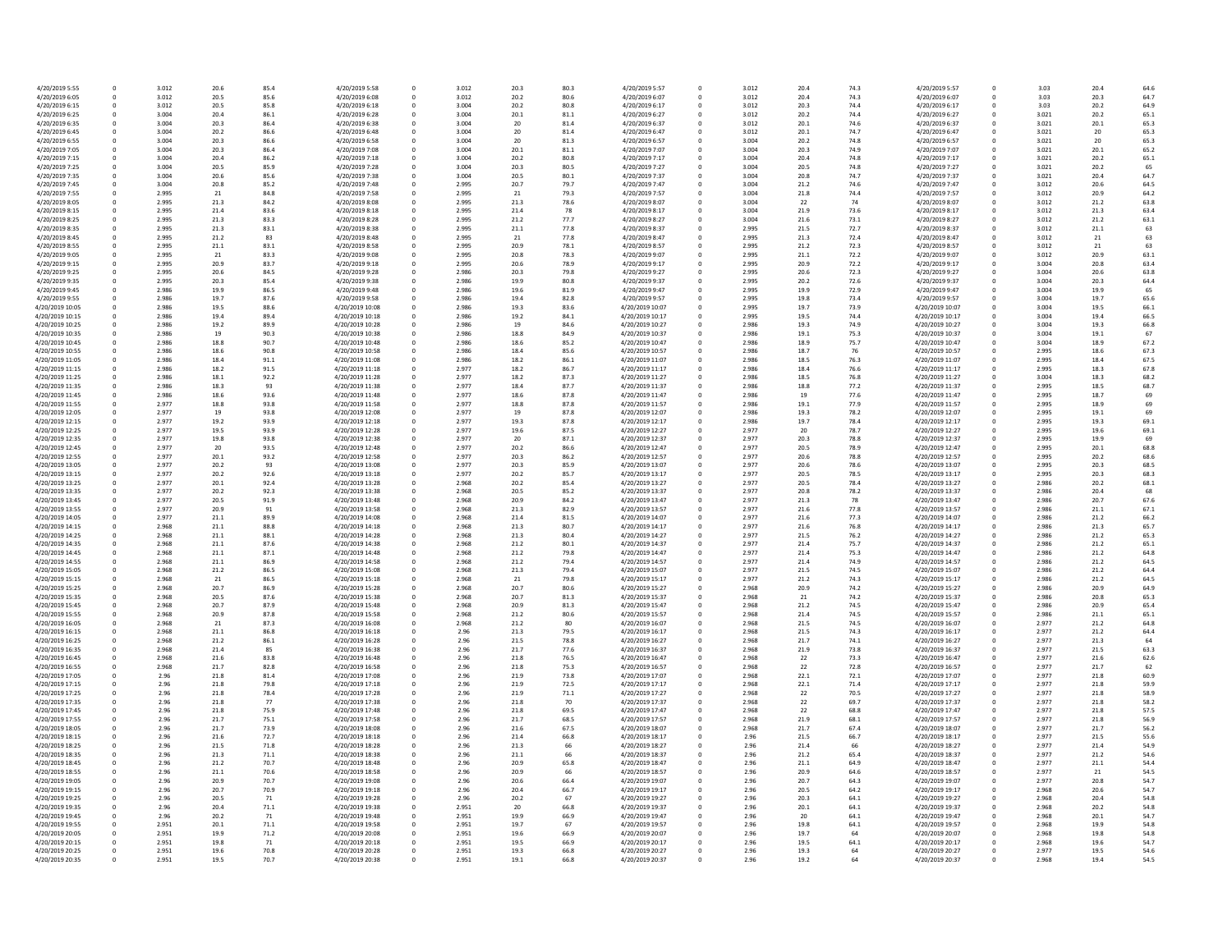| 4/20/2019 5:55  | 0            | 3.012 | 20.6 | 85.4 | 4/20/2019 5:58  | 0  | 3.012 | 20.3 | 80.3 | 4/20/2019 5:57  |
|-----------------|--------------|-------|------|------|-----------------|----|-------|------|------|-----------------|
| 4/20/2019 6:05  | 0            | 3.012 | 20.5 | 85.6 | 4/20/2019 6:08  | 0  | 3.012 | 20.2 | 80.6 | 4/20/2019 6:07  |
| 4/20/2019 6:15  | 0            | 3.012 | 20.5 | 85.8 | 4/20/2019 6:18  | 0  | 3.004 | 20.2 | 80.8 | 4/20/2019 6:17  |
|                 |              |       |      |      |                 |    |       |      |      |                 |
| 4/20/2019 6:25  | 0            | 3.004 | 20.4 | 86.1 | 4/20/2019 6:28  | 0  | 3.004 | 20.1 | 81.1 | 4/20/2019 6:27  |
| 4/20/2019 6:35  | 0            | 3.004 | 20.3 | 86.4 | 4/20/2019 6:38  | 0  | 3.004 | 20   | 81.4 | 4/20/2019 6:37  |
| 4/20/2019 6:45  | 0            | 3.004 | 20.2 | 86.6 | 4/20/2019 6:48  | 0  | 3.004 | 20   | 81.4 | 4/20/2019 6:47  |
| 4/20/2019 6:55  | 0            | 3.004 | 20.3 | 86.6 | 4/20/2019 6:58  | 0  | 3.004 | 20   | 81.3 | 4/20/2019 6:57  |
|                 |              |       |      |      |                 |    |       |      |      |                 |
| 4/20/2019 7:05  | 0            | 3.004 | 20.3 | 86.4 | 4/20/2019 7:08  | 0  | 3.004 | 20.1 | 81.1 | 4/20/2019 7:07  |
| 4/20/2019 7:15  | 0            | 3.004 | 20.4 | 86.2 | 4/20/2019 7:18  | 0  | 3.004 | 20.2 | 80.8 | 4/20/2019 7:17  |
| 4/20/2019 7:25  | 0            | 3.004 | 20.5 | 85.9 | 4/20/2019 7:28  | 0  | 3.004 | 20.3 | 80.5 | 4/20/2019 7:27  |
| 4/20/2019 7:35  | 0            | 3.004 | 20.6 | 85.6 | 4/20/2019 7:38  | 0  | 3.004 | 20.5 | 80.1 | 4/20/2019 7:37  |
|                 |              |       |      |      |                 |    |       |      |      |                 |
| 4/20/2019 7:45  | 0            | 3.004 | 20.8 | 85.2 | 4/20/2019 7:48  | 0  | 2.995 | 20.7 | 79.7 | 4/20/2019 7:47  |
| 4/20/2019 7:55  | 0            | 2.995 | 21   | 84.8 | 4/20/2019 7:58  | 0  | 2.995 | 21   | 79.3 | 4/20/2019 7:57  |
| 4/20/2019 8:05  | $\mathbf 0$  | 2.995 | 21.3 | 84.2 | 4/20/2019 8:08  | 0  | 2.995 | 21.3 | 78.6 | 4/20/2019 8:07  |
| 4/20/2019 8:15  | 0            | 2.995 | 21.4 | 83.6 | 4/20/2019 8:18  | 0  | 2.995 | 21.4 | 78   | 4/20/2019 8:17  |
|                 |              |       |      |      |                 |    |       |      |      |                 |
| 4/20/2019 8:25  | 0            | 2.995 | 21.3 | 83.3 | 4/20/2019 8:28  | 0  | 2.995 | 21.2 | 77.7 | 4/20/2019 8:27  |
| 4/20/2019 8:35  | 0            | 2.995 | 21.3 | 83.1 | 4/20/2019 8:38  | 0  | 2.995 | 21.1 | 77.8 | 4/20/2019 8:37  |
| 4/20/2019 8:45  | 0            | 2.995 | 21.2 | 83   | 4/20/2019 8:48  | 0  | 2.995 | 21   | 77.8 | 4/20/2019 8:47  |
| 4/20/2019 8:55  | $\mathbf 0$  | 2.995 |      | 83.1 | 4/20/2019 8:58  |    |       | 20.9 | 78.1 |                 |
|                 |              |       | 21.1 |      |                 | 0  | 2.995 |      |      | 4/20/2019 8:57  |
| 4/20/2019 9:05  | 0            | 2.995 | 21   | 83.3 | 4/20/2019 9:08  | 0  | 2.995 | 20.8 | 78.3 | 4/20/2019 9:07  |
| 4/20/2019 9:15  | 0            | 2.995 | 20.9 | 83.7 | 4/20/2019 9:18  | 0  | 2.995 | 20.6 | 78.9 | 4/20/2019 9:17  |
| 4/20/2019 9:25  | 0            | 2.995 | 20.6 | 84.5 | 4/20/2019 9:28  | 0  | 2.986 | 20.3 | 79.8 | 4/20/2019 9:27  |
|                 |              |       |      |      |                 |    |       |      |      |                 |
| 4/20/2019 9:35  | 0            | 2.995 | 20.3 | 85.4 | 4/20/2019 9:38  | 0  | 2.986 | 19.9 | 80.8 | 4/20/2019 9:37  |
| 4/20/2019 9:45  | 0            | 2.986 | 19.9 | 86.5 | 4/20/2019 9:48  | 0  | 2.986 | 19.6 | 81.9 | 4/20/2019 9:47  |
| 4/20/2019 9:55  | 0            | 2.986 | 19.7 | 87.6 | 4/20/2019 9:58  | 0  | 2.986 | 19.4 | 82.8 | 4/20/2019 9:57  |
| 4/20/2019 10:05 | 0            | 2.986 | 19.5 | 88.6 | 4/20/2019 10:08 | 0  | 2.986 | 19.3 | 83.6 | 4/20/2019 10:07 |
|                 |              |       |      |      |                 |    |       |      |      |                 |
| 4/20/2019 10:15 | 0            | 2.986 | 19.4 | 89.4 | 4/20/2019 10:18 | 0  | 2.986 | 19.2 | 84.1 | 4/20/2019 10:17 |
| 4/20/2019 10:25 | 0            | 2.986 | 19.2 | 89.9 | 4/20/2019 10:28 | 0  | 2.986 | 19   | 84.6 | 4/20/2019 10:27 |
| 4/20/2019 10:35 | 0            | 2.986 | 19   | 90.3 | 4/20/2019 10:38 | 0  | 2.986 | 18.8 | 84.9 | 4/20/2019 10:37 |
| 4/20/2019 10:45 | 0            | 2.986 | 18.8 | 90.7 | 4/20/2019 10:48 | 0  | 2.986 | 18.6 | 85.2 | 4/20/2019 10:47 |
|                 |              |       |      |      |                 |    |       |      |      |                 |
| 4/20/2019 10:55 | 0            | 2.986 | 18.6 | 90.8 | 4/20/2019 10:58 |    | 2.986 | 18.4 | 85.6 | 4/20/2019 10:57 |
| 4/20/2019 11:05 | 0            | 2.986 | 18.4 | 91.1 | 4/20/2019 11:08 | 0  | 2.986 | 18.2 | 86.1 | 4/20/2019 11:07 |
| 4/20/2019 11:15 | 0            | 2.986 | 18.2 | 91.5 | 4/20/2019 11:18 | 0  | 2.977 | 18.2 | 86.7 | 4/20/2019 11:17 |
|                 |              |       |      |      |                 |    |       |      |      |                 |
| 4/20/2019 11:25 | 0            | 2.986 | 18.1 | 92.2 | 4/20/2019 11:28 | 0  | 2.977 | 18.2 | 87.3 | 4/20/2019 11:27 |
| 4/20/2019 11:35 | 0            | 2.986 | 18.3 | 93   | 4/20/2019 11:38 | 0  | 2.977 | 18.4 | 87.7 | 4/20/2019 11:37 |
| 4/20/2019 11:45 | $\mathbf 0$  | 2.986 | 18.6 | 93.6 | 4/20/2019 11:48 | 0  | 2.977 | 18.6 | 87.8 | 4/20/2019 11:47 |
| 4/20/2019 11:55 | 0            | 2.977 | 18.8 | 93.8 | 4/20/2019 11:58 | 0  | 2.977 | 18.8 | 87.8 | 4/20/2019 11:57 |
|                 |              |       |      |      |                 |    |       |      |      |                 |
| 4/20/2019 12:05 | 0            | 2.977 | 19   | 93.8 | 4/20/2019 12:08 | 0  | 2.977 | 19   | 87.8 | 4/20/2019 12:07 |
| 4/20/2019 12:15 | 0            | 2.977 | 19.2 | 93.9 | 4/20/2019 12:18 | 0  | 2.977 | 19.3 | 87.8 | 4/20/2019 12:17 |
| 4/20/2019 12:25 | 0            | 2.977 | 19.5 | 93.9 | 4/20/2019 12:28 | 0  | 2.977 | 19.6 | 87.5 | 4/20/2019 12:27 |
| 4/20/2019 12:35 | $\mathbf 0$  | 2.977 | 19.8 | 93.8 | 4/20/2019 12:38 | 0  | 2.977 | 20   | 87.1 | 4/20/2019 12:37 |
|                 |              |       |      |      |                 |    |       |      |      |                 |
| 4/20/2019 12:45 | $\mathbf 0$  | 2.977 | 20   | 93.5 | 4/20/2019 12:48 | 0  | 2.977 | 20.2 | 86.6 | 4/20/2019 12:47 |
| 4/20/2019 12:55 | 0            | 2.977 | 20.1 | 93.2 | 4/20/2019 12:58 | 0  | 2.977 | 20.3 | 86.2 | 4/20/2019 12:57 |
| 4/20/2019 13:05 | 0            | 2.977 | 20.2 | 93   | 4/20/2019 13:08 | 0  | 2.977 | 20.3 | 85.9 | 4/20/2019 13:07 |
| 4/20/2019 13:15 | 0            | 2.977 | 20.2 | 92.6 | 4/20/2019 13:18 | 0  | 2.977 | 20.2 | 85.7 | 4/20/2019 13:17 |
|                 |              |       |      |      |                 |    |       |      |      |                 |
| 4/20/2019 13:25 | 0            | 2.977 | 20.1 | 92.4 | 4/20/2019 13:28 | 0  | 2.968 | 20.2 | 85.4 | 4/20/2019 13:27 |
| 4/20/2019 13:35 | 0            | 2.977 | 20.2 | 92.3 | 4/20/2019 13:38 | 0  | 2.968 | 20.5 | 85.2 | 4/20/2019 13:37 |
| 4/20/2019 13:45 | $\mathbf 0$  | 2.977 | 20.5 | 91.9 | 4/20/2019 13:48 | 0  | 2.968 | 20.9 | 84.2 | 4/20/2019 13:47 |
|                 |              |       |      |      |                 |    |       |      |      |                 |
| 4/20/2019 13:55 | 0            | 2.977 | 20.9 | 91   | 4/20/2019 13:58 | 0  | 2.968 | 21.3 | 82.9 | 4/20/2019 13:57 |
| 4/20/2019 14:05 | 0            | 2.977 | 21.1 | 89.9 | 4/20/2019 14:08 | 0  | 2.968 | 21.4 | 81.5 | 4/20/2019 14:07 |
| 4/20/2019 14:15 | $\mathbf 0$  | 2.968 | 21.1 | 88.8 | 4/20/2019 14:18 | 0  | 2.968 | 21.3 | 80.7 | 4/20/2019 14:17 |
| 4/20/2019 14:25 | 0            | 2.968 | 21.1 | 88.1 | 4/20/2019 14:28 | 0  | 2.968 | 21.3 | 80.4 | 4/20/2019 14:27 |
|                 |              |       |      |      |                 |    |       |      |      |                 |
| 4/20/2019 14:35 | $\mathbf 0$  | 2.968 | 21.1 | 87.6 | 4/20/2019 14:38 | 0  | 2.968 | 21.2 | 80.1 | 4/20/2019 14:37 |
| 4/20/2019 14:45 | 0            | 2.968 | 21.1 | 87.1 | 4/20/2019 14:48 | 0  | 2.968 | 21.2 | 79.8 | 4/20/2019 14:47 |
| 4/20/2019 14:55 | 0            | 2.968 | 21.1 | 86.9 | 4/20/2019 14:58 | 0  | 2.968 | 21.2 | 79.4 | 4/20/2019 14:57 |
| 4/20/2019 15:05 | $\mathbf 0$  | 2.968 | 21.2 | 86.5 | 4/20/2019 15:08 | 0  | 2.968 | 21.3 | 79.4 | 4/20/2019 15:07 |
|                 |              |       |      |      |                 |    |       |      |      |                 |
| 4/20/2019 15:15 | 0            | 2.968 | 21   | 86.5 | 4/20/2019 15:18 | 0  | 2.968 | 21   | 79.8 | 4/20/2019 15:17 |
| 4/20/2019 15:25 | 0            | 2.968 | 20.7 | 86.9 | 4/20/2019 15:28 | 0  | 2.968 | 20.7 | 80.6 | 4/20/2019 15:27 |
| 4/20/2019 15:35 | 0            | 2.968 | 20.5 | 87.6 | 4/20/2019 15:38 | 0  | 2.968 | 20.7 | 81.3 | 4/20/2019 15:37 |
| 4/20/2019 15:45 | 0            | 2.968 | 20.7 | 87.9 | 4/20/2019 15:48 | 0  | 2.968 | 20.9 | 81.3 | 4/20/2019 15:47 |
|                 |              |       |      |      |                 |    |       |      |      |                 |
| 4/20/2019 15:55 | 0            | 2.968 | 20.9 | 87.8 | 4/20/2019 15:58 | 0  | 2.968 | 21.2 | 80.6 | 4/20/2019 15:57 |
| 4/20/2019 16:05 | <sup>0</sup> | 2.968 | 21   | 87.3 | 4/20/2019 16:08 | 0. | 2.968 | 21.2 | 80   | 4/20/2019 16:07 |
| 4/20/2019 16:15 | 0            | 2.968 | 21.1 | 86.8 | 4/20/2019 16:18 | 0  | 2.96  | 21.3 | 79.5 | 4/20/2019 16:17 |
| 4/20/2019 16:25 | 0            | 2.968 | 21.2 | 86.1 | 4/20/2019 16:28 | 0  | 2.96  | 21.5 | 78.8 | 4/20/2019 16:27 |
| 4/20/2019 16:35 | 0            | 2.968 | 21.4 | 85   | 4/20/2019 16:38 | 0  | 2.96  | 21.7 | 77.6 | 4/20/2019 16:37 |
|                 |              |       |      |      |                 |    |       |      |      |                 |
| 4/20/2019 16:45 | 0            | 2.968 | 21.6 | 83.8 | 4/20/2019 16:48 | 0  | 2.96  | 21.8 | 76.5 | 4/20/2019 16:47 |
| 4/20/2019 16:55 | 0            | 2.968 | 21.7 | 82.8 | 4/20/2019 16:58 | 0  | 2.96  | 21.8 | 75.3 | 4/20/2019 16:57 |
| 4/20/2019 17:05 | 0            | 2.96  | 21.8 | 81.4 | 4/20/2019 17:08 |    | 2.96  | 21.9 | 73.8 | 4/20/2019 17:07 |
| 4/20/2019 17:15 | 0            | 2.96  |      | 79.8 |                 | 0  | 2.96  |      |      | 4/20/2019 17:17 |
|                 |              |       | 21.8 |      | 4/20/2019 17:18 |    |       | 21.9 | 72.5 |                 |
| 4/20/2019 17:25 | 0            | 2.96  | 21.8 | 78.4 | 4/20/2019 17:28 | 0  | 2.96  | 21.9 | 71.1 | 4/20/2019 17:27 |
| 4/20/2019 17:35 | 0            | 2.96  | 21.8 | 77   | 4/20/2019 17:38 | 0  | 2.96  | 21.8 | 70   | 4/20/2019 17:37 |
| 4/20/2019 17:45 | 0            | 2.96  | 21.8 | 75.9 | 4/20/2019 17:48 | 0  | 2.96  | 21.8 | 69.5 | 4/20/2019 17:47 |
|                 |              |       |      |      |                 |    |       |      |      |                 |
| 4/20/2019 17:55 | 0            | 2.96  | 21.7 | 75.1 | 4/20/2019 17:58 | 0  | 2.96  | 21.7 | 68.5 | 4/20/2019 17:57 |
| 4/20/2019 18:05 | 0            | 2.96  | 21.7 | 73.9 | 4/20/2019 18:08 | 0  | 2.96  | 21.6 | 67.5 | 4/20/2019 18:07 |
| 4/20/2019 18:15 | 0            | 2.96  | 21.6 | 72.7 | 4/20/2019 18:18 | 0  | 2.96  | 21.4 | 66.8 | 4/20/2019 18:17 |
| 4/20/2019 18:25 | 0            | 2.96  | 21.5 | 71.8 | 4/20/2019 18:28 | 0  | 2.96  | 21.3 | 66   | 4/20/2019 18:27 |
|                 |              |       |      |      |                 |    |       |      |      |                 |
| 4/20/2019 18:35 | 0            | 2.96  | 21.3 | 71.1 | 4/20/2019 18:38 | 0  | 2.96  | 21.1 | 66   | 4/20/2019 18:37 |
| 4/20/2019 18:45 | 0            | 2.96  | 21.2 | 70.7 | 4/20/2019 18:48 | 0  | 2.96  | 20.9 | 65.8 | 4/20/2019 18:47 |
| 4/20/2019 18:55 | 0            | 2.96  | 21.1 | 70.6 | 4/20/2019 18:58 | 0  | 2.96  | 20.9 | 66   | 4/20/2019 18:57 |
|                 |              |       |      |      |                 |    |       |      |      | 4/20/2019 19:07 |
| 4/20/2019 19:05 | 0            | 2.96  | 20.9 | 70.7 | 4/20/2019 19:08 |    | 2.96  | 20.6 | 66.4 |                 |
| 4/20/2019 19:15 | 0            | 2.96  | 20.7 | 70.9 | 4/20/2019 19:18 | 0  | 2.96  | 20.4 | 66.7 | 4/20/2019 19:17 |
| 4/20/2019 19:25 | 0            | 2.96  | 20.5 | 71   | 4/20/2019 19:28 | 0  | 2.96  | 20.2 | 67   | 4/20/2019 19:27 |
| 4/20/2019 19:35 | 0            | 2.96  | 20.4 | 71.1 | 4/20/2019 19:38 | 0  | 2.951 | 20   | 66.8 | 4/20/2019 19:37 |
|                 |              | 2.96  |      | 71   |                 |    |       |      |      |                 |
| 4/20/2019 19:45 | 0            |       | 20.2 |      | 4/20/2019 19:48 | 0  | 2.951 | 19.9 | 66.9 | 4/20/2019 19:47 |
| 4/20/2019 19:55 | 0            | 2.951 | 20.1 | 71.1 | 4/20/2019 19:58 | 0  | 2.951 | 19.7 | 67   | 4/20/2019 19:57 |
| 4/20/2019 20:05 | 0            | 2.951 | 19.9 | 71.2 | 4/20/2019 20:08 | 0  | 2.951 | 19.6 | 66.9 | 4/20/2019 20:07 |
| 4/20/2019 20:15 | 0            | 2.951 | 19.8 | 71   | 4/20/2019 20:18 | 0  | 2.951 | 19.5 | 66.9 | 4/20/2019 20:17 |
|                 |              |       |      |      |                 |    |       |      |      |                 |
| 4/20/2019 20:25 | 0            | 2.951 | 19.6 | 70.8 | 4/20/2019 20:28 | 0  | 2.951 | 19.3 | 66.8 | 4/20/2019 20:27 |
| 4/20/2019 20:35 | 0            | 2.951 | 19.5 | 70.7 | 4/20/2019 20:38 | 0  | 2.951 | 19.1 | 66.8 | 4/20/2019 20:37 |

| 30.3 | 4/20/2019 5:57  | 0 | 3.012 | 20.4 | 74.3 | 4/20/2019 5:57  | 0           | 3.03  | 20.4 | 64.6 |
|------|-----------------|---|-------|------|------|-----------------|-------------|-------|------|------|
| 80.6 | 4/20/2019 6:07  | 0 | 3.012 | 20.4 | 74.3 | 4/20/2019 6:07  | 0           | 3.03  | 20.3 | 64.7 |
| 80.8 | 4/20/2019 6:17  | 0 | 3.012 | 20.3 | 74.4 | 4/20/2019 6:17  | 0           | 3.03  | 20.2 | 64.9 |
|      |                 |   |       |      |      | 4/20/2019 6:27  |             |       |      |      |
| 31.1 | 4/20/2019 6:27  | 0 | 3.012 | 20.2 | 74.4 |                 | 0           | 3.021 | 20.2 | 65.1 |
| 31.4 | 4/20/2019 6:37  | 0 | 3.012 | 20.1 | 74.6 | 4/20/2019 6:37  | 0           | 3.021 | 20.1 | 65.3 |
| 31.4 | 4/20/2019 6:47  | 0 | 3.012 | 20.1 | 74.7 | 4/20/2019 6:47  | 0           | 3.021 | 20   | 65.3 |
| 31.3 | 4/20/2019 6:57  | 0 | 3.004 | 20.2 | 74.8 | 4/20/2019 6:57  | 0           | 3.021 | 20   | 65.3 |
| 31.1 | 4/20/2019 7:07  | 0 | 3.004 | 20.3 | 74.9 | 4/20/2019 7:07  | 0           | 3.021 | 20.1 | 65.2 |
|      |                 |   |       |      |      |                 |             |       |      |      |
| 80.8 | 4/20/2019 7:17  | 0 | 3.004 | 20.4 | 74.8 | 4/20/2019 7:17  | 0           | 3.021 | 20.2 | 65.1 |
| 80.5 | 4/20/2019 7:27  | 0 | 3.004 | 20.5 | 74.8 | 4/20/2019 7:27  | 0           | 3.021 | 20.2 | 65   |
| 30.1 | 4/20/2019 7:37  | 0 | 3.004 | 20.8 | 74.7 | 4/20/2019 7:37  | 0           | 3.021 | 20.4 | 64.7 |
| 79.7 | 4/20/2019 7:47  | 0 | 3.004 | 21.2 | 74.6 | 4/20/2019 7:47  | 0           | 3.012 | 20.6 | 64.5 |
| 79.3 | 4/20/2019 7:57  | 0 | 3.004 | 21.8 | 74.4 | 4/20/2019 7:57  | 0           | 3.012 | 20.9 | 64.2 |
|      |                 |   |       |      |      |                 |             |       |      |      |
| 78.6 | 4/20/2019 8:07  | 0 | 3.004 | 22   | 74   | 4/20/2019 8:07  | 0           | 3.012 | 21.2 | 63.8 |
| 78   | 4/20/2019 8:17  | 0 | 3.004 | 21.9 | 73.6 | 4/20/2019 8:17  | 0           | 3.012 | 21.3 | 63.4 |
| 7.7  | 4/20/2019 8:27  | 0 | 3.004 | 21.6 | 73.1 | 4/20/2019 8:27  | 0           | 3.012 | 21.2 | 63.1 |
| 7.8  | 4/20/2019 8:37  | 0 | 2.995 | 21.5 | 72.7 | 4/20/2019 8:37  | 0           | 3.012 | 21.1 | 63   |
| 7.8  | 4/20/2019 8:47  | 0 | 2.995 | 21.3 | 72.4 | 4/20/2019 8:47  | 0           | 3.012 | 21   | 63   |
|      |                 |   |       |      |      |                 |             |       |      |      |
| 78.1 | 4/20/2019 8:57  | 0 | 2.995 | 21.2 | 72.3 | 4/20/2019 8:57  | 0           | 3.012 | 21   | 63   |
| 78.3 | 4/20/2019 9:07  | 0 | 2.995 | 21.1 | 72.2 | 4/20/2019 9:07  | 0           | 3.012 | 20.9 | 63.1 |
| 8.9  | 4/20/2019 9:17  | 0 | 2.995 | 20.9 | 72.2 | 4/20/2019 9:17  | 0           | 3.004 | 20.8 | 63.4 |
| 79.8 | 4/20/2019 9:27  | 0 | 2.995 | 20.6 | 72.3 | 4/20/2019 9:27  | 0           | 3.004 | 20.6 | 63.8 |
| 80.8 | 4/20/2019 9:37  | 0 | 2.995 | 20.2 | 72.6 | 4/20/2019 9:37  | $\mathbf 0$ | 3.004 | 20.3 | 64.4 |
|      |                 |   |       |      |      |                 |             |       |      |      |
| 31.9 | 4/20/2019 9:47  | 0 | 2.995 | 19.9 | 72.9 | 4/20/2019 9:47  | 0           | 3.004 | 19.9 | 65   |
| 32.8 | 4/20/2019 9:57  | 0 | 2.995 | 19.8 | 73.4 | 4/20/2019 9:57  | 0           | 3.004 | 19.7 | 65.6 |
| 3.6  | 4/20/2019 10:07 | 0 | 2.995 | 19.7 | 73.9 | 4/20/2019 10:07 | 0           | 3.004 | 19.5 | 66.1 |
| 34.1 | 4/20/2019 10:17 | 0 | 2.995 | 19.5 | 74.4 | 4/20/2019 10:17 | 0           | 3.004 | 19.4 | 66.5 |
| 34.6 | 4/20/2019 10:27 | 0 | 2.986 | 19.3 | 74.9 | 4/20/2019 10:27 | 0           | 3.004 | 19.3 | 66.8 |
|      |                 |   |       |      |      |                 |             |       |      |      |
| 34.9 | 4/20/2019 10:37 | 0 | 2.986 | 19.1 | 75.3 | 4/20/2019 10:37 | 0           | 3.004 | 19.1 | 67   |
| 35.2 | 4/20/2019 10:47 | 0 | 2.986 | 18.9 | 75.7 | 4/20/2019 10:47 | 0           | 3.004 | 18.9 | 67.2 |
| 35.6 | 4/20/2019 10:57 | 0 | 2.986 | 18.7 | 76   | 4/20/2019 10:57 | 0           | 2.995 | 18.6 | 67.3 |
| 36.1 | 4/20/2019 11:07 | 0 | 2.986 | 18.5 | 76.3 | 4/20/2019 11:07 | 0           | 2.995 | 18.4 | 67.5 |
| 36.7 | 4/20/2019 11:17 | 0 | 2.986 | 18.4 | 76.6 | 4/20/2019 11:17 | 0           | 2.995 | 18.3 | 67.8 |
|      |                 |   |       |      |      |                 |             |       |      |      |
| 37.3 | 4/20/2019 11:27 | 0 | 2.986 | 18.5 | 76.8 | 4/20/2019 11:27 | 0           | 3.004 | 18.3 | 68.2 |
| 37.7 | 4/20/2019 11:37 | 0 | 2.986 | 18.8 | 77.2 | 4/20/2019 11:37 | $\mathbf 0$ | 2.995 | 18.5 | 68.7 |
| 37.8 | 4/20/2019 11:47 | 0 | 2.986 | 19   | 77.6 | 4/20/2019 11:47 | 0           | 2.995 | 18.7 | 69   |
| 37.8 | 4/20/2019 11:57 | 0 | 2.986 | 19.1 | 77.9 | 4/20/2019 11:57 | 0           | 2.995 | 18.9 | 69   |
| 37.8 | 4/20/2019 12:07 | 0 | 2.986 | 19.3 | 78.2 | 4/20/2019 12:07 | 0           | 2.995 | 19.1 | 69   |
|      |                 |   |       |      |      |                 |             |       |      |      |
| 37.8 | 4/20/2019 12:17 | 0 | 2.986 | 19.7 | 78.4 | 4/20/2019 12:17 | 0           | 2.995 | 19.3 | 69.1 |
| 37.5 | 4/20/2019 12:27 | 0 | 2.977 | 20   | 78.7 | 4/20/2019 12:27 | 0           | 2.995 | 19.6 | 69.1 |
| 37.1 | 4/20/2019 12:37 | 0 | 2.977 | 20.3 | 78.8 | 4/20/2019 12:37 | $\mathbf 0$ | 2.995 | 19.9 | 69   |
| 86.6 | 4/20/2019 12:47 | 0 | 2.977 | 20.5 | 78.9 | 4/20/2019 12:47 | 0           | 2.995 | 20.1 | 68.8 |
| 36.2 | 4/20/2019 12:57 | 0 | 2.977 | 20.6 | 78.8 | 4/20/2019 12:57 | 0           | 2.995 | 20.2 | 68.6 |
|      |                 |   |       |      |      |                 |             |       |      |      |
| 35.9 | 4/20/2019 13:07 | 0 | 2.977 | 20.6 | 78.6 | 4/20/2019 13:07 | 0           | 2.995 | 20.3 | 68.5 |
| 35.7 | 4/20/2019 13:17 | 0 | 2.977 | 20.5 | 78.5 | 4/20/2019 13:17 | 0           | 2.995 | 20.3 | 68.3 |
| 35.4 | 4/20/2019 13:27 | 0 | 2.977 | 20.5 | 78.4 | 4/20/2019 13:27 | 0           | 2.986 | 20.2 | 68.1 |
| 35.2 | 4/20/2019 13:37 | 0 | 2.977 | 20.8 | 78.2 | 4/20/2019 13:37 | 0           | 2.986 | 20.4 | 68   |
| 34.2 | 4/20/2019 13:47 | 0 | 2.977 | 21.3 | 78   | 4/20/2019 13:47 | 0           | 2.986 | 20.7 | 67.6 |
|      |                 |   |       |      |      |                 |             |       |      |      |
| 32.9 | 4/20/2019 13:57 | 0 | 2.977 | 21.6 | 77.8 | 4/20/2019 13:57 | 0           | 2.986 | 21.1 | 67.1 |
| 31.5 | 4/20/2019 14:07 | 0 | 2.977 | 21.6 | 77.3 | 4/20/2019 14:07 | 0           | 2.986 | 21.2 | 66.2 |
| 30.7 | 4/20/2019 14:17 | 0 | 2.977 | 21.6 | 76.8 | 4/20/2019 14:17 | 0           | 2.986 | 21.3 | 65.7 |
| 30.4 | 4/20/2019 14:27 | 0 | 2.977 | 21.5 | 76.2 | 4/20/2019 14:27 | 0           | 2.986 | 21.2 | 65.3 |
| 30.1 | 4/20/2019 14:37 | 0 | 2.977 | 21.4 | 75.7 | 4/20/2019 14:37 | 0           | 2.986 | 21.2 | 65.1 |
| '9.8 | 4/20/2019 14:47 |   | 2.977 | 21.4 | 75.3 | 4/20/2019 14:47 |             | 2.986 | 21.2 | 64.8 |
|      |                 | 0 |       |      |      |                 | 0           |       |      |      |
| 9.4  | 4/20/2019 14:57 | 0 | 2.977 | 21.4 | 74.9 | 4/20/2019 14:57 | 0           | 2.986 | 21.2 | 64.5 |
| '9.4 | 4/20/2019 15:07 | 0 | 2.977 | 21.5 | 74.5 | 4/20/2019 15:07 | 0           | 2.986 | 21.2 | 64.4 |
| 9.8  | 4/20/2019 15:17 | 0 | 2.977 | 21.2 | 74.3 | 4/20/2019 15:17 | 0           | 2.986 | 21.2 | 64.5 |
| 30.6 | 4/20/2019 15:27 | 0 | 2.968 | 20.9 | 74.2 | 4/20/2019 15:27 | 0           | 2.986 | 20.9 | 64.9 |
| 31.3 | 4/20/2019 15:37 | 0 | 2.968 | 21   | 74.2 | 4/20/2019 15:37 | 0           | 2.986 | 20.8 | 65.3 |
|      |                 |   |       |      |      |                 |             |       |      |      |
| 31.3 | 4/20/2019 15:47 | 0 | 2.968 | 21.2 | 74.5 | 4/20/2019 15:47 | 0           | 2.986 | 20.9 | 65.4 |
| 80.6 | 4/20/2019 15:57 | 0 | 2.968 | 21.4 | 74.5 | 4/20/2019 15:57 | 0           | 2.986 | 21.1 | 65.1 |
| 80   | 4/20/2019 16:07 | 0 | 2.968 | 21.5 | 74.5 | 4/20/2019 16:07 | 0           | 2.977 | 21.2 | 64.8 |
| 9.5  | 4/20/2019 16:17 | 0 | 2.968 | 21.5 | 74.3 | 4/20/2019 16:17 | 0           | 2.977 | 21.2 | 64.4 |
| 8.8  | 4/20/2019 16:27 | 0 | 2.968 | 21.7 | 74.1 | 4/20/2019 16:27 | 0           | 2.977 | 21.3 | 64   |
| 7.6  | 4/20/2019 16:37 | 0 | 2.968 | 21.9 | 73.8 | 4/20/2019 16:37 | 0           | 2.977 | 21.5 | 63.3 |
|      |                 |   |       |      |      |                 |             |       |      |      |
| 76.5 | 4/20/2019 16:47 | 0 | 2.968 | 22   | 73.3 | 4/20/2019 16:47 | 0           | 2.977 | 21.6 | 62.6 |
| 75.3 | 4/20/2019 16:57 | 0 | 2.968 | 22   | 72.8 | 4/20/2019 16:57 | 0           | 2.977 | 21.7 | 62   |
| 73.8 | 4/20/2019 17:07 | 0 | 2.968 | 22.1 | 72.1 | 4/20/2019 17:07 | 0           | 2.977 | 21.8 | 60.9 |
| 72.5 | 4/20/2019 17:17 | 0 | 2.968 | 22.1 | 71.4 | 4/20/2019 17:17 | 0           | 2.977 | 21.8 | 59.9 |
| 1.1  | 4/20/2019 17:27 | 0 | 2.968 | 22   | 70.5 | 4/20/2019 17:27 | 0           | 2.977 | 21.8 | 58.9 |
| 70   | 4/20/2019 17:37 | 0 | 2.968 | 22   | 69.7 | 4/20/2019 17:37 |             | 2.977 | 21.8 | 58.2 |
|      |                 |   |       | 22   |      | 4/20/2019 17:47 | 0           |       |      | 57.5 |
| 59.5 | 4/20/2019 17:47 | 0 | 2.968 |      | 68.8 |                 | 0           | 2.977 | 21.8 |      |
| 58.5 | 4/20/2019 17:57 | 0 | 2.968 | 21.9 | 68.1 | 4/20/2019 17:57 | 0           | 2.977 | 21.8 | 56.9 |
| 57.5 | 4/20/2019 18:07 | 0 | 2.968 | 21.7 | 67.4 | 4/20/2019 18:07 | 0           | 2.977 | 21.7 | 56.2 |
| 6.8  | 4/20/2019 18:17 | 0 | 2.96  | 21.5 | 66.7 | 4/20/2019 18:17 | 0           | 2.977 | 21.5 | 55.6 |
| 66   | 4/20/2019 18:27 | 0 | 2.96  | 21.4 | 66   | 4/20/2019 18:27 | 0           | 2.977 | 21.4 | 54.9 |
| 66   | 4/20/2019 18:37 | 0 | 2.96  | 21.2 | 65.4 | 4/20/2019 18:37 | 0           | 2.977 | 21.2 | 54.6 |
|      |                 |   |       |      |      |                 |             |       |      |      |
| 5.8  | 4/20/2019 18:47 | 0 | 2.96  | 21.1 | 64.9 | 4/20/2019 18:47 | 0           | 2.977 | 21.1 | 54.4 |
| 66   | 4/20/2019 18:57 | 0 | 2.96  | 20.9 | 64.6 | 4/20/2019 18:57 | 0           | 2.977 | 21   | 54.5 |
| 6.4  | 4/20/2019 19:07 | 0 | 2.96  | 20.7 | 64.3 | 4/20/2019 19:07 | 0           | 2.977 | 20.8 | 54.7 |
| 6.7  | 4/20/2019 19:17 | 0 | 2.96  | 20.5 | 64.2 | 4/20/2019 19:17 | 0           | 2.968 | 20.6 | 54.7 |
| 67   | 4/20/2019 19:27 | 0 | 2.96  | 20.3 | 64.1 | 4/20/2019 19:27 | 0           | 2.968 | 20.4 | 54.8 |
| 6.8  | 4/20/2019 19:37 | 0 | 2.96  | 20.1 | 64.1 | 4/20/2019 19:37 | 0           | 2.968 | 20.2 | 54.8 |
|      |                 |   |       |      |      |                 |             |       |      |      |
| 6.9  | 4/20/2019 19:47 | 0 | 2.96  | 20   | 64.1 | 4/20/2019 19:47 | 0           | 2.968 | 20.1 | 54.7 |
| 67   | 4/20/2019 19:57 | 0 | 2.96  | 19.8 | 64.1 | 4/20/2019 19:57 | 0           | 2.968 | 19.9 | 54.8 |
| 6.9  | 4/20/2019 20:07 | 0 | 2.96  | 19.7 | 64   | 4/20/2019 20:07 | 0           | 2.968 | 19.8 | 54.8 |
| 6.9  | 4/20/2019 20:17 | 0 | 2.96  | 19.5 | 64.1 | 4/20/2019 20:17 | 0           | 2.968 | 19.6 | 54.7 |
| 6.8  | 4/20/2019 20:27 | 0 | 2.96  | 19.3 | 64   | 4/20/2019 20:27 | 0           | 2.977 | 19.5 | 54.6 |
|      |                 |   |       |      |      |                 |             |       |      |      |
| 6.8  | 4/20/2019 20:37 | 0 | 2.96  | 19.2 | 64   | 4/20/2019 20:37 | 0           | 2.968 | 19.4 | 54.5 |

20.1 65.3<br>
20 65.3<br>
20 65.3<br>
20.1 65.2<br>
20.2 65.1<br>
20.2 65<br>
20.4 64.7<br>
20.6 64.5<br>
20.9 64.2<br>
21.2 63.8<br>
21.3 63.4  $21.2$  $19.5$  $19.4$  $19.3$  $19.1$ 21.2 63.1 63.1 63.1 63.1 63.1 63.4 65.5 66.1 19.9 65.6 66.1 19.9 65.6 66.1 19.9 65.6 66.1 19.9 66.8 20.3 64.4 66.5 88.2 18.1 18.6 67.5 88.2 18.7 18.3 18.5 18.7 18.9 19.1 19.6 92.1 19.9 69.1 19.9 69.1 19.9 69.1 20.2 68.6 82  $18.3$  $19.3$  $19.6$  $20.2$  $21.1$ 21.2 64.8<br>
21.2 64.5<br>
21.2 64.4<br>
20.2 64.5<br>
20.9 64.9<br>
20.8 65.3<br>
20.9 65.4 20.5<br>
21.1 65.1<br>
21.2 64.8<br>
21.2 64.4<br>
21.3 64<br>
21.5 63.3  $21.2$  $21.2$ 21.5 03.3<br>
21.6 62.6<br>
21.7 62<br>
21.8 60.9<br>
21.8 58.9<br>
21.8 58.2<br>
21.8 57.5  $21.7$  $21.8$ 21.8 57.5<br>
21.8 56.9<br>
21.7 56.2<br>
21.5 55.6<br>
21.4 54.9<br>
21.2 54.6<br>
21.1 54.4<br>
21 54.5<br>
20.8 54.7<br>
20.6 54.7<br>
20.4 54.8<br>
20.2 54.8<br>
20.1 54.8<br>
20.1 54.8<br>
20.1 54.8  $21.8$  $21.7$  $21.2$  $21.1$  $20.2$ 20.1 54.7<br>
19.9 54.8<br>
19.8 54.8<br>
19.6 54.7<br>
19.5 54.6<br>
19.4 54.5 19.9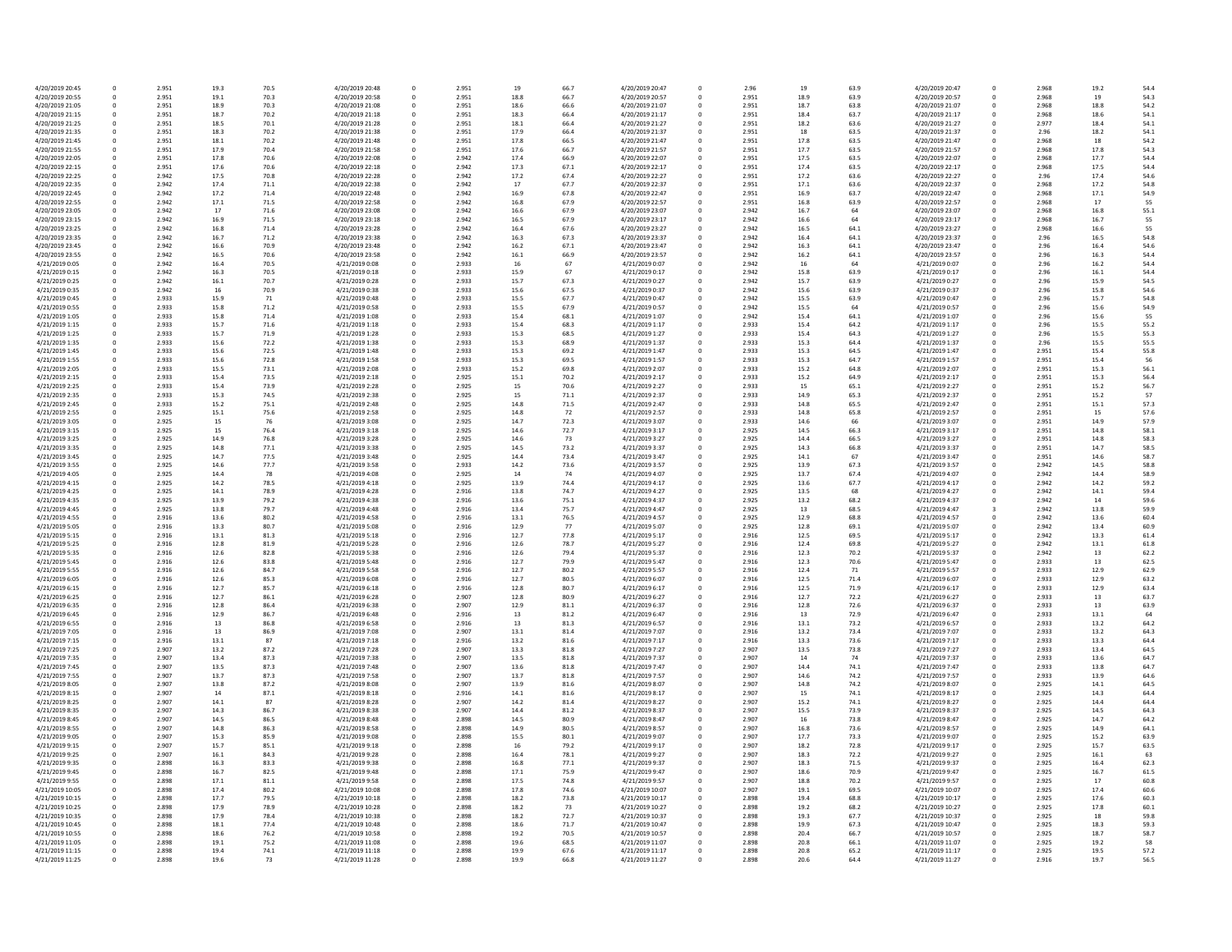| 4/20/2019 20:45 | 0            | 2.951 | 19.3 | 70.5 | 4/20/2019 20:48 | 0 | 2.951 | 19   | 66.7 | 4/20/2019 20:47 |
|-----------------|--------------|-------|------|------|-----------------|---|-------|------|------|-----------------|
| 4/20/2019 20:55 | 0            | 2.951 | 19.1 | 70.3 | 4/20/2019 20:58 | 0 | 2.951 | 18.8 | 66.7 | 4/20/2019 20:57 |
| 4/20/2019 21:05 | 0            | 2.951 | 18.9 | 70.3 | 4/20/2019 21:08 | 0 | 2.951 | 18.6 | 66.6 | 4/20/2019 21:07 |
| 4/20/2019 21:15 | 0            | 2.951 | 18.7 | 70.2 | 4/20/2019 21:18 | 0 | 2.951 | 18.3 | 66.4 | 4/20/2019 21:17 |
| 4/20/2019 21:25 | 0            | 2.951 | 18.5 | 70.1 | 4/20/2019 21:28 | 0 | 2.951 | 18.1 | 66.4 | 4/20/2019 21:27 |
| 4/20/2019 21:35 | 0            | 2.951 | 18.3 | 70.2 | 4/20/2019 21:38 | 0 | 2.951 | 17.9 | 66.4 | 4/20/2019 21:37 |
| 4/20/2019 21:45 | 0            | 2.951 | 18.1 | 70.2 | 4/20/2019 21:48 | 0 | 2.951 | 17.8 | 66.5 | 4/20/2019 21:47 |
| 4/20/2019 21:55 | 0            | 2.951 | 17.9 | 70.4 | 4/20/2019 21:58 | 0 | 2.951 | 17.6 | 66.7 | 4/20/2019 21:57 |
| 4/20/2019 22:05 | 0            | 2.951 | 17.8 | 70.6 | 4/20/2019 22:08 | 0 | 2.942 | 17.4 | 66.9 | 4/20/2019 22:07 |
| 4/20/2019 22:15 | 0            | 2.951 | 17.6 | 70.6 | 4/20/2019 22:18 | 0 | 2.942 | 17.3 | 67.1 | 4/20/2019 22:17 |
| 4/20/2019 22:25 | 0            | 2.942 | 17.5 | 70.8 | 4/20/2019 22:28 | 0 | 2.942 | 17.2 | 67.4 | 4/20/2019 22:27 |
|                 |              |       |      |      |                 |   |       |      |      |                 |
| 4/20/2019 22:35 | 0            | 2.942 | 17.4 | 71.1 | 4/20/2019 22:38 | 0 | 2.942 | 17   | 67.7 | 4/20/2019 22:37 |
| 4/20/2019 22:45 | 0            | 2.942 | 17.2 | 71.4 | 4/20/2019 22:48 | 0 | 2.942 | 16.9 | 67.8 | 4/20/2019 22:47 |
| 4/20/2019 22:55 | 0            | 2.942 | 17.1 | 71.5 | 4/20/2019 22:58 | 0 | 2.942 | 16.8 | 67.9 | 4/20/2019 22:57 |
| 4/20/2019 23:05 | 0            | 2.942 | 17   | 71.6 | 4/20/2019 23:08 | 0 | 2.942 | 16.6 | 67.9 | 4/20/2019 23:07 |
| 4/20/2019 23:15 | 0            | 2.942 | 16.9 | 71.5 | 4/20/2019 23:18 | 0 | 2.942 | 16.5 | 67.9 | 4/20/2019 23:17 |
| 4/20/2019 23:25 | 0            | 2.942 | 16.8 | 71.4 | 4/20/2019 23:28 | 0 | 2.942 | 16.4 | 67.6 | 4/20/2019 23:27 |
| 4/20/2019 23:35 | 0            | 2.942 | 16.7 | 71.2 | 4/20/2019 23:38 | 0 | 2.942 | 16.3 | 67.3 | 4/20/2019 23:37 |
| 4/20/2019 23:45 | 0            | 2.942 | 16.6 | 70.9 | 4/20/2019 23:48 | 0 | 2.942 | 16.2 | 67.1 | 4/20/2019 23:47 |
| 4/20/2019 23:55 | $\mathbf 0$  | 2.942 | 16.5 | 70.6 | 4/20/2019 23:58 | 0 | 2.942 | 16.1 | 66.9 | 4/20/2019 23:57 |
| 4/21/2019 0:05  | 0            | 2.942 | 16.4 | 70.5 | 4/21/2019 0:08  | 0 | 2.933 | 16   | 67   | 4/21/2019 0:07  |
| 4/21/2019 0:15  | 0            | 2.942 | 16.3 | 70.5 | 4/21/2019 0:18  | 0 | 2.933 | 15.9 | 67   | 4/21/2019 0:17  |
| 4/21/2019 0:25  | 0            | 2.942 | 16.1 | 70.7 | 4/21/2019 0:28  | 0 | 2.933 | 15.7 | 67.3 |                 |
|                 |              |       |      |      |                 |   |       |      |      | 4/21/2019 0:27  |
| 4/21/2019 0:35  | 0            | 2.942 | 16   | 70.9 | 4/21/2019 0:38  | 0 | 2.933 | 15.6 | 67.5 | 4/21/2019 0:37  |
| 4/21/2019 0:45  | 0            | 2.933 | 15.9 | 71   | 4/21/2019 0:48  | 0 | 2.933 | 15.5 | 67.7 | 4/21/2019 0:47  |
| 4/21/2019 0:55  | 0            | 2.933 | 15.8 | 71.2 | 4/21/2019 0:58  | 0 | 2.933 | 15.5 | 67.9 | 4/21/2019 0:57  |
| 4/21/2019 1:05  | 0            | 2.933 | 15.8 | 71.4 | 4/21/2019 1:08  | 0 | 2.933 | 15.4 | 68.1 | 4/21/2019 1:07  |
| 4/21/2019 1:15  | $\Omega$     | 2.933 | 15.7 | 71.6 | 4/21/2019 1:18  | 0 | 2.933 | 15.4 | 68.3 | 4/21/2019 1:17  |
| 4/21/2019 1:25  | 0            | 2.933 | 15.7 | 71.9 | 4/21/2019 1:28  | 0 | 2.933 | 15.3 | 68.5 | 4/21/2019 1:27  |
| 4/21/2019 1:35  | 0            | 2.933 | 15.6 | 72.2 | 4/21/2019 1:38  | 0 | 2.933 | 15.3 | 68.9 | 4/21/2019 1:37  |
| 4/21/2019 1:45  | <sup>0</sup> | 2.933 | 15.6 | 72.5 | 4/21/2019 1:48  | 0 | 2.933 | 15.3 | 69.2 | 4/21/2019 1:47  |
| 4/21/2019 1:55  | 0            | 2.933 | 15.6 | 72.8 | 4/21/2019 1:58  | 0 | 2.933 | 15.3 | 69.5 | 4/21/2019 1:57  |
| 4/21/2019 2:05  | 0            | 2.933 | 15.5 | 73.1 | 4/21/2019 2:08  | 0 | 2.933 | 15.2 | 69.8 | 4/21/2019 2:07  |
|                 |              |       |      |      |                 |   |       |      |      |                 |
| 4/21/2019 2:15  | 0            | 2.933 | 15.4 | 73.5 | 4/21/2019 2:18  | 0 | 2.925 | 15.1 | 70.2 | 4/21/2019 2:17  |
| 4/21/2019 2:25  | 0            | 2.933 | 15.4 | 73.9 | 4/21/2019 2:28  | 0 | 2.925 | 15   | 70.6 | 4/21/2019 2:27  |
| 4/21/2019 2:35  | 0            | 2.933 | 15.3 | 74.5 | 4/21/2019 2:38  | 0 | 2.925 | 15   | 71.1 | 4/21/2019 2:37  |
| 4/21/2019 2:45  | 0            | 2.933 | 15.2 | 75.1 | 4/21/2019 2:48  | 0 | 2.925 | 14.8 | 71.5 | 4/21/2019 2:47  |
| 4/21/2019 2:55  | 0            | 2.925 | 15.1 | 75.6 | 4/21/2019 2:58  | 0 | 2.925 | 14.8 | 72   | 4/21/2019 2:57  |
| 4/21/2019 3:05  | 0            | 2.925 | 15   | 76   | 4/21/2019 3:08  | 0 | 2.925 | 14.7 | 72.3 | 4/21/2019 3:07  |
| 4/21/2019 3:15  | $\Omega$     | 2.925 | 15   | 76.4 | 4/21/2019 3:18  | 0 | 2.925 | 14.6 | 72.7 | 4/21/2019 3:17  |
| 4/21/2019 3:25  | 0            | 2.925 | 14.9 | 76.8 | 4/21/2019 3:28  | 0 | 2.925 | 14.6 | 73   | 4/21/2019 3:27  |
| 4/21/2019 3:35  | 0            | 2.925 | 14.8 | 77.1 | 4/21/2019 3:38  | 0 | 2.925 | 14.5 | 73.2 | 4/21/2019 3:37  |
| 4/21/2019 3:45  | $\Omega$     | 2.925 | 14.7 | 77.5 | 4/21/2019 3:48  | 0 | 2.925 | 14.4 | 73.4 | 4/21/2019 3:47  |
| 4/21/2019 3:55  | 0            | 2.925 | 14.6 | 77.7 | 4/21/2019 3:58  | 0 | 2.933 | 14.2 | 73.6 | 4/21/2019 3:57  |
|                 | 0            |       |      |      |                 | 0 |       |      |      |                 |
| 4/21/2019 4:05  |              | 2.925 | 14.4 | 78   | 4/21/2019 4:08  |   | 2.925 | 14   | 74   | 4/21/2019 4:07  |
| 4/21/2019 4:15  | 0            | 2.925 | 14.2 | 78.5 | 4/21/2019 4:18  | 0 | 2.925 | 13.9 | 74.4 | 4/21/2019 4:17  |
| 4/21/2019 4:25  | 0            | 2.925 | 14.1 | 78.9 | 4/21/2019 4:28  | 0 | 2.916 | 13.8 | 74.7 | 4/21/2019 4:27  |
| 4/21/2019 4:35  | 0            | 2.925 | 13.9 | 79.2 | 4/21/2019 4:38  | 0 | 2.916 | 13.6 | 75.1 | 4/21/2019 4:37  |
| 4/21/2019 4:45  | 0            | 2.925 | 13.8 | 79.7 | 4/21/2019 4:48  | 0 | 2.916 | 13.4 | 75.7 | 4/21/2019 4:47  |
| 4/21/2019 4:55  | 0            | 2.916 | 13.6 | 80.2 | 4/21/2019 4:58  | 0 | 2.916 | 13.1 | 76.5 | 4/21/2019 4:57  |
| 4/21/2019 5:05  | 0            | 2.916 | 13.3 | 80.7 | 4/21/2019 5:08  | 0 | 2.916 | 12.9 | 77   | 4/21/2019 5:07  |
| 4/21/2019 5:15  | 0            | 2.916 | 13.1 | 81.3 | 4/21/2019 5:18  | 0 | 2.916 | 12.7 | 77.8 | 4/21/2019 5:17  |
| 4/21/2019 5:25  | 0            | 2.916 | 12.8 | 81.9 | 4/21/2019 5:28  | 0 | 2.916 | 12.6 | 78.7 | 4/21/2019 5:27  |
| 4/21/2019 5:35  | 0            | 2.916 | 12.6 | 82.8 | 4/21/2019 5:38  | 0 | 2.916 | 12.6 | 79.4 | 4/21/2019 5:37  |
| 4/21/2019 5:45  | 0            | 2.916 | 12.6 | 83.8 | 4/21/2019 5:48  | 0 | 2.916 | 12.7 | 79.9 | 4/21/2019 5:47  |
| 4/21/2019 5:55  | 0            | 2.916 | 12.6 | 84.7 | 4/21/2019 5:58  | 0 | 2.916 | 12.7 | 80.2 | 4/21/2019 5:57  |
| 4/21/2019 6:05  | $\Omega$     | 2.916 |      |      |                 | 0 |       |      |      |                 |
|                 |              |       | 12.6 | 85.3 | 4/21/2019 6:08  |   | 2.916 | 12.7 | 80.5 | 4/21/2019 6:07  |
| 4/21/2019 6:15  | 0            | 2.916 | 12.7 | 85.7 | 4/21/2019 6:18  | O | 2.916 | 12.8 | 80.7 | 4/21/2019 6:17  |
| 4/21/2019 6:25  | 0            | 2.916 | 12.7 | 86.1 | 4/21/2019 6:28  | 0 | 2.907 | 12.8 | 80.9 | 4/21/2019 6:27  |
| 4/21/2019 6:35  | $\Omega$     | 2.916 | 12.8 | 86.4 | 4/21/2019 6:38  | O | 2.907 | 12.9 | 81.1 | 4/21/2019 6:37  |
| 4/21/2019 6:45  | 0            | 2.916 | 12.9 | 86.7 | 4/21/2019 6:48  |   | 2.916 | 13   | 81.2 | 4/21/2019 6:47  |
| 4/21/2019 6:55  |              | 2.916 | 13   | 86.8 | 4/21/2019 6:58  |   | 2.916 | 13   | 81.3 | 4/21/2019 6:57  |
| 4/21/2019 7:05  | 0            | 2.916 | 13   | 86.9 | 4/21/2019 7:08  | 0 | 2.907 | 13.1 | 81.4 | 4/21/2019 7:07  |
| 4/21/2019 7:15  | 0            | 2.916 | 13.1 | 87   | 4/21/2019 7:18  | 0 | 2.916 | 13.2 | 81.6 | 4/21/2019 7:17  |
| 4/21/2019 7:25  | 0            | 2.907 | 13.2 | 87.2 | 4/21/2019 7:28  | 0 | 2.907 | 13.3 | 81.8 | 4/21/2019 7:27  |
| 4/21/2019 7:35  | 0            | 2.907 | 13.4 | 87.3 | 4/21/2019 7:38  |   | 2.907 | 13.5 | 81.8 | 4/21/2019 7:37  |
| 4/21/2019 7:45  | 0            | 2.907 | 13.5 | 87.3 | 4/21/2019 7:48  | 0 | 2.907 | 13.6 | 81.8 | 4/21/2019 7:47  |
| 4/21/2019 7:55  | 0            | 2.907 | 13.7 | 87.3 | 4/21/2019 7:58  |   | 2.907 | 13.7 | 81.8 | 4/21/2019 7:57  |
| 4/21/2019 8:05  | 0            | 2.907 | 13.8 | 87.2 | 4/21/2019 8:08  | 0 | 2.907 | 13.9 | 81.6 | 4/21/2019 8:07  |
| 4/21/2019 8:15  | 0            | 2.907 | 14   |      | 4/21/2019 8:18  | 0 | 2.916 |      | 81.6 | 4/21/2019 8:17  |
|                 |              |       |      | 87.1 |                 |   |       | 14.1 |      |                 |
| 4/21/2019 8:25  | 0            | 2.907 | 14.1 | 87   | 4/21/2019 8:28  |   | 2.907 | 14.2 | 81.4 | 4/21/2019 8:27  |
| 4/21/2019 8:35  | 0            | 2.907 | 14.3 | 86.7 | 4/21/2019 8:38  | 0 | 2.907 | 14.4 | 81.2 | 4/21/2019 8:37  |
| 4/21/2019 8:45  | 0            | 2.907 | 14.5 | 86.5 | 4/21/2019 8:48  |   | 2.898 | 14.5 | 80.9 | 4/21/2019 8:47  |
| 4/21/2019 8:55  | 0            | 2.907 | 14.8 | 86.3 | 4/21/2019 8:58  | 0 | 2.898 | 14.9 | 80.5 | 4/21/2019 8:57  |
| 4/21/2019 9:05  | 0            | 2.907 | 15.3 | 85.9 | 4/21/2019 9:08  | 0 | 2.898 | 15.5 | 80.1 | 4/21/2019 9:07  |
| 4/21/2019 9:15  | 0            | 2.907 | 15.7 | 85.1 | 4/21/2019 9:18  |   | 2.898 | 16   | 79.2 | 4/21/2019 9:17  |
| 4/21/2019 9:25  | 0            | 2.907 | 16.1 | 84.3 | 4/21/2019 9:28  | 0 | 2.898 | 16.4 | 78.1 | 4/21/2019 9:27  |
| 4/21/2019 9:35  | 0            | 2.898 | 16.3 | 83.3 | 4/21/2019 9:38  |   | 2.898 | 16.8 | 77.1 | 4/21/2019 9:37  |
| 4/21/2019 9:45  | 0            | 2.898 | 16.7 | 82.5 | 4/21/2019 9:48  | 0 | 2.898 | 17.1 | 75.9 | 4/21/2019 9:47  |
| 4/21/2019 9:55  | 0            | 2.898 | 17.1 | 81.1 | 4/21/2019 9:58  | 0 | 2.898 | 17.5 | 74.8 | 4/21/2019 9:57  |
|                 |              |       |      |      |                 |   |       |      |      |                 |
| 4/21/2019 10:05 | 0            | 2.898 | 17.4 | 80.2 | 4/21/2019 10:08 | 0 | 2.898 | 17.8 | 74.6 | 4/21/2019 10:07 |
| 4/21/2019 10:15 | $\Omega$     | 2.898 | 17.7 | 79.5 | 4/21/2019 10:18 | 0 | 2.898 | 18.2 | 73.8 | 4/21/2019 10:17 |
| 4/21/2019 10:25 | 0            | 2.898 | 17.9 | 78.9 | 4/21/2019 10:28 | 0 | 2.898 | 18.2 | 73   | 4/21/2019 10:27 |
| 4/21/2019 10:35 | 0            | 2.898 | 17.9 | 78.4 | 4/21/2019 10:38 | 0 | 2.898 | 18.2 | 72.7 | 4/21/2019 10:37 |
| 4/21/2019 10:45 | 0            | 2.898 | 18.1 | 77.4 | 4/21/2019 10:48 | 0 | 2.898 | 18.6 | 71.7 | 4/21/2019 10:47 |
| 4/21/2019 10:55 | 0            | 2.898 | 18.6 | 76.2 | 4/21/2019 10:58 | 0 | 2.898 | 19.2 | 70.5 | 4/21/2019 10:57 |
| 4/21/2019 11:05 | 0            | 2.898 | 19.1 | 75.2 | 4/21/2019 11:08 | 0 | 2.898 | 19.6 | 68.5 | 4/21/2019 11:07 |
| 4/21/2019 11:15 | 0            | 2.898 | 19.4 | 74.1 | 4/21/2019 11:18 | 0 | 2.898 | 19.9 | 67.6 | 4/21/2019 11:17 |
| 4/21/2019 11:25 | 0            | 2.898 | 19.6 | 73   | 4/21/2019 11:28 | 0 | 2.898 | 19.9 | 66.8 | 4/21/2019 11:27 |
|                 |              |       |      |      |                 |   |       |      |      |                 |

| 66.7 | 4/20/2019 20:47 | 0        | 2.96  | 19   | 63.9 | 4/20/2019 20:47 | 0           | 2.968 | 19.2 | 54.4 |
|------|-----------------|----------|-------|------|------|-----------------|-------------|-------|------|------|
| 66.7 | 4/20/2019 20:57 | 0        | 2.951 | 18.9 | 63.9 | 4/20/2019 20:57 | 0           | 2.968 | 19   | 54.3 |
| 66.6 | 4/20/2019 21:07 | 0        | 2.951 | 18.7 | 63.8 | 4/20/2019 21:07 | 0           | 2.968 | 18.8 | 54.2 |
|      |                 |          |       |      |      |                 |             |       |      |      |
| 66.4 | 4/20/2019 21:17 | 0        | 2.951 | 18.4 | 63.7 | 4/20/2019 21:17 | 0           | 2.968 | 18.6 | 54.1 |
| 66.4 | 4/20/2019 21:27 | 0        | 2.951 | 18.2 | 63.6 | 4/20/2019 21:27 | 0           | 2.977 | 18.4 | 54.1 |
| 66.4 | 4/20/2019 21:37 | 0        | 2.951 | 18   | 63.5 | 4/20/2019 21:37 | 0           | 2.96  | 18.2 | 54.1 |
| 66.5 | 4/20/2019 21:47 | 0        | 2.951 | 17.8 | 63.5 | 4/20/2019 21:47 | 0           | 2.968 | 18   | 54.2 |
| 66.7 | 4/20/2019 21:57 | 0        | 2.951 | 17.7 | 63.5 | 4/20/2019 21:57 | 0           | 2.968 | 17.8 | 54.3 |
| 66.9 | 4/20/2019 22:07 |          | 2.951 | 17.5 | 63.5 | 4/20/2019 22:07 |             | 2.968 | 17.7 |      |
|      |                 | 0        |       |      |      |                 | 0           |       |      | 54.4 |
| 67.1 | 4/20/2019 22:17 | 0        | 2.951 | 17.4 | 63.5 | 4/20/2019 22:17 | 0           | 2.968 | 17.5 | 54.4 |
| 67.4 | 4/20/2019 22:27 | 0        | 2.951 | 17.2 | 63.6 | 4/20/2019 22:27 | 0           | 2.96  | 17.4 | 54.6 |
| 67.7 | 4/20/2019 22:37 | 0        | 2.951 | 17.1 | 63.6 | 4/20/2019 22:37 | 0           | 2.968 | 17.2 | 54.8 |
| 67.8 | 4/20/2019 22:47 | 0        | 2.951 | 16.9 | 63.7 | 4/20/2019 22:47 | 0           | 2.968 | 17.1 | 54.9 |
| 67.9 | 4/20/2019 22:57 | 0        | 2.951 | 16.8 | 63.9 | 4/20/2019 22:57 | 0           | 2.968 | 17   | 55   |
|      |                 |          |       |      |      |                 |             |       |      |      |
| 67.9 | 4/20/2019 23:07 | $\Omega$ | 2.942 | 16.7 | 64   | 4/20/2019 23:07 | 0           | 2.968 | 16.8 | 55.1 |
| 67.9 | 4/20/2019 23:17 | 0        | 2.942 | 16.6 | 64   | 4/20/2019 23:17 | 0           | 2.968 | 16.7 | 55   |
| 67.6 | 4/20/2019 23:27 | 0        | 2.942 | 16.5 | 64.1 | 4/20/2019 23:27 | 0           | 2.968 | 16.6 | 55   |
| 67.3 | 4/20/2019 23:37 | 0        | 2.942 | 16.4 | 64.1 | 4/20/2019 23:37 | 0           | 2.96  | 16.5 | 54.8 |
| 67.1 | 4/20/2019 23:47 | 0        | 2.942 | 16.3 | 64.1 | 4/20/2019 23:47 | 0           | 2.96  | 16.4 | 54.6 |
| 66.9 | 4/20/2019 23:57 | 0        | 2.942 | 16.2 | 64.1 | 4/20/2019 23:57 | 0           | 2.96  | 16.3 | 54.4 |
|      |                 |          |       |      |      |                 |             |       |      |      |
| 67   | 4/21/2019 0:07  | 0        | 2.942 | 16   | 64   | 4/21/2019 0:07  | 0           | 2.96  | 16.2 | 54.4 |
| 67   | 4/21/2019 0:17  | 0        | 2.942 | 15.8 | 63.9 | 4/21/2019 0:17  | 0           | 2.96  | 16.1 | 54.4 |
| 67.3 | 4/21/2019 0:27  | 0        | 2.942 | 15.7 | 63.9 | 4/21/2019 0:27  | 0           | 2.96  | 15.9 | 54.5 |
| 67.5 | 4/21/2019 0:37  | 0        | 2.942 | 15.6 | 63.9 | 4/21/2019 0:37  | 0           | 2.96  | 15.8 | 54.6 |
| 67.7 | 4/21/2019 0:47  | $\Omega$ | 2.942 | 15.5 | 63.9 | 4/21/2019 0:47  | 0           | 2.96  | 15.7 | 54.8 |
| 67.9 | 4/21/2019 0:57  | 0        | 2.942 | 15.5 | 64   | 4/21/2019 0:57  | 0           | 2.96  | 15.6 | 54.9 |
| 68.1 | 4/21/2019 1:07  | 0        | 2.942 | 15.4 | 64.1 | 4/21/2019 1:07  | 0           | 2.96  | 15.6 | 55   |
|      |                 |          |       |      |      |                 |             |       |      |      |
| 68.3 | 4/21/2019 1:17  | 0        | 2.933 | 15.4 | 64.2 | 4/21/2019 1:17  | 0           | 2.96  | 15.5 | 55.2 |
| 68.5 | 4/21/2019 1:27  | 0        | 2.933 | 15.4 | 64.3 | 4/21/2019 1:27  | 0           | 2.96  | 15.5 | 55.3 |
| 68.9 | 4/21/2019 1:37  | 0        | 2.933 | 15.3 | 64.4 | 4/21/2019 1:37  | 0           | 2.96  | 15.5 | 55.5 |
| 69.2 | 4/21/2019 1:47  | $\Omega$ | 2.933 | 15.3 | 64.5 | 4/21/2019 1:47  | 0           | 2.951 | 15.4 | 55.8 |
| 69.5 | 4/21/2019 1:57  | 0        | 2.933 | 15.3 | 64.7 | 4/21/2019 1:57  | $\mathbf 0$ | 2.951 | 15.4 | 56   |
|      | 4/21/2019 2:07  |          | 2.933 |      |      | 4/21/2019 2:07  |             |       |      |      |
| 69.8 |                 | 0        |       | 15.2 | 64.8 |                 | 0           | 2.951 | 15.3 | 56.1 |
| 70.2 | 4/21/2019 2:17  | 0        | 2.933 | 15.2 | 64.9 | 4/21/2019 2:17  | 0           | 2.951 | 15.3 | 56.4 |
| 70.6 | 4/21/2019 2:27  | 0        | 2.933 | 15   | 65.1 | 4/21/2019 2:27  | 0           | 2.951 | 15.2 | 56.7 |
| 71.1 | 4/21/2019 2:37  | 0        | 2.933 | 14.9 | 65.3 | 4/21/2019 2:37  | 0           | 2.951 | 15.2 | 57   |
| 71.5 | 4/21/2019 2:47  | $\Omega$ | 2.933 | 14.8 | 65.5 | 4/21/2019 2:47  | 0           | 2.951 | 15.1 | 57.3 |
| 72   | 4/21/2019 2:57  | 0        | 2.933 | 14.8 | 65.8 | 4/21/2019 2:57  | 0           | 2.951 | 15   | 57.6 |
| 72.3 | 4/21/2019 3:07  | 0        | 2.933 | 14.6 | 66   | 4/21/2019 3:07  | 0           | 2.951 | 14.9 | 57.9 |
| 72.7 | 4/21/2019 3:17  |          | 2.925 | 14.5 | 66.3 | 4/21/2019 3:17  |             | 2.951 | 14.8 |      |
|      |                 | 0        |       |      |      |                 | 0           |       |      | 58.1 |
| 73   | 4/21/2019 3:27  | 0        | 2.925 | 14.4 | 66.5 | 4/21/2019 3:27  | 0           | 2.951 | 14.8 | 58.3 |
| 73.2 | 4/21/2019 3:37  | 0        | 2.925 | 14.3 | 66.8 | 4/21/2019 3:37  | 0           | 2.951 | 14.7 | 58.5 |
| 73.4 | 4/21/2019 3:47  | 0        | 2.925 | 14.1 | 67   | 4/21/2019 3:47  | 0           | 2.951 | 14.6 | 58.7 |
| 73.6 | 4/21/2019 3:57  | 0        | 2.925 | 13.9 | 67.3 | 4/21/2019 3:57  | 0           | 2.942 | 14.5 | 58.8 |
| 74   | 4/21/2019 4:07  | 0        | 2.925 | 13.7 | 67.4 | 4/21/2019 4:07  | 0           | 2.942 | 14.4 | 58.9 |
| 74.4 | 4/21/2019 4:17  | 0        | 2.925 | 13.6 | 67.7 | 4/21/2019 4:17  | 0           | 2.942 | 14.2 | 59.2 |
|      |                 |          |       |      |      |                 |             |       |      |      |
| 74.7 | 4/21/2019 4:27  | 0        | 2.925 | 13.5 | 68   | 4/21/2019 4:27  | 0           | 2.942 | 14.1 | 59.4 |
| 75.1 | 4/21/2019 4:37  | 0        | 2.925 | 13.2 | 68.2 | 4/21/2019 4:37  | 0           | 2.942 | 14   | 59.6 |
| 75.7 | 4/21/2019 4:47  | 0        | 2.925 | 13   | 68.5 | 4/21/2019 4:47  | 3           | 2.942 | 13.8 | 59.9 |
| 76.5 | 4/21/2019 4:57  | 0        | 2.925 | 12.9 | 68.8 | 4/21/2019 4:57  | 0           | 2.942 | 13.6 | 60.4 |
| 77   | 4/21/2019 5:07  | 0        | 2.925 | 12.8 | 69.1 | 4/21/2019 5:07  | 0           | 2.942 | 13.4 | 60.9 |
| 77.8 | 4/21/2019 5:17  | 0        | 2.916 | 12.5 | 69.5 | 4/21/2019 5:17  | 0           | 2.942 | 13.3 | 61.4 |
| 78.7 | 4/21/2019 5:27  | 0        | 2.916 | 12.4 | 69.8 | 4/21/2019 5:27  | 0           | 2.942 | 13.1 | 61.8 |
|      |                 |          |       |      |      |                 |             |       |      |      |
| 79.4 | 4/21/2019 5:37  | 0        | 2.916 | 12.3 | 70.2 | 4/21/2019 5:37  | 0           | 2.942 | 13   | 62.2 |
| 79.9 | 4/21/2019 5:47  | 0        | 2.916 | 12.3 | 70.6 | 4/21/2019 5:47  | 0           | 2.933 | 13   | 62.5 |
| 80.2 | 4/21/2019 5:57  | 0        | 2.916 | 12.4 | 71   | 4/21/2019 5:57  | 0           | 2.933 | 12.9 | 62.9 |
| 80.5 | 4/21/2019 6:07  | 0        | 2.916 | 12.5 | 71.4 | 4/21/2019 6:07  | 0           | 2.933 | 12.9 | 63.2 |
| 80.7 | 4/21/2019 6:17  | 0        | 2.916 | 12.5 | 71.9 | 4/21/2019 6:17  | 0           | 2.933 | 12.9 | 63.4 |
| 80.9 | 4/21/2019 6:27  | 0        | 2.916 | 12.7 | 72.2 | 4/21/2019 6:27  | 0           | 2.933 | 13   | 63.7 |
| 81.1 | 4/21/2019 6:37  | 0        | 2.916 | 12.8 | 72.6 | 4/21/2019 6:37  | 0           | 2.933 | 13   | 63.9 |
|      |                 |          |       |      |      |                 |             |       |      |      |
| 81.2 | 4/21/2019 6:47  | 0        | 2.916 | 13   | 72.9 | 4/21/2019 6:47  | 0           | 2.933 | 13.1 | 64   |
| 81.3 | 4/21/2019 6:57  | 0        | 2.916 | 13.1 | 73.2 | 4/21/2019 6:57  | 0           | 2.933 | 13.2 | 64.2 |
| 81.4 | 4/21/2019 7:07  | 0        | 2.916 | 13.2 | 73.4 | 4/21/2019 7:07  | 0           | 2.933 | 13.2 | 64.3 |
| 81.6 | 4/21/2019 7:17  | 0        | 2.916 | 13.3 | 73.6 | 4/21/2019 7:17  | 0           | 2.933 | 13.3 | 64.4 |
| 81.8 | 4/21/2019 7:27  | 0        | 2.907 | 13.5 | 73.8 | 4/21/2019 7:27  | 0           | 2.933 | 13.4 | 64.5 |
| 81.8 | 4/21/2019 7:37  | 0        | 2.907 | 14   | 74   | 4/21/2019 7:37  | 0           | 2.933 | 13.6 | 64.7 |
| 81.8 | 4/21/2019 7:47  | 0        | 2.907 | 14.4 | 74.1 | 4/21/2019 7:47  | 0           | 2.933 | 13.8 | 64.7 |
| 81.8 | 4/21/2019 7:57  | 0        | 2.907 | 14.6 | 74.2 | 4/21/2019 7:57  | 0           | 2.933 | 13.9 | 64.6 |
|      |                 |          |       |      |      |                 |             |       |      |      |
| 81.6 | 4/21/2019 8:07  | 0        | 2.907 | 14.8 | 74.2 | 4/21/2019 8:07  | 0           | 2.925 | 14.1 | 64.5 |
| 81.6 | 4/21/2019 8:17  | 0        | 2.907 | 15   | 74.1 | 4/21/2019 8:17  | 0           | 2.925 | 14.3 | 64.4 |
| 81.4 | 4/21/2019 8:27  | 0        | 2.907 | 15.2 | 74.1 | 4/21/2019 8:27  | 0           | 2.925 | 14.4 | 64.4 |
| 81.2 | 4/21/2019 8:37  | 0        | 2.907 | 15.5 | 73.9 | 4/21/2019 8:37  | 0           | 2.925 | 14.5 | 64.3 |
| 80.9 | 4/21/2019 8:47  | 0        | 2.907 | 16   | 73.8 | 4/21/2019 8:47  | 0           | 2.925 | 14.7 | 64.2 |
| 80.5 | 4/21/2019 8:57  | 0        | 2.907 | 16.8 | 73.6 | 4/21/2019 8:57  | 0           | 2.925 | 14.9 | 64.1 |
| 80.1 | 4/21/2019 9:07  | 0        | 2.907 | 17.7 | 73.3 | 4/21/2019 9:07  | 0           | 2.925 | 15.2 | 63.9 |
| 79.2 | 4/21/2019 9:17  | 0        | 2.907 | 18.2 | 72.8 | 4/21/2019 9:17  | 0           | 2.925 | 15.7 | 63.5 |
|      |                 |          |       |      |      |                 |             |       |      |      |
| 78.1 | 4/21/2019 9:27  | 0        | 2.907 | 18.3 | 72.2 | 4/21/2019 9:27  | 0           | 2.925 | 16.1 | 63   |
| 77.1 | 4/21/2019 9:37  | 0        | 2.907 | 18.3 | 71.5 | 4/21/2019 9:37  | 0           | 2.925 | 16.4 | 62.3 |
| 75.9 | 4/21/2019 9:47  | 0        | 2.907 | 18.6 | 70.9 | 4/21/2019 9:47  | 0           | 2.925 | 16.7 | 61.5 |
| 74.8 | 4/21/2019 9:57  | 0        | 2.907 | 18.8 | 70.2 | 4/21/2019 9:57  | 0           | 2.925 | 17   | 60.8 |
| 74.6 | 4/21/2019 10:07 | 0        | 2.907 | 19.1 | 69.5 | 4/21/2019 10:07 | 0           | 2.925 | 17.4 | 60.6 |
| 73.8 | 4/21/2019 10:17 | 0        | 2.898 | 19.4 | 68.8 | 4/21/2019 10:17 | 0           | 2.925 | 17.6 | 60.3 |
| 73   | 4/21/2019 10:27 | 0        | 2.898 | 19.2 | 68.2 | 4/21/2019 10:27 | 0           | 2.925 | 17.8 | 60.1 |
| 72.7 | 4/21/2019 10:37 | 0        | 2.898 | 19.3 | 67.7 | 4/21/2019 10:37 |             | 2.925 | 18   | 59.8 |
|      |                 |          |       |      |      |                 | 0           |       |      |      |
| 71.7 | 4/21/2019 10:47 | 0        | 2.898 | 19.9 | 67.3 | 4/21/2019 10:47 | 0           | 2.925 | 18.3 | 59.3 |
| 70.5 | 4/21/2019 10:57 | 0        | 2.898 | 20.4 | 66.7 | 4/21/2019 10:57 | 0           | 2.925 | 18.7 | 58.7 |
| 68.5 | 4/21/2019 11:07 | 0        | 2.898 | 20.8 | 66.1 | 4/21/2019 11:07 | 0           | 2.925 | 19.2 | 58   |
| 67.6 | 4/21/2019 11:17 | 0        | 2.898 | 20.8 | 65.2 | 4/21/2019 11:17 | 0           | 2.925 | 19.5 | 57.2 |
| 66.8 | 4/21/2019 11:27 | 0        | 2.898 | 20.6 | 64.4 | 4/21/2019 11:27 | 0           | 2.916 | 19.7 | 56.5 |
|      |                 |          |       |      |      |                 |             |       |      |      |

|              | 19.2                 |     |
|--------------|----------------------|-----|
|              | 19                   |     |
|              | 18.8                 |     |
|              | 18.6<br>18.4         |     |
|              | 18.2                 |     |
|              | 18                   |     |
|              | 17.8                 |     |
|              | 17.7<br>17.5         |     |
|              | 17.4                 |     |
|              | 17.2                 |     |
|              | 17.1                 |     |
|              | 17<br>16.8           |     |
|              | 16.7                 |     |
|              | 16.6                 |     |
|              | 16.5                 |     |
|              | 16.4                 |     |
|              | 16.3<br>16.2         |     |
|              | 16.1                 |     |
|              | 15.9                 |     |
|              | 15.8                 |     |
|              | 15.7                 |     |
|              | 15.6<br>15.6         |     |
|              | 15.5                 |     |
|              | 15.5                 |     |
|              | 15.5                 |     |
| $\mathsf{L}$ | $\mathbf{5}$<br>15.4 |     |
|              | 15.3                 |     |
|              | 15.3                 |     |
|              | 15.2                 |     |
|              | 15.2<br>15.1         |     |
|              | 15                   |     |
|              | 14.9                 |     |
|              | 14.8                 |     |
|              | 14.8                 |     |
|              | 14.7<br>14.6         |     |
|              |                      |     |
|              |                      |     |
|              | 14.5<br>14.4         |     |
|              | 14.2                 |     |
|              | 14.1                 |     |
|              | 14                   |     |
|              | 13.8<br>13.6         |     |
|              | 13.4                 |     |
|              | 13.3                 |     |
|              | 13.1                 |     |
|              | 13<br>13             |     |
|              | 12.9                 |     |
|              | 12.9                 |     |
|              | 12.9                 |     |
|              | 13<br>13             |     |
|              | 13.1                 |     |
|              | 13.2                 |     |
|              | 13.2                 |     |
|              | 13.3<br>13.4         |     |
|              | 13.6                 |     |
| $\mathbf{1}$ |                      | 3.8 |
|              | 13.9                 |     |
|              | 14.1<br>14.3         |     |
|              | 14.4                 |     |
|              | 14.5                 |     |
|              | 14.7                 |     |
|              | 14.9                 |     |
|              | 15.2<br>15.7         |     |
|              | 16.1                 |     |
|              | 16.4                 |     |
|              | 16.7                 |     |
|              | 17                   |     |
| $\mathbf{1}$ | 17.4                 | 7.6 |
|              | 17.8                 |     |
|              | 18                   |     |
|              | 18.3                 |     |
|              | 18.7                 |     |
|              | 19.2<br>19.5<br>19.7 |     |

|   |                                 | 54.4 |
|---|---------------------------------|------|
| C | 54.3                            |      |
|   | 54.2                            |      |
|   | 54.1                            |      |
|   | 54.1                            |      |
| C | 54.                             |      |
| C | 54.2<br>.4.                     | ξ    |
|   | 54.4                            |      |
|   | 54.4                            |      |
| C | 54.6                            |      |
|   | 54.8                            |      |
| l |                                 | 54.9 |
|   | 55                              |      |
|   | 55.1                            |      |
|   | .<br>5.<br>C                    |      |
|   | 55                              |      |
| l | 4.8                             | ξ    |
| C | 54.6                            |      |
| C | 54.4                            |      |
| ľ | 54.4                            |      |
|   | 54.4                            |      |
|   | 54.                             |      |
| C | 54.6                            |      |
|   | 54.8                            |      |
|   |                                 | 54.9 |
|   | 55                              |      |
| C | 5.                              | 2    |
| l | 55.3<br>.<br>)                  |      |
| C | $\overline{\phantom{a}}$<br>5.8 |      |
|   | 56                              |      |
| D | 56.1                            |      |
|   | 56.4                            |      |
| ľ | 56.                             |      |
|   | 57<br>ŗ                         |      |
|   | 57.3                            |      |
| C | 57.6                            |      |
| C | 57.9                            | €    |
|   | 58.                             | 1    |
|   | 58.3                            |      |
|   | 58.                             |      |
|   | 58.                             |      |
|   | 58.8                            |      |
|   | 58.9                            | J    |
|   |                                 |      |
|   | 59.2                            |      |
| C | 59.4                            |      |
|   | 59.6                            |      |
|   |                                 | 59.9 |
|   | 60.4                            |      |
|   |                                 | 60.9 |
| 6 | 51.4                            |      |
|   | 61.8                            | 3    |
|   | 62.2                            |      |
| Є | 52.5                            |      |
|   | 62.9                            |      |
| б | 53.                             |      |
|   | 63.4                            |      |
|   | 63.                             | 63.9 |
|   | 64                              |      |
|   | 64.2                            |      |
|   | 64.                             |      |
|   | 64.4                            |      |
|   | 64.5                            |      |
|   | 64.7                            |      |
|   | 64.7                            |      |
|   | 64.6                            |      |
| Е | .<br>4.!                        |      |
|   | 64.4                            |      |
|   | 64.4                            |      |
|   | 64.3                            | ξ    |
|   | 64.2                            |      |
|   | 64.                             | 1    |
|   | 63.9                            |      |
|   | 63.5                            |      |
|   | 63                              |      |
|   | 62.3                            |      |
|   | 61.5                            |      |
|   | 60.8<br>60.6                    |      |
|   | 60.3                            |      |
|   | 60.1                            |      |
|   | 59.8                            |      |
|   | 59.3                            |      |
| C | 58.                             | 7    |
|   | 58                              |      |
|   | 57.2<br>56.5                    |      |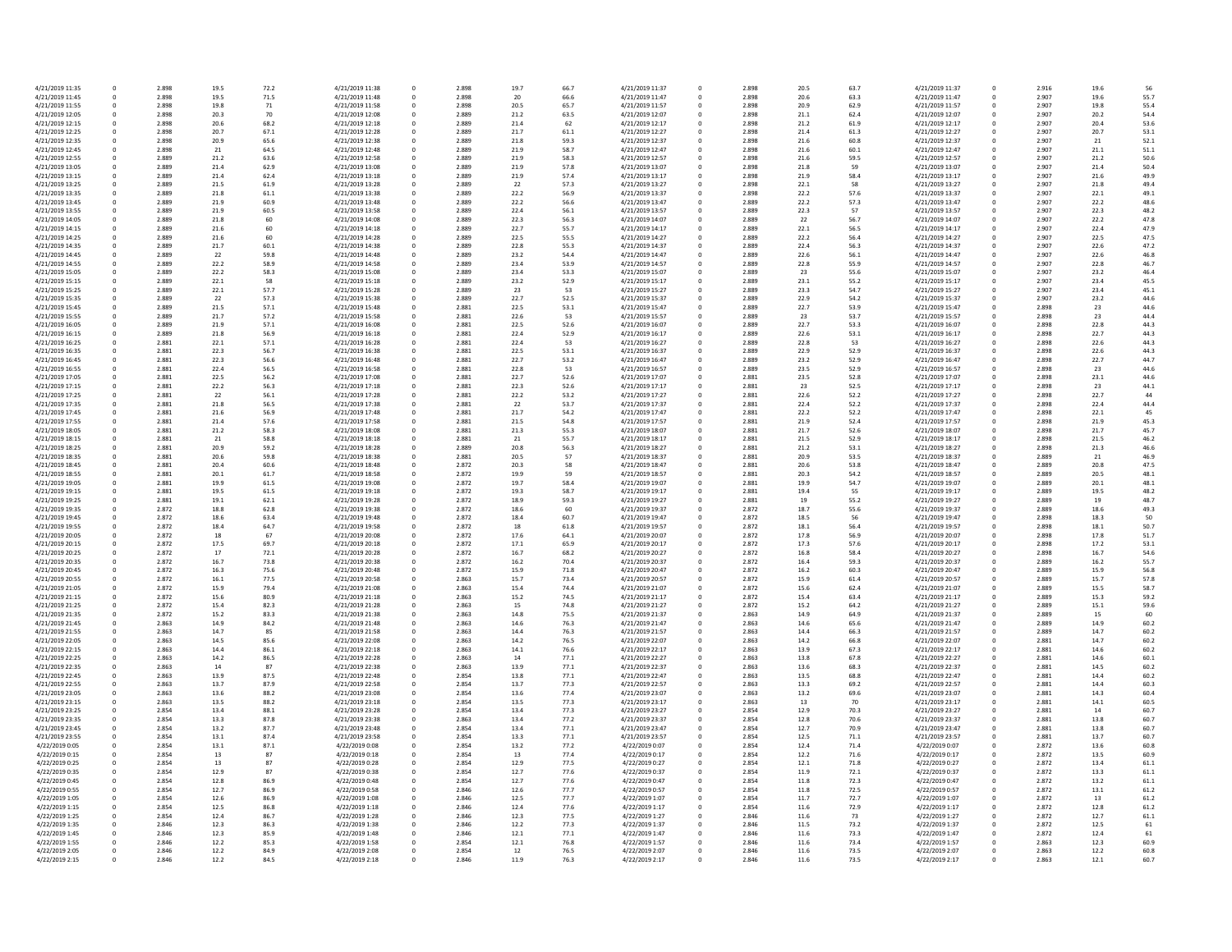| 4/21/2019 11:35                   | 0        | 2.898          | 19.5 | 72.2         | 4/21/2019 11:38 | 0 | 2.898          | 19.7 | 66.7 | 4/21/2019 11:37                    |
|-----------------------------------|----------|----------------|------|--------------|-----------------|---|----------------|------|------|------------------------------------|
| 4/21/2019 11:45                   | 0        | 2.898          | 19.5 | 71.5         | 4/21/2019 11:48 | 0 | 2.898          | 20   | 66.6 | 4/21/2019 11:47                    |
| 4/21/2019 11:55                   | 0        | 2.898          | 19.8 | 71           | 4/21/2019 11:58 | 0 | 2.898          | 20.5 | 65.7 | 4/21/2019 11:57                    |
| 4/21/2019 12:05                   | 0        | 2.898          | 20.3 | 70           | 4/21/2019 12:08 | 0 | 2.889          | 21.2 | 63.5 | 4/21/2019 12:07                    |
| 4/21/2019 12:15                   | $\Omega$ | 2.898          | 20.6 | 68.2         | 4/21/2019 12:18 | 0 | 2.889          | 21.4 | 62   | 4/21/2019 12:17                    |
| 4/21/2019 12:25                   | 0        | 2.898          | 20.7 | 67.1         | 4/21/2019 12:28 | 0 | 2.889          | 21.7 | 61.1 | 4/21/2019 12:27                    |
| 4/21/2019 12:35                   | $\Omega$ | 2.898          | 20.9 | 65.6         | 4/21/2019 12:38 | 0 | 2.889          | 21.8 | 59.3 | 4/21/2019 12:37                    |
| 4/21/2019 12:45                   | 0        | 2.898          | 21   | 64.5         | 4/21/2019 12:48 | 0 | 2.889          | 21.9 | 58.7 | 4/21/2019 12:47                    |
| 4/21/2019 12:55                   | 0        | 2.889          | 21.2 | 63.6         | 4/21/2019 12:58 | 0 | 2.889          | 21.9 | 58.3 | 4/21/2019 12:57                    |
| 4/21/2019 13:05                   | $\Omega$ | 2.889          | 21.4 | 62.9         | 4/21/2019 13:08 | 0 | 2.889          | 21.9 | 57.8 | 4/21/2019 13:07                    |
| 4/21/2019 13:15                   | $\Omega$ | 2.889          | 21.4 | 62.4         | 4/21/2019 13:18 | 0 | 2.889          | 21.9 | 57.4 | 4/21/2019 13:17                    |
| 4/21/2019 13:25                   | $\Omega$ | 2.889          | 21.5 | 61.9         | 4/21/2019 13:28 | 0 | 2.889          | 22   | 57.3 | 4/21/2019 13:27                    |
| 4/21/2019 13:35                   | $\Omega$ | 2.889          | 21.8 | 61.1         | 4/21/2019 13:38 | 0 | 2.889          | 22.2 | 56.9 | 4/21/2019 13:37                    |
| 4/21/2019 13:45                   | 0        | 2.889          | 21.9 | 60.9         | 4/21/2019 13:48 | 0 | 2.889          | 22.2 | 56.6 | 4/21/2019 13:47                    |
| 4/21/2019 13:55                   | $\Omega$ | 2.889          | 21.9 | 60.5         | 4/21/2019 13:58 | 0 | 2.889          | 22.4 | 56.1 | 4/21/2019 13:57                    |
| 4/21/2019 14:05                   |          | 2.889          | 21.8 | 60           | 4/21/2019 14:08 | 0 | 2.889          | 22.3 | 56.3 | 4/21/2019 14:07                    |
| 4/21/2019 14:15                   | $\Omega$ | 2.889          | 21.6 | 60           | 4/21/2019 14:18 | 0 | 2.889          | 22.7 | 55.7 | 4/21/2019 14:17                    |
| 4/21/2019 14:25                   | $\Omega$ | 2.889          | 21.6 | 60           | 4/21/2019 14:28 | 0 | 2.889          | 22.5 | 55.5 | 4/21/2019 14:27                    |
| 4/21/2019 14:35                   | $\Omega$ | 2.889          | 21.7 | 60.1         | 4/21/2019 14:38 | 0 | 2.889          | 22.8 | 55.3 | 4/21/2019 14:37                    |
| 4/21/2019 14:45                   | $\Omega$ | 2.889          | 22   | 59.8         | 4/21/2019 14:48 | 0 | 2.889          | 23.2 | 54.4 | 4/21/2019 14:47                    |
| 4/21/2019 14:55                   | $\Omega$ | 2.889          | 22.2 | 58.9         | 4/21/2019 14:58 | 0 | 2.889          | 23.4 | 53.9 | 4/21/2019 14:57                    |
| 4/21/2019 15:05                   |          | 2.889          | 22.2 | 58.3         | 4/21/2019 15:08 | 0 | 2.889          | 23.4 | 53.3 | 4/21/2019 15:07                    |
| 4/21/2019 15:15                   | $\Omega$ | 2.889          | 22.1 | 58           | 4/21/2019 15:18 | 0 | 2.889          | 23.2 | 52.9 | 4/21/2019 15:17                    |
| 4/21/2019 15:25                   | $\Omega$ | 2.889          | 22.1 | 57.7         | 4/21/2019 15:28 | 0 | 2.889          | 23   | 53   | 4/21/2019 15:27                    |
| 4/21/2019 15:35                   | 0        | 2.889          | 22   | 57.3         | 4/21/2019 15:38 | 0 | 2.889          | 22.7 | 52.5 | 4/21/2019 15:37                    |
| 4/21/2019 15:45                   | 0        | 2.889          | 21.5 | 57.1         | 4/21/2019 15:48 | 0 | 2.881          | 22.5 | 53.1 | 4/21/2019 15:47                    |
| 4/21/2019 15:55                   | 0        | 2.889          | 21.7 | 57.2         | 4/21/2019 15:58 | 0 | 2.881          | 22.6 | 53   | 4/21/2019 15:57                    |
| 4/21/2019 16:05                   | $\Omega$ | 2.889          | 21.9 | 57.1         | 4/21/2019 16:08 | 0 | 2.881          | 22.5 | 52.6 | 4/21/2019 16:07                    |
| 4/21/2019 16:15                   | $\Omega$ | 2.889          | 21.8 | 56.9         | 4/21/2019 16:18 | 0 | 2.881          | 22.4 | 52.9 | 4/21/2019 16:17                    |
| 4/21/2019 16:25                   | $\Omega$ | 2.881          | 22.1 | 57.1         | 4/21/2019 16:28 | 0 | 2.881          | 22.4 | 53   | 4/21/2019 16:27                    |
| 4/21/2019 16:35                   | 0        | 2.881          | 22.3 | 56.7         | 4/21/2019 16:38 | 0 | 2.881          | 22.5 | 53.1 | 4/21/2019 16:37                    |
| 4/21/2019 16:45                   | 0        | 2.881          | 22.3 | 56.6         | 4/21/2019 16:48 | 0 | 2.881          | 22.7 | 53.2 | 4/21/2019 16:47                    |
| 4/21/2019 16:55                   | 0        | 2.881          | 22.4 | 56.5         | 4/21/2019 16:58 | 0 | 2.881          | 22.8 | 53   | 4/21/2019 16:57                    |
| 4/21/2019 17:05                   | $\Omega$ | 2.881          | 22.5 | 56.2         | 4/21/2019 17:08 | 0 | 2.881          | 22.7 | 52.6 | 4/21/2019 17:07                    |
| 4/21/2019 17:15                   | $\Omega$ | 2.881          | 22.2 | 56.3         | 4/21/2019 17:18 | 0 | 2.881          | 22.3 | 52.6 | 4/21/2019 17:17                    |
| 4/21/2019 17:25                   |          | 2.881          | 22   | 56.1         | 4/21/2019 17:28 |   | 2.881          | 22.2 | 53.2 | 4/21/2019 17:27                    |
| 4/21/2019 17:35                   | $\Omega$ | 2.881          | 21.8 | 56.5         | 4/21/2019 17:38 | 0 | 2.881          | 22   | 53.7 | 4/21/2019 17:37                    |
| 4/21/2019 17:45                   | 0        | 2.881          | 21.6 | 56.9         | 4/21/2019 17:48 | 0 | 2.881          | 21.7 | 54.2 | 4/21/2019 17:47                    |
| 4/21/2019 17:55                   | 0        | 2.881          | 21.4 | 57.6         | 4/21/2019 17:58 | 0 | 2.881          | 21.5 | 54.8 | 4/21/2019 17:57                    |
| 4/21/2019 18:05                   | $\Omega$ | 2.881          | 21.2 | 58.3         | 4/21/2019 18:08 | 0 | 2.881          | 21.3 | 55.3 | 4/21/2019 18:07                    |
| 4/21/2019 18:15                   | $\Omega$ | 2.881          | 21   | 58.8         | 4/21/2019 18:18 | 0 | 2.881          | 21   | 55.7 | 4/21/2019 18:17                    |
| 4/21/2019 18:25                   | 0        | 2.881          | 20.9 | 59.2         | 4/21/2019 18:28 | 0 | 2.889          | 20.8 | 56.3 | 4/21/2019 18:27                    |
| 4/21/2019 18:35                   | 0        | 2.881          | 20.6 | 59.8         | 4/21/2019 18:38 | 0 | 2.881          | 20.5 | 57   | 4/21/2019 18:37                    |
| 4/21/2019 18:45                   | $\Omega$ | 2.881          | 20.4 | 60.6         | 4/21/2019 18:48 | 0 | 2.872          | 20.3 | 58   | 4/21/2019 18:47                    |
| 4/21/2019 18:55                   | $\Omega$ | 2.881          | 20.1 | 61.7         | 4/21/2019 18:58 | 0 | 2.872          | 19.9 | 59   | 4/21/2019 18:57                    |
| 4/21/2019 19:05                   | $\Omega$ | 2.881          | 19.9 | 61.5         | 4/21/2019 19:08 | 0 | 2.872          | 19.7 | 58.4 | 4/21/2019 19:07                    |
| 4/21/2019 19:15                   | $\Omega$ | 2.881          | 19.5 | 61.5         | 4/21/2019 19:18 | 0 | 2.872          | 19.3 | 58.7 | 4/21/2019 19:17                    |
| 4/21/2019 19:25                   | 0        | 2.881          | 19.1 | 62.1         | 4/21/2019 19:28 | 0 | 2.872          | 18.9 | 59.3 | 4/21/2019 19:27                    |
| 4/21/2019 19:35                   | $\Omega$ | 2.872          | 18.8 | 62.8         | 4/21/2019 19:38 | 0 | 2.872          | 18.6 | 60   | 4/21/2019 19:37                    |
| 4/21/2019 19:45                   |          | 2.872          | 18.6 | 63.4         | 4/21/2019 19:48 | 0 | 2.872          | 18.4 | 60.7 | 4/21/2019 19:47                    |
| 4/21/2019 19:55                   | $\Omega$ | 2.872          | 18.4 | 64.7         | 4/21/2019 19:58 | 0 | 2.872          | 18   | 61.8 | 4/21/2019 19:57                    |
| 4/21/2019 20:05                   | $\Omega$ | 2.872          | 18   | 67           | 4/21/2019 20:08 | 0 | 2.872          | 17.6 | 64.1 | 4/21/2019 20:07                    |
| 4/21/2019 20:15                   | $\Omega$ | 2.872          | 17.5 | 69.7         | 4/21/2019 20:18 | 0 | 2.872          | 17.1 | 65.9 | 4/21/2019 20:17                    |
| 4/21/2019 20:25                   | 0        | 2.872          | 17   | 72.1         | 4/21/2019 20:28 | 0 | 2.872          | 16.7 | 68.2 | 4/21/2019 20:27                    |
| 4/21/2019 20:35                   |          | 2.872          | 16.7 | 73.8         | 4/21/2019 20:38 | 0 | 2.872          | 16.2 | 70.4 | 4/21/2019 20:37                    |
| 4/21/2019 20:45                   | $\Omega$ | 2.872          | 16.3 | 75.6         | 4/21/2019 20:48 | 0 | 2.872          | 15.9 | 71.8 | 4/21/2019 20:47                    |
| 4/21/2019 20:55                   | $\Omega$ | 2.872          | 16.1 | 77.5         | 4/21/2019 20:58 | 0 | 2.863          | 15.7 | 73.4 | 4/21/2019 20:57                    |
| 4/21/2019 21:05                   | 0        | 2.872          | 15.9 | 79.4         | 4/21/2019 21:08 | 0 | 2.863          | 15.4 | 74.4 | 4/21/2019 21:07                    |
| 4/21/2019 21:15                   | $\Omega$ | 2.872          | 15.6 | 80.9         | 4/21/2019 21:18 | 0 | 2.863          | 15.2 | 74.5 | 4/21/2019 21:17                    |
| 4/21/2019 21:25                   |          | 2.872          | 15.4 | 82.3         | 4/21/2019 21:28 | 0 | 2.863          | 15   | 74.8 | 4/21/2019 21:27                    |
| 4/21/2019 21:35                   | $\Omega$ | 2.872          | 15.2 | 83.3         | 4/21/2019 21:38 | 0 | 2.863          | 14.8 | 75.5 | 4/21/2019 21:37                    |
| 4/21/2019 21:45                   |          | 2.863          | 14.9 | 84.2         | 4/21/2019 21:48 |   | 2.863          | 14.6 | 76.3 | 4/21/2019 21:47                    |
| 4/21/2019 21:55                   | 0        | 2.863          | 14.7 | 85           | 4/21/2019 21:58 | 0 | 2.863          | 14.4 | 76.3 | 4/21/2019 21:57                    |
| 4/21/2019 22:05                   | 0        | 2.863          | 14.5 | 85.6         | 4/21/2019 22:08 | 0 | 2.863          | 14.2 | 76.5 | 4/21/2019 22:07                    |
| 4/21/2019 22:15                   |          | 2.863          | 14.4 | 86.1         | 4/21/2019 22:18 |   | 2.863          | 14.1 | 76.6 | 4/21/2019 22:17                    |
| 4/21/2019 22:25                   |          | 2.863          | 14.2 | 86.5         | 4/21/2019 22:28 | 0 | 2.863          | 14   | 77.1 | 4/21/2019 22:27                    |
| 4/21/2019 22:35                   |          | 2.863          | 14   | 87           | 4/21/2019 22:38 | 0 | 2.863          | 13.9 | 77.1 | 4/21/2019 22:37                    |
| 4/21/2019 22:45                   |          | 2.863          | 13.9 | 87.5         | 4/21/2019 22:48 |   | 2.854          | 13.8 | 77.1 | 4/21/2019 22:47                    |
| 4/21/2019 22:55                   | 0        | 2.863          | 13.7 | 87.9         | 4/21/2019 22:58 | 0 | 2.854          | 13.7 | 77.3 | 4/21/2019 22:57                    |
| 4/21/2019 23:05                   |          | 2.863          | 13.6 | 88.2         | 4/21/2019 23:08 |   | 2.854          | 13.6 | 77.4 | 4/21/2019 23:07                    |
| 4/21/2019 23:15                   |          | 2.863          | 13.5 | 88.2         | 4/21/2019 23:18 | 0 | 2.854          | 13.5 | 77.3 | 4/21/2019 23:17                    |
| 4/21/2019 23:25                   |          | 2.854          | 13.4 | 88.1         | 4/21/2019 23:28 |   | 2.854          | 13.4 | 77.3 | 4/21/2019 23:27                    |
| 4/21/2019 23:35                   | $\Omega$ | 2.854          | 13.3 | 87.8         | 4/21/2019 23:38 |   | 2.863          | 13.4 | 77.2 | 4/21/2019 23:37<br>4/21/2019 23:47 |
| 4/21/2019 23:45                   |          | 2.854          | 13.2 | 87.7         | 4/21/2019 23:48 | 0 | 2.854          | 13.4 | 77.1 |                                    |
| 4/21/2019 23:55<br>4/22/2019 0:05 |          | 2.854<br>2.854 | 13.1 | 87.4<br>87.1 | 4/21/2019 23:58 |   | 2.854<br>2.854 | 13.3 | 77.1 | 4/21/2019 23:57                    |
|                                   |          |                | 13.1 |              | 4/22/2019 0:08  |   |                | 13.2 | 77.2 | 4/22/2019 0:07                     |
| 4/22/2019 0:15                    |          | 2.854          | 13   | 87           | 4/22/2019 0:18  |   | 2.854          | 13   | 77.4 | 4/22/2019 0:17                     |
| 4/22/2019 0:25                    |          | 2.854          | 13   | 87<br>87     | 4/22/2019 0:28  |   | 2.854          | 12.9 | 77.5 | 4/22/2019 0:27                     |
| 4/22/2019 0:35                    |          | 2.854          | 12.9 |              | 4/22/2019 0:38  | 0 | 2.854          | 12.7 | 77.6 | 4/22/2019 0:37                     |
| 4/22/2019 0:45                    |          | 2.854          | 12.8 | 86.9         | 4/22/2019 0:48  |   | 2.854          | 12.7 | 77.6 | 4/22/2019 0:47                     |
| 4/22/2019 0:55                    |          | 2.854          | 12.7 | 86.9         | 4/22/2019 0:58  | 0 | 2.846          | 12.6 | 77.7 | 4/22/2019 0:57                     |
| 4/22/2019 1:05                    |          | 2.854          | 12.6 | 86.9         | 4/22/2019 1:08  |   | 2.846          | 12.5 | 77.7 | 4/22/2019 1:07                     |
| 4/22/2019 1:15                    |          | 2.854          | 12.5 | 86.8         | 4/22/2019 1:18  |   | 2.846          | 12.4 | 77.6 | 4/22/2019 1:17                     |
| 4/22/2019 1:25                    | 0        | 2.854          | 12.4 | 86.7         | 4/22/2019 1:28  | 0 | 2.846          | 12.3 | 77.5 | 4/22/2019 1:27                     |
| 4/22/2019 1:35                    |          | 2.846<br>2.846 | 12.3 | 86.3         | 4/22/2019 1:38  |   | 2.846          | 12.2 | 77.3 | 4/22/2019 1:37                     |
| 4/22/2019 1:45                    |          |                | 12.3 | 85.9         | 4/22/2019 1:48  | 0 | 2.846          | 12.1 | 77.1 | 4/22/2019 1:47                     |
| 4/22/2019 1:55                    |          | 2.846          | 12.2 | 85.3         | 4/22/2019 1:58  |   | 2.854          | 12.1 | 76.8 | 4/22/2019 1:57                     |
| 4/22/2019 2:05                    |          | 2.846          | 12.2 | 84.9         | 4/22/2019 2:08  | 0 | 2.854          | 12   | 76.5 | 4/22/2019 2:07                     |
| 4/22/2019 2:15                    | 0        | 2.846          | 12.2 | 84.5         | 4/22/2019 2:18  | 0 | 2.846          | 11.9 | 76.3 | 4/22/2019 2:17                     |

| 56.7  | 4/21/2019 11:37 | 0 | 2.898 | 20.5 | 63.7 | 4/21/2019 11:37 | $\mathbf 0$ | 2.916 | 19.6 | 56   |
|-------|-----------------|---|-------|------|------|-----------------|-------------|-------|------|------|
| 6.6   | 4/21/2019 11:47 | 0 | 2.898 | 20.6 | 63.3 | 4/21/2019 11:47 | 0           | 2.907 | 19.6 | 55.7 |
| 55.7  | 4/21/2019 11:57 | 0 | 2.898 | 20.9 | 62.9 | 4/21/2019 11:57 | $\mathbf 0$ | 2.907 | 19.8 | 55.4 |
| 53.5  | 4/21/2019 12:07 | 0 | 2.898 | 21.1 | 62.4 | 4/21/2019 12:07 | 0           | 2.907 | 20.2 | 54.4 |
| 62    | 4/21/2019 12:17 | 0 | 2.898 | 21.2 | 61.9 | 4/21/2019 12:17 | 0           | 2.907 | 20.4 | 53.6 |
| 51.1  | 4/21/2019 12:27 | 0 | 2.898 | 21.4 | 61.3 | 4/21/2019 12:27 | 0           | 2.907 | 20.7 | 53.1 |
|       |                 |   |       |      |      |                 |             |       |      |      |
| 59.3  | 4/21/2019 12:37 | 0 | 2.898 | 21.6 | 60.8 | 4/21/2019 12:37 | 0           | 2.907 | 21   | 52.1 |
| 58.7  | 4/21/2019 12:47 | 0 | 2.898 | 21.6 | 60.1 | 4/21/2019 12:47 | 0           | 2.907 | 21.1 | 51.1 |
| 58.3  | 4/21/2019 12:57 | 0 | 2.898 | 21.6 | 59.5 | 4/21/2019 12:57 | 0           | 2.907 | 21.2 | 50.6 |
| 57.8  | 4/21/2019 13:07 | 0 | 2.898 | 21.8 | 59   | 4/21/2019 13:07 | 0           | 2.907 | 21.4 | 50.4 |
| 57.4  | 4/21/2019 13:17 | 0 | 2.898 | 21.9 | 58.4 | 4/21/2019 13:17 | 0           | 2.907 | 21.6 | 49.9 |
| 57.3  | 4/21/2019 13:27 | 0 | 2.898 | 22.1 | 58   | 4/21/2019 13:27 | 0           | 2.907 | 21.8 | 49.4 |
|       |                 |   |       |      |      |                 |             |       |      |      |
| 56.9  | 4/21/2019 13:37 | 0 | 2.898 | 22.2 | 57.6 | 4/21/2019 13:37 | 0           | 2.907 | 22.1 | 49.1 |
| 56.6  | 4/21/2019 13:47 | 0 | 2.889 | 22.2 | 57.3 | 4/21/2019 13:47 | 0           | 2.907 | 22.2 | 48.6 |
| 56.1  | 4/21/2019 13:57 | 0 | 2.889 | 22.3 | 57   | 4/21/2019 13:57 | 0           | 2.907 | 22.3 | 48.2 |
| 56.3  | 4/21/2019 14:07 | 0 | 2.889 | 22   | 56.7 | 4/21/2019 14:07 | 0           | 2.907 | 22.2 | 47.8 |
| 55.7  | 4/21/2019 14:17 | 0 | 2.889 | 22.1 | 56.5 | 4/21/2019 14:17 | 0           | 2.907 | 22.4 | 47.9 |
| 5.5.5 | 4/21/2019 14:27 | 0 | 2.889 | 22.2 | 56.4 | 4/21/2019 14:27 | 0           | 2.907 | 22.5 | 47.5 |
| 5.3   | 4/21/2019 14:37 | 0 | 2.889 | 22.4 | 56.3 | 4/21/2019 14:37 | 0           | 2.907 | 22.6 | 47.2 |
| 54.4  | 4/21/2019 14:47 |   | 2.889 | 22.6 | 56.1 | 4/21/2019 14:47 |             | 2.907 | 22.6 | 46.8 |
|       |                 | 0 |       |      |      |                 | 0           |       |      |      |
| 53.9  | 4/21/2019 14:57 | 0 | 2.889 | 22.8 | 55.9 | 4/21/2019 14:57 | 0           | 2.907 | 22.8 | 46.7 |
| 53.3  | 4/21/2019 15:07 | 0 | 2.889 | 23   | 55.6 | 4/21/2019 15:07 | 0           | 2.907 | 23.2 | 46.4 |
| 52.9  | 4/21/2019 15:17 | 0 | 2.889 | 23.1 | 55.2 | 4/21/2019 15:17 | 0           | 2.907 | 23.4 | 45.5 |
| 53    | 4/21/2019 15:27 | 0 | 2.889 | 23.3 | 54.7 | 4/21/2019 15:27 | 0           | 2.907 | 23.4 | 45.1 |
| 52.5  | 4/21/2019 15:37 | 0 | 2.889 | 22.9 | 54.2 | 4/21/2019 15:37 | 0           | 2.907 | 23.2 | 44.6 |
| 53.1  | 4/21/2019 15:47 | 0 | 2.889 | 22.7 | 53.9 | 4/21/2019 15:47 | 0           | 2.898 | 23   | 44.6 |
| 53    | 4/21/2019 15:57 | 0 | 2.889 | 23   | 53.7 | 4/21/2019 15:57 | 0           | 2.898 | 23   | 44.4 |
|       |                 |   |       |      | 53.3 |                 |             | 2.898 |      |      |
| 52.6  | 4/21/2019 16:07 | 0 | 2.889 | 22.7 |      | 4/21/2019 16:07 | 0           |       | 22.8 | 44.3 |
| 52.9  | 4/21/2019 16:17 | 0 | 2.889 | 22.6 | 53.1 | 4/21/2019 16:17 | 0           | 2.898 | 22.7 | 44.3 |
| 53    | 4/21/2019 16:27 | 0 | 2.889 | 22.8 | 53   | 4/21/2019 16:27 | 0           | 2.898 | 22.6 | 44.3 |
| 53.1  | 4/21/2019 16:37 | 0 | 2.889 | 22.9 | 52.9 | 4/21/2019 16:37 | 0           | 2.898 | 22.6 | 44.3 |
| 53.2  | 4/21/2019 16:47 | 0 | 2.889 | 23.2 | 52.9 | 4/21/2019 16:47 | 0           | 2.898 | 22.7 | 44.7 |
| 53    | 4/21/2019 16:57 | 0 | 2.889 | 23.5 | 52.9 | 4/21/2019 16:57 | $\mathbf 0$ | 2.898 | 23   | 44.6 |
| 52.6  | 4/21/2019 17:07 | 0 | 2.881 | 23.5 | 52.8 | 4/21/2019 17:07 | 0           | 2.898 | 23.1 | 44.6 |
| 52.6  | 4/21/2019 17:17 | 0 | 2.881 | 23   | 52.5 | 4/21/2019 17:17 | 0           | 2.898 | 23   | 44.1 |
|       |                 |   |       |      |      |                 |             |       |      |      |
| 53.2  | 4/21/2019 17:27 | 0 | 2.881 | 22.6 | 52.2 | 4/21/2019 17:27 | 0           | 2.898 | 22.7 | 44   |
| 53.7  | 4/21/2019 17:37 | 0 | 2.881 | 22.4 | 52.2 | 4/21/2019 17:37 | 0           | 2.898 | 22.4 | 44.4 |
| 54.2  | 4/21/2019 17:47 | 0 | 2.881 | 22.2 | 52.2 | 4/21/2019 17:47 | 0           | 2.898 | 22.1 | 45   |
| 54.8  | 4/21/2019 17:57 | 0 | 2.881 | 21.9 | 52.4 | 4/21/2019 17:57 | 0           | 2.898 | 21.9 | 45.3 |
| 5.3   | 4/21/2019 18:07 | 0 | 2.881 | 21.7 | 52.6 | 4/21/2019 18:07 | 0           | 2.898 | 21.7 | 45.7 |
| 55.7  | 4/21/2019 18:17 | 0 | 2.881 | 21.5 | 52.9 | 4/21/2019 18:17 | 0           | 2.898 | 21.5 | 46.2 |
| 56.3  | 4/21/2019 18:27 | 0 | 2.881 | 21.2 | 53.1 | 4/21/2019 18:27 |             | 2.898 | 21.3 | 46.6 |
|       |                 |   |       |      |      |                 | 0           |       |      |      |
| 57    | 4/21/2019 18:37 | 0 | 2.881 | 20.9 | 53.5 | 4/21/2019 18:37 | 0           | 2.889 | 21   | 46.9 |
| 58    | 4/21/2019 18:47 | 0 | 2.881 | 20.6 | 53.8 | 4/21/2019 18:47 | 0           | 2.889 | 20.8 | 47.5 |
| 59    | 4/21/2019 18:57 | 0 | 2.881 | 20.3 | 54.2 | 4/21/2019 18:57 | 0           | 2.889 | 20.5 | 48.1 |
| 58.4  | 4/21/2019 19:07 | 0 | 2.881 | 19.9 | 54.7 | 4/21/2019 19:07 | 0           | 2.889 | 20.1 | 48.1 |
| 58.7  | 4/21/2019 19:17 | 0 | 2.881 | 19.4 | 55   | 4/21/2019 19:17 | 0           | 2.889 | 19.5 | 48.2 |
| 59.3  | 4/21/2019 19:27 | 0 | 2.881 | 19   | 55.2 | 4/21/2019 19:27 | 0           | 2.889 | 19   | 48.7 |
|       |                 |   |       |      |      |                 |             |       |      |      |
| 60    | 4/21/2019 19:37 | 0 | 2.872 | 18.7 | 55.6 | 4/21/2019 19:37 | 0           | 2.889 | 18.6 | 49.3 |
| 50.7  | 4/21/2019 19:47 | 0 | 2.872 | 18.5 | 56   | 4/21/2019 19:47 | 0           | 2.898 | 18.3 | 50   |
| 51.8  | 4/21/2019 19:57 | 0 | 2.872 | 18.1 | 56.4 | 4/21/2019 19:57 | 0           | 2.898 | 18.1 | 50.7 |
| 54.1  | 4/21/2019 20:07 | 0 | 2.872 | 17.8 | 56.9 | 4/21/2019 20:07 | 0           | 2.898 | 17.8 | 51.7 |
| 55.9  | 4/21/2019 20:17 | 0 | 2.872 | 17.3 | 57.6 | 4/21/2019 20:17 | 0           | 2.898 | 17.2 | 53.1 |
| 58.2  | 4/21/2019 20:27 | 0 | 2.872 | 16.8 | 58.4 | 4/21/2019 20:27 | 0           | 2.898 | 16.7 | 54.6 |
| 70.4  | 4/21/2019 20:37 | 0 | 2.872 | 16.4 | 59.3 | 4/21/2019 20:37 | 0           | 2.889 | 16.2 | 55.7 |
| 71.8  | 4/21/2019 20:47 |   | 2.872 | 16.2 | 60.3 | 4/21/2019 20:47 |             | 2.889 | 15.9 |      |
|       |                 | 0 |       |      |      |                 | 0           |       |      | 56.8 |
| 73.4  | 4/21/2019 20:57 | 0 | 2.872 | 15.9 | 61.4 | 4/21/2019 20:57 | 0           | 2.889 | 15.7 | 57.8 |
| 74.4  | 4/21/2019 21:07 | 0 | 2.872 | 15.6 | 62.4 | 4/21/2019 21:07 | 0           | 2.889 | 15.5 | 58.7 |
| 74.5  | 4/21/2019 21:17 | 0 | 2.872 | 15.4 | 63.4 | 4/21/2019 21:17 | 0           | 2.889 | 15.3 | 59.2 |
| 74.8  | 4/21/2019 21:27 | 0 | 2.872 | 15.2 | 64.2 | 4/21/2019 21:27 | 0           | 2.889 | 15.1 | 59.6 |
| 75.5  | 4/21/2019 21:37 | 0 | 2.863 | 14.9 | 64.9 | 4/21/2019 21:37 | 0           | 2.889 | 15   | 60   |
| 76.3  | 4/21/2019 21:47 | 0 | 2.863 | 14.6 | 65.6 | 4/21/2019 21:47 | 0           | 2.889 | 14.9 | 60.2 |
| 76.3  | 4/21/2019 21:57 | 0 | 2.863 | 14.4 | 66.3 | 4/21/2019 21:57 | $\mathbf 0$ | 2.889 | 14.7 | 60.2 |
|       |                 |   |       |      |      |                 |             |       |      |      |
| 76.5  | 4/21/2019 22:07 | 0 | 2.863 | 14.2 | 66.8 | 4/21/2019 22:07 | 0           | 2.881 | 14.7 | 60.2 |
| 76.6  | 4/21/2019 22:17 | 0 | 2.863 | 13.9 | 67.3 | 4/21/2019 22:17 | 0           | 2.881 | 14.6 | 60.2 |
| 7.1   | 4/21/2019 22:27 | 0 | 2.863 | 13.8 | 67.8 | 4/21/2019 22:27 | 0           | 2.881 | 14.6 | 60.1 |
| 7.1   | 4/21/2019 22:37 | 0 | 2.863 | 13.6 | 68.3 | 4/21/2019 22:37 | $\mathbf 0$ | 2.881 | 14.5 | 60.2 |
| 7.1   | 4/21/2019 22:47 | 0 | 2.863 | 13.5 | 68.8 | 4/21/2019 22:47 | $\mathbf 0$ | 2.881 | 14.4 | 60.2 |
| 7.3   | 4/21/2019 22:57 | 0 | 2.863 | 13.3 | 69.2 | 4/21/2019 22:57 | $\mathbf 0$ | 2.881 | 14.4 | 60.3 |
| 77.4  | 4/21/2019 23:07 | 0 | 2.863 | 13.2 | 69.6 | 4/21/2019 23:07 | $\mathbf 0$ | 2.881 | 14.3 | 60.4 |
| 77.3  | 4/21/2019 23:17 | 0 | 2.863 | 13   | 70   | 4/21/2019 23:17 | 0           | 2.881 | 14.1 | 60.5 |
| 7.3   | 4/21/2019 23:27 |   | 2.854 | 12.9 | 70.3 | 4/21/2019 23:27 |             | 2.881 | 14   | 60.7 |
|       |                 | 0 |       |      |      |                 | 0           |       |      |      |
| 7.2   | 4/21/2019 23:37 | 0 | 2.854 | 12.8 | 70.6 | 4/21/2019 23:37 | $\mathbf 0$ | 2.881 | 13.8 | 60.7 |
| 7.1   | 4/21/2019 23:47 | 0 | 2.854 | 12.7 | 70.9 | 4/21/2019 23:47 | 0           | 2.881 | 13.8 | 60.7 |
| 7.1   | 4/21/2019 23:57 | 0 | 2.854 | 12.5 | 71.1 | 4/21/2019 23:57 | 0           | 2.881 | 13.7 | 60.7 |
| 77.2  | 4/22/2019 0:07  | 0 | 2.854 | 12.4 | 71.4 | 4/22/2019 0:07  | 0           | 2.872 | 13.6 | 60.8 |
| 77.4  | 4/22/2019 0:17  | 0 | 2.854 | 12.2 | 71.6 | 4/22/2019 0:17  | 0           | 2.872 | 13.5 | 60.9 |
| 7.5   | 4/22/2019 0:27  | 0 | 2.854 | 12.1 | 71.8 | 4/22/2019 0:27  | 0           | 2.872 | 13.4 | 61.1 |
| 77.6  | 4/22/2019 0:37  | 0 | 2.854 | 11.9 | 72.1 | 4/22/2019 0:37  | 0           | 2.872 | 13.3 | 61.1 |
|       |                 |   |       |      |      |                 |             |       |      |      |
| 77.6  | 4/22/2019 0:47  | 0 | 2.854 | 11.8 | 72.3 | 4/22/2019 0:47  | 0           | 2.872 | 13.2 | 61.1 |
| 7.7   | 4/22/2019 0:57  | 0 | 2.854 | 11.8 | 72.5 | 4/22/2019 0:57  | $\mathbf 0$ | 2.872 | 13.1 | 61.2 |
| 7.7   | 4/22/2019 1:07  | 0 | 2.854 | 11.7 | 72.7 | 4/22/2019 1:07  | 0           | 2.872 | 13   | 61.2 |
| 77.6  | 4/22/2019 1:17  | 0 | 2.854 | 11.6 | 72.9 | 4/22/2019 1:17  | 0           | 2.872 | 12.8 | 61.2 |
| 7.5   | 4/22/2019 1:27  | 0 | 2.846 | 11.6 | 73   | 4/22/2019 1:27  | $\mathbf 0$ | 2.872 | 12.7 | 61.1 |
| 77.3  | 4/22/2019 1:37  | 0 | 2.846 | 11.5 | 73.2 | 4/22/2019 1:37  | $\mathbf 0$ | 2.872 | 12.5 | 61   |
| 7.1   | 4/22/2019 1:47  | 0 | 2.846 | 11.6 | 73.3 | 4/22/2019 1:47  | $\mathbf 0$ | 2.872 | 12.4 | 61   |
|       |                 |   |       |      |      |                 |             |       |      |      |
| 76.8  | 4/22/2019 1:57  | 0 | 2.846 | 11.6 | 73.4 | 4/22/2019 1:57  | $\mathbf 0$ | 2.863 | 12.3 | 60.9 |
| 76.5  | 4/22/2019 2:07  | 0 | 2.846 | 11.6 | 73.5 | 4/22/2019 2:07  | 0           | 2.863 | 12.2 | 60.8 |
| 76.3  | 4/22/2019 2:17  | 0 | 2.846 | 11.6 | 73.5 | 4/22/2019 2:17  | $\mathbf 0$ | 2.863 | 12.1 | 60.7 |

20.4 53.6<br>
20.7 53.1<br>
21.2 52.1<br>
21.1 51.1<br>
21.2 50.6<br>
21.4 50.4<br>
21.6 49.9<br>
21.8 49.4<br>
22.1 49.1<br>
22.2 48.6<br>
22.2 47.8<br>
22.2 47.8<br>
22.5 47.5<br>
22.6 47.2<br>
22.6 46.7<br>
23.2<br>
23.4 45.5<br>
23.2<br>
46.4<br>
23.2<br>
46.4<br>
23.4<br>
46.4<br>
47.9 22.8 44.3<br>
22.7 44.3<br>
22.6 44.3<br>
22.6 44.3<br>
22.7 44.7 15.7 57.8<br>15.5 58.7<br>15.3 59.2<br>15.1 59.6  $\begin{array}{cccc} 15 & 60 \\ 14.9 & 60.2 \\ 14.7 & 60.2 \\ 14.7 & 60.2 \\ 14.6 & 60.2 \\ 14.6 & 60.2 \\ 14.4 & 60.2 \\ 14.4 & 60.2 \\ 14.4 & 60.3 \\ 14.1 & 60.5 \\ 14.1 & 60.5 \\ 14.1 & 60.7 \\ 13.8 & 60.7 \\ 13.8 & 60.7 \\ 13.8 & 60.7 \\ 13.8 & 60.7 \\ 13.5 & 60.8 \\ 13.5 & 60.9 \\$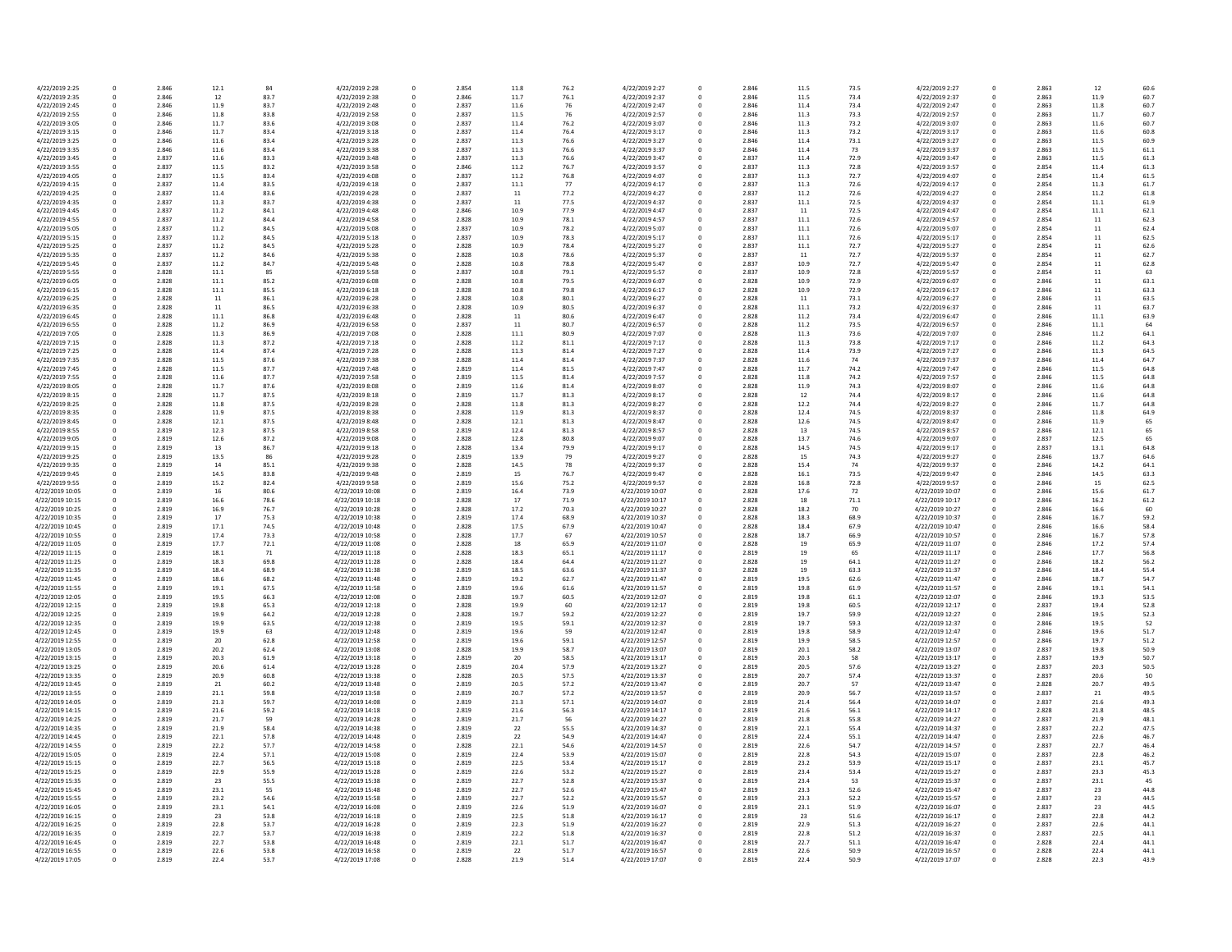| 4/22/2019 2:25  | 0            | 2.846 | 12.1 | 84   | 4/22/2019 2:28  | 0 | 2.854 | 11.8 | 76.2 | 4/22/2019 2:27  |
|-----------------|--------------|-------|------|------|-----------------|---|-------|------|------|-----------------|
| 4/22/2019 2:35  | 0            | 2.846 | 12   | 83.7 | 4/22/2019 2:38  | 0 | 2.846 | 11.7 | 76.1 | 4/22/2019 2:37  |
| 4/22/2019 2:45  | 0            | 2.846 | 11.9 | 83.7 | 4/22/2019 2:48  | 0 | 2.837 | 11.6 | 76   | 4/22/2019 2:47  |
| 4/22/2019 2:55  | 0            | 2.846 | 11.8 | 83.8 | 4/22/2019 2:58  | 0 | 2.837 | 11.5 | 76   | 4/22/2019 2:57  |
| 4/22/2019 3:05  | 0            | 2.846 | 11.7 | 83.6 | 4/22/2019 3:08  | 0 | 2.837 | 11.4 | 76.2 | 4/22/2019 3:07  |
|                 |              |       |      |      |                 |   |       |      |      |                 |
| 4/22/2019 3:15  | 0            | 2.846 | 11.7 | 83.4 | 4/22/2019 3:18  | 0 | 2.837 | 11.4 | 76.4 | 4/22/2019 3:17  |
| 4/22/2019 3:25  | $\mathbf 0$  | 2.846 | 11.6 | 83.4 | 4/22/2019 3:28  | 0 | 2.837 | 11.3 | 76.6 | 4/22/2019 3:27  |
| 4/22/2019 3:35  | 0            | 2.846 | 11.6 | 83.4 | 4/22/2019 3:38  | 0 | 2.837 | 11.3 | 76.6 | 4/22/2019 3:37  |
| 4/22/2019 3:45  | 0            | 2.837 | 11.6 | 83.3 | 4/22/2019 3:48  | 0 | 2.837 | 11.3 | 76.6 | 4/22/2019 3:47  |
| 4/22/2019 3:55  | 0            | 2.837 | 11.5 | 83.2 | 4/22/2019 3:58  | 0 | 2.846 | 11.2 | 76.7 | 4/22/2019 3:57  |
| 4/22/2019 4:05  | 0            | 2.837 |      | 83.4 | 4/22/2019 4:08  | 0 | 2.837 |      |      |                 |
|                 |              |       | 11.5 |      |                 |   |       | 11.2 | 76.8 | 4/22/2019 4:07  |
| 4/22/2019 4:15  | $\mathbf 0$  | 2.837 | 11.4 | 83.5 | 4/22/2019 4:18  | 0 | 2.837 | 11.1 | 77   | 4/22/2019 4:17  |
| 4/22/2019 4:25  | 0            | 2.837 | 11.4 | 83.6 | 4/22/2019 4:28  | 0 | 2.837 | 11   | 77.2 | 4/22/2019 4:27  |
| 4/22/2019 4:35  | 0            | 2.837 | 11.3 | 83.7 | 4/22/2019 4:38  | 0 | 2.837 | 11   | 77.5 | 4/22/2019 4:37  |
| 4/22/2019 4:45  | 0            | 2.837 | 11.2 | 84.1 | 4/22/2019 4:48  | 0 | 2.846 | 10.9 | 77.9 | 4/22/2019 4:47  |
|                 |              |       |      |      |                 |   |       |      |      |                 |
| 4/22/2019 4:55  | 0            | 2.837 | 11.2 | 84.4 | 4/22/2019 4:58  | 0 | 2.828 | 10.9 | 78.1 | 4/22/2019 4:57  |
| 4/22/2019 5:05  | 0            | 2.837 | 11.2 | 84.5 | 4/22/2019 5:08  | 0 | 2.837 | 10.9 | 78.2 | 4/22/2019 5:07  |
| 4/22/2019 5:15  | 0            | 2.837 | 11.2 | 84.5 | 4/22/2019 5:18  | 0 | 2.837 | 10.9 | 78.3 | 4/22/2019 5:17  |
| 4/22/2019 5:25  | 0            | 2.837 | 11.2 | 84.5 | 4/22/2019 5:28  | 0 | 2.828 | 10.9 | 78.4 | 4/22/2019 5:27  |
| 4/22/2019 5:35  | 0            | 2.837 | 11.2 | 84.6 | 4/22/2019 5:38  | 0 | 2.828 | 10.8 | 78.6 | 4/22/2019 5:37  |
|                 |              |       |      |      |                 |   |       |      |      |                 |
| 4/22/2019 5:45  | 0            | 2.837 | 11.2 | 84.7 | 4/22/2019 5:48  | 0 | 2.828 | 10.8 | 78.8 | 4/22/2019 5:47  |
| 4/22/2019 5:55  | 0            | 2.828 | 11.1 | 85   | 4/22/2019 5:58  | 0 | 2.837 | 10.8 | 79.1 | 4/22/2019 5:57  |
| 4/22/2019 6:05  | 0            | 2.828 | 11.1 | 85.2 | 4/22/2019 6:08  | 0 | 2.828 | 10.8 | 79.5 | 4/22/2019 6:07  |
| 4/22/2019 6:15  | $\mathbf 0$  | 2.828 | 11.1 | 85.5 | 4/22/2019 6:18  | 0 | 2.828 | 10.8 | 79.8 | 4/22/2019 6:17  |
| 4/22/2019 6:25  | 0            | 2.828 | 11   | 86.1 | 4/22/2019 6:28  | 0 | 2.828 | 10.8 | 80.1 | 4/22/2019 6:27  |
|                 |              |       |      |      |                 |   |       |      |      |                 |
| 4/22/2019 6:35  | 0            | 2.828 | 11   | 86.5 | 4/22/2019 6:38  | 0 | 2.828 | 10.9 | 80.5 | 4/22/2019 6:37  |
| 4/22/2019 6:45  | 0            | 2.828 | 11.1 | 86.8 | 4/22/2019 6:48  | 0 | 2.828 | 11   | 80.6 | 4/22/2019 6:47  |
| 4/22/2019 6:55  | 0            | 2.828 | 11.2 | 86.9 | 4/22/2019 6:58  | 0 | 2.837 | 11   | 80.7 | 4/22/2019 6:57  |
| 4/22/2019 7:05  | $\mathbf 0$  | 2.828 | 11.3 | 86.9 | 4/22/2019 7:08  | 0 | 2.828 | 11.1 | 80.9 | 4/22/2019 7:07  |
| 4/22/2019 7:15  | $\Omega$     | 2.828 | 11.3 | 87.2 | 4/22/2019 7:18  | 0 | 2.828 | 11.2 | 81.1 | 4/22/2019 7:17  |
|                 |              |       |      |      |                 |   |       |      |      |                 |
| 4/22/2019 7:25  | 0            | 2.828 | 11.4 | 87.4 | 4/22/2019 7:28  | 0 | 2.828 | 11.3 | 81.4 | 4/22/2019 7:27  |
| 4/22/2019 7:35  | 0            | 2.828 | 11.5 | 87.6 | 4/22/2019 7:38  | 0 | 2.828 | 11.4 | 81.4 | 4/22/2019 7:37  |
| 4/22/2019 7:45  | 0            | 2.828 | 11.5 | 87.7 | 4/22/2019 7:48  | 0 | 2.819 | 11.4 | 81.5 | 4/22/2019 7:47  |
| 4/22/2019 7:55  | 0            | 2.828 | 11.6 | 87.7 | 4/22/2019 7:58  | 0 | 2.819 | 11.5 | 81.4 | 4/22/2019 7:57  |
|                 |              |       |      |      |                 |   |       |      |      |                 |
| 4/22/2019 8:05  | $\Omega$     | 2.828 | 11.7 | 87.6 | 4/22/2019 8:08  | 0 | 2.819 | 11.6 | 81.4 | 4/22/2019 8:07  |
| 4/22/2019 8:15  | 0            | 2.828 | 11.7 | 87.5 | 4/22/2019 8:18  | 0 | 2.819 | 11.7 | 81.3 | 4/22/2019 8:17  |
| 4/22/2019 8:25  | 0            | 2.828 | 11.8 | 87.5 | 4/22/2019 8:28  | 0 | 2.828 | 11.8 | 81.3 | 4/22/2019 8:27  |
| 4/22/2019 8:35  | 0            | 2.828 | 11.9 | 87.5 | 4/22/2019 8:38  | 0 | 2.828 | 11.9 | 81.3 | 4/22/2019 8:37  |
| 4/22/2019 8:45  | 0            | 2.828 | 12.1 | 87.5 | 4/22/2019 8:48  | 0 | 2.828 | 12.1 | 81.3 | 4/22/2019 8:47  |
|                 |              |       |      |      |                 |   |       |      |      |                 |
| 4/22/2019 8:55  | 0            | 2.819 | 12.3 | 87.5 | 4/22/2019 8:58  | 0 | 2.819 | 12.4 | 81.3 | 4/22/2019 8:57  |
| 4/22/2019 9:05  | $\mathbf 0$  | 2.819 | 12.6 | 87.2 | 4/22/2019 9:08  | 0 | 2.828 | 12.8 | 80.8 | 4/22/2019 9:07  |
| 4/22/2019 9:15  | 0            | 2.819 | 13   | 86.7 | 4/22/2019 9:18  | 0 | 2.828 | 13.4 | 79.9 | 4/22/2019 9:17  |
| 4/22/2019 9:25  | 0            | 2.819 | 13.5 | 86   | 4/22/2019 9:28  | 0 | 2.819 | 13.9 | 79   | 4/22/2019 9:27  |
|                 |              |       |      |      |                 |   |       |      |      |                 |
| 4/22/2019 9:35  | 0            | 2.819 | 14   | 85.1 | 4/22/2019 9:38  | 0 | 2.828 | 14.5 | 78   | 4/22/2019 9:37  |
| 4/22/2019 9:45  | 0            | 2.819 | 14.5 | 83.8 | 4/22/2019 9:48  | 0 | 2.819 | 15   | 76.7 | 4/22/2019 9:47  |
| 4/22/2019 9:55  | 0            | 2.819 | 15.2 | 82.4 | 4/22/2019 9:58  | 0 | 2.819 | 15.6 | 75.2 | 4/22/2019 9:57  |
| 4/22/2019 10:05 | $\Omega$     | 2.819 | 16   | 80.6 | 4/22/2019 10:08 | 0 | 2.819 | 16.4 | 73.9 | 4/22/2019 10:07 |
| 4/22/2019 10:15 | 0            | 2.819 | 16.6 | 78.6 | 4/22/2019 10:18 | 0 | 2.828 | 17   | 71.9 | 4/22/2019 10:17 |
| 4/22/2019 10:25 | 0            |       |      | 76.7 | 4/22/2019 10:28 |   |       |      |      | 4/22/2019 10:27 |
|                 |              | 2.819 | 16.9 |      |                 | 0 | 2.828 | 17.2 | 70.3 |                 |
| 4/22/2019 10:35 | 0            | 2.819 | 17   | 75.3 | 4/22/2019 10:38 | 0 | 2.819 | 17.4 | 68.9 | 4/22/2019 10:37 |
| 4/22/2019 10:45 | 0            | 2.819 | 17.1 | 74.5 | 4/22/2019 10:48 | 0 | 2.828 | 17.5 | 67.9 | 4/22/2019 10:47 |
| 4/22/2019 10:55 | $\Omega$     | 2.819 | 17.4 | 73.3 | 4/22/2019 10:58 | 0 | 2.828 | 17.7 | 67   | 4/22/2019 10:57 |
| 4/22/2019 11:05 | 0            | 2.819 | 17.7 | 72.1 | 4/22/2019 11:08 | 0 | 2.828 | 18   | 65.9 | 4/22/2019 11:07 |
|                 | 0            |       |      |      |                 |   |       |      |      | 4/22/2019 11:17 |
| 4/22/2019 11:15 |              | 2.819 | 18.1 | 71   | 4/22/2019 11:18 | 0 | 2.828 | 18.3 | 65.1 |                 |
| 4/22/2019 11:25 | 0            | 2.819 | 18.3 | 69.8 | 4/22/2019 11:28 | 0 | 2.828 | 18.4 | 64.4 | 4/22/2019 11:27 |
| 4/22/2019 11:35 | 0            | 2.819 | 18.4 | 68.9 | 4/22/2019 11:38 | 0 | 2.819 | 18.5 | 63.6 | 4/22/2019 11:37 |
| 4/22/2019 11:45 | 0            | 2.819 | 18.6 | 68.2 | 4/22/2019 11:48 | 0 | 2.819 | 19.2 | 62.7 | 4/22/2019 11:47 |
| 4/22/2019 11:55 | 0            | 2.819 | 19.1 | 67.5 | 4/22/2019 11:58 | 0 | 2.819 | 19.6 | 61.6 | 4/22/2019 11:57 |
| 4/22/2019 12:05 | 0            | 2.819 | 19.5 | 66.3 | 4/22/2019 12:08 | 0 | 2.828 | 19.7 | 60.5 | 4/22/2019 12:07 |
|                 |              |       |      |      |                 |   |       |      |      |                 |
| 4/22/2019 12:15 | 0            | 2.819 | 19.8 | 65.3 | 4/22/2019 12:18 | 0 | 2.828 | 19.9 | 60   | 4/22/2019 12:17 |
| 4/22/2019 12:25 | 0            | 2.819 | 19.9 | 64.2 | 4/22/2019 12:28 |   | 2.828 | 19.7 | 59.2 | 4/22/2019 12:27 |
| 4/22/2019 12:35 | <sup>0</sup> | 2.819 | 19.9 | 63.5 | 4/22/2019 12:38 |   | 2.819 | 19.5 | 59.1 | 4/22/2019 12:37 |
| 4/22/2019 12:45 | 0            | 2.819 | 19.9 | 63   | 4/22/2019 12:48 | 0 | 2.819 | 19.6 | 59   | 4/22/2019 12:47 |
| 4/22/2019 12:55 | 0            | 2.819 | 20   | 62.8 | 4/22/2019 12:58 | 0 | 2.819 | 19.6 | 59.1 | 4/22/2019 12:57 |
|                 |              |       |      | 62.4 | 4/22/2019 13:08 |   |       |      | 58.7 | 4/22/2019 13:07 |
| 4/22/2019 13:05 | 0            | 2.819 | 20.2 |      |                 | 0 | 2.828 | 19.9 |      |                 |
| 4/22/2019 13:15 | 0            | 2.819 | 20.3 | 61.9 | 4/22/2019 13:18 | 0 | 2.819 | 20   | 58.5 | 4/22/2019 13:17 |
| 4/22/2019 13:25 | 0            | 2.819 | 20.6 | 61.4 | 4/22/2019 13:28 | 0 | 2.819 | 20.4 | 57.9 | 4/22/2019 13:27 |
| 4/22/2019 13:35 | 0            | 2.819 | 20.9 | 60.8 | 4/22/2019 13:38 |   | 2.828 | 20.5 | 57.5 | 4/22/2019 13:37 |
| 4/22/2019 13:45 | 0            | 2.819 | 21   | 60.2 | 4/22/2019 13:48 | 0 | 2.819 | 20.5 | 57.2 | 4/22/2019 13:47 |
| 4/22/2019 13:55 | 0            | 2.819 | 21.1 | 59.8 | 4/22/2019 13:58 | 0 | 2.819 | 20.7 | 57.2 | 4/22/2019 13:57 |
|                 |              |       |      |      |                 |   |       |      |      |                 |
| 4/22/2019 14:05 | 0            | 2.819 | 21.3 | 59.7 | 4/22/2019 14:08 | 0 | 2.819 | 21.3 | 57.1 | 4/22/2019 14:07 |
| 4/22/2019 14:15 | 0            | 2.819 | 21.6 | 59.2 | 4/22/2019 14:18 | 0 | 2.819 | 21.6 | 56.3 | 4/22/2019 14:17 |
| 4/22/2019 14:25 | 0            | 2.819 | 21.7 | 59   | 4/22/2019 14:28 |   | 2.819 | 21.7 | 56   | 4/22/2019 14:27 |
| 4/22/2019 14:35 | 0            | 2.819 | 21.9 | 58.4 | 4/22/2019 14:38 | 0 | 2.819 | 22   | 55.5 | 4/22/2019 14:37 |
| 4/22/2019 14:45 | 0            | 2.819 | 22.1 | 57.8 | 4/22/2019 14:48 | 0 | 2.819 | 22   | 54.9 | 4/22/2019 14:47 |
|                 |              |       |      |      |                 |   |       |      |      |                 |
| 4/22/2019 14:55 | 0            | 2.819 | 22.2 | 57.7 | 4/22/2019 14:58 | 0 | 2.828 | 22.1 | 54.6 | 4/22/2019 14:57 |
| 4/22/2019 15:05 | 0            | 2.819 | 22.4 | 57.1 | 4/22/2019 15:08 | 0 | 2.819 | 22.4 | 53.9 | 4/22/2019 15:07 |
| 4/22/2019 15:15 | 0            | 2.819 | 22.7 | 56.5 | 4/22/2019 15:18 |   | 2.819 | 22.5 | 53.4 | 4/22/2019 15:17 |
| 4/22/2019 15:25 | 0            | 2.819 | 22.9 | 55.9 | 4/22/2019 15:28 | 0 | 2.819 | 22.6 | 53.2 | 4/22/2019 15:27 |
|                 |              |       |      |      |                 |   |       |      |      |                 |
| 4/22/2019 15:35 | 0            | 2.819 | 23   | 55.5 | 4/22/2019 15:38 | 0 | 2.819 | 22.7 | 52.8 | 4/22/2019 15:37 |
| 4/22/2019 15:45 | 0            | 2.819 | 23.1 | 55   | 4/22/2019 15:48 | 0 | 2.819 | 22.7 | 52.6 | 4/22/2019 15:47 |
| 4/22/2019 15:55 | 0            | 2.819 | 23.2 | 54.6 | 4/22/2019 15:58 | 0 | 2.819 | 22.7 | 52.2 | 4/22/2019 15:57 |
| 4/22/2019 16:05 | 0            | 2.819 | 23.1 | 54.1 | 4/22/2019 16:08 | 0 | 2.819 | 22.6 | 51.9 | 4/22/2019 16:07 |
| 4/22/2019 16:15 | 0            | 2.819 | 23   | 53.8 | 4/22/2019 16:18 | 0 | 2.819 | 22.5 | 51.8 | 4/22/2019 16:17 |
|                 |              |       |      |      |                 |   |       |      |      |                 |
| 4/22/2019 16:25 | 0            | 2.819 | 22.8 | 53.7 | 4/22/2019 16:28 | 0 | 2.819 | 22.3 | 51.9 | 4/22/2019 16:27 |
| 4/22/2019 16:35 | 0            | 2.819 | 22.7 | 53.7 | 4/22/2019 16:38 | 0 | 2.819 | 22.2 | 51.8 | 4/22/2019 16:37 |
| 4/22/2019 16:45 | 0            | 2.819 | 22.7 | 53.8 | 4/22/2019 16:48 | 0 | 2.819 | 22.1 | 51.7 | 4/22/2019 16:47 |
| 4/22/2019 16:55 | 0            | 2.819 | 22.6 | 53.8 | 4/22/2019 16:58 | 0 | 2.819 | 22   | 51.7 | 4/22/2019 16:57 |
|                 |              | 2.819 |      | 53.7 |                 |   | 2.828 | 21.9 | 51.4 | 4/22/2019 17:07 |
| 4/22/2019 17:05 | 0            |       | 22.4 |      | 4/22/2019 17:08 | 0 |       |      |      |                 |

| 76.2 | 4/22/2019 2:27  | 0           | 2.846 | 11.5 | 73.5 | 4/22/2019 2:27  | 0           | 2.863 | 12   | 60.6 |
|------|-----------------|-------------|-------|------|------|-----------------|-------------|-------|------|------|
| 76.1 | 4/22/2019 2:37  | 0           | 2.846 | 11.5 | 73.4 | 4/22/2019 2:37  | 0           | 2.863 | 11.9 | 60.7 |
| 76   | 4/22/2019 2:47  | 0           | 2.846 | 11.4 | 73.4 | 4/22/2019 2:47  | 0           | 2.863 | 11.8 | 60.7 |
|      |                 |             |       |      |      |                 |             |       |      |      |
| 76   | 4/22/2019 2:57  | $\mathbf 0$ | 2.846 | 11.3 | 73.3 | 4/22/2019 2:57  | 0           | 2.863 | 11.7 | 60.7 |
| 76.2 | 4/22/2019 3:07  | 0           | 2.846 | 11.3 | 73.2 | 4/22/2019 3:07  | 0           | 2.863 | 11.6 | 60.7 |
| 76.4 | 4/22/2019 3:17  | 0           | 2.846 | 11.3 | 73.2 | 4/22/2019 3:17  | 0           | 2.863 | 11.6 | 60.8 |
| 76.6 | 4/22/2019 3:27  | $\mathbf 0$ | 2.846 | 11.4 | 73.1 | 4/22/2019 3:27  | 0           | 2.863 | 11.5 | 60.9 |
|      |                 |             |       |      |      |                 |             |       |      |      |
| 76.6 | 4/22/2019 3:37  | 0           | 2.846 | 11.4 | 73   | 4/22/2019 3:37  | 0           | 2.863 | 11.5 | 61.1 |
| 76.6 | 4/22/2019 3:47  | $\mathbf 0$ | 2.837 | 11.4 | 72.9 | 4/22/2019 3:47  | 0           | 2.863 | 11.5 | 61.3 |
| 76.7 | 4/22/2019 3:57  | 0           | 2.837 | 11.3 | 72.8 | 4/22/2019 3:57  | 0           | 2.854 | 11.4 | 61.3 |
| 76.8 | 4/22/2019 4:07  | 0           | 2.837 | 11.3 | 72.7 | 4/22/2019 4:07  | 0           | 2.854 | 11.4 | 61.5 |
| 77   | 4/22/2019 4:17  | $\mathbf 0$ | 2.837 | 11.3 | 72.6 | 4/22/2019 4:17  |             | 2.854 | 11.3 | 61.7 |
|      |                 |             |       |      |      |                 | 0           |       |      |      |
| 77.2 | 4/22/2019 4:27  | $\mathbf 0$ | 2.837 | 11.2 | 72.6 | 4/22/2019 4:27  | 0           | 2.854 | 11.2 | 61.8 |
| 77.5 | 4/22/2019 4:37  | 0           | 2.837 | 11.1 | 72.5 | 4/22/2019 4:37  | 0           | 2.854 | 11.1 | 61.9 |
| 77.9 | 4/22/2019 4:47  | 0           | 2.837 | 11   | 72.5 | 4/22/2019 4:47  | 0           | 2.854 | 11.1 | 62.1 |
| 78.1 | 4/22/2019 4:57  | 0           | 2.837 | 11.1 | 72.6 | 4/22/2019 4:57  | 0           | 2.854 | 11   | 62.3 |
|      |                 |             |       |      |      |                 |             |       |      |      |
| 78.2 | 4/22/2019 5:07  | $\mathbf 0$ | 2.837 | 11.1 | 72.6 | 4/22/2019 5:07  | 0           | 2.854 | 11   | 62.4 |
| 78.3 | 4/22/2019 5:17  | 0           | 2.837 | 11.1 | 72.6 | 4/22/2019 5:17  | 0           | 2.854 | 11   | 62.5 |
| 78.4 | 4/22/2019 5:27  | $\mathbf 0$ | 2.837 | 11.1 | 72.7 | 4/22/2019 5:27  | 0           | 2.854 | 11   | 62.6 |
| 78.6 | 4/22/2019 5:37  | 0           | 2.837 | 11   | 72.7 | 4/22/2019 5:37  | 0           | 2.854 | 11   | 62.7 |
| 78.8 | 4/22/2019 5:47  | 0           | 2.837 | 10.9 | 72.7 | 4/22/2019 5:47  | 0           | 2.854 | 11   | 62.8 |
|      |                 |             |       |      |      |                 |             |       |      |      |
| 79.1 | 4/22/2019 5:57  | 0           | 2.837 | 10.9 | 72.8 | 4/22/2019 5:57  | 0           | 2.854 | 11   | 63   |
| 79.5 | 4/22/2019 6:07  | 0           | 2.828 | 10.9 | 72.9 | 4/22/2019 6:07  | 0           | 2.846 | 11   | 63.1 |
| 79.8 | 4/22/2019 6:17  | 0           | 2.828 | 10.9 | 72.9 | 4/22/2019 6:17  | 0           | 2.846 | 11   | 63.3 |
| 80.1 | 4/22/2019 6:27  | 0           | 2.828 | 11   | 73.1 | 4/22/2019 6:27  | 0           | 2.846 | 11   | 63.5 |
| 80.5 | 4/22/2019 6:37  | 0           | 2.828 | 11.1 | 73.2 | 4/22/2019 6:37  | 0           | 2.846 | 11   | 63.7 |
|      |                 |             |       |      |      |                 |             |       |      |      |
| 80.6 | 4/22/2019 6:47  | 0           | 2.828 | 11.2 | 73.4 | 4/22/2019 6:47  | 0           | 2.846 | 11.1 | 63.9 |
| 80.7 | 4/22/2019 6:57  | 0           | 2.828 | 11.2 | 73.5 | 4/22/2019 6:57  | 0           | 2.846 | 11.1 | 64   |
| 80.9 | 4/22/2019 7:07  | $\Omega$    | 2.828 | 11.3 | 73.6 | 4/22/2019 7:07  | 0           | 2.846 | 11.2 | 64.1 |
| 81.1 | 4/22/2019 7:17  | 0           | 2.828 | 11.3 | 73.8 | 4/22/2019 7:17  | 0           | 2.846 | 11.2 | 64.3 |
|      |                 |             |       |      |      |                 |             |       |      |      |
| 81.4 | 4/22/2019 7:27  | 0           | 2.828 | 11.4 | 73.9 | 4/22/2019 7:27  | 0           | 2.846 | 11.3 | 64.5 |
| 81.4 | 4/22/2019 7:37  | 0           | 2.828 | 11.6 | 74   | 4/22/2019 7:37  | 0           | 2.846 | 11.4 | 64.7 |
| 81.5 | 4/22/2019 7:47  | 0           | 2.828 | 11.7 | 74.2 | 4/22/2019 7:47  | 0           | 2.846 | 11.5 | 64.8 |
| 81.4 | 4/22/2019 7:57  | 0           | 2.828 | 11.8 | 74.2 | 4/22/2019 7:57  | 0           | 2.846 | 11.5 | 64.8 |
| 81.4 | 4/22/2019 8:07  | 0           | 2.828 | 11.9 | 74.3 | 4/22/2019 8:07  | 0           | 2.846 | 11.6 | 64.8 |
|      |                 |             |       |      |      |                 |             |       |      |      |
| 81.3 | 4/22/2019 8:17  | 0           | 2.828 | 12   | 74.4 | 4/22/2019 8:17  | 0           | 2.846 | 11.6 | 64.8 |
| 81.3 | 4/22/2019 8:27  | $\Omega$    | 2.828 | 12.2 | 74.4 | 4/22/2019 8:27  | 0           | 2.846 | 11.7 | 64.8 |
| 81.3 | 4/22/2019 8:37  | 0           | 2.828 | 12.4 | 74.5 | 4/22/2019 8:37  | 0           | 2.846 | 11.8 | 64.9 |
| 81.3 | 4/22/2019 8:47  | 0           | 2.828 | 12.6 | 74.5 | 4/22/2019 8:47  | 0           | 2.846 | 11.9 | 65   |
|      |                 |             |       |      |      |                 |             |       |      |      |
| 81.3 | 4/22/2019 8:57  | 0           | 2.828 | 13   | 74.5 | 4/22/2019 8:57  | 0           | 2.846 | 12.1 | 65   |
| 80.8 | 4/22/2019 9:07  | 0           | 2.828 | 13.7 | 74.6 | 4/22/2019 9:07  | 0           | 2.837 | 12.5 | 65   |
| 79.9 | 4/22/2019 9:17  | 0           | 2.828 | 14.5 | 74.5 | 4/22/2019 9:17  | 0           | 2.837 | 13.1 | 64.8 |
| 79   | 4/22/2019 9:27  | 0           | 2.828 | 15   | 74.3 | 4/22/2019 9:27  | 0           | 2.846 | 13.7 | 64.6 |
| 78   | 4/22/2019 9:37  | 0           | 2.828 | 15.4 | 74   | 4/22/2019 9:37  | 0           | 2.846 | 14.2 | 64.1 |
|      |                 |             |       |      |      |                 |             |       |      |      |
| 76.7 | 4/22/2019 9:47  | 0           | 2.828 | 16.1 | 73.5 | 4/22/2019 9:47  | 0           | 2.846 | 14.5 | 63.3 |
| 75.2 | 4/22/2019 9:57  | 0           | 2.828 | 16.8 | 72.8 | 4/22/2019 9:57  | 0           | 2.846 | 15   | 62.5 |
| 73.9 | 4/22/2019 10:07 | 0           | 2.828 | 17.6 | 72   | 4/22/2019 10:07 | 0           | 2.846 | 15.6 | 61.7 |
| 71.9 | 4/22/2019 10:17 | 0           | 2.828 | 18   | 71.1 | 4/22/2019 10:17 | 0           | 2.846 | 16.2 | 61.2 |
| 70.3 | 4/22/2019 10:27 | 0           | 2.828 | 18.2 | 70   | 4/22/2019 10:27 | 0           | 2.846 | 16.6 | 60   |
|      |                 |             |       |      |      |                 |             |       |      |      |
| 68.9 | 4/22/2019 10:37 | 0           | 2.828 | 18.3 | 68.9 | 4/22/2019 10:37 | 0           | 2.846 | 16.7 | 59.2 |
| 67.9 | 4/22/2019 10:47 | 0           | 2.828 | 18.4 | 67.9 | 4/22/2019 10:47 | 0           | 2.846 | 16.6 | 58.4 |
| 67   | 4/22/2019 10:57 | 0           | 2.828 | 18.7 | 66.9 | 4/22/2019 10:57 | 0           | 2.846 | 16.7 | 57.8 |
| 65.9 | 4/22/2019 11:07 | 0           | 2.828 | 19   | 65.9 | 4/22/2019 11:07 | 0           | 2.846 | 17.2 | 57.4 |
| 55.1 | 4/22/2019 11:17 | 0           | 2.819 |      | 65   | 4/22/2019 11:17 | 0           | 2.846 | 17.7 | 56.8 |
|      |                 |             |       | 19   |      |                 |             |       |      |      |
| 64.4 | 4/22/2019 11:27 | 0           | 2.828 | 19   | 64.1 | 4/22/2019 11:27 | 0           | 2.846 | 18.2 | 56.2 |
| 63.6 | 4/22/2019 11:37 | 0           | 2.828 | 19   | 63.3 | 4/22/2019 11:37 | 0           | 2.846 | 18.4 | 55.4 |
| 62.7 | 4/22/2019 11:47 | 0           | 2.819 | 19.5 | 62.6 | 4/22/2019 11:47 | 0           | 2.846 | 18.7 | 54.7 |
| 61.6 | 4/22/2019 11:57 | 0           | 2.819 | 19.8 | 61.9 | 4/22/2019 11:57 | 0           | 2.846 | 19.1 | 54.1 |
|      | 4/22/2019 12:07 |             | 2.819 |      |      | 4/22/2019 12:07 |             |       | 19.3 |      |
| 50.5 |                 | 0           |       | 19.8 | 61.1 |                 | 0           | 2.846 |      | 53.5 |
| 60   | 4/22/2019 12:17 | 0           | 2.819 | 19.8 | 60.5 | 4/22/2019 12:17 | 0           | 2.837 | 19.4 | 52.8 |
| 59.2 | 4/22/2019 12:27 | 0           | 2.819 | 19.7 | 59.9 | 4/22/2019 12:27 | 0           | 2.846 | 19.5 | 52.3 |
| 59.1 | 4/22/2019 12:37 | $\Omega$    | 2.819 | 19.7 | 59.3 | 4/22/2019 12:37 | 0           | 2.846 | 19.5 | 52   |
| 59   | 4/22/2019 12:47 | 0           | 2.819 | 19.8 | 58.9 | 4/22/2019 12:47 | 0           | 2.846 | 19.6 | 51.7 |
| 59.1 | 4/22/2019 12:57 | $\pmb{0}$   | 2.819 | 19.9 | 58.5 | 4/22/2019 12:57 | 0           | 2.846 | 19.7 | 51.2 |
|      |                 |             |       |      |      |                 |             |       |      |      |
| 58.7 | 4/22/2019 13:07 | 0           | 2.819 | 20.1 | 58.2 | 4/22/2019 13:07 | $\mathbf 0$ | 2.837 | 19.8 | 50.9 |
| 58.5 | 4/22/2019 13:17 | 0           | 2.819 | 20.3 | 58   | 4/22/2019 13:17 | 0           | 2.837 | 19.9 | 50.7 |
| 57.9 | 4/22/2019 13:27 | 0           | 2.819 | 20.5 | 57.6 | 4/22/2019 13:27 | 0           | 2.837 | 20.3 | 50.5 |
| 57.5 | 4/22/2019 13:37 | 0           | 2.819 | 20.7 | 57.4 | 4/22/2019 13:37 | 0           | 2.837 | 20.6 | 50   |
| 57.2 | 4/22/2019 13:47 | 0           | 2.819 | 20.7 | 57   | 4/22/2019 13:47 | $\mathbf 0$ | 2.828 | 20.7 | 49.5 |
| 57.2 | 4/22/2019 13:57 | 0           | 2.819 | 20.9 | 56.7 | 4/22/2019 13:57 | 0           | 2.837 | 21   | 49.5 |
|      |                 |             |       |      |      |                 |             |       |      |      |
| 57.1 | 4/22/2019 14:07 | 0           | 2.819 | 21.4 | 56.4 | 4/22/2019 14:07 | 0           | 2.837 | 21.6 | 49.3 |
| 56.3 | 4/22/2019 14:17 | 0           | 2.819 | 21.6 | 56.1 | 4/22/2019 14:17 | 0           | 2.828 | 21.8 | 48.5 |
| 56   | 4/22/2019 14:27 | 0           | 2.819 | 21.8 | 55.8 | 4/22/2019 14:27 | 0           | 2.837 | 21.9 | 48.1 |
| 55.5 | 4/22/2019 14:37 | 0           | 2.819 | 22.1 | 55.4 | 4/22/2019 14:37 | 0           | 2.837 | 22.2 | 47.5 |
| 54.9 | 4/22/2019 14:47 | 0           | 2.819 | 22.4 | 55.1 | 4/22/2019 14:47 | 0           | 2.837 | 22.6 | 46.7 |
|      |                 |             |       |      |      |                 |             |       |      |      |
| 54.6 | 4/22/2019 14:57 | 0           | 2.819 | 22.6 | 54.7 | 4/22/2019 14:57 | 0           | 2.837 | 22.7 | 46.4 |
| 53.9 | 4/22/2019 15:07 | 0           | 2.819 | 22.8 | 54.3 | 4/22/2019 15:07 | 0           | 2.837 | 22.8 | 46.2 |
| 53.4 | 4/22/2019 15:17 | 0           | 2.819 | 23.2 | 53.9 | 4/22/2019 15:17 | 0           | 2.837 | 23.1 | 45.7 |
| 53.2 | 4/22/2019 15:27 | 0           | 2.819 | 23.4 | 53.4 | 4/22/2019 15:27 | 0           | 2.837 | 23.3 | 45.3 |
| 52.8 | 4/22/2019 15:37 | 0           | 2.819 | 23.4 | 53   | 4/22/2019 15:37 | 0           | 2.837 | 23.1 | 45   |
|      |                 |             |       |      |      |                 |             |       |      |      |
| 52.6 | 4/22/2019 15:47 | 0           | 2.819 | 23.3 | 52.6 | 4/22/2019 15:47 | $\mathbf 0$ | 2.837 | 23   | 44.8 |
| 52.2 | 4/22/2019 15:57 | 0           | 2.819 | 23.3 | 52.2 | 4/22/2019 15:57 | 0           | 2.837 | 23   | 44.5 |
| 51.9 | 4/22/2019 16:07 | 0           | 2.819 | 23.1 | 51.9 | 4/22/2019 16:07 | 0           | 2.837 | 23   | 44.5 |
| 51.8 | 4/22/2019 16:17 | 0           | 2.819 | 23   | 51.6 | 4/22/2019 16:17 | 0           | 2.837 | 22.8 | 44.2 |
| 51.9 | 4/22/2019 16:27 | 0           | 2.819 | 22.9 | 51.3 | 4/22/2019 16:27 | 0           | 2.837 | 22.6 | 44.1 |
| 51.8 | 4/22/2019 16:37 | 0           | 2.819 | 22.8 | 51.2 | 4/22/2019 16:37 | $\mathbf 0$ | 2.837 | 22.5 | 44.1 |
|      |                 |             |       |      |      |                 |             |       |      |      |
| 51.7 | 4/22/2019 16:47 | 0           | 2.819 | 22.7 | 51.1 | 4/22/2019 16:47 | 0           | 2.828 | 22.4 | 44.1 |
| 51.7 | 4/22/2019 16:57 | 0           | 2.819 | 22.6 | 50.9 | 4/22/2019 16:57 | 0           | 2.828 | 22.4 | 44.1 |
| 51.4 | 4/22/2019 17:07 | $\mathbf 0$ | 2.819 | 22.4 | 50.9 | 4/22/2019 17:07 | 0           | 2.828 | 22.3 | 43.9 |
|      |                 |             |       |      |      |                 |             |       |      |      |

17.2 57.4<br>17.7 56.8<br>18.2 56.2<br>18.4 55.4 18.4 55.4<br>18.7 54.7 18.7 54.7<br>
19.1 54.1<br>
19.3 53.5<br>
19.4 52.8 19.4 52.8<br>
19.5 52.3<br>
19.5 52<br>
19.6 51.7<br>
19.7 51.2<br>
19.8 50.9<br>
19.9 50.7<br>
20.3 50.5<br>
20.6 50<br>
20.7 49.5<br>
21.6 49.3<br>
21.8 48.5 21.8 48.5<br>21.9 48.1 21.9 48.1<br>22.2 47.5 22.2 47.5<br>22.6 46.7<br>22.7 46.4 22.8 46.2<br>23.1 45.7 23.1 45.7<br>23.3 45.3 23.1 45<br>23 44.8<br>23 44.5 22.8 44.2<br>22.6 44.1 22.6 44.1<br>
22.5 44.1<br>
22.4 44.1<br>
22.3 43.9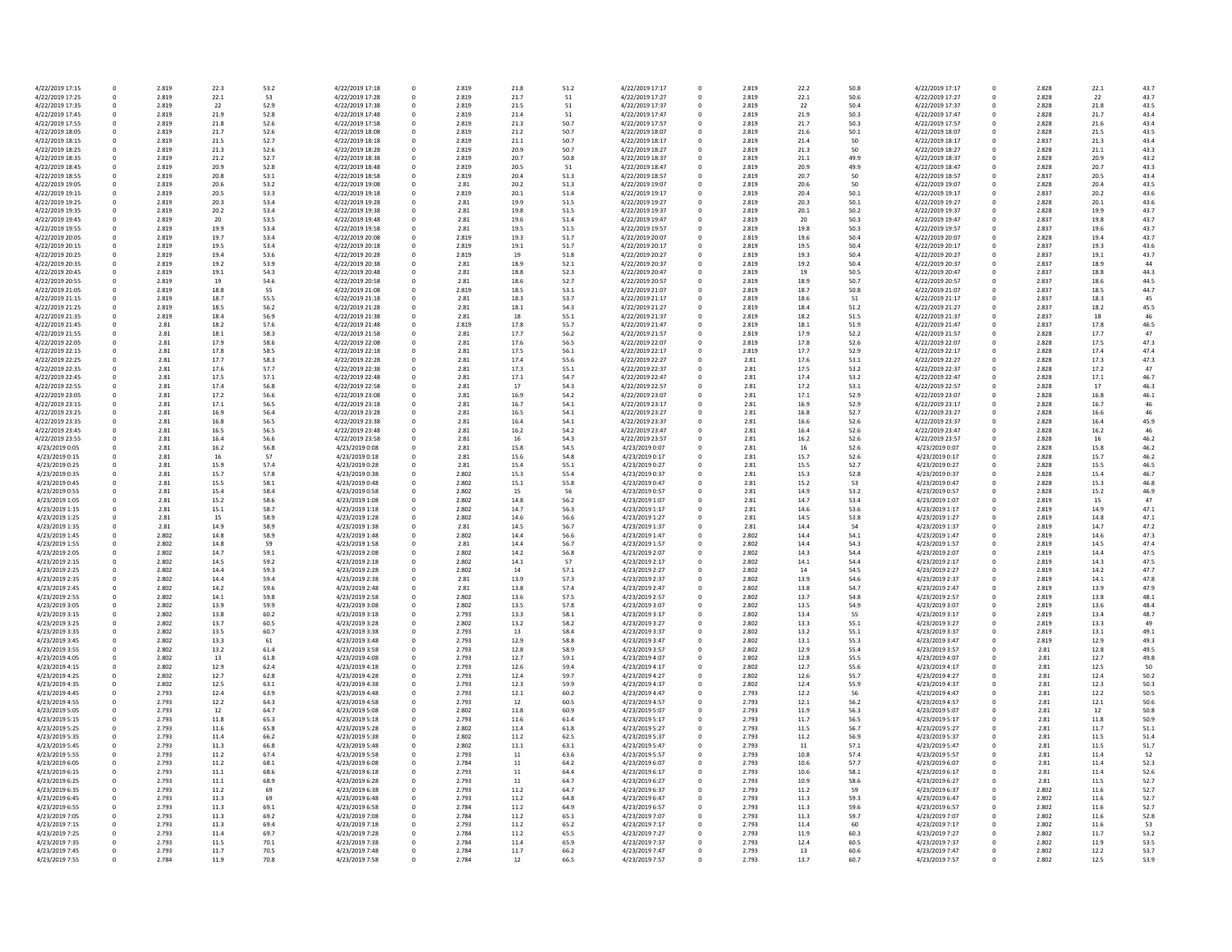| 4/22/2019 17:15 | 0            | 2.819 | 22.3     | 53.2 | 4/22/2019 17:18 | 0 | 2.819 | 21.8 | 51.2 | 4/22/2019 17:17 |
|-----------------|--------------|-------|----------|------|-----------------|---|-------|------|------|-----------------|
| 4/22/2019 17:25 | 0            | 2.819 | 22.1     | 53   | 4/22/2019 17:28 | 0 | 2.819 | 21.7 | 51   | 4/22/2019 17:27 |
| 4/22/2019 17:35 | 0            | 2.819 | 22       | 52.9 | 4/22/2019 17:38 | 0 | 2.819 | 21.5 | 51   | 4/22/2019 17:37 |
| 4/22/2019 17:45 | 0            | 2.819 | 21.9     | 52.8 | 4/22/2019 17:48 | 0 | 2.819 | 21.4 | 51   | 4/22/2019 17:47 |
| 4/22/2019 17:55 | 0            | 2.819 | 21.8     | 52.6 | 4/22/2019 17:58 | 0 | 2.819 | 21.3 | 50.7 | 4/22/2019 17:57 |
| 4/22/2019 18:05 | 0            | 2.819 | 21.7     | 52.6 | 4/22/2019 18:08 | 0 | 2.819 | 21.2 | 50.7 | 4/22/2019 18:07 |
| 4/22/2019 18:15 | $\mathbf 0$  | 2.819 | 21.5     | 52.7 | 4/22/2019 18:18 | 0 | 2.819 | 21.1 | 50.7 | 4/22/2019 18:17 |
| 4/22/2019 18:25 | 0            | 2.819 | 21.3     | 52.6 | 4/22/2019 18:28 | 0 | 2.819 | 20.9 | 50.7 | 4/22/2019 18:27 |
| 4/22/2019 18:35 | 0            | 2.819 | 21.2     | 52.7 | 4/22/2019 18:38 | 0 | 2.819 | 20.7 | 50.8 | 4/22/2019 18:37 |
| 4/22/2019 18:45 | 0            | 2.819 | 20.9     | 52.8 | 4/22/2019 18:48 | 0 | 2.819 | 20.5 | 51   | 4/22/2019 18:47 |
| 4/22/2019 18:55 | 0            | 2.819 | 20.8     | 53.1 | 4/22/2019 18:58 | 0 | 2.819 | 20.4 | 51.3 | 4/22/2019 18:57 |
| 4/22/2019 19:05 | 0            | 2.819 | 20.6     | 53.2 | 4/22/2019 19:08 | 0 | 2.81  | 20.2 | 51.3 | 4/22/2019 19:07 |
| 4/22/2019 19:15 | 0            | 2.819 | 20.5     | 53.3 | 4/22/2019 19:18 | 0 | 2.819 | 20.1 | 51.4 | 4/22/2019 19:17 |
| 4/22/2019 19:25 | 0            | 2.819 | 20.3     | 53.4 | 4/22/2019 19:28 | 0 | 2.81  | 19.9 | 51.5 | 4/22/2019 19:27 |
|                 |              |       |          |      |                 |   |       |      |      |                 |
| 4/22/2019 19:35 | 0            | 2.819 | 20.2     | 53.4 | 4/22/2019 19:38 | 0 | 2.81  | 19.8 | 51.5 | 4/22/2019 19:37 |
| 4/22/2019 19:45 | 0            | 2.819 | 20       | 53.5 | 4/22/2019 19:48 | 0 | 2.81  | 19.6 | 51.4 | 4/22/2019 19:47 |
| 4/22/2019 19:55 | 0            | 2.819 | 19.9     | 53.4 | 4/22/2019 19:58 | 0 | 2.81  | 19.5 | 51.5 | 4/22/2019 19:57 |
| 4/22/2019 20:05 | 0            | 2.819 | 19.7     | 53.4 | 4/22/2019 20:08 | 0 | 2.819 | 19.3 | 51.7 | 4/22/2019 20:07 |
| 4/22/2019 20:15 | 0            | 2.819 | 19.5     | 53.4 | 4/22/2019 20:18 | 0 | 2.819 | 19.1 | 51.7 | 4/22/2019 20:17 |
| 4/22/2019 20:25 | 0            | 2.819 | 19.4     | 53.6 | 4/22/2019 20:28 | 0 | 2.819 | 19   | 51.8 | 4/22/2019 20:27 |
| 4/22/2019 20:35 | 0            | 2.819 | 19.2     | 53.9 | 4/22/2019 20:38 | 0 | 2.81  | 18.9 | 52.1 | 4/22/2019 20:37 |
| 4/22/2019 20:45 | 0            | 2.819 | 19.1     | 54.3 | 4/22/2019 20:48 | 0 | 2.81  | 18.8 | 52.3 | 4/22/2019 20:47 |
| 4/22/2019 20:55 | 0            | 2.819 | 19       | 54.6 | 4/22/2019 20:58 | 0 | 2.81  | 18.6 | 52.7 | 4/22/2019 20:57 |
| 4/22/2019 21:05 | $\mathbf 0$  | 2.819 | 18.8     | 55   | 4/22/2019 21:08 | 0 | 2.819 | 18.5 | 53.1 | 4/22/2019 21:07 |
| 4/22/2019 21:15 | 0            | 2.819 | 18.7     | 55.5 | 4/22/2019 21:18 | 0 | 2.81  | 18.3 | 53.7 | 4/22/2019 21:17 |
| 4/22/2019 21:25 | 0            | 2.819 | 18.5     | 56.2 | 4/22/2019 21:28 | 0 | 2.81  | 18.1 | 54.3 | 4/22/2019 21:27 |
| 4/22/2019 21:35 | 0            | 2.819 | 18.4     | 56.9 | 4/22/2019 21:38 | 0 | 2.81  | 18   | 55.1 | 4/22/2019 21:37 |
|                 |              |       |          |      | 4/22/2019 21:48 | 0 |       |      | 55.7 |                 |
| 4/22/2019 21:45 | 0            | 2.81  | 18.2     | 57.6 |                 |   | 2.819 | 17.8 |      | 4/22/2019 21:47 |
| 4/22/2019 21:55 | 0            | 2.81  | 18.1     | 58.3 | 4/22/2019 21:58 | 0 | 2.81  | 17.7 | 56.2 | 4/22/2019 21:57 |
| 4/22/2019 22:05 | $\Omega$     | 2.81  | 17.9     | 58.6 | 4/22/2019 22:08 | 0 | 2.81  | 17.6 | 56.5 | 4/22/2019 22:07 |
| 4/22/2019 22:15 | 0            | 2.81  | 17.8     | 58.5 | 4/22/2019 22:18 | 0 | 2.81  | 17.5 | 56.1 | 4/22/2019 22:17 |
| 4/22/2019 22:25 | 0            | 2.81  | 17.7     | 58.3 | 4/22/2019 22:28 | 0 | 2.81  | 17.4 | 55.6 | 4/22/2019 22:27 |
| 4/22/2019 22:35 | 0            | 2.81  | 17.6     | 57.7 | 4/22/2019 22:38 | 0 | 2.81  | 17.3 | 55.1 | 4/22/2019 22:37 |
| 4/22/2019 22:45 | 0            | 2.81  | 17.5     | 57.1 | 4/22/2019 22:48 | 0 | 2.81  | 17.1 | 54.7 | 4/22/2019 22:47 |
| 4/22/2019 22:55 | $\Omega$     | 2.81  | 17.4     | 56.8 | 4/22/2019 22:58 | 0 | 2.81  | 17   | 54.3 | 4/22/2019 22:57 |
| 4/22/2019 23:05 | 0            | 2.81  | 17.2     | 56.6 | 4/22/2019 23:08 | 0 | 2.81  | 16.9 | 54.2 | 4/22/2019 23:07 |
| 4/22/2019 23:15 | 0            | 2.81  | 17.1     | 56.5 | 4/22/2019 23:18 | 0 | 2.81  | 16.7 | 54.1 | 4/22/2019 23:17 |
| 4/22/2019 23:25 | 0            | 2.81  | 16.9     | 56.4 | 4/22/2019 23:28 | 0 | 2.81  | 16.5 | 54.1 | 4/22/2019 23:27 |
| 4/22/2019 23:35 | 0            | 2.81  | 16.8     | 56.5 | 4/22/2019 23:38 | 0 | 2.81  | 16.4 | 54.1 | 4/22/2019 23:37 |
|                 |              |       |          |      |                 |   |       |      |      |                 |
| 4/22/2019 23:45 | 0            | 2.81  | 16.5     | 56.5 | 4/22/2019 23:48 | 0 | 2.81  | 16.2 | 54.2 | 4/22/2019 23:47 |
| 4/22/2019 23:55 | $\mathbf 0$  | 2.81  | 16.4     | 56.6 | 4/22/2019 23:58 | 0 | 2.81  | 16   | 54.3 | 4/22/2019 23:57 |
| 4/23/2019 0:05  | 0            | 2.81  | 16.2     | 56.8 | 4/23/2019 0:08  | 0 | 2.81  | 15.8 | 54.5 | 4/23/2019 0:07  |
| 4/23/2019 0:15  | 0            | 2.81  | 16       | 57   | 4/23/2019 0:18  | 0 | 2.81  | 15.6 | 54.8 | 4/23/2019 0:17  |
| 4/23/2019 0:25  | 0            | 2.81  | 15.9     | 57.4 | 4/23/2019 0:28  | 0 | 2.81  | 15.4 | 55.1 | 4/23/2019 0:27  |
| 4/23/2019 0:35  | 0            | 2.81  | 15.7     | 57.8 | 4/23/2019 0:38  | 0 | 2.802 | 15.3 | 55.4 | 4/23/2019 0:37  |
| 4/23/2019 0:45  | 0            | 2.81  | 15.5     | 58.1 | 4/23/2019 0:48  | 0 | 2.802 | 15.1 | 55.8 | 4/23/2019 0:47  |
| 4/23/2019 0:55  | $\Omega$     | 2.81  | 15.4     | 58.4 | 4/23/2019 0:58  | 0 | 2.802 | 15   | 56   | 4/23/2019 0:57  |
| 4/23/2019 1:05  | 0            | 2.81  | 15.2     | 58.6 | 4/23/2019 1:08  | 0 | 2.802 | 14.8 | 56.2 | 4/23/2019 1:07  |
| 4/23/2019 1:15  | 0            | 2.81  | 15.1     | 58.7 | 4/23/2019 1:18  | 0 | 2.802 | 14.7 | 56.3 | 4/23/2019 1:17  |
| 4/23/2019 1:25  | $\Omega$     | 2.81  | 15       | 58.9 | 4/23/2019 1:28  | 0 | 2.802 | 14.6 | 56.6 | 4/23/2019 1:27  |
| 4/23/2019 1:35  | 0            | 2.81  | 14.9     | 58.9 | 4/23/2019 1:38  | 0 | 2.81  | 14.5 | 56.7 | 4/23/2019 1:37  |
|                 |              |       |          |      |                 |   |       |      |      |                 |
| 4/23/2019 1:45  | 0            | 2.802 | 14.8     | 58.9 | 4/23/2019 1:48  | 0 | 2.802 | 14.4 | 56.6 | 4/23/2019 1:47  |
| 4/23/2019 1:55  | 0            | 2.802 | 14.8     | 59   | 4/23/2019 1:58  | 0 | 2.81  | 14.4 | 56.7 | 4/23/2019 1:57  |
| 4/23/2019 2:05  | 0            | 2.802 | 14.7     | 59.1 | 4/23/2019 2:08  | 0 | 2.802 | 14.2 | 56.8 | 4/23/2019 2:07  |
| 4/23/2019 2:15  | 0            | 2.802 | 14.5     | 59.2 | 4/23/2019 2:18  | 0 | 2.802 | 14.1 | 57   | 4/23/2019 2:17  |
| 4/23/2019 2:25  | 0            | 2.802 | 14.4     | 59.3 | 4/23/2019 2:28  | 0 | 2.802 | 14   | 57.1 | 4/23/2019 2:27  |
| 4/23/2019 2:35  | 0            | 2.802 | 14.4     | 59.4 | 4/23/2019 2:38  | 0 | 2.81  | 13.9 | 57.3 | 4/23/2019 2:37  |
| 4/23/2019 2:45  | 0            | 2.802 | 14.2     | 59.6 | 4/23/2019 2:48  | 0 | 2.81  | 13.8 | 57.4 | 4/23/2019 2:47  |
| 4/23/2019 2:55  | 0            | 2.802 | 14.1     | 59.8 | 4/23/2019 2:58  | 0 | 2.802 | 13.6 | 57.5 | 4/23/2019 2:57  |
| 4/23/2019 3:05  | 0            | 2.802 | 13.9     | 59.9 | 4/23/2019 3:08  | 0 | 2.802 | 13.5 | 57.8 | 4/23/2019 3:07  |
| 4/23/2019 3:15  | 0            | 2.802 | 13.8     | 60.2 | 4/23/2019 3:18  |   | 2.793 | 13.3 | 58.1 | 4/23/2019 3:17  |
| 4/23/2019 3:25  | <sup>0</sup> | 2.802 | 13.7     | 60.5 | 4/23/2019 3:28  |   | 2.802 | 13.2 | 58.2 | 4/23/2019 3:27  |
| 4/23/2019 3:35  | 0            | 2.802 | 13.5     | 60.7 | 4/23/2019 3:38  | 0 | 2.793 | 13   | 58.4 | 4/23/2019 3:37  |
| 4/23/2019 3:45  | 0            | 2.802 | 13.3     | 61   | 4/23/2019 3:48  | 0 | 2.793 | 12.9 | 58.8 | 4/23/2019 3:47  |
| 4/23/2019 3:55  | 0            | 2.802 | 13.2     | 61.4 | 4/23/2019 3:58  | 0 | 2.793 | 12.8 | 58.9 | 4/23/2019 3:57  |
|                 |              |       |          |      |                 |   |       |      |      |                 |
| 4/23/2019 4:05  | 0            | 2.802 | 13       | 61.8 | 4/23/2019 4:08  | 0 | 2.793 | 12.7 | 59.1 | 4/23/2019 4:07  |
| 4/23/2019 4:15  | 0            | 2.802 | 12.9     | 62.4 | 4/23/2019 4:18  |   | 2.793 | 12.6 | 59.4 | 4/23/2019 4:17  |
| 4/23/2019 4:25  | 0            | 2.802 | 12.7     | 62.8 | 4/23/2019 4:28  |   | 2.793 | 12.4 | 59.7 | 4/23/2019 4:27  |
| 4/23/2019 4:35  | 0            | 2.802 | 12.5     | 63.1 | 4/23/2019 4:38  | 0 | 2.793 | 12.3 | 59.9 | 4/23/2019 4:37  |
| 4/23/2019 4:45  | 0            | 2.793 | 12.4     | 63.9 | 4/23/2019 4:48  | 0 | 2.793 | 12.1 | 60.2 | 4/23/2019 4:47  |
| 4/23/2019 4:55  | 0            | 2.793 | 12.2     | 64.3 | 4/23/2019 4:58  | 0 | 2.793 | 12   | 60.5 | 4/23/2019 4:57  |
| 4/23/2019 5:05  | 0            | 2.793 | 12       | 64.7 | 4/23/2019 5:08  |   | 2.802 | 11.8 | 60.9 | 4/23/2019 5:07  |
| 4/23/2019 5:15  | 0            | 2.793 | 11.8     | 65.3 | 4/23/2019 5:18  |   | 2.793 | 11.6 | 61.4 | 4/23/2019 5:17  |
| 4/23/2019 5:25  | 0            | 2.793 | 11.6     | 65.8 | 4/23/2019 5:28  | 0 | 2.802 | 11.4 | 61.8 | 4/23/2019 5:27  |
| 4/23/2019 5:35  | 0            | 2.793 | 11.4     | 66.2 | 4/23/2019 5:38  |   | 2.802 | 11.2 | 62.5 | 4/23/2019 5:37  |
| 4/23/2019 5:45  | 0            | 2.793 | 11.3     | 66.8 | 4/23/2019 5:48  | 0 | 2.802 | 11.1 | 63.1 | 4/23/2019 5:47  |
| 4/23/2019 5:55  | 0            | 2.793 | 11.2     | 67.4 | 4/23/2019 5:58  | 0 | 2.793 | 11   | 63.6 | 4/23/2019 5:57  |
|                 |              |       |          |      |                 |   |       |      |      |                 |
| 4/23/2019 6:05  | 0            | 2.793 | 11.2     | 68.1 | 4/23/2019 6:08  |   | 2.784 | 11   | 64.2 | 4/23/2019 6:07  |
| 4/23/2019 6:15  | 0            | 2.793 | $11.1\,$ | 68.6 | 4/23/2019 6:18  | 0 | 2.793 | 11   | 64.4 | 4/23/2019 6:17  |
| 4/23/2019 6:25  | 0            | 2.793 | 11.1     | 68.9 | 4/23/2019 6:28  |   | 2.793 | 11   | 64.7 | 4/23/2019 6:27  |
| 4/23/2019 6:35  | 0            | 2.793 | 11.2     | 69   | 4/23/2019 6:38  | 0 | 2.793 | 11.2 | 64.7 | 4/23/2019 6:37  |
| 4/23/2019 6:45  | 0            | 2.793 | 11.3     | 69   | 4/23/2019 6:48  |   | 2.793 | 11.2 | 64.8 | 4/23/2019 6:47  |
| 4/23/2019 6:55  | 0            | 2.793 | 11.3     | 69.1 | 4/23/2019 6:58  |   | 2.784 | 11.2 | 64.9 | 4/23/2019 6:57  |
| 4/23/2019 7:05  | 0            | 2.793 | 11.3     | 69.2 | 4/23/2019 7:08  | 0 | 2.784 | 11.2 | 65.1 | 4/23/2019 7:07  |
| 4/23/2019 7:15  | 0            | 2.793 | 11.3     | 69.4 | 4/23/2019 7:18  |   | 2.793 | 11.2 | 65.2 | 4/23/2019 7:17  |
| 4/23/2019 7:25  | 0            | 2.793 | 11.4     | 69.7 | 4/23/2019 7:28  | 0 | 2.784 | 11.2 | 65.5 | 4/23/2019 7:27  |
| 4/23/2019 7:35  | 0            | 2.793 | 11.5     | 70.1 | 4/23/2019 7:38  |   | 2.784 | 11.4 | 65.9 | 4/23/2019 7:37  |
| 4/23/2019 7:45  | 0            | 2.793 | 11.7     | 70.5 | 4/23/2019 7:48  | 0 | 2.784 | 11.7 | 66.2 | 4/23/2019 7:47  |
| 4/23/2019 7:55  | 0            | 2.784 | 11.9     | 70.8 | 4/23/2019 7:58  | 0 | 2.784 | 12   | 66.5 | 4/23/2019 7:57  |
|                 |              |       |          |      |                 |   |       |      |      |                 |

| 51.2 | 4/22/2019 17:17 | 0      | 2.819 | 22.2         | 50.8         | 4/22/2019 17:17                    | 0                | 2.828 | 22.1         | 43.7 |
|------|-----------------|--------|-------|--------------|--------------|------------------------------------|------------------|-------|--------------|------|
| 51   | 4/22/2019 17:27 | 0      | 2.819 | 22.1         | 50.6         | 4/22/2019 17:27                    | 0                | 2.828 | 22           | 43.7 |
| 51   | 4/22/2019 17:37 | 0      | 2.819 | 22           | 50.4         | 4/22/2019 17:37                    | 0                | 2.828 | 21.8         | 43.5 |
| 51   | 4/22/2019 17:47 | 0      | 2.819 | 21.9         | 50.3         | 4/22/2019 17:47                    | 0                | 2.828 | 21.7         | 43.4 |
| 50.7 | 4/22/2019 17:57 | 0      | 2.819 | 21.7         | 50.3         | 4/22/2019 17:57                    | 0                | 2.828 | 21.6         | 43.4 |
| 50.7 | 4/22/2019 18:07 | 0      | 2.819 | 21.6         | 50.1         | 4/22/2019 18:07                    | 0                | 2.828 | 21.5         | 43.5 |
|      |                 |        |       |              |              |                                    |                  |       |              |      |
| 50.7 | 4/22/2019 18:17 | 0      | 2.819 | 21.4         | 50           | 4/22/2019 18:17                    | 0                | 2.837 | 21.3         | 43.4 |
| 50.7 | 4/22/2019 18:27 | 0      | 2.819 | 21.3         | 50           | 4/22/2019 18:27                    | 0                | 2.828 | 21.1         | 43.3 |
| 50.8 | 4/22/2019 18:37 | 0      | 2.819 | 21.1         | 49.9         | 4/22/2019 18:37                    | 0                | 2.828 | 20.9         | 43.2 |
| 51   | 4/22/2019 18:47 | 0      | 2.819 | 20.9         | 49.9         | 4/22/2019 18:47                    | 0                | 2.828 | 20.7         | 43.3 |
| 51.3 | 4/22/2019 18:57 | 0      | 2.819 | 20.7         | 50           | 4/22/2019 18:57                    | 0                | 2.837 | 20.5         | 43.4 |
| 51.3 | 4/22/2019 19:07 | 0      | 2.819 | 20.6         | 50           | 4/22/2019 19:07                    | 0                | 2.828 | 20.4         | 43.5 |
|      |                 |        |       |              | 50.1         |                                    |                  |       |              |      |
| 51.4 | 4/22/2019 19:17 | 0      | 2.819 | 20.4         |              | 4/22/2019 19:17                    | 0                | 2.837 | 20.2         | 43.6 |
| 51.5 | 4/22/2019 19:27 | 0      | 2.819 | 20.3         | 50.1         | 4/22/2019 19:27                    | 0                | 2.828 | 20.1         | 43.6 |
| 51.5 | 4/22/2019 19:37 | 0      | 2.819 | 20.1         | 50.2         | 4/22/2019 19:37                    | 0                | 2.828 | 19.9         | 43.7 |
| 51.4 | 4/22/2019 19:47 | 0      | 2.819 | 20           | 50.3         | 4/22/2019 19:47                    | 0                | 2.837 | 19.8         | 43.7 |
| 51.5 | 4/22/2019 19:57 | 0      | 2.819 | 19.8         | 50.3         | 4/22/2019 19:57                    | 0                | 2.837 | 19.6         | 43.7 |
| 51.7 | 4/22/2019 20:07 | 0      | 2.819 | 19.6         | 50.4         | 4/22/2019 20:07                    | 0                | 2.828 | 19.4         | 43.7 |
| 51.7 | 4/22/2019 20:17 | 0      | 2.819 | 19.5         | 50.4         | 4/22/2019 20:17                    | 0                | 2.837 | 19.3         | 43.6 |
| 51.8 | 4/22/2019 20:27 | 0      | 2.819 | 19.3         | 50.4         | 4/22/2019 20:27                    | 0                | 2.837 | 19.1         | 43.7 |
| 52.1 | 4/22/2019 20:37 | 0      | 2.819 | 19.2         | 50.4         | 4/22/2019 20:37                    | 0                | 2.837 | 18.9         | 44   |
|      |                 |        |       |              |              |                                    |                  |       |              |      |
| 52.3 | 4/22/2019 20:47 | 0      | 2.819 | 19           | 50.5         | 4/22/2019 20:47                    | 0                | 2.837 | 18.8         | 44.3 |
| 52.7 | 4/22/2019 20:57 | 0      | 2.819 | 18.9         | 50.7         | 4/22/2019 20:57                    | 0                | 2.837 | 18.6         | 44.5 |
| 53.1 | 4/22/2019 21:07 | 0      | 2.819 | 18.7         | 50.8         | 4/22/2019 21:07                    | 0                | 2.837 | 18.5         | 44.7 |
| 53.7 | 4/22/2019 21:17 | 0      | 2.819 | 18.6         | 51           | 4/22/2019 21:17                    | 0                | 2.837 | 18.3         | 45   |
| 54.3 | 4/22/2019 21:27 | 0      | 2.819 | 18.4         | 51.2         | 4/22/2019 21:27                    | 0                | 2.837 | 18.2         | 45.5 |
| 55.1 | 4/22/2019 21:37 | 0      | 2.819 | 18.2         | 51.5         | 4/22/2019 21:37                    | 0                | 2.837 | 18           | 46   |
| 55.7 | 4/22/2019 21:47 | 0      | 2.819 | 18.1         | 51.9         | 4/22/2019 21:47                    | 0                | 2.837 | 17.8         | 46.5 |
|      | 4/22/2019 21:57 |        |       |              |              |                                    |                  |       |              | 47   |
| 56.2 | 4/22/2019 22:07 | 0<br>0 | 2.819 | 17.9<br>17.8 | 52.2<br>52.6 | 4/22/2019 21:57<br>4/22/2019 22:07 | 0                | 2.828 | 17.7<br>17.5 | 47.3 |
| 56.5 |                 |        | 2.819 |              |              |                                    | 0                | 2.828 |              |      |
| 56.1 | 4/22/2019 22:17 | 0      | 2.819 | 17.7         | 52.9         | 4/22/2019 22:17                    | $\mathbf{0}$     | 2.828 | 17.4         | 47.4 |
| 55.6 | 4/22/2019 22:27 | 0      | 2.81  | 17.6         | 53.1         | 4/22/2019 22:27                    | 0                | 2.828 | 17.3         | 47.3 |
| 55.1 | 4/22/2019 22:37 | 0      | 2.81  | 17.5         | 53.2         | 4/22/2019 22:37                    | 0                | 2.828 | 17.2         | 47   |
| 54.7 | 4/22/2019 22:47 | 0      | 2.81  | 17.4         | 53.2         | 4/22/2019 22:47                    | 0                | 2.828 | 17.1         | 46.7 |
| 54.3 | 4/22/2019 22:57 | 0      | 2.81  | 17.2         | 53.1         | 4/22/2019 22:57                    | 0                | 2.828 | 17           | 46.3 |
| 54.2 | 4/22/2019 23:07 | 0      | 2.81  | 17.1         | 52.9         | 4/22/2019 23:07                    | 0                | 2.828 | 16.8         | 46.1 |
|      |                 |        |       |              |              |                                    |                  |       |              |      |
| 54.1 | 4/22/2019 23:17 | 0      | 2.81  | 16.9         | 52.9         | 4/22/2019 23:17                    | 0                | 2.828 | 16.7         | 46   |
| 54.1 | 4/22/2019 23:27 | 0      | 2.81  | 16.8         | 52.7         | 4/22/2019 23:27                    | 0                | 2.828 | 16.6         | 46   |
| 54.1 | 4/22/2019 23:37 | 0      | 2.81  | 16.6         | 52.6         | 4/22/2019 23:37                    | 0                | 2.828 | 16.4         | 45.9 |
| 54.2 | 4/22/2019 23:47 | 0      | 2.81  | 16.4         | 52.6         | 4/22/2019 23:47                    | 0                | 2.828 | 16.2         | 46   |
| 54.3 | 4/22/2019 23:57 | 0      | 2.81  | 16.2         | 52.6         | 4/22/2019 23:57                    | 0                | 2.828 | 16           | 46.2 |
| 54.5 | 4/23/2019 0:07  | 0      | 2.81  | 16           | 52.6         | 4/23/2019 0:07                     | 0                | 2.828 | 15.8         | 46.2 |
| 54.8 | 4/23/2019 0:17  | 0      | 2.81  | 15.7         | 52.6         | 4/23/2019 0:17                     | 0                | 2.828 | 15.7         | 46.2 |
| 55.1 | 4/23/2019 0:27  | 0      | 2.81  | 15.5         | 52.7         | 4/23/2019 0:27                     | 0                | 2.828 | 15.5         | 46.5 |
|      |                 |        |       |              |              |                                    |                  |       |              |      |
| 55.4 | 4/23/2019 0:37  | 0      | 2.81  | 15.3         | 52.8         | 4/23/2019 0:37                     | 0                | 2.828 | 15.4         | 46.7 |
| 55.8 | 4/23/2019 0:47  | 0      | 2.81  | 15.2         | 53           | 4/23/2019 0:47                     | 0                | 2.828 | 15.3         | 46.8 |
| 56   | 4/23/2019 0:57  | 0      | 2.81  | 14.9         | 53.2         | 4/23/2019 0:57                     | 0                | 2.828 | 15.2         | 46.9 |
| 56.2 | 4/23/2019 1:07  | 0      | 2.81  | 14.7         | 53.4         | 4/23/2019 1:07                     | 0                | 2.819 | 15           | 47   |
| 56.3 | 4/23/2019 1:17  | 0      | 2.81  | 14.6         | 53.6         | 4/23/2019 1:17                     | 0                | 2.819 | 14.9         | 47.1 |
| 56.6 | 4/23/2019 1:27  | 0      | 2.81  | 14.5         | 53.8         | 4/23/2019 1:27                     | 0                | 2.819 | 14.8         | 47.1 |
| 56.7 | 4/23/2019 1:37  | 0      | 2.81  | 14.4         | 54           | 4/23/2019 1:37                     | 0                | 2.819 | 14.7         | 47.2 |
|      |                 |        |       |              |              |                                    |                  |       |              |      |
| 56.6 | 4/23/2019 1:47  | 0      | 2.802 | 14.4         | 54.1         | 4/23/2019 1:47                     | 0                | 2.819 | 14.6         | 47.3 |
| 56.7 | 4/23/2019 1:57  | 0      | 2.802 | 14.4         | 54.3         | 4/23/2019 1:57                     | 0                | 2.819 | 14.5         | 47.4 |
| 56.8 | 4/23/2019 2:07  | 0      | 2.802 | 14.3         | 54.4         | 4/23/2019 2:07                     | 0                | 2.819 | 14.4         | 47.5 |
| 57   | 4/23/2019 2:17  | 0      | 2.802 | 14.1         | 54.4         | 4/23/2019 2:17                     | 0                | 2.819 | 14.3         | 47.5 |
| 57.1 | 4/23/2019 2:27  | 0      | 2.802 | 14           | 54.5         | 4/23/2019 2:27                     | 0                | 2.819 | 14.2         | 47.7 |
| 57.3 | 4/23/2019 2:37  | 0      | 2.802 | 13.9         | 54.6         | 4/23/2019 2:37                     | 0                | 2.819 | 14.1         | 47.8 |
| 57.4 | 4/23/2019 2:47  | 0      | 2.802 | 13.8         | 54.7         | 4/23/2019 2:47                     | 0                | 2.819 | 13.9         | 47.9 |
| 57.5 | 4/23/2019 2:57  | 0      | 2.802 | 13.7         | 54.8         | 4/23/2019 2:57                     | 0                | 2.819 | 13.8         | 48.1 |
|      |                 |        |       |              |              |                                    |                  |       |              |      |
| 57.8 | 4/23/2019 3:07  | 0      | 2.802 | 13.5         | 54.9         | 4/23/2019 3:07                     | 0                | 2.819 | 13.6         | 48.4 |
| 58.1 | 4/23/2019 3:17  | 0      | 2.802 | 13.4         | 55           | 4/23/2019 3:17                     | 0                | 2.819 | 13.4         | 48.7 |
| 58.2 | 4/23/2019 3:27  | 0      | 2.802 | 13.3         | 55.1         | 4/23/2019 3:27                     | 0                | 2.819 | 13.3         | 49   |
| 58.4 | 4/23/2019 3:37  | 0      | 2.802 | 13.2         | 55.1         | 4/23/2019 3:37                     | 0                | 2.819 | 13.1         | 49.1 |
| 58.8 | 4/23/2019 3:47  | 0      | 2.802 | 13.1         | 55.3         | 4/23/2019 3:47                     | 0                | 2.819 | 12.9         | 49.3 |
| 58.9 | 4/23/2019 3:57  | 0      | 2.802 | 12.9         | 55.4         | 4/23/2019 3:57                     | 0                | 2.81  | 12.8         | 49.5 |
| 59.1 | 4/23/2019 4:07  | 0      | 2.802 | 12.8         | 55.5         | 4/23/2019 4:07                     | 0                | 2.81  | 12.7         | 49.8 |
| 59.4 | 4/23/2019 4:17  | 0      | 2.802 | 12.7         | 55.6         | 4/23/2019 4:17                     | 0                | 2.81  | 12.5         | 50   |
| 59.7 | 4/23/2019 4:27  | 0      | 2.802 | 12.6         | 55.7         | 4/23/2019 4:27                     | 0                | 2.81  | 12.4         | 50.2 |
| 59.9 | 4/23/2019 4:37  | 0      | 2.802 | 12.4         | 55.9         | 4/23/2019 4:37                     | 0                | 2.81  | 12.3         | 50.3 |
|      |                 |        |       |              |              |                                    |                  |       |              |      |
| 50.2 | 4/23/2019 4:47  | 0      | 2.793 | 12.2         | 56           | 4/23/2019 4:47                     | 0                | 2.81  | 12.2         | 50.5 |
| 50.5 | 4/23/2019 4:57  | 0      | 2.793 | 12.1         | 56.2         | 4/23/2019 4:57                     | 0                | 2.81  | 12.1         | 50.6 |
| 50.9 | 4/23/2019 5:07  | 0      | 2.793 | 11.9         | 56.3         | 4/23/2019 5:07                     | 0                | 2.81  | 12           | 50.8 |
| 51.4 | 4/23/2019 5:17  | 0      | 2.793 | 11.7         | 56.5         | 4/23/2019 5:17                     | $\boldsymbol{0}$ | 2.81  | 11.8         | 50.9 |
| 51.8 | 4/23/2019 5:27  | 0      | 2.793 | 11.5         | 56.7         | 4/23/2019 5:27                     | 0                | 2.81  | 11.7         | 51.1 |
| 52.5 | 4/23/2019 5:37  | 0      | 2.793 | 11.2         | 56.9         | 4/23/2019 5:37                     | 0                | 2.81  | 11.5         | 51.4 |
| 53.1 | 4/23/2019 5:47  | 0      | 2.793 | 11           | 57.1         | 4/23/2019 5:47                     | 0                | 2.81  | 11.5         | 51.7 |
| 53.6 | 4/23/2019 5:57  | 0      | 2.793 | 10.8         | 57.4         | 4/23/2019 5:57                     | 0                | 2.81  | 11.4         | 52   |
| 54.2 | 4/23/2019 6:07  | 0      | 2.793 | 10.6         | 57.7         | 4/23/2019 6:07                     | 0                | 2.81  | 11.4         | 52.3 |
| 54.4 |                 |        | 2.793 |              |              |                                    |                  | 2.81  |              | 52.6 |
|      | 4/23/2019 6:17  | 0      |       | 10.6         | 58.1         | 4/23/2019 6:17                     | 0                |       | 11.4         |      |
| 54.7 | 4/23/2019 6:27  | 0      | 2.793 | 10.9         | 58.6         | 4/23/2019 6:27                     | 0                | 2.81  | 11.5         | 52.7 |
| 54.7 | 4/23/2019 6:37  | 0      | 2.793 | 11.2         | 59           | 4/23/2019 6:37                     | 0                | 2.802 | 11.6         | 52.7 |
| 54.8 | 4/23/2019 6:47  | 0      | 2.793 | 11.3         | 59.3         | 4/23/2019 6:47                     | 0                | 2.802 | 11.6         | 52.7 |
| 54.9 | 4/23/2019 6:57  | 0      | 2.793 | 11.3         | 59.6         | 4/23/2019 6:57                     | $\mathbf 0$      | 2.802 | 11.6         | 52.7 |
| 55.1 | 4/23/2019 7:07  | 0      | 2.793 | 11.3         | 59.7         | 4/23/2019 7:07                     | 0                | 2.802 | 11.6         | 52.8 |
| 55.2 | 4/23/2019 7:17  | 0      | 2.793 | 11.4         | 60           | 4/23/2019 7:17                     | 0                | 2.802 | 11.6         | 53   |
| 55.5 | 4/23/2019 7:27  | 0      | 2.793 | 11.9         | 60.3         | 4/23/2019 7:27                     | 0                | 2.802 | 11.7         | 53.2 |
|      |                 |        |       |              |              |                                    |                  |       |              |      |
| 55.9 | 4/23/2019 7:37  | 0      | 2.793 | 12.4         | 60.5         | 4/23/2019 7:37                     | 0                | 2.802 | 11.9         | 53.5 |
| 56.2 | 4/23/2019 7:47  | 0      | 2.793 | 13           | 60.6         | 4/23/2019 7:47                     | $\boldsymbol{0}$ | 2.802 | 12.2         | 53.7 |
| 56.5 | 4/23/2019 7:57  | 0      | 2.793 | 13.7         | 60.7         | 4/23/2019 7:57                     | 0                | 2.802 | 12.5         | 53.9 |

21.6 43.4<br>
21.5 43.5<br>
21.3 43.4<br>
21.1 43.3<br>
20.9 43.2<br>
20.7 43.3<br>
20.5 43.4  $21.5$  $20.9$ 19.9 43.7<br>19.8 43.7 19.8 <br>
19.6 <br>
19.4 <br>
19.4 <br>
13.7 19.3 43.6<br>
19.1 43.7<br>
18.9 44<br>
18.8 44.3<br>
18.5 44.7<br>
18.5 44.7<br>
18.3 45<br>
18.2 45.5<br>
18 46<br>
17.8 46.5<br>
17.7 47<br>
17.5 47.3<br>
17.4 47.4<br>
17.3 47.3<br>
17.2 47 18.2<br>18  $17.8$  $17.3$ 17.1 46.7<br>
17.1 46.3<br>
16.8 46.1<br>
16.7 46<br>
16.6 46<br>
16.4 45.9<br>
16.2 46<br>
16.2 46<br>
15.8 46.2<br>
15.7 46.2<br>
15.7 46.2<br>
15.7 46.2<br>
15.7 46.2<br>
15.7 46.2<br>
15.7 46.2<br>
15.7 46.2<br>
15.7 46.2<br>
15.7 46.2<br>
15.1<br>
46.7<br>
15.4  $16.4$  $15.7$ 14.9 <br>
14.8 <br>
14.7 <br>
14.7 <br>
14.6 <br>
14.5 <br>
47.4  $14.8$ 14.4 47.5<br>14.3 47.5 14.3 47.5<br>14.2 47.7 14.2 <br>
14.1 <br>
13.9 <br>
13.8 <br>
13.6 <br>
48.4  $14.1$ 13.6 48.4<br>13.4 48.7<br>13.3 49  $13.4$  $13.3$ 13.1 49.1<br>
12.9 49.3<br>
12.8 49.5<br>
12.7 49.8<br>
12.5 50<br>
12.4 50.2<br>
12.2 50.5<br>
12.1 50.6<br>
11.8 50.9  $12.7$  $12.5$  $12.1$  $11.8$ 11.7 51.1<br>
11.5 51.4<br>
11.5 51.7<br>
11.4 52<br>
11.4 52.3<br>
11.4 52.6<br>
11.5 52.7<br>
11.6 52.7<br>
11.6 52.7<br>
11.6 52.7<br>
11.6 52.7<br>
11.6 52.7<br>
11.6 52.7<br>
11.6 52.7  $11.4$  $11.4$  $11.4$  $11.5$  $11.6$ 11.6 52.8<br>
11.6 53<br>
11.7 53.2<br>
11.9 53.5<br>
12.2 53.7<br>
12.5 53.9  $11.6$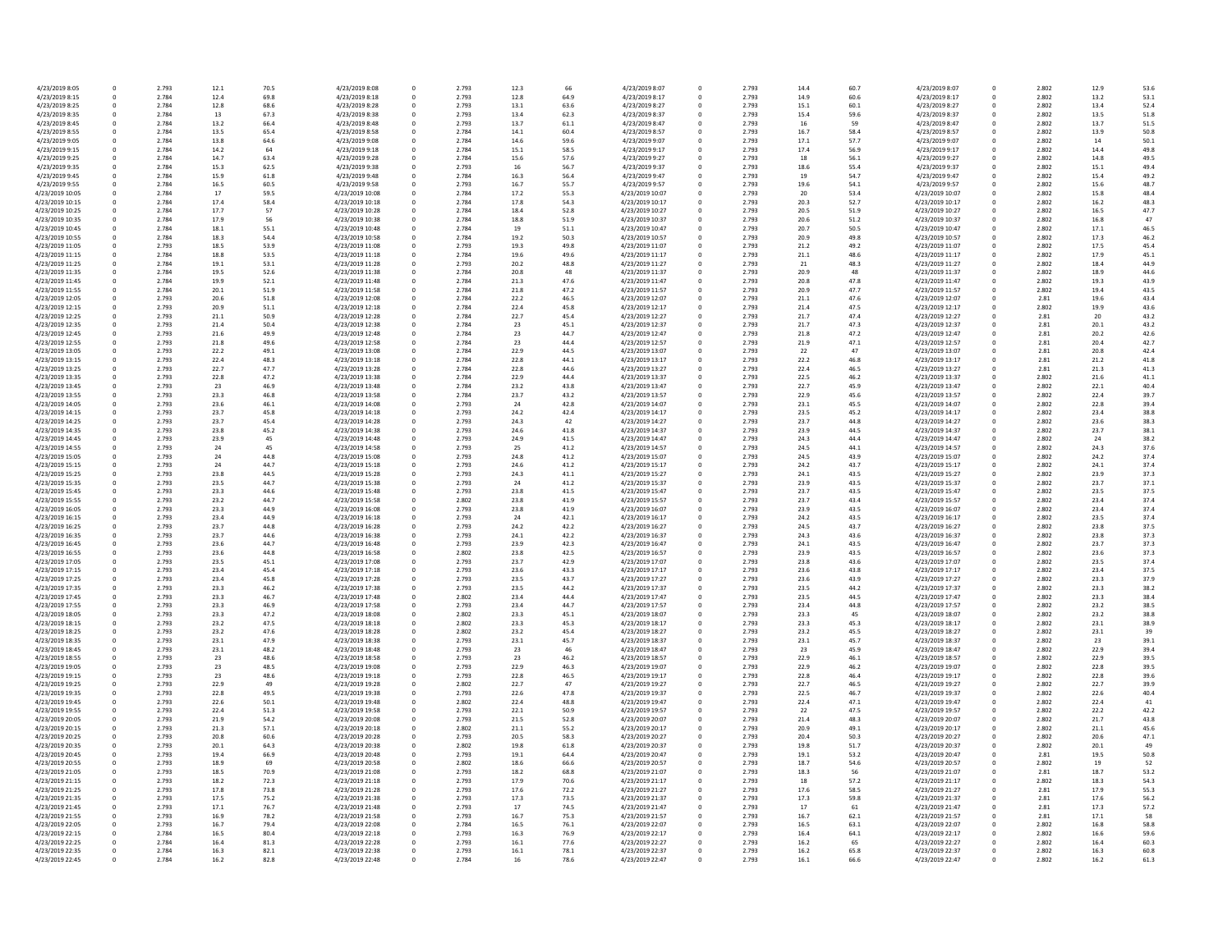| 4/23/2019 8:05  | 0        | 2.793 | 12.1 | 70.5 | 4/23/2019 8:08  | 0 | 2.793 | 12.3 | 66   | 4/23/2019 8:07  |
|-----------------|----------|-------|------|------|-----------------|---|-------|------|------|-----------------|
| 4/23/2019 8:15  | $\Omega$ | 2.784 | 12.4 | 69.8 | 4/23/2019 8:18  | 0 | 2.793 | 12.8 | 64.9 | 4/23/2019 8:17  |
| 4/23/2019 8:25  | $\Omega$ | 2.784 | 12.8 | 68.6 |                 |   | 2.793 |      | 63.6 |                 |
|                 |          |       |      |      | 4/23/2019 8:28  | 0 |       | 13.1 |      | 4/23/2019 8:27  |
| 4/23/2019 8:35  | $\Omega$ | 2.784 | 13   | 67.3 | 4/23/2019 8:38  | 0 | 2.793 | 13.4 | 62.3 | 4/23/2019 8:37  |
| 4/23/2019 8:45  | $\Omega$ | 2.784 | 13.2 | 66.4 | 4/23/2019 8:48  | 0 | 2.793 | 13.7 | 61.1 | 4/23/2019 8:47  |
| 4/23/2019 8:55  | 0        | 2.784 | 13.5 | 65.4 | 4/23/2019 8:58  | 0 | 2.784 | 14.1 | 60.4 | 4/23/2019 8:57  |
| 4/23/2019 9:05  | $\Omega$ | 2.784 | 13.8 | 64.6 | 4/23/2019 9:08  | 0 | 2.784 | 14.6 | 59.6 | 4/23/2019 9:07  |
|                 |          |       |      |      |                 |   |       |      |      |                 |
| 4/23/2019 9:15  | $\Omega$ | 2.784 | 14.2 | 64   | 4/23/2019 9:18  | 0 | 2.784 | 15.1 | 58.5 | 4/23/2019 9:17  |
| 4/23/2019 9:25  | $\Omega$ | 2.784 | 14.7 | 63.4 | 4/23/2019 9:28  | 0 | 2.784 | 15.6 | 57.6 | 4/23/2019 9:27  |
| 4/23/2019 9:35  | $\Omega$ | 2.784 | 15.3 | 62.5 | 4/23/2019 9:38  | 0 | 2.793 | 16   | 56.7 | 4/23/2019 9:37  |
| 4/23/2019 9:45  | $\Omega$ | 2.784 | 15.9 | 61.8 | 4/23/2019 9:48  | 0 | 2.784 | 16.3 | 56.4 | 4/23/2019 9:47  |
|                 |          |       |      |      |                 |   |       |      |      |                 |
| 4/23/2019 9:55  | $\Omega$ | 2.784 | 16.5 | 60.5 | 4/23/2019 9:58  | 0 | 2.793 | 16.7 | 55.7 | 4/23/2019 9:57  |
| 4/23/2019 10:05 | $\Omega$ | 2.784 | 17   | 59.5 | 4/23/2019 10:08 | 0 | 2.784 | 17.2 | 55.3 | 4/23/2019 10:07 |
| 4/23/2019 10:15 | $\Omega$ | 2.784 | 17.4 | 58.4 | 4/23/2019 10:18 | 0 | 2.784 | 17.8 | 54.3 | 4/23/2019 10:17 |
|                 |          |       |      |      |                 |   |       |      |      |                 |
| 4/23/2019 10:25 | $\Omega$ | 2.784 | 17.7 | 57   | 4/23/2019 10:28 | 0 | 2.784 | 18.4 | 52.8 | 4/23/2019 10:27 |
| 4/23/2019 10:35 | 0        | 2.784 | 17.9 | 56   | 4/23/2019 10:38 | 0 | 2.784 | 18.8 | 51.9 | 4/23/2019 10:37 |
| 4/23/2019 10:45 | $\Omega$ | 2.784 | 18.1 | 55.1 | 4/23/2019 10:48 | 0 | 2.784 | 19   | 51.1 | 4/23/2019 10:47 |
| 4/23/2019 10:55 | $\Omega$ | 2.784 | 18.3 | 54.4 | 4/23/2019 10:58 | 0 | 2.784 | 19.2 | 50.3 | 4/23/2019 10:57 |
|                 |          |       |      |      |                 |   |       |      |      |                 |
| 4/23/2019 11:05 | $\Omega$ | 2.793 | 18.5 | 53.9 | 4/23/2019 11:08 | 0 | 2.793 | 19.3 | 49.8 | 4/23/2019 11:07 |
| 4/23/2019 11:15 | $\Omega$ | 2.784 | 18.8 | 53.5 | 4/23/2019 11:18 | 0 | 2.784 | 19.6 | 49.6 | 4/23/2019 11:17 |
| 4/23/2019 11:25 | 0        | 2.784 | 19.1 | 53.1 | 4/23/2019 11:28 | 0 | 2.793 | 20.2 | 48.8 | 4/23/2019 11:27 |
| 4/23/2019 11:35 | $\Omega$ | 2.784 | 19.5 | 52.6 | 4/23/2019 11:38 | 0 | 2.784 | 20.8 | 48   | 4/23/2019 11:37 |
|                 |          |       |      |      |                 |   |       |      |      |                 |
| 4/23/2019 11:45 | 0        | 2.784 | 19.9 | 52.1 | 4/23/2019 11:48 | 0 | 2.784 | 21.3 | 47.6 | 4/23/2019 11:47 |
| 4/23/2019 11:55 | $\Omega$ | 2.784 | 20.1 | 51.9 | 4/23/2019 11:58 | 0 | 2.784 | 21.8 | 47.2 | 4/23/2019 11:57 |
| 4/23/2019 12:05 | $\Omega$ | 2.793 | 20.6 | 51.8 | 4/23/2019 12:08 | 0 | 2.784 | 22.2 | 46.5 | 4/23/2019 12:07 |
|                 |          |       |      |      |                 |   |       |      |      |                 |
| 4/23/2019 12:15 | 0        | 2.793 | 20.9 | 51.1 | 4/23/2019 12:18 | 0 | 2.784 | 22.4 | 45.8 | 4/23/2019 12:17 |
| 4/23/2019 12:25 | $\Omega$ | 2.793 | 21.1 | 50.9 | 4/23/2019 12:28 | 0 | 2.784 | 22.7 | 45.4 | 4/23/2019 12:27 |
| 4/23/2019 12:35 | $\Omega$ | 2.793 | 21.4 | 50.4 | 4/23/2019 12:38 | 0 | 2.784 | 23   | 45.1 | 4/23/2019 12:37 |
| 4/23/2019 12:45 | 0        | 2.793 | 21.6 | 49.9 | 4/23/2019 12:48 | 0 | 2.784 | 23   | 44.7 | 4/23/2019 12:47 |
|                 |          |       |      |      |                 |   |       |      |      |                 |
| 4/23/2019 12:55 | $\Omega$ | 2.793 | 21.8 | 49.6 | 4/23/2019 12:58 | 0 | 2.784 | 23   | 44.4 | 4/23/2019 12:57 |
| 4/23/2019 13:05 | 0        | 2.793 | 22.2 | 49.1 | 4/23/2019 13:08 | 0 | 2.784 | 22.9 | 44.5 | 4/23/2019 13:07 |
| 4/23/2019 13:15 | 0        | 2.793 | 22.4 | 48.3 | 4/23/2019 13:18 | 0 | 2.784 | 22.8 | 44.1 | 4/23/2019 13:17 |
| 4/23/2019 13:25 | 0        | 2.793 | 22.7 | 47.7 | 4/23/2019 13:28 | 0 | 2.784 | 22.8 | 44.6 | 4/23/2019 13:27 |
|                 |          |       |      |      |                 |   |       |      |      |                 |
| 4/23/2019 13:35 | $\Omega$ | 2.793 | 22.8 | 47.2 | 4/23/2019 13:38 | 0 | 2.784 | 22.9 | 44.4 | 4/23/2019 13:37 |
| 4/23/2019 13:45 | $\Omega$ | 2.793 | 23   | 46.9 | 4/23/2019 13:48 | 0 | 2.784 | 23.2 | 43.8 | 4/23/2019 13:47 |
| 4/23/2019 13:55 | $\Omega$ | 2.793 | 23.3 | 46.8 | 4/23/2019 13:58 | 0 | 2.784 | 23.7 | 43.2 | 4/23/2019 13:57 |
| 4/23/2019 14:05 | $\Omega$ | 2.793 | 23.6 | 46.1 | 4/23/2019 14:08 | 0 | 2.793 | 24   | 42.8 | 4/23/2019 14:07 |
|                 |          |       |      |      |                 |   |       |      |      |                 |
| 4/23/2019 14:15 | 0        | 2.793 | 23.7 | 45.8 | 4/23/2019 14:18 | 0 | 2.793 | 24.2 | 42.4 | 4/23/2019 14:17 |
| 4/23/2019 14:25 | 0        | 2.793 | 23.7 | 45.4 | 4/23/2019 14:28 | 0 | 2.793 | 24.3 | 42   | 4/23/2019 14:27 |
| 4/23/2019 14:35 |          | 2.793 | 23.8 | 45.2 | 4/23/2019 14:38 | 0 | 2.793 | 24.6 | 41.8 | 4/23/2019 14:37 |
|                 |          |       |      |      |                 |   |       |      |      |                 |
| 4/23/2019 14:45 | $\Omega$ | 2.793 | 23.9 | 45   | 4/23/2019 14:48 | 0 | 2.793 | 24.9 | 41.5 | 4/23/2019 14:47 |
| 4/23/2019 14:55 | $\Omega$ | 2.793 | 24   | 45   | 4/23/2019 14:58 | 0 | 2.793 | 25   | 41.2 | 4/23/2019 14:57 |
| 4/23/2019 15:05 |          | 2.793 | 24   | 44.8 | 4/23/2019 15:08 | 0 | 2.793 | 24.8 | 41.2 | 4/23/2019 15:07 |
| 4/23/2019 15:15 | 0        | 2.793 | 24   | 44.7 | 4/23/2019 15:18 | 0 | 2.793 | 24.6 | 41.2 | 4/23/2019 15:17 |
|                 |          |       |      |      |                 |   |       |      |      |                 |
| 4/23/2019 15:25 |          | 2.793 | 23.8 | 44.5 | 4/23/2019 15:28 | 0 | 2.793 | 24.3 | 41.1 | 4/23/2019 15:27 |
| 4/23/2019 15:35 | $\Omega$ | 2.793 | 23.5 | 44.7 | 4/23/2019 15:38 | 0 | 2.793 | 24   | 41.2 | 4/23/2019 15:37 |
| 4/23/2019 15:45 | $\Omega$ | 2.793 | 23.3 | 44.6 | 4/23/2019 15:48 | 0 | 2.793 | 23.8 | 41.5 | 4/23/2019 15:47 |
| 4/23/2019 15:55 | $\Omega$ | 2.793 | 23.2 | 44.7 | 4/23/2019 15:58 | 0 | 2.802 | 23.8 | 41.9 | 4/23/2019 15:57 |
|                 |          |       |      |      |                 |   |       |      |      |                 |
| 4/23/2019 16:05 | 0        | 2.793 | 23.3 | 44.9 | 4/23/2019 16:08 | 0 | 2.793 | 23.8 | 41.9 | 4/23/2019 16:07 |
| 4/23/2019 16:15 | 0        | 2.793 | 23.4 | 44.9 | 4/23/2019 16:18 | 0 | 2.793 | 24   | 42.1 | 4/23/2019 16:17 |
| 4/23/2019 16:25 | $\Omega$ | 2.793 | 23.7 | 44.8 | 4/23/2019 16:28 | 0 | 2.793 | 24.2 | 42.2 | 4/23/2019 16:27 |
| 4/23/2019 16:35 | $\Omega$ | 2.793 | 23.7 | 44.6 | 4/23/2019 16:38 | 0 | 2.793 | 24.1 | 42.2 | 4/23/2019 16:37 |
|                 |          |       |      |      |                 |   |       |      |      |                 |
| 4/23/2019 16:45 | 0        | 2.793 | 23.6 | 44.7 | 4/23/2019 16:48 | 0 | 2.793 | 23.9 | 42.3 | 4/23/2019 16:47 |
| 4/23/2019 16:55 | $\Omega$ | 2.793 | 23.6 | 44.8 | 4/23/2019 16:58 | 0 | 2.802 | 23.8 | 42.5 | 4/23/2019 16:57 |
| 4/23/2019 17:05 | 0        | 2.793 | 23.5 | 45.1 | 4/23/2019 17:08 | 0 | 2.793 | 23.7 | 42.9 | 4/23/2019 17:07 |
| 4/23/2019 17:15 | $\Omega$ | 2.793 | 23.4 | 45.4 | 4/23/2019 17:18 | 0 | 2.793 | 23.6 | 43.3 | 4/23/2019 17:17 |
|                 |          |       |      |      |                 |   |       |      |      |                 |
| 4/23/2019 17:25 | $\Omega$ | 2.793 | 23.4 | 45.8 | 4/23/2019 17:28 | 0 | 2.793 | 23.5 | 43.7 | 4/23/2019 17:27 |
| 4/23/2019 17:35 | 0        | 2.793 | 23.3 | 46.2 | 4/23/2019 17:38 | 0 | 2.793 | 23.5 | 44.2 | 4/23/2019 17:37 |
| 4/23/2019 17:45 | $\Omega$ | 2.793 | 23.3 | 46.7 | 4/23/2019 17:48 | 0 | 2.802 | 23.4 | 44.4 | 4/23/2019 17:47 |
| 4/23/2019 17:55 | 0        | 2.793 | 23.3 | 46.9 | 4/23/2019 17:58 | 0 | 2.793 | 23.4 | 44.7 | 4/23/2019 17:57 |
|                 |          |       |      |      |                 |   |       |      |      |                 |
| 4/23/2019 18:05 | $\Omega$ | 2.793 | 23.3 | 47.2 | 4/23/2019 18:08 | 0 | 2.802 | 23.3 | 45.1 | 4/23/2019 18:07 |
| 4/23/2019 18:15 |          | 2.793 | 23.2 | 47.5 | 4/23/2019 18:18 | 0 | 2.802 | 23.3 | 45.3 | 4/23/2019 18:17 |
| 4/23/2019 18:25 | 0        | 2.793 | 23.2 | 47.6 | 4/23/2019 18:28 | 0 | 2.802 | 23.2 | 45.4 | 4/23/2019 18:27 |
| 4/23/2019 18:35 | 0        | 2.793 | 23.1 | 47.9 | 4/23/2019 18:38 | 0 | 2.793 | 23.1 | 45.7 | 4/23/2019 18:37 |
|                 |          |       |      |      |                 |   |       |      |      |                 |
| 4/23/2019 18:45 | 0        | 2.793 | 23.1 | 48.2 | 4/23/2019 18:48 | 0 | 2.793 | 23   | 46   | 4/23/2019 18:47 |
| 4/23/2019 18:55 | 0        | 2.793 | 23   | 48.6 | 4/23/2019 18:58 | 0 | 2.793 | 23   | 46.2 | 4/23/2019 18:57 |
| 4/23/2019 19:05 |          | 2.793 | 23   | 48.5 | 4/23/2019 19:08 | 0 | 2.793 | 22.9 | 46.3 | 4/23/2019 19:07 |
|                 |          |       |      |      |                 |   |       |      |      |                 |
| 4/23/2019 19:15 |          | 2.793 | 23   | 48.6 | 4/23/2019 19:18 | 0 | 2.793 | 22.8 | 46.5 | 4/23/2019 19:17 |
| 4/23/2019 19:25 | 0        | 2.793 | 22.9 | 49   | 4/23/2019 19:28 | 0 | 2.802 | 22.7 | 47   | 4/23/2019 19:27 |
| 4/23/2019 19:35 |          | 2.793 | 22.8 | 49.5 | 4/23/2019 19:38 | 0 | 2.793 | 22.6 | 47.8 | 4/23/2019 19:37 |
| 4/23/2019 19:45 | 0        | 2.793 | 22.6 | 50.1 | 4/23/2019 19:48 | 0 | 2.802 | 22.4 | 48.8 | 4/23/2019 19:47 |
|                 |          |       |      |      | 4/23/2019 19:58 |   |       |      |      |                 |
| 4/23/2019 19:55 |          | 2.793 | 22.4 | 51.3 |                 |   | 2.793 | 22.1 | 50.9 | 4/23/2019 19:57 |
| 4/23/2019 20:05 |          | 2.793 | 21.9 | 54.2 | 4/23/2019 20:08 | 0 | 2.793 | 21.5 | 52.8 | 4/23/2019 20:07 |
| 4/23/2019 20:15 |          | 2.793 | 21.3 | 57.1 | 4/23/2019 20:18 | 0 | 2.802 | 21.1 | 55.2 | 4/23/2019 20:17 |
| 4/23/2019 20:25 |          | 2.793 | 20.8 | 60.6 | 4/23/2019 20:28 | 0 | 2.793 | 20.5 | 58.3 | 4/23/2019 20:27 |
|                 |          |       |      |      |                 |   |       |      |      |                 |
| 4/23/2019 20:35 | 0        | 2.793 | 20.1 | 64.3 | 4/23/2019 20:38 | 0 | 2.802 | 19.8 | 61.8 | 4/23/2019 20:37 |
| 4/23/2019 20:45 |          | 2.793 | 19.4 | 66.9 | 4/23/2019 20:48 |   | 2.793 | 19.1 | 64.4 | 4/23/2019 20:47 |
| 4/23/2019 20:55 |          | 2.793 | 18.9 | 69   | 4/23/2019 20:58 | 0 | 2.802 | 18.6 | 66.6 | 4/23/2019 20:57 |
| 4/23/2019 21:05 |          | 2.793 | 18.5 | 70.9 | 4/23/2019 21:08 | 0 | 2.793 | 18.2 | 68.8 | 4/23/2019 21:07 |
|                 |          |       |      |      |                 |   |       |      |      |                 |
| 4/23/2019 21:15 |          | 2.793 | 18.2 | 72.3 | 4/23/2019 21:18 | 0 | 2.793 | 17.9 | 70.6 | 4/23/2019 21:17 |
| 4/23/2019 21:25 | 0        | 2.793 | 17.8 | 73.8 | 4/23/2019 21:28 | 0 | 2.793 | 17.6 | 72.2 | 4/23/2019 21:27 |
| 4/23/2019 21:35 |          | 2.793 | 17.5 | 75.2 | 4/23/2019 21:38 |   | 2.793 | 17.3 | 73.5 | 4/23/2019 21:37 |
| 4/23/2019 21:45 |          | 2.793 | 17.1 | 76.7 | 4/23/2019 21:48 | 0 | 2.793 | 17   | 74.5 | 4/23/2019 21:47 |
|                 |          |       |      |      |                 |   |       |      |      |                 |
| 4/23/2019 21:55 |          | 2.793 | 16.9 | 78.2 | 4/23/2019 21:58 | 0 | 2.793 | 16.7 | 75.3 | 4/23/2019 21:57 |
| 4/23/2019 22:05 |          | 2.793 | 16.7 | 79.4 | 4/23/2019 22:08 | 0 | 2.784 | 16.5 | 76.1 | 4/23/2019 22:07 |
| 4/23/2019 22:15 | 0        | 2.784 | 16.5 | 80.4 | 4/23/2019 22:18 | 0 | 2.793 | 16.3 | 76.9 | 4/23/2019 22:17 |
|                 |          |       |      |      |                 |   |       |      |      |                 |
| 4/23/2019 22:25 |          | 2.784 | 16.4 | 81.3 | 4/23/2019 22:28 | 0 | 2.793 | 16.1 | 77.6 | 4/23/2019 22:27 |
| 4/23/2019 22:35 | 0        | 2.784 | 16.3 | 82.1 | 4/23/2019 22:38 | 0 | 2.793 | 16.1 | 78.1 | 4/23/2019 22:37 |
| 4/23/2019 22:45 | 0        | 2.784 | 16.2 | 82.8 | 4/23/2019 22:48 | 0 | 2.784 | 16   | 78.6 | 4/23/2019 22:47 |
|                 |          |       |      |      |                 |   |       |      |      |                 |

| 66   | 4/23/2019 8:07  | 0        | 2.793 | 14.4 | 60.7 | 4/23/2019 8:07  | 0 | 2.802 | 12.9 | 53.6 |
|------|-----------------|----------|-------|------|------|-----------------|---|-------|------|------|
| 54.9 | 4/23/2019 8:17  | 0        | 2.793 | 14.9 | 60.6 | 4/23/2019 8:17  | 0 | 2.802 | 13.2 | 53.1 |
| 53.6 | 4/23/2019 8:27  | 0        | 2.793 | 15.1 | 60.1 | 4/23/2019 8:27  | 0 | 2.802 | 13.4 | 52.4 |
|      |                 |          |       |      |      |                 |   |       |      |      |
| 52.3 | 4/23/2019 8:37  | 0        | 2.793 | 15.4 | 59.6 | 4/23/2019 8:37  | 0 | 2.802 | 13.5 | 51.8 |
| 51.1 | 4/23/2019 8:47  | 0        | 2.793 | 16   | 59   | 4/23/2019 8:47  | 0 | 2.802 | 13.7 | 51.5 |
| 50.4 | 4/23/2019 8:57  | 0        | 2.793 | 16.7 | 58.4 | 4/23/2019 8:57  | 0 | 2.802 | 13.9 | 50.8 |
| 59.6 | 4/23/2019 9:07  | 0        | 2.793 | 17.1 | 57.7 | 4/23/2019 9:07  | 0 | 2.802 | 14   | 50.1 |
|      |                 |          |       |      |      |                 |   |       |      |      |
| 58.5 | 4/23/2019 9:17  | 0        | 2.793 | 17.4 | 56.9 | 4/23/2019 9:17  | 0 | 2.802 | 14.4 | 49.8 |
| 57.6 | 4/23/2019 9:27  | 0        | 2.793 | 18   | 56.1 | 4/23/2019 9:27  | 0 | 2.802 | 14.8 | 49.5 |
| 56.7 | 4/23/2019 9:37  | 0        | 2.793 | 18.6 | 55.4 | 4/23/2019 9:37  | 0 | 2.802 | 15.1 | 49.4 |
| 56.4 | 4/23/2019 9:47  | 0        | 2.793 | 19   | 54.7 | 4/23/2019 9:47  | 0 | 2.802 | 15.4 | 49.2 |
| 55.7 | 4/23/2019 9:57  | 0        | 2.793 | 19.6 | 54.1 | 4/23/2019 9:57  | 0 | 2.802 | 15.6 | 48.7 |
|      |                 |          |       |      |      |                 |   |       |      |      |
| 55.3 | 4/23/2019 10:07 | 0        | 2.793 | 20   | 53.4 | 4/23/2019 10:07 | 0 | 2.802 | 15.8 | 48.4 |
| 54.3 | 4/23/2019 10:17 | 0        | 2.793 | 20.3 | 52.7 | 4/23/2019 10:17 | 0 | 2.802 | 16.2 | 48.3 |
| 52.8 | 4/23/2019 10:27 | 0        | 2.793 | 20.5 | 51.9 | 4/23/2019 10:27 | 0 | 2.802 | 16.5 | 47.7 |
| 51.9 | 4/23/2019 10:37 | 0        | 2.793 | 20.6 | 51.2 | 4/23/2019 10:37 | 0 | 2.802 | 16.8 | 47   |
|      |                 |          |       |      |      |                 |   |       |      |      |
| 51.1 | 4/23/2019 10:47 | 0        | 2.793 | 20.7 | 50.5 | 4/23/2019 10:47 | 0 | 2.802 | 17.1 | 46.5 |
| 50.3 | 4/23/2019 10:57 | 0        | 2.793 | 20.9 | 49.8 | 4/23/2019 10:57 | 0 | 2.802 | 17.3 | 46.2 |
| 19.8 | 4/23/2019 11:07 | 0        | 2.793 | 21.2 | 49.2 | 4/23/2019 11:07 | 0 | 2.802 | 17.5 | 45.4 |
| 19.6 | 4/23/2019 11:17 | $\Omega$ | 2.793 | 21.1 | 48.6 | 4/23/2019 11:17 | 0 | 2.802 | 17.9 | 45.1 |
| 18.8 | 4/23/2019 11:27 | 0        | 2.793 | 21   | 48.3 | 4/23/2019 11:27 | 0 | 2.802 | 18.4 | 44.9 |
|      |                 |          |       |      |      |                 |   |       |      |      |
| 48   | 4/23/2019 11:37 | 0        | 2.793 | 20.9 | 48   | 4/23/2019 11:37 | 0 | 2.802 | 18.9 | 44.6 |
| 17.6 | 4/23/2019 11:47 | 0        | 2.793 | 20.8 | 47.8 | 4/23/2019 11:47 | 0 | 2.802 | 19.3 | 43.9 |
| 17.2 | 4/23/2019 11:57 | 0        | 2.793 | 20.9 | 47.7 | 4/23/2019 11:57 | 0 | 2.802 | 19.4 | 43.5 |
| 16.5 | 4/23/2019 12:07 | 0        | 2.793 | 21.1 | 47.6 | 4/23/2019 12:07 | 0 | 2.81  | 19.6 | 43.4 |
| 15.8 | 4/23/2019 12:17 | 0        | 2.793 | 21.4 | 47.5 | 4/23/2019 12:17 | 0 | 2.802 | 19.9 | 43.6 |
|      |                 |          |       |      |      |                 |   |       |      |      |
| 15.4 | 4/23/2019 12:27 | 0        | 2.793 | 21.7 | 47.4 | 4/23/2019 12:27 | 0 | 2.81  | 20   | 43.2 |
| 15.1 | 4/23/2019 12:37 | 0        | 2.793 | 21.7 | 47.3 | 4/23/2019 12:37 | 0 | 2.81  | 20.1 | 43.2 |
| 14.7 | 4/23/2019 12:47 | 0        | 2.793 | 21.8 | 47.2 | 4/23/2019 12:47 | 0 | 2.81  | 20.2 | 42.6 |
| 14.4 | 4/23/2019 12:57 |          | 2.793 | 21.9 | 47.1 | 4/23/2019 12:57 | 0 | 2.81  | 20.4 | 42.7 |
| 14.5 | 4/23/2019 13:07 | $\Omega$ | 2.793 |      | 47   | 4/23/2019 13:07 | 0 | 2.81  | 20.8 |      |
|      |                 |          |       | 22   |      |                 |   |       |      | 42.4 |
| 14.1 | 4/23/2019 13:17 | 0        | 2.793 | 22.2 | 46.8 | 4/23/2019 13:17 | 0 | 2.81  | 21.2 | 41.8 |
| 44.6 | 4/23/2019 13:27 | 0        | 2.793 | 22.4 | 46.5 | 4/23/2019 13:27 | 0 | 2.81  | 21.3 | 41.3 |
| 14.4 | 4/23/2019 13:37 | 0        | 2.793 | 22.5 | 46.2 | 4/23/2019 13:37 | 0 | 2.802 | 21.6 | 41.1 |
| 13.8 | 4/23/2019 13:47 | 0        | 2.793 | 22.7 | 45.9 | 4/23/2019 13:47 | 0 | 2.802 | 22.1 | 40.4 |
|      |                 |          |       |      |      |                 |   |       |      |      |
| 13.2 | 4/23/2019 13:57 | 0        | 2.793 | 22.9 | 45.6 | 4/23/2019 13:57 | 0 | 2.802 | 22.4 | 39.7 |
| 12.8 | 4/23/2019 14:07 | 0        | 2.793 | 23.1 | 45.5 | 4/23/2019 14:07 | 0 | 2.802 | 22.8 | 39.4 |
| 12.4 | 4/23/2019 14:17 | 0        | 2.793 | 23.5 | 45.2 | 4/23/2019 14:17 | 0 | 2.802 | 23.4 | 38.8 |
| 42   | 4/23/2019 14:27 | 0        | 2.793 | 23.7 | 44.8 | 4/23/2019 14:27 | 0 | 2.802 | 23.6 | 38.3 |
| 41.8 | 4/23/2019 14:37 | 0        | 2.793 | 23.9 | 44.5 | 4/23/2019 14:37 | 0 | 2.802 | 23.7 | 38.1 |
|      |                 |          |       |      |      |                 |   |       |      |      |
| 41.5 | 4/23/2019 14:47 | 0        | 2.793 | 24.3 | 44.4 | 4/23/2019 14:47 | 0 | 2.802 | 24   | 38.2 |
| 11.2 | 4/23/2019 14:57 | 0        | 2.793 | 24.5 | 44.1 | 4/23/2019 14:57 | 0 | 2.802 | 24.3 | 37.6 |
| 11.2 | 4/23/2019 15:07 | 0        | 2.793 | 24.5 | 43.9 | 4/23/2019 15:07 | 0 | 2.802 | 24.2 | 37.4 |
| 11.2 | 4/23/2019 15:17 | 0        | 2.793 | 24.2 | 43.7 | 4/23/2019 15:17 | 0 | 2.802 | 24.1 | 37.4 |
| 11.1 | 4/23/2019 15:27 | 0        | 2.793 | 24.1 | 43.5 | 4/23/2019 15:27 | 0 | 2.802 | 23.9 | 37.3 |
|      |                 |          |       |      |      |                 |   |       |      |      |
| 11.2 | 4/23/2019 15:37 | 0        | 2.793 | 23.9 | 43.5 | 4/23/2019 15:37 | 0 | 2.802 | 23.7 | 37.1 |
| 41.5 | 4/23/2019 15:47 | 0        | 2.793 | 23.7 | 43.5 | 4/23/2019 15:47 | 0 | 2.802 | 23.5 | 37.5 |
| 11.9 | 4/23/2019 15:57 | 0        | 2.793 | 23.7 | 43.4 | 4/23/2019 15:57 | 0 | 2.802 | 23.4 | 37.4 |
| 11.9 | 4/23/2019 16:07 | 0        | 2.793 | 23.9 | 43.5 | 4/23/2019 16:07 | 0 | 2.802 | 23.4 | 37.4 |
|      |                 |          |       |      |      |                 |   |       |      |      |
| 12.1 | 4/23/2019 16:17 | 0        | 2.793 | 24.2 | 43.5 | 4/23/2019 16:17 | 0 | 2.802 | 23.5 | 37.4 |
| 12.2 | 4/23/2019 16:27 | 0        | 2.793 | 24.5 | 43.7 | 4/23/2019 16:27 | 0 | 2.802 | 23.8 | 37.5 |
| 12.2 | 4/23/2019 16:37 | 0        | 2.793 | 24.3 | 43.6 | 4/23/2019 16:37 | 0 | 2.802 | 23.8 | 37.3 |
| 42.3 | 4/23/2019 16:47 | 0        | 2.793 | 24.1 | 43.5 | 4/23/2019 16:47 | 0 | 2.802 | 23.7 | 37.3 |
| 42.5 | 4/23/2019 16:57 | 0        | 2.793 | 23.9 | 43.5 | 4/23/2019 16:57 | 0 | 2.802 | 23.6 | 37.3 |
|      |                 |          |       |      |      |                 |   |       |      |      |
| 12.9 | 4/23/2019 17:07 |          | 2.793 | 23.8 | 43.6 | 4/23/2019 17:07 | 0 | 2.802 | 23.5 | 37.4 |
| 43.3 | 4/23/2019 17:17 | 0        | 2.793 | 23.6 | 43.8 | 4/23/2019 17:17 | 0 | 2.802 | 23.4 | 37.5 |
| 13.7 | 4/23/2019 17:27 | 0        | 2.793 | 23.6 | 43.9 | 4/23/2019 17:27 | 0 | 2.802 | 23.3 | 37.9 |
| 14.2 | 4/23/2019 17:37 | 0        | 2.793 | 23.5 | 44.2 | 4/23/2019 17:37 | 0 | 2.802 | 23.3 | 38.2 |
| 14.4 | 4/23/2019 17:47 | 0        | 2.793 | 23.5 | 44.5 | 4/23/2019 17:47 | 0 | 2.802 | 23.3 | 38.4 |
|      |                 |          |       |      |      |                 |   |       |      |      |
| 14.7 | 4/23/2019 17:57 | 0        | 2.793 | 23.4 | 44.8 | 4/23/2019 17:57 | 0 | 2.802 | 23.2 | 38.5 |
| 15.1 | 4/23/2019 18:07 |          | 2.793 | 23.3 | 45   | 4/23/2019 18:07 | 0 | 2.802 | 23.2 | 38.8 |
| 15.3 | 4/23/2019 18:17 | 0        | 2.793 | 23.3 | 45.3 | 4/23/2019 18:17 | 0 | 2.802 | 23.1 | 38.9 |
| 15.4 | 4/23/2019 18:27 | 0        | 2.793 | 23.2 | 45.5 | 4/23/2019 18:27 | 0 | 2.802 | 23.1 | 39   |
| 15.7 | 4/23/2019 18:37 | 0        | 2.793 | 23.1 | 45.7 | 4/23/2019 18:37 | 0 | 2.802 | 23   | 39.1 |
| 46   | 4/23/2019 18:47 | 0        | 2.793 | 23   | 45.9 | 4/23/2019 18:47 | 0 | 2.802 | 22.9 | 39.4 |
| 16.2 | 4/23/2019 18:57 | 0        | 2.793 | 22.9 | 46.1 | 4/23/2019 18:57 | 0 | 2.802 | 22.9 | 39.5 |
|      |                 |          |       |      |      |                 |   |       |      |      |
| 16.3 | 4/23/2019 19:07 | 0        | 2.793 | 22.9 | 46.2 | 4/23/2019 19:07 | 0 | 2.802 | 22.8 | 39.5 |
| 16.5 | 4/23/2019 19:17 | 0        | 2.793 | 22.8 | 46.4 | 4/23/2019 19:17 | 0 | 2.802 | 22.8 | 39.6 |
| 47   | 4/23/2019 19:27 | 0        | 2.793 | 22.7 | 46.5 | 4/23/2019 19:27 | 0 | 2.802 | 22.7 | 39.9 |
| 17.8 | 4/23/2019 19:37 | 0        | 2.793 | 22.5 | 46.7 | 4/23/2019 19:37 | 0 | 2.802 | 22.6 | 40.4 |
| 18.8 | 4/23/2019 19:47 | 0        | 2.793 | 22.4 | 47.1 | 4/23/2019 19:47 | 0 | 2.802 | 22.4 | 41   |
|      |                 |          |       |      |      |                 |   |       |      |      |
| 50.9 | 4/23/2019 19:57 | 0        | 2.793 | 22   | 47.5 | 4/23/2019 19:57 | 0 | 2.802 | 22.2 | 42.2 |
| 52.8 | 4/23/2019 20:07 | 0        | 2.793 | 21.4 | 48.3 | 4/23/2019 20:07 | 0 | 2.802 | 21.7 | 43.8 |
| 55.2 | 4/23/2019 20:17 | 0        | 2.793 | 20.9 | 49.1 | 4/23/2019 20:17 | 0 | 2.802 | 21.1 | 45.6 |
| 58.3 | 4/23/2019 20:27 | 0        | 2.793 | 20.4 | 50.3 | 4/23/2019 20:27 | 0 | 2.802 | 20.6 | 47.1 |
| 51.8 | 4/23/2019 20:37 | 0        | 2.793 | 19.8 | 51.7 | 4/23/2019 20:37 | 0 | 2.802 | 20.1 | 49   |
| 54.4 |                 |          |       |      | 53.2 |                 |   |       |      |      |
|      | 4/23/2019 20:47 | 0        | 2.793 | 19.1 |      | 4/23/2019 20:47 | 0 | 2.81  | 19.5 | 50.8 |
| 56.6 | 4/23/2019 20:57 | 0        | 2.793 | 18.7 | 54.6 | 4/23/2019 20:57 | 0 | 2.802 | 19   | 52   |
| 58.8 | 4/23/2019 21:07 | 0        | 2.793 | 18.3 | 56   | 4/23/2019 21:07 | 0 | 2.81  | 18.7 | 53.2 |
| 70.6 | 4/23/2019 21:17 | 0        | 2.793 | 18   | 57.2 | 4/23/2019 21:17 | 0 | 2.802 | 18.3 | 54.3 |
| 72.2 | 4/23/2019 21:27 | 0        | 2.793 | 17.6 | 58.5 | 4/23/2019 21:27 | 0 | 2.81  | 17.9 | 55.3 |
| 73.5 |                 |          |       |      |      |                 |   | 2.81  | 17.6 |      |
|      | 4/23/2019 21:37 | 0        | 2.793 | 17.3 | 59.8 | 4/23/2019 21:37 | 0 |       |      | 56.2 |
| 74.5 | 4/23/2019 21:47 | 0        | 2.793 | 17   | 61   | 4/23/2019 21:47 | 0 | 2.81  | 17.3 | 57.2 |
| 75.3 | 4/23/2019 21:57 | 0        | 2.793 | 16.7 | 62.1 | 4/23/2019 21:57 | 0 | 2.81  | 17.1 | 58   |
| 76.1 | 4/23/2019 22:07 | 0        | 2.793 | 16.5 | 63.1 | 4/23/2019 22:07 | 0 | 2.802 | 16.8 | 58.8 |
| 76.9 | 4/23/2019 22:17 | 0        | 2.793 | 16.4 | 64.1 | 4/23/2019 22:17 | 0 | 2.802 | 16.6 | 59.6 |
| 77.6 | 4/23/2019 22:27 | 0        | 2.793 | 16.2 | 65   | 4/23/2019 22:27 | 0 | 2.802 | 16.4 | 60.3 |
|      |                 |          |       |      |      |                 |   |       |      |      |
| 78.1 | 4/23/2019 22:37 | 0        | 2.793 | 16.2 | 65.8 | 4/23/2019 22:37 | 0 | 2.802 | 16.3 | 60.8 |
| 78.6 | 4/23/2019 22:47 | 0        | 2.793 | 16.1 | 66.6 | 4/23/2019 22:47 | 0 | 2.802 | 16.2 | 61.3 |

12.9 53.6<br>
13.2 53.1<br>
13.4 52.4<br>
13.5 51.8<br>
13.7 51.5  $13.7$ 13.9<br>14  $\overline{14.4}$  $15.1$ 18.9  $19.3$  $21.3$  $23.7$  $24.1$ 23.9  $23.4$  $23.5$  $23.1$  $22.8$  $22.2$  $21.7$  $21.1$  $18.7$ 18.3 17.9  $17.6$  $17.3$  $17.1$ 

50.8<br>50.1<br>49.8<br>49.5 14.8 <br>15.1 <br>15.4 <br>19.2 15.4 49.2<br>15.6 48.7<br>15.8 48.4<br>16.2 48.3 16.5 47.7<br>16.8 47 16.8 47<br>
17.1 46.5<br>
17.3 46.2<br>
17.5 45.4<br>
17.9 45.1<br>
18.4 44.9 18.4 44.9<br>
18.9 44.6<br>
19.3 43.9<br>
19.4 43.5<br>
19.6 43.4<br>
19.9 43.6<br>
20 43.2 20.1 43.2<br>
20.2 42.6<br>
20.4 42.7<br>
20.8 42.4<br>
21.2 41.8 21.2 41.8<br>21.3 41.3 21.6 41.1<br>
22.1 40.4<br>
22.4 39.7<br>
22.8 39.4<br>
23.4 38.8<br>
23.6 38.3<br>
23.7 38.1<br>
24 38.2<br>
24.3 37.6 24.2 37.4<br>
24.1 37.4<br>
23.9 37.3<br>
23.7 37.1<br>
23.5 37.5<br>
23.4 37.4<br>
23.4 37.4<br>
23.5 37.4<br>
23.5 37.4<br>
23.8 37.5<br>
23.8 37.5<br>
23.8 37.5<br>
23.8 37.4<br>
23.8 37.5<br>
23.8 37.4<br>
23.8 37.5<br>
23.8 37.4 23.6 37.3<br>
23.5 37.4<br>
23.4 37.5<br>
23.3 37.9<br>
23.3 38.2<br>
23.3 38.4<br>
23.2 38.5 23.2 38.8<br>23.1 38.9<br>23.1 39 22.9 39.5<br>
22.8 39.5<br>
22.8 39.6<br>
22.7 39.9<br>
22.6 40.4<br>
22.4 41 22.4 41<br>
22.2 42.2<br>
21.7 43.8<br>
21.1 45.6<br>
20.6 47.1<br>
20.1 49 19.5 50.8<br>
19 52<br>
18.7 53.2<br>
18.7 53.2<br>
17.9 55.3<br>
17.9 55.3<br>
17.6 56.2<br>
17.3 57.2<br>
17.1 58<br>
16.8 58.8<br>
16.6 59.6<br>
16.4 60.3<br>
16.2 61.3 61.3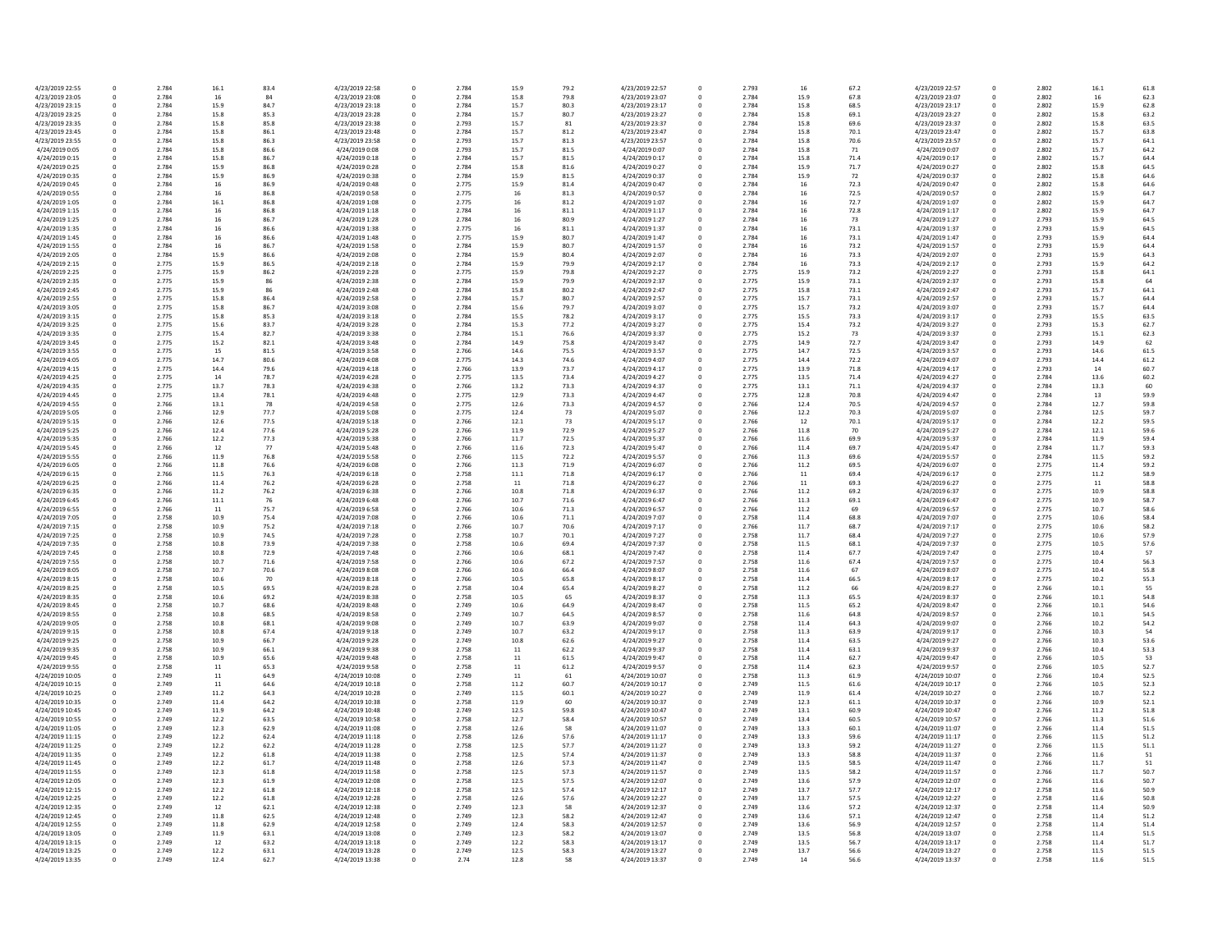| 4/23/2019 22:55 | 0            | 2.784 | 16.1 | 83.4 | 4/23/2019 22:58 | 0 | 2.784 | 15.9 | 79.2 | 4/23/2019 22:57 |
|-----------------|--------------|-------|------|------|-----------------|---|-------|------|------|-----------------|
| 4/23/2019 23:05 | 0            | 2.784 | 16   | 84   | 4/23/2019 23:08 | 0 | 2.784 | 15.8 | 79.8 | 4/23/2019 23:07 |
| 4/23/2019 23:15 | 0            | 2.784 | 15.9 | 84.7 | 4/23/2019 23:18 | 0 | 2.784 | 15.7 | 80.3 | 4/23/2019 23:17 |
|                 |              |       |      |      |                 |   |       |      |      |                 |
| 4/23/2019 23:25 | 0            | 2.784 | 15.8 | 85.3 | 4/23/2019 23:28 | 0 | 2.784 | 15.7 | 80.7 | 4/23/2019 23:27 |
| 4/23/2019 23:35 | 0            | 2.784 | 15.8 | 85.8 | 4/23/2019 23:38 | 0 | 2.793 | 15.7 | 81   | 4/23/2019 23:37 |
| 4/23/2019 23:45 | 0            | 2.784 | 15.8 | 86.1 | 4/23/2019 23:48 | 0 | 2.784 | 15.7 | 81.2 | 4/23/2019 23:47 |
| 4/23/2019 23:55 | 0            | 2.784 | 15.8 | 86.3 | 4/23/2019 23:58 | 0 | 2.793 | 15.7 | 81.3 | 4/23/2019 23:57 |
| 4/24/2019 0:05  | $\mathbf{0}$ | 2.784 | 15.8 | 86.6 | 4/24/2019 0:08  | 0 | 2.793 | 15.7 | 81.5 | 4/24/2019 0:07  |
| 4/24/2019 0:15  | 0            | 2.784 | 15.8 | 86.7 | 4/24/2019 0:18  | 0 | 2.784 | 15.7 | 81.5 | 4/24/2019 0:17  |
|                 |              |       |      |      |                 |   |       |      |      |                 |
| 4/24/2019 0:25  | 0            | 2.784 | 15.9 | 86.8 | 4/24/2019 0:28  | 0 | 2.784 | 15.8 | 81.6 | 4/24/2019 0:27  |
| 4/24/2019 0:35  | 0            | 2.784 | 15.9 | 86.9 | 4/24/2019 0:38  | 0 | 2.784 | 15.9 | 81.5 | 4/24/2019 0:37  |
| 4/24/2019 0:45  | 0            | 2.784 | 16   | 86.9 | 4/24/2019 0:48  | 0 | 2.775 | 15.9 | 81.4 | 4/24/2019 0:47  |
| 4/24/2019 0:55  | 0            | 2.784 | 16   | 86.8 | 4/24/2019 0:58  | 0 | 2.775 | 16   | 81.3 | 4/24/2019 0:57  |
| 4/24/2019 1:05  | 0            | 2.784 | 16.1 | 86.8 | 4/24/2019 1:08  | 0 | 2.775 | 16   | 81.2 | 4/24/2019 1:07  |
|                 |              |       |      |      |                 |   |       |      |      |                 |
| 4/24/2019 1:15  | 0            | 2.784 | 16   | 86.8 | 4/24/2019 1:18  | 0 | 2.784 | 16   | 81.1 | 4/24/2019 1:17  |
| 4/24/2019 1:25  | 0            | 2.784 | 16   | 86.7 | 4/24/2019 1:28  | 0 | 2.784 | 16   | 80.9 | 4/24/2019 1:27  |
| 4/24/2019 1:35  | 0            | 2.784 | 16   | 86.6 | 4/24/2019 1:38  | 0 | 2.775 | 16   | 81.1 | 4/24/2019 1:37  |
| 4/24/2019 1:45  | 0            | 2.784 | 16   | 86.6 | 4/24/2019 1:48  | 0 | 2.775 | 15.9 | 80.7 | 4/24/2019 1:47  |
| 4/24/2019 1:55  | 0            | 2.784 | 16   | 86.7 | 4/24/2019 1:58  | 0 | 2.784 | 15.9 | 80.7 | 4/24/2019 1:57  |
|                 |              |       |      |      |                 |   |       |      |      |                 |
| 4/24/2019 2:05  | $\mathbf{0}$ | 2.784 | 15.9 | 86.6 | 4/24/2019 2:08  | 0 | 2.784 | 15.9 | 80.4 | 4/24/2019 2:07  |
| 4/24/2019 2:15  | 0            | 2.775 | 15.9 | 86.5 | 4/24/2019 2:18  | 0 | 2.784 | 15.9 | 79.9 | 4/24/2019 2:17  |
| 4/24/2019 2:25  | 0            | 2.775 | 15.9 | 86.2 | 4/24/2019 2:28  | 0 | 2.775 | 15.9 | 79.8 | 4/24/2019 2:27  |
| 4/24/2019 2:35  | 0            | 2.775 | 15.9 | 86   | 4/24/2019 2:38  | 0 | 2.784 | 15.9 | 79.9 | 4/24/2019 2:37  |
| 4/24/2019 2:45  | $\mathbf 0$  | 2.775 | 15.9 | 86   | 4/24/2019 2:48  | 0 | 2.784 | 15.8 | 80.2 | 4/24/2019 2:47  |
|                 |              |       |      |      |                 |   |       |      |      |                 |
| 4/24/2019 2:55  | $\mathbf{0}$ | 2.775 | 15.8 | 86.4 | 4/24/2019 2:58  | 0 | 2.784 | 15.7 | 80.7 | 4/24/2019 2:57  |
| 4/24/2019 3:05  | 0            | 2.775 | 15.8 | 86.7 | 4/24/2019 3:08  | 0 | 2.784 | 15.6 | 79.7 | 4/24/2019 3:07  |
| 4/24/2019 3:15  | 0            | 2.775 | 15.8 | 85.3 | 4/24/2019 3:18  | 0 | 2.784 | 15.5 | 78.2 | 4/24/2019 3:17  |
| 4/24/2019 3:25  | 0            | 2.775 | 15.6 | 83.7 | 4/24/2019 3:28  | 0 | 2.784 | 15.3 | 77.2 | 4/24/2019 3:27  |
| 4/24/2019 3:35  | 0            | 2.775 | 15.4 | 82.7 | 4/24/2019 3:38  | 0 | 2.784 | 15.1 | 76.6 | 4/24/2019 3:37  |
|                 | $\Omega$     |       |      |      |                 |   |       |      |      |                 |
| 4/24/2019 3:45  |              | 2.775 | 15.2 | 82.1 | 4/24/2019 3:48  | 0 | 2.784 | 14.9 | 75.8 | 4/24/2019 3:47  |
| 4/24/2019 3:55  | 0            | 2.775 | 15   | 81.5 | 4/24/2019 3:58  | 0 | 2.766 | 14.6 | 75.5 | 4/24/2019 3:57  |
| 4/24/2019 4:05  | 0            | 2.775 | 14.7 | 80.6 | 4/24/2019 4:08  | 0 | 2.775 | 14.3 | 74.6 | 4/24/2019 4:07  |
| 4/24/2019 4:15  | 0            | 2.775 | 14.4 | 79.6 | 4/24/2019 4:18  | 0 | 2.766 | 13.9 | 73.7 | 4/24/2019 4:17  |
| 4/24/2019 4:25  | 0            | 2.775 | 14   | 78.7 | 4/24/2019 4:28  | 0 | 2.775 | 13.5 | 73.4 | 4/24/2019 4:27  |
|                 |              |       |      |      |                 |   |       |      |      |                 |
| 4/24/2019 4:35  | 0            | 2.775 | 13.7 | 78.3 | 4/24/2019 4:38  | 0 | 2.766 | 13.2 | 73.3 | 4/24/2019 4:37  |
| 4/24/2019 4:45  | 0            | 2.775 | 13.4 | 78.1 | 4/24/2019 4:48  | 0 | 2.775 | 12.9 | 73.3 | 4/24/2019 4:47  |
| 4/24/2019 4:55  | 0            | 2.766 | 13.1 | 78   | 4/24/2019 4:58  | 0 | 2.775 | 12.6 | 73.3 | 4/24/2019 4:57  |
| 4/24/2019 5:05  | 0            | 2.766 | 12.9 | 77.7 | 4/24/2019 5:08  | 0 | 2.775 | 12.4 | 73   | 4/24/2019 5:07  |
| 4/24/2019 5:15  | 0            | 2.766 | 12.6 | 77.5 | 4/24/2019 5:18  | 0 | 2.766 | 12.1 | 73   | 4/24/2019 5:17  |
|                 |              |       |      |      |                 |   |       |      |      |                 |
| 4/24/2019 5:25  | 0            | 2.766 | 12.4 | 77.6 | 4/24/2019 5:28  | 0 | 2.766 | 11.9 | 72.9 | 4/24/2019 5:27  |
| 4/24/2019 5:35  | 0            | 2.766 | 12.2 | 77.3 | 4/24/2019 5:38  | 0 | 2.766 | 11.7 | 72.5 | 4/24/2019 5:37  |
| 4/24/2019 5:45  | 0            | 2.766 | 12   | 77   | 4/24/2019 5:48  | 0 | 2.766 | 11.6 | 72.3 | 4/24/2019 5:47  |
| 4/24/2019 5:55  | 0            | 2.766 | 11.9 | 76.8 | 4/24/2019 5:58  | 0 | 2.766 | 11.5 | 72.2 | 4/24/2019 5:57  |
| 4/24/2019 6:05  | 0            | 2.766 | 11.8 | 76.6 | 4/24/2019 6:08  | 0 | 2.766 | 11.3 | 71.9 | 4/24/2019 6:07  |
|                 |              |       |      |      |                 |   |       |      |      |                 |
| 4/24/2019 6:15  | 0            | 2.766 | 11.5 | 76.3 | 4/24/2019 6:18  | 0 | 2.758 | 11.1 | 71.8 | 4/24/2019 6:17  |
| 4/24/2019 6:25  | 0            | 2.766 | 11.4 | 76.2 | 4/24/2019 6:28  | 0 | 2.758 | 11   | 71.8 | 4/24/2019 6:27  |
| 4/24/2019 6:35  | 0            | 2.766 | 11.2 | 76.2 | 4/24/2019 6:38  | 0 | 2.766 | 10.8 | 71.8 | 4/24/2019 6:37  |
| 4/24/2019 6:45  | 0            | 2.766 | 11.1 | 76   | 4/24/2019 6:48  | 0 | 2.766 | 10.7 | 71.6 | 4/24/2019 6:47  |
| 4/24/2019 6:55  | 0            | 2.766 | 11   | 75.7 | 4/24/2019 6:58  | 0 | 2.766 | 10.6 | 71.3 | 4/24/2019 6:57  |
|                 |              |       |      |      |                 |   |       |      |      |                 |
| 4/24/2019 7:05  | 0            | 2.758 | 10.9 | 75.4 | 4/24/2019 7:08  | 0 | 2.766 | 10.6 | 71.1 | 4/24/2019 7:07  |
| 4/24/2019 7:15  | 0            | 2.758 | 10.9 | 75.2 | 4/24/2019 7:18  | 0 | 2.766 | 10.7 | 70.6 | 4/24/2019 7:17  |
| 4/24/2019 7:25  | 0            | 2.758 | 10.9 | 74.5 | 4/24/2019 7:28  | 0 | 2.758 | 10.7 | 70.1 | 4/24/2019 7:27  |
| 4/24/2019 7:35  | $\Omega$     | 2.758 | 10.8 | 73.9 | 4/24/2019 7:38  | 0 | 2.758 | 10.6 | 69.4 | 4/24/2019 7:37  |
| 4/24/2019 7:45  | 0            | 2.758 | 10.8 | 72.9 | 4/24/2019 7:48  | 0 | 2.766 | 10.6 | 68.1 | 4/24/2019 7:47  |
|                 |              |       |      |      |                 |   |       |      |      |                 |
| 4/24/2019 7:55  | 0            | 2.758 | 10.7 | 71.6 | 4/24/2019 7:58  | 0 | 2.766 | 10.6 | 67.2 | 4/24/2019 7:57  |
| 4/24/2019 8:05  | 0            | 2.758 | 10.7 | 70.6 | 4/24/2019 8:08  | 0 | 2.766 | 10.6 | 66.4 | 4/24/2019 8:07  |
| 4/24/2019 8:15  | 0            | 2.758 | 10.6 | 70   | 4/24/2019 8:18  | 0 | 2.766 | 10.5 | 65.8 | 4/24/2019 8:17  |
| 4/24/2019 8:25  | 0            | 2.758 | 10.5 | 69.5 | 4/24/2019 8:28  | 0 | 2.758 | 10.4 | 65.4 | 4/24/2019 8:27  |
| 4/24/2019 8:35  | 0            | 2.758 | 10.6 | 69.2 | 4/24/2019 8:38  | 0 | 2.758 | 10.5 | 65   | 4/24/2019 8:37  |
|                 |              |       |      |      |                 |   |       |      |      |                 |
| 4/24/2019 8:45  | 0            | 2.758 | 10.7 | 68.6 | 4/24/2019 8:48  | 0 | 2.749 | 10.6 | 64.9 | 4/24/2019 8:47  |
| 4/24/2019 8:55  | 0            | 2.758 | 10.8 | 68.5 | 4/24/2019 8:58  | 0 | 2.749 | 10.7 | 64.5 | 4/24/2019 8:57  |
| 4/24/2019 9:05  |              | 2.758 | 10.8 | 68.1 | 4/24/2019 9:08  |   | 2.749 | 10.7 | 63.9 | 4/24/2019 9:07  |
| 4/24/2019 9:15  | 0            | 2.758 | 10.8 | 67.4 | 4/24/2019 9:18  | 0 | 2.749 | 10.7 | 63.2 | 4/24/2019 9:17  |
| 4/24/2019 9:25  | 0            | 2.758 | 10.9 | 66.7 | 4/24/2019 9:28  | 0 | 2.749 | 10.8 | 62.6 | 4/24/2019 9:27  |
| 4/24/2019 9:35  | 0            | 2.758 | 10.9 | 66.1 | 4/24/2019 9:38  | 0 | 2.758 | 11   | 62.2 | 4/24/2019 9:37  |
| 4/24/2019 9:45  | 0            | 2.758 | 10.9 | 65.6 | 4/24/2019 9:48  | 0 | 2.758 | 11   | 61.5 | 4/24/2019 9:47  |
|                 |              |       |      |      |                 |   |       |      |      |                 |
| 4/24/2019 9:55  | 0            | 2.758 | 11   | 65.3 | 4/24/2019 9:58  | 0 | 2.758 | 11   | 61.2 | 4/24/2019 9:57  |
| 4/24/2019 10:05 | 0            | 2.749 | 11   | 64.9 | 4/24/2019 10:08 | 0 | 2.749 | 11   | 61   | 4/24/2019 10:07 |
| 4/24/2019 10:15 | 0            | 2.749 | 11   | 64.6 | 4/24/2019 10:18 | 0 | 2.758 | 11.2 | 60.7 | 4/24/2019 10:17 |
| 4/24/2019 10:25 | 0            | 2.749 | 11.2 | 64.3 | 4/24/2019 10:28 | 0 | 2.749 | 11.5 | 60.1 | 4/24/2019 10:27 |
| 4/24/2019 10:35 | 0            | 2.749 | 11.4 | 64.2 | 4/24/2019 10:38 | 0 | 2.758 | 11.9 | 60   | 4/24/2019 10:37 |
|                 |              |       |      |      |                 |   |       |      |      |                 |
| 4/24/2019 10:45 | 0            | 2.749 | 11.9 | 64.2 | 4/24/2019 10:48 | 0 | 2.749 | 12.5 | 59.8 | 4/24/2019 10:47 |
| 4/24/2019 10:55 | 0            | 2.749 | 12.2 | 63.5 | 4/24/2019 10:58 | 0 | 2.758 | 12.7 | 58.4 | 4/24/2019 10:57 |
| 4/24/2019 11:05 | 0            | 2.749 | 12.3 | 62.9 | 4/24/2019 11:08 | 0 | 2.758 | 12.6 | 58   | 4/24/2019 11:07 |
| 4/24/2019 11:15 | 0            | 2.749 | 12.2 | 62.4 | 4/24/2019 11:18 | 0 | 2.758 | 12.6 | 57.6 | 4/24/2019 11:17 |
| 4/24/2019 11:25 | 0            | 2.749 | 12.2 | 62.2 | 4/24/2019 11:28 | 0 | 2.758 | 12.5 | 57.7 | 4/24/2019 11:27 |
|                 |              |       |      |      |                 |   |       |      |      |                 |
| 4/24/2019 11:35 | 0            | 2.749 | 12.2 | 61.8 | 4/24/2019 11:38 | 0 | 2.758 | 12.5 | 57.4 | 4/24/2019 11:37 |
| 4/24/2019 11:45 | 0            | 2.749 | 12.2 | 61.7 | 4/24/2019 11:48 | 0 | 2.758 | 12.6 | 57.3 | 4/24/2019 11:47 |
| 4/24/2019 11:55 | 0            | 2.749 | 12.3 | 61.8 | 4/24/2019 11:58 | 0 | 2.758 | 12.5 | 57.3 | 4/24/2019 11:57 |
| 4/24/2019 12:05 | 0            | 2.749 | 12.3 | 61.9 | 4/24/2019 12:08 | 0 | 2.758 | 12.5 | 57.5 | 4/24/2019 12:07 |
|                 | 0            |       |      |      |                 |   |       |      |      |                 |
| 4/24/2019 12:15 |              | 2.749 | 12.2 | 61.8 | 4/24/2019 12:18 | 0 | 2.758 | 12.5 | 57.4 | 4/24/2019 12:17 |
| 4/24/2019 12:25 | 0            | 2.749 | 12.2 | 61.8 | 4/24/2019 12:28 | 0 | 2.758 | 12.6 | 57.6 | 4/24/2019 12:27 |
| 4/24/2019 12:35 | 0            | 2.749 | 12   | 62.1 | 4/24/2019 12:38 | 0 | 2.749 | 12.3 | 58   | 4/24/2019 12:37 |
| 4/24/2019 12:45 | 0            | 2.749 | 11.8 | 62.5 | 4/24/2019 12:48 | 0 | 2.749 | 12.3 | 58.2 | 4/24/2019 12:47 |
| 4/24/2019 12:55 | 0            | 2.749 | 11.8 | 62.9 | 4/24/2019 12:58 | 0 | 2.749 | 12.4 | 58.3 | 4/24/2019 12:57 |
| 4/24/2019 13:05 | 0            | 2.749 | 11.9 | 63.1 | 4/24/2019 13:08 | 0 | 2.749 | 12.3 | 58.2 | 4/24/2019 13:07 |
|                 |              |       |      |      |                 |   |       |      |      |                 |
| 4/24/2019 13:15 | 0            | 2.749 | 12   | 63.2 | 4/24/2019 13:18 | 0 | 2.749 | 12.2 | 58.3 | 4/24/2019 13:17 |
| 4/24/2019 13:25 | 0            | 2.749 | 12.2 | 63.1 | 4/24/2019 13:28 | 0 | 2.749 | 12.5 | 58.3 | 4/24/2019 13:27 |
| 4/24/2019 13:35 | 0            | 2.749 | 12.4 | 62.7 | 4/24/2019 13:38 | 0 | 2.74  | 12.8 | 58   | 4/24/2019 13:37 |
|                 |              |       |      |      |                 |   |       |      |      |                 |

| 79.2       | 4/23/2019 22:57                    | 0            | 2.793          | 16         | 67.2         | 4/23/2019 22:57                    | 0                | 2.802          | 16.1         | 61.8         |
|------------|------------------------------------|--------------|----------------|------------|--------------|------------------------------------|------------------|----------------|--------------|--------------|
| 79.8       | 4/23/2019 23:07                    | 0            | 2.784          | 15.9       | 67.8         | 4/23/2019 23:07                    | 0                | 2.802          | 16           | 62.3         |
|            |                                    |              |                |            |              |                                    |                  |                |              |              |
| 80.3       | 4/23/2019 23:17                    | 0            | 2.784          | 15.8       | 68.5         | 4/23/2019 23:17                    | 0                | 2.802          | 15.9         | 62.8         |
| 80.7       | 4/23/2019 23:27                    | 0            | 2.784          | 15.8       | 69.1         | 4/23/2019 23:27                    | $\mathbf{0}$     | 2.802          | 15.8         | 63.2         |
| 81         | 4/23/2019 23:37                    | 0            | 2.784          | 15.8       | 69.6         | 4/23/2019 23:37                    | 0                | 2.802          | 15.8         | 63.5         |
| 81.2       | 4/23/2019 23:47                    | 0            | 2.784          | 15.8       | 70.1         | 4/23/2019 23:47                    | 0                | 2.802          | 15.7         | 63.8         |
|            |                                    |              |                |            |              |                                    |                  |                |              |              |
| 81.3       | 4/23/2019 23:57                    | 0            | 2.784          | 15.8       | 70.6         | 4/23/2019 23:57                    | $\Omega$         | 2.802          | 15.7         | 64.1         |
| 81.5       | 4/24/2019 0:07                     | $\pmb{0}$    | 2.784          | 15.8       | 71           | 4/24/2019 0:07                     | 0                | 2.802          | 15.7         | 64.2         |
| 81.5       | 4/24/2019 0:17                     | 0            | 2.784          | 15.8       | 71.4         | 4/24/2019 0:17                     | $\mathbf{0}$     | 2.802          | 15.7         | 64.4         |
| 81.6       | 4/24/2019 0:27                     | 0            | 2.784          | 15.9       | 71.7         | 4/24/2019 0:27                     | $\Omega$         | 2.802          | 15.8         | 64.5         |
|            |                                    |              |                |            |              |                                    |                  |                |              |              |
| 81.5       | 4/24/2019 0:37                     | 0            | 2.784          | 15.9       | 72           | 4/24/2019 0:37                     | 0                | 2.802          | 15.8         | 64.6         |
| 81.4       | 4/24/2019 0:47                     | 0            | 2.784          | 16         | 72.3         | 4/24/2019 0:47                     | $\mathbf{0}$     | 2.802          | 15.8         | 64.6         |
| 81.3       | 4/24/2019 0:57                     | $\pmb{0}$    | 2.784          | 16         | 72.5         | 4/24/2019 0:57                     | 0                | 2.802          | 15.9         | 64.7         |
| 81.2       | 4/24/2019 1:07                     | 0            | 2.784          | 16         | 72.7         | 4/24/2019 1:07                     | $\Omega$         | 2.802          | 15.9         | 64.7         |
|            |                                    |              |                |            |              |                                    |                  |                |              |              |
| 81.1       | 4/24/2019 1:17                     | 0            | 2.784          | 16         | 72.8         | 4/24/2019 1:17                     | $\Omega$         | 2.802          | 15.9         | 64.7         |
| 80.9       | 4/24/2019 1:27                     | $\pmb{0}$    | 2.784          | 16         | 73           | 4/24/2019 1:27                     | 0                | 2.793          | 15.9         | 64.5         |
| 81.1       | 4/24/2019 1:37                     | 0            | 2.784          | 16         | 73.1         | 4/24/2019 1:37                     | $\mathbf{0}$     | 2.793          | 15.9         | 64.5         |
| 80.7       | 4/24/2019 1:47                     | $\pmb{0}$    | 2.784          | 16         | 73.1         | 4/24/2019 1:47                     | $\mathbf 0$      | 2.793          | 15.9         | 64.4         |
|            |                                    |              |                |            |              |                                    |                  |                |              |              |
| 80.7       | 4/24/2019 1:57                     | 0            | 2.784          | 16         | 73.2         | 4/24/2019 1:57                     | $\Omega$         | 2.793          | 15.9         | 64.4         |
| 80.4       | 4/24/2019 2:07                     | 0            | 2.784          | 16         | 73.3         | 4/24/2019 2:07                     | 0                | 2.793          | 15.9         | 64.3         |
| 79.9       | 4/24/2019 2:17                     | 0            | 2.784          | 16         | 73.3         | 4/24/2019 2:17                     | $\mathbf{0}$     | 2.793          | 15.9         | 64.2         |
| 79.8       | 4/24/2019 2:27                     | $\pmb{0}$    | 2.775          | 15.9       | 73.2         | 4/24/2019 2:27                     | $\mathbf{0}$     | 2.793          | 15.8         | 64.1         |
|            |                                    |              |                |            |              |                                    |                  |                |              |              |
| 79.9       | 4/24/2019 2:37                     | 0            | 2.775          | 15.9       | 73.1         | 4/24/2019 2:37                     | $\mathbf 0$      | 2.793          | 15.8         | 64           |
| 80.2       | 4/24/2019 2:47                     | 0            | 2.775          | 15.8       | 73.1         | 4/24/2019 2:47                     | $\Omega$         | 2.793          | 15.7         | 64.1         |
| 80.7       | 4/24/2019 2:57                     | 0            | 2.775          | 15.7       | 73.1         | 4/24/2019 2:57                     | 0                | 2.793          | 15.7         | 64.4         |
| 79.7       | 4/24/2019 3:07                     | 0            | 2.775          | 15.7       | 73.2         | 4/24/2019 3:07                     | $\mathbf{0}$     | 2.793          | 15.7         | 64.4         |
|            |                                    |              |                |            |              |                                    |                  |                |              |              |
| 78.2       | 4/24/2019 3:17                     | 0            | 2.775          | 15.5       | 73.3         | 4/24/2019 3:17                     | 0                | 2.793          | 15.5         | 63.5         |
| 77.2       | 4/24/2019 3:27                     | 0            | 2.775          | 15.4       | 73.2         | 4/24/2019 3:27                     | $\mathbf{0}$     | 2.793          | 15.3         | 62.7         |
| 76.6       | 4/24/2019 3:37                     | 0            | 2.775          | 15.2       | 73           | 4/24/2019 3:37                     | $\mathbf{0}$     | 2.793          | 15.1         | 62.3         |
| 75.8       | 4/24/2019 3:47                     | 0            | 2.775          | 14.9       | 72.7         | 4/24/2019 3:47                     | 0                | 2.793          | 14.9         | 62           |
|            |                                    |              |                |            |              |                                    |                  |                |              |              |
| 75.5       | 4/24/2019 3:57                     | $\mathbf{0}$ | 2.775          | 14.7       | 72.5         | 4/24/2019 3:57                     | <sup>0</sup>     | 2.793          | 14.6         | 61.5         |
| 74.6       | 4/24/2019 4:07                     | 0            | 2.775          | 14.4       | 72.2         | 4/24/2019 4:07                     | 0                | 2.793          | 14.4         | 61.2         |
| 73.7       | 4/24/2019 4:17                     | 0            | 2.775          | 13.9       | 71.8         | 4/24/2019 4:17                     | 0                | 2.793          | 14           | 60.7         |
| 73.4       | 4/24/2019 4:27                     | 0            | 2.775          | 13.5       | 71.4         | 4/24/2019 4:27                     | $\Omega$         | 2.784          | 13.6         | 60.2         |
|            |                                    |              |                |            |              |                                    |                  |                |              |              |
| 73.3       | 4/24/2019 4:37                     | 0            | 2.775          | 13.1       | 71.1         | 4/24/2019 4:37                     | 0                | 2.784          | 13.3         | 60           |
| 73.3       | 4/24/2019 4:47                     | 0            | 2.775          | 12.8       | 70.8         | 4/24/2019 4:47                     | 0                | 2.784          | 13           | 59.9         |
| 73.3       | 4/24/2019 4:57                     | 0            | 2.766          | 12.4       | 70.5         | 4/24/2019 4:57                     | 0                | 2.784          | 12.7         | 59.8         |
|            | 4/24/2019 5:07                     |              |                |            |              | 4/24/2019 5:07                     |                  | 2.784          |              |              |
| 73         |                                    | 0            | 2.766          | 12.2       | 70.3         |                                    | 0                |                | 12.5         | 59.7         |
| 73         | 4/24/2019 5:17                     | 0            | 2.766          | 12         | 70.1         | 4/24/2019 5:17                     | $\Omega$         | 2.784          | 12.2         | 59.5         |
| 72.9       | 4/24/2019 5:27                     | 0            | 2.766          | 11.8       | 70           | 4/24/2019 5:27                     | 0                | 2.784          | 12.1         | 59.6         |
| 72.5       | 4/24/2019 5:37                     | 0            | 2.766          | 11.6       | 69.9         | 4/24/2019 5:37                     | 0                | 2.784          | 11.9         | 59.4         |
|            |                                    |              |                |            |              |                                    |                  |                |              |              |
| 72.3       | 4/24/2019 5:47                     | 0            | 2.766          | 11.4       | 69.7         | 4/24/2019 5:47                     | $\Omega$         | 2.784          | 11.7         | 59.3         |
| 72.2       | 4/24/2019 5:57                     | 0            | 2.766          | 11.3       | 69.6         | 4/24/2019 5:57                     | $\mathbf{0}$     | 2.784          | 11.5         | 59.2         |
| 71.9       | 4/24/2019 6:07                     | 0            | 2.766          | 11.2       | 69.5         | 4/24/2019 6:07                     | $\Omega$         | 2.775          | 11.4         | 59.2         |
| 71.8       | 4/24/2019 6:17                     | 0            | 2.766          | 11         | 69.4         | 4/24/2019 6:17                     | $\Omega$         | 2.775          | 11.2         | 58.9         |
|            |                                    |              |                |            |              |                                    |                  |                |              |              |
| 71.8       | 4/24/2019 6:27                     | 0            | 2.766          | 11         | 69.3         | 4/24/2019 6:27                     | 0                | 2.775          | 11           | 58.8         |
| 71.8       | 4/24/2019 6:37                     | 0            | 2.766          | 11.2       | 69.2         | 4/24/2019 6:37                     | 0                | 2.775          | 10.9         | 58.8         |
| 71.6       | 4/24/2019 6:47                     | 0            | 2.766          | 11.3       | 69.1         | 4/24/2019 6:47                     | $\mathbf{0}$     | 2.775          | 10.9         | 58.7         |
| 71.3       | 4/24/2019 6:57                     |              | 2.766          | 11.2       | 69           | 4/24/2019 6:57                     |                  | 2.775          | 10.7         | 58.6         |
|            |                                    | 0            |                |            |              |                                    |                  |                |              |              |
| 71.1       | 4/24/2019 7:07                     | 0            | 2.758          | 11.4       | 68.8         | 4/24/2019 7:07                     | 0                | 2.775          | 10.6         | 58.4         |
| 70.6       | 4/24/2019 7:17                     | 0            | 2.766          | 11.7       | 68.7         | 4/24/2019 7:17                     | 0                | 2.775          | 10.6         | 58.2         |
| 70.1       | 4/24/2019 7:27                     | 0            | 2.758          | 11.7       | 68.4         | 4/24/2019 7:27                     | 0                | 2.775          | 10.6         | 57.9         |
|            |                                    |              |                |            |              |                                    | $\mathbf{0}$     |                |              |              |
| 69.4       | 4/24/2019 7:37                     | 0            | 2.758          | 11.5       | 68.1         | 4/24/2019 7:37                     |                  | 2.775          | 10.5         | 57.6         |
| 68.1       | 4/24/2019 7:47                     | 0            | 2.758          | 11.4       | 67.7         | 4/24/2019 7:47                     | $\Omega$         | 2.775          | 10.4         | 57           |
| 67.2       | 4/24/2019 7:57                     | 0            | 2.758          | 11.6       | 67.4         | 4/24/2019 7:57                     | 0                | 2.775          | 10.4         | 56.3         |
| 66.4       | 4/24/2019 8:07                     | 0            | 2.758          | 11.6       | 67           | 4/24/2019 8:07                     | 0                | 2.775          | 10.4         | 55.8         |
|            |                                    |              |                |            |              |                                    |                  |                |              |              |
| 65.8       | 4/24/2019 8:17                     | 0            | 2.758          | 11.4       | 66.5         | 4/24/2019 8:17                     | 0                | 2.775          | 10.2         | 55.3         |
| 65.4       | 4/24/2019 8:27                     | 0            | 2.758          | 11.2       | 66           | 4/24/2019 8:27                     | $\Omega$         | 2.766          | 10.1         | 55           |
| 65         | 4/24/2019 8:37                     | 0            | 2.758          | 11.3       | 65.5         | 4/24/2019 8:37                     | 0                | 2.766          | 10.1         | 54.8         |
| 64.9       | 4/24/2019 8:47                     | 0            | 2.758          | $11.5\,$   | 65.2         | 4/24/2019 8:47                     | 0                | 2.766          | 10.1         | 54.6         |
|            |                                    |              |                |            |              |                                    |                  |                |              |              |
| 64.5       | 4/24/2019 8:57                     | 0            | 2.758          | 11.6       | 64.8         | 4/24/2019 8:57                     | 0                | 2.766          | 10.1         | 54.5         |
| 63.9       | 4/24/2019 9:07                     | 0            | 2.758          | 11.4       | 64.3         | 4/24/2019 9:07                     | $\Omega$         | 2.766          | 10.2         | 54.2         |
| 63.2       | 4/24/2019 9:17                     | 0            | 2.758          | 11.3       | 63.9         | 4/24/2019 9:17                     | $\mathbf 0$      | 2.766          | 10.3         | 54           |
| 62.6       | 4/24/2019 9:27                     | $\pmb{0}$    | 2.758          | 11.4       | 63.5         | 4/24/2019 9:27                     | $\boldsymbol{0}$ | 2.766          | 10.3         | 53.6         |
| 62.2       | 4/24/2019 9:37                     | 0            | 2.758          | 11.4       | 63.1         | 4/24/2019 9:37                     | 0                | 2.766          | 10.4         | 53.3         |
|            |                                    |              |                |            |              |                                    |                  |                |              |              |
| 61.5       | 4/24/2019 9:47                     | 0            | 2.758          | 11.4       | 62.7         | 4/24/2019 9:47                     | <sup>0</sup>     | 2.766          | 10.5         | 53           |
| 61.2       | 4/24/2019 9:57                     | 0            | 2.758          | 11.4       | 62.3         | 4/24/2019 9:57                     | $\Omega$         | 2.766          | 10.5         | 52.7         |
| 61         | 4/24/2019 10:07                    | 0            | 2.758          | 11.3       | 61.9         | 4/24/2019 10:07                    | 0                | 2.766          | 10.4         | 52.5         |
| 60.7       | 4/24/2019 10:17                    | $\pmb{0}$    | 2.749          | $11.5\,$   | 61.6         | 4/24/2019 10:17                    | 0                | 2.766          | $10.5$       | 52.3         |
|            |                                    |              |                |            |              |                                    |                  |                |              |              |
| 60.1       | 4/24/2019 10:27                    | 0            | 2.749          | 11.9       | 61.4         | 4/24/2019 10:27                    | 0                | 2.766          | 10.7         | 52.2         |
| 60         | 4/24/2019 10:37                    | 0            | 2.749          | 12.3       | 61.1         | 4/24/2019 10:37                    | 0                | 2.766          | 10.9         | 52.1         |
| 59.8       | 4/24/2019 10:47                    | 0            | 2.749          | 13.1       | 60.9         | 4/24/2019 10:47                    | 0                | 2.766          | 11.2         | 51.8         |
| 58.4       | 4/24/2019 10:57                    | 0            | 2.749          | 13.4       | 60.5         | 4/24/2019 10:57                    | 0                | 2.766          | 11.3         | 51.6         |
|            |                                    |              |                |            |              |                                    |                  |                |              |              |
| 58         | 4/24/2019 11:07                    | $\pmb{0}$    | 2.749          | 13.3       | 60.1         | 4/24/2019 11:07                    | 0                | 2.766          | 11.4         | 51.5         |
| 57.6       | 4/24/2019 11:17                    | 0            | 2.749          | 13.3       | 59.6         | 4/24/2019 11:17                    | $\mathbf{0}$     | 2.766          | 11.5         | 51.2         |
| 57.7       | 4/24/2019 11:27                    | 0            | 2.749          | 13.3       | 59.2         | 4/24/2019 11:27                    | 0                | 2.766          | 11.5         | $51.1\,$     |
| 57.4       | 4/24/2019 11:37                    |              | 2.749          |            | 58.8         | 4/24/2019 11:37                    | 0                | 2.766          | 11.6         |              |
|            |                                    | 0            |                | 13.3       |              |                                    |                  |                |              | 51           |
| 57.3       | 4/24/2019 11:47                    | 0            | 2.749          | 13.5       | 58.5         | 4/24/2019 11:47                    | 0                | 2.766          | 11.7         | 51           |
| 57.3       | 4/24/2019 11:57                    | 0            | 2.749          | 13.5       | 58.2         | 4/24/2019 11:57                    | 0                | 2.766          | 11.7         | 50.7         |
| 57.5       | 4/24/2019 12:07                    | 0            | 2.749          | 13.6       | 57.9         | 4/24/2019 12:07                    | 0                | 2.766          | 11.6         | 50.7         |
|            |                                    |              |                |            |              |                                    |                  |                |              |              |
| 57.4       | 4/24/2019 12:17                    | 0            | 2.749          | 13.7       | 57.7         | 4/24/2019 12:17                    | 0                | 2.758          | 11.6         | 50.9         |
| 57.6       | 4/24/2019 12:27                    | 0            | 2.749          | 13.7       | 57.5         | 4/24/2019 12:27                    | 0                | 2.758          | 11.6         | 50.8         |
| 58         | 4/24/2019 12:37                    | 0            | 2.749          | 13.6       | 57.2         | 4/24/2019 12:37                    | 0                | 2.758          | 11.4         | 50.9         |
| 58.2       | 4/24/2019 12:47                    | 0            | 2.749          | 13.6       | 57.1         | 4/24/2019 12:47                    | 0                | 2.758          | 11.4         | 51.2         |
|            |                                    |              |                |            |              |                                    |                  |                |              |              |
| 58.3       | 4/24/2019 12:57                    | 0            | 2.749          | 13.6       | 56.9         | 4/24/2019 12:57                    | 0                | 2.758          | 11.4         | 51.4         |
| 58.2       | 4/24/2019 13:07                    | $\pmb{0}$    | 2.749          | 13.5       | 56.8         | 4/24/2019 13:07                    | 0                | 2.758          | 11.4         | 51.5         |
| 58.3       |                                    | 0            |                | 13.5       | 56.7         | 4/24/2019 13:17                    | 0                | 2.758          | 11.4         | 51.7         |
|            | 4/24/2019 13:17                    |              | 2.749          |            |              |                                    |                  |                |              |              |
|            |                                    |              |                |            |              |                                    |                  |                |              |              |
| 58.3<br>58 | 4/24/2019 13:27<br>4/24/2019 13:37 | 0<br>0       | 2.749<br>2.749 | 13.7<br>14 | 56.6<br>56.6 | 4/24/2019 13:27<br>4/24/2019 13:37 | 0<br>0           | 2.758<br>2.758 | 11.5<br>11.6 | 51.5<br>51.5 |

|             | 16.1         |     |
|-------------|--------------|-----|
|             | 16<br>15.9   |     |
|             | 15.8         |     |
|             | 15.8         |     |
|             | 15.7         |     |
|             | 15.          |     |
|             | 15.7<br>15.7 |     |
|             | 15.8         |     |
|             | 15.8         |     |
|             | 15.8         |     |
|             | 15.9<br>15.9 |     |
|             | 15.9         |     |
|             | 15.9         |     |
|             | 15.9         |     |
|             | 15.9<br>15.9 | )   |
|             | 15.9         |     |
|             | 15.9         |     |
|             | 15.8         |     |
|             | 15.8         |     |
|             | 15.<br>15.   | 7   |
|             | 15.          | 7   |
|             | 15.5         |     |
|             | 15.3         |     |
|             | 15.1<br>14.9 |     |
|             | 14.6         |     |
|             | 14.4         |     |
|             | 14           |     |
|             | 13.6         |     |
|             | 13.3<br>13   |     |
|             | 12.7         |     |
|             | 12.5         |     |
|             | 12.2         |     |
|             | 12.1<br>11.9 |     |
|             | 11.7         |     |
|             | 11.5         |     |
|             | 11.4         |     |
|             |              |     |
|             | 11.2         |     |
|             | 11           |     |
|             | 10.9<br>10.9 |     |
|             | 10.7         |     |
|             | 10.6         |     |
|             | 10.6         |     |
|             | 10.6<br>10.5 |     |
|             | 10.4         |     |
|             | 10.4         |     |
|             | 10.4         |     |
|             | 10.2         |     |
|             | 10.1<br>10.1 |     |
|             | 10.1         |     |
|             | 10.1         |     |
|             | 10.2<br>10.3 |     |
|             | 10.3         |     |
|             | 10.4         |     |
|             | 10.5         |     |
|             | 10.5         |     |
|             | 10.4<br>10.5 |     |
|             | 10.7         |     |
|             | 10.9         |     |
|             | 11.2         |     |
|             | 11.3<br>11.4 |     |
|             | 11.5         |     |
|             | 11.5         |     |
|             | 11.6         |     |
|             | 11.          | 7   |
|             | 11.7<br>11.6 |     |
|             | 11.6         |     |
|             | 11.6         |     |
|             | 11.4         |     |
| $\mathbf 1$ | 11.4         | 1.4 |
|             | 11.4         |     |
|             | 11.4<br>11.5 |     |

|         |                          | 61.8 |
|---------|--------------------------|------|
|         | 62.3<br>62.8             | ξ    |
|         | 63.2                     |      |
|         | 63.                      |      |
|         | 63.8                     |      |
|         | 64.1                     |      |
|         | 64.2<br>64.4             |      |
|         | 64.                      |      |
|         | 64.6                     |      |
|         | 64.6                     |      |
|         | 64.7                     | 7    |
|         | 64.<br>64.               | 7    |
|         | 64.5                     |      |
|         | 64.5                     |      |
|         | 64.4                     |      |
|         | 64.4                     |      |
|         | 64.3<br>64.2             | 3    |
|         | 64.1                     |      |
|         | 64                       |      |
|         | 64.1                     |      |
|         | 64.4<br>64.4             |      |
|         | 63.                      |      |
|         | 62.                      |      |
|         | 62                       | 3    |
|         | 62                       |      |
| Е       | 61.5<br>51.2             |      |
|         | 60.7                     |      |
|         | 60.                      | 2    |
|         | 60                       |      |
| I       | 59.9                     |      |
|         | 59.8<br>59.              |      |
| C       | ).<br>$\mathbf{S}$       | ľ    |
|         | 59.6                     |      |
| l       | Э.<br>Ş٢                 | 4    |
| C<br>;  | ).<br>59.2               |      |
| C       | 59.                      |      |
|         | 58.9                     | J    |
| C<br>۶Ş | ، 8                      |      |
|         |                          |      |
| l       | 58.8                     |      |
|         | 58.                      |      |
| ľ       | 58.6                     | 4    |
| C       | 58.<br>58.               |      |
|         | 57.9                     | ۱    |
|         | 57                       | .6   |
|         | 57                       |      |
| ľ       | 56.3<br>5F               |      |
|         | 55.                      |      |
| ľ       | $\overline{\phantom{a}}$ |      |
| C       | 4.8                      |      |
| 5<br>ľ  | 4.(<br>4.                | ŗ    |
|         | 54.                      |      |
|         | 54                       |      |
| l       | 53.6                     |      |
|         | 53.                      | 3    |
|         | 53<br>52.                |      |
|         | 2.5                      |      |
|         | 52.5                     |      |
| 5)<br>C | 52.2                     |      |
|         | 52.1                     |      |
|         | 51.8<br>51.6             |      |
|         | 51.5                     |      |
|         | 51.2                     |      |
|         | 51.1                     |      |
|         | 51                       |      |
|         | 51<br>50.7               |      |
|         | 50.                      |      |
| C       | 50.9                     |      |
|         | 50.8                     |      |
|         | 50.9<br>51.2             |      |
|         | 51.4                     |      |
|         | 51.5                     |      |
|         | 51.<br>51.5              |      |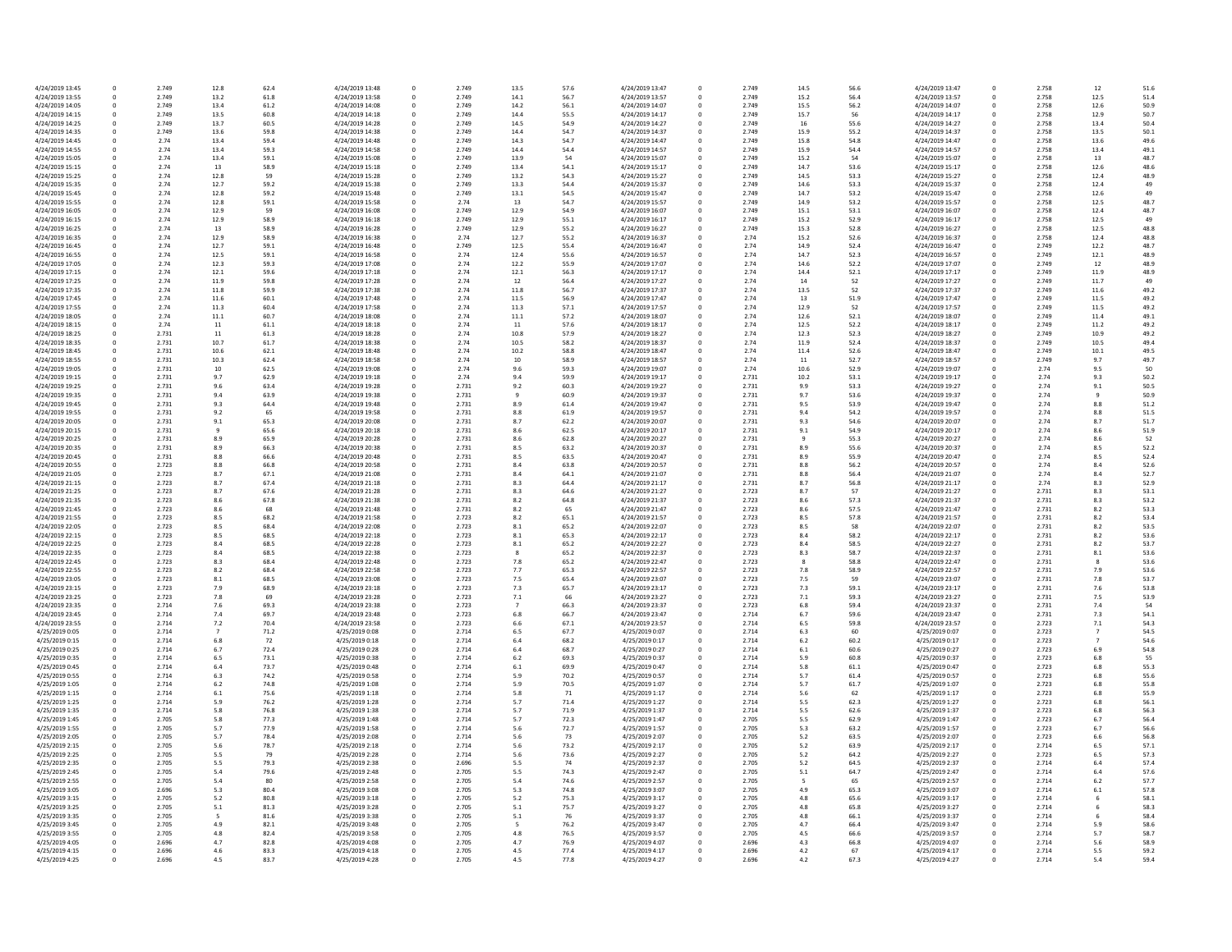13.4 50.4<br>
13.5 50.1<br>
13.6 49.6<br>
13.4 49.1<br>
13 48.7<br>
12.6 48.6<br>
12.4 48.9 12.4 48.9<br>12.4 49 12.4 48.7<br>12.5 49 12.5 49<br>
12.5 48.8<br>
12.4 48.8<br>
12.2 48.7<br>
12.1 48.9<br>
12 48.9 12 48.9<br>11.9 48.9<br>11.7 49 11.6 49.2<br>
11.5 49.2<br>
11.5 49.2<br>
11.4 49.1 11.4 49.1<br>11.2 49.2  $\begin{array}{llllll} 10.9 & & & 49.2 \\ 10.5 & & & 49.4 \\ 10.1 & & & 49.5 \\ 9.7 & & & 49.7 \\ 9.5 & & & 50 \\ 9.3 & & & 50.2 \\ 9.1 & & & 50.5 \\ 9 & & & 50.9 \\ 8.8 & & & 51.2 \\ 8.8 & & & 51.5 \\ \end{array}$ 8.1 53.6<br>8 53.6 53.6<br>53.6 7.9 53.6<br>7.8 53.7 7.3 54.1<br>
7.1 54.3<br>
7 54.5 7 54.6<br>6.9 54.8<br>6.8 55  $55.3$  $57.3$  $57.4$  $57.8$  58.1 58.3 58.4

| 4/24/2019 13:45                    | 0                | 2.749          | 12.8           | 62.4         | 4/24/2019 13:48                    | 0      | 2.749          | 13.5           | 57.6         | 4/24/2019 13:47                    |
|------------------------------------|------------------|----------------|----------------|--------------|------------------------------------|--------|----------------|----------------|--------------|------------------------------------|
| 4/24/2019 13:55                    | 0                | 2.749          | 13.2           | 61.8         | 4/24/2019 13:58                    | 0      | 2.749          | 14.1           | 56.7         | 4/24/2019 13:57                    |
| 4/24/2019 14:05                    | 0                | 2.749          | 13.4           | 61.2         | 4/24/2019 14:08                    | 0      | 2.749          | 14.2           | 56.1         | 4/24/2019 14:07                    |
| 4/24/2019 14:15                    | 0                | 2.749          | 13.5           | 60.8         | 4/24/2019 14:18                    | 0      | 2.749          | 14.4           | 55.5         | 4/24/2019 14:17                    |
| 4/24/2019 14:25                    | 0                | 2.749          | 13.7           | 60.5         | 4/24/2019 14:28                    | 0      | 2.749          | 14.5           | 54.9         | 4/24/2019 14:27                    |
| 4/24/2019 14:35<br>4/24/2019 14:45 | 0<br>$\mathbf 0$ | 2.749<br>2.74  | 13.6<br>13.4   | 59.8<br>59.4 | 4/24/2019 14:38<br>4/24/2019 14:48 | 0<br>0 | 2.749<br>2.749 | 14.4<br>14.3   | 54.7<br>54.7 | 4/24/2019 14:37<br>4/24/2019 14:47 |
| 4/24/2019 14:55                    | 0                | 2.74           | 13.4           | 59.3         | 4/24/2019 14:58                    | 0      | 2.749          | 14.4           | 54.4         | 4/24/2019 14:57                    |
| 4/24/2019 15:05                    | 0                | 2.74           | 13.4           | 59.1         | 4/24/2019 15:08                    | 0      | 2.749          | 13.9           | 54           | 4/24/2019 15:07                    |
| 4/24/2019 15:15                    | 0                | 2.74           | 13             | 58.9         | 4/24/2019 15:18                    | 0      | 2.749          | 13.4           | 54.1         | 4/24/2019 15:17                    |
| 4/24/2019 15:25                    | 0                | 2.74           | 12.8           | 59           | 4/24/2019 15:28                    | 0      | 2.749          | 13.2           | 54.3         | 4/24/2019 15:27                    |
| 4/24/2019 15:35                    | 0                | 2.74           | 12.7           | 59.2         | 4/24/2019 15:38                    | 0      | 2.749          | 13.3           | 54.4         | 4/24/2019 15:37                    |
| 4/24/2019 15:45                    | 0                | 2.74           | 12.8           | 59.2         | 4/24/2019 15:48                    | 0      | 2.749          | 13.1           | 54.5         | 4/24/2019 15:47                    |
| 4/24/2019 15:55                    | 0                | 2.74           | 12.8           | 59.1         | 4/24/2019 15:58                    | 0      | 2.74           | 13             | 54.7         | 4/24/2019 15:57                    |
| 4/24/2019 16:05                    | 0                | 2.74           | 12.9           | 59           | 4/24/2019 16:08                    | 0      | 2.749          | 12.9           | 54.9         | 4/24/2019 16:07                    |
| 4/24/2019 16:15                    | 0                | 2.74           | 12.9           | 58.9         | 4/24/2019 16:18                    | 0      | 2.749          | 12.9           | 55.1         | 4/24/2019 16:17                    |
| 4/24/2019 16:25                    | 0                | 2.74           | 13             | 58.9         | 4/24/2019 16:28                    | 0      | 2.749          | 12.9           | 55.2         | 4/24/2019 16:27                    |
| 4/24/2019 16:35                    | 0                | 2.74           | 12.9           | 58.9         | 4/24/2019 16:38                    | 0      | 2.74           | 12.7           | 55.2         | 4/24/2019 16:37                    |
| 4/24/2019 16:45                    | 0                | 2.74           | 12.7           | 59.1         | 4/24/2019 16:48                    | 0      | 2.749          | 12.5           | 55.4         | 4/24/2019 16:47                    |
| 4/24/2019 16:55                    | 0                | 2.74           | 12.5           | 59.1         | 4/24/2019 16:58                    | 0      | 2.74           | 12.4           | 55.6         | 4/24/2019 16:57                    |
| 4/24/2019 17:05                    | 0                | 2.74           | 12.3           | 59.3         | 4/24/2019 17:08                    | 0      | 2.74           | 12.2           | 55.9         | 4/24/2019 17:07                    |
| 4/24/2019 17:15                    | 0                | 2.74           | 12.1           | 59.6         | 4/24/2019 17:18                    | 0      | 2.74           | 12.1           | 56.3         | 4/24/2019 17:17                    |
| 4/24/2019 17:25                    | 0                | 2.74           | 11.9           | 59.8         | 4/24/2019 17:28                    | 0      | 2.74           | 12             | 56.4         | 4/24/2019 17:27                    |
| 4/24/2019 17:35<br>4/24/2019 17:45 | $\mathbf 0$<br>0 | 2.74<br>2.74   | 11.8<br>11.6   | 59.9<br>60.1 | 4/24/2019 17:38<br>4/24/2019 17:48 | 0<br>0 | 2.74<br>2.74   | 11.8<br>11.5   | 56.7<br>56.9 | 4/24/2019 17:37<br>4/24/2019 17:47 |
| 4/24/2019 17:55                    | 0                | 2.74           | 11.3           | 60.4         | 4/24/2019 17:58                    | 0      | 2.74           | 11.3           | 57.1         | 4/24/2019 17:57                    |
| 4/24/2019 18:05                    | 0                | 2.74           | 11.1           | 60.7         | 4/24/2019 18:08                    | 0      | 2.74           | 11.1           | 57.2         | 4/24/2019 18:07                    |
| 4/24/2019 18:15                    | 0                | 2.74           | 11             | 61.1         | 4/24/2019 18:18                    | 0      | 2.74           | 11             | 57.6         | 4/24/2019 18:17                    |
| 4/24/2019 18:25                    | 0                | 2.731          | 11             | 61.3         | 4/24/2019 18:28                    | 0      | 2.74           | 10.8           | 57.9         | 4/24/2019 18:27                    |
| 4/24/2019 18:35                    | 0                | 2.731          | 10.7           | 61.7         | 4/24/2019 18:38                    | 0      | 2.74           | 10.5           | 58.2         | 4/24/2019 18:37                    |
| 4/24/2019 18:45                    | 0                | 2.731          | 10.6           | 62.1         | 4/24/2019 18:48                    | 0      | 2.74           | 10.2           | 58.8         | 4/24/2019 18:47                    |
| 4/24/2019 18:55                    | 0                | 2.731          | 10.3           | 62.4         | 4/24/2019 18:58                    | 0      | 2.74           | 10             | 58.9         | 4/24/2019 18:57                    |
| 4/24/2019 19:05                    | 0                | 2.731          | 10             | 62.5         | 4/24/2019 19:08                    | 0      | 2.74           | 9.6            | 59.3         | 4/24/2019 19:07                    |
| 4/24/2019 19:15                    | 0                | 2.731          | 9.7            | 62.9         | 4/24/2019 19:18                    | 0      | 2.74           | 9.4            | 59.9         | 4/24/2019 19:17                    |
| 4/24/2019 19:25                    | $\Omega$         | 2.731          | 9.6            | 63.4         | 4/24/2019 19:28                    | 0      | 2.731          | 9.2            | 60.3         | 4/24/2019 19:27                    |
| 4/24/2019 19:35                    | 0                | 2.731          | 9.4            | 63.9         | 4/24/2019 19:38                    | 0      | 2.731          | 9              | 60.9         | 4/24/2019 19:37                    |
| 4/24/2019 19:45                    | 0                | 2.731          | 9.3            | 64.4         | 4/24/2019 19:48                    | 0      | 2.731          | 8.9            | 61.4         | 4/24/2019 19:47                    |
| 4/24/2019 19:55                    | 0                | 2.731          | 9.2            | 65           | 4/24/2019 19:58                    | 0      | 2.731          | 8.8            | 61.9         | 4/24/2019 19:57                    |
| 4/24/2019 20:05                    | 0                | 2.731          | 9.1            | 65.3         | 4/24/2019 20:08                    | 0      | 2.731          | 8.7            | 62.2         | 4/24/2019 20:07                    |
| 4/24/2019 20:15                    | 0                | 2.731          | q              | 65.6         | 4/24/2019 20:18                    | 0      | 2.731          | 8.6            | 62.5         | 4/24/2019 20:17                    |
| 4/24/2019 20:25                    | 0                | 2.731          | 8.9            | 65.9         | 4/24/2019 20:28                    | 0      | 2.731          | 8.6            | 62.8         | 4/24/2019 20:27                    |
| 4/24/2019 20:35                    | 0                | 2.731          | 8.9            | 66.3         | 4/24/2019 20:38                    | 0      | 2.731          | 8.5            | 63.2         | 4/24/2019 20:37                    |
| 4/24/2019 20:45                    | 0                | 2.731          | 8.8            | 66.6         | 4/24/2019 20:48                    | 0      | 2.731          | 8.5            | 63.5         | 4/24/2019 20:47                    |
| 4/24/2019 20:55<br>4/24/2019 21:05 | 0<br>0           | 2.723<br>2.723 | 8.8<br>8.7     | 66.8<br>67.1 | 4/24/2019 20:58<br>4/24/2019 21:08 | 0<br>0 | 2.731<br>2.731 | 8.4<br>8.4     | 63.8<br>64.1 | 4/24/2019 20:57<br>4/24/2019 21:07 |
| 4/24/2019 21:15                    | 0                | 2.723          | 8.7            | 67.4         | 4/24/2019 21:18                    | 0      | 2.731          | 8.3            | 64.4         | 4/24/2019 21:17                    |
| 4/24/2019 21:25                    | $\Omega$         | 2.723          | 8.7            | 67.6         | 4/24/2019 21:28                    | 0      | 2.731          | 8.3            | 64.6         | 4/24/2019 21:27                    |
| 4/24/2019 21:35                    | 0                | 2.723          | 8.6            | 67.8         | 4/24/2019 21:38                    | 0      | 2.731          | 8.2            | 64.8         | 4/24/2019 21:37                    |
| 4/24/2019 21:45                    | 0                | 2.723          | 8.6            | 68           | 4/24/2019 21:48                    | 0      | 2.731          | 8.2            | 65           | 4/24/2019 21:47                    |
| 4/24/2019 21:55                    | 0                | 2.723          | 8.5            | 68.2         | 4/24/2019 21:58                    | 0      | 2.723          | 8.2            | 65.1         | 4/24/2019 21:57                    |
| 4/24/2019 22:05                    | 0                | 2.723          | 8.5            | 68.4         | 4/24/2019 22:08                    | 0      | 2.723          | 8.1            | 65.2         | 4/24/2019 22:07                    |
| 4/24/2019 22:15                    | $\Omega$         | 2.723          | 8.5            | 68.5         | 4/24/2019 22:18                    | 0      | 2.723          | 8.1            | 65.3         | 4/24/2019 22:17                    |
| 4/24/2019 22:25                    | 0                | 2.723          | 8.4            | 68.5         | 4/24/2019 22:28                    | 0      | 2.723          | 8.1            | 65.2         | 4/24/2019 22:27                    |
| 4/24/2019 22:35                    | 0                | 2.723          | 8.4            | 68.5         | 4/24/2019 22:38                    | 0      | 2.723          | 8              | 65.2         | 4/24/2019 22:37                    |
| 4/24/2019 22:45                    | 0                | 2.723          | 8.3            | 68.4         | 4/24/2019 22:48                    | 0      | 2.723          | 7.8            | 65.2         | 4/24/2019 22:47                    |
| 4/24/2019 22:55                    | 0                | 2.723          | 8.2            | 68.4         | 4/24/2019 22:58                    | 0      | 2.723          | 7.7            | 65.3         | 4/24/2019 22:57                    |
| 4/24/2019 23:05                    | 0                | 2.723          | 8.1            | 68.5         | 4/24/2019 23:08                    | 0      | 2.723          | 7.5            | 65.4         | 4/24/2019 23:07                    |
| 4/24/2019 23:15                    | 0                | 2.723          | 7.9            | 68.9         | 4/24/2019 23:18                    | 0      | 2.723          | 7.3            | 65.7         | 4/24/2019 23:17                    |
| 4/24/2019 23:25                    | 0                | 2.723          | 7.8            | 69           | 4/24/2019 23:28                    | 0      | 2.723          | 7.1            | 66           | 4/24/2019 23:27                    |
| 4/24/2019 23:35                    | 0                | 2.714          | 7.6            | 69.3         | 4/24/2019 23:38                    | 0      | 2.723          | $\overline{7}$ | 66.3         | 4/24/2019 23:37                    |
| 4/24/2019 23:45                    | 0                | 2.714          | 7.4            | 69.7         | 4/24/2019 23:48                    | 0      | 2.723          | 6.8            | 66.7         | 4/24/2019 23:47                    |
| 4/24/2019 23:55                    | $\Omega$         | 2.714          | 7.2            | 70.4         | 4/24/2019 23:58                    |        | 2.723          | 6.6            | 67.1         | 4/24/2019 23:57                    |
| 4/25/2019 0:05                     | 0                | 2.714          | $\overline{7}$ | 71.2         | 4/25/2019 0:08                     | 0      | 2.714          | 6.5            | 67.7         | 4/25/2019 0:07                     |
| 4/25/2019 0:15<br>4/25/2019 0:25   | 0<br>0           | 2.714<br>2.714 | 6.8<br>6.7     | 72<br>72.4   | 4/25/2019 0:18<br>4/25/2019 0:28   | 0      | 2.714<br>2.714 | 6.4<br>6.4     | 68.2<br>68.7 | 4/25/2019 0:17<br>4/25/2019 0:27   |
| 4/25/2019 0:35                     | 0                | 2.714          | 6.5            | 73.1         | 4/25/2019 0:38                     | 0      | 2.714          | 6.2            | 69.3         | 4/25/2019 0:37                     |
| 4/25/2019 0:45                     | 0                | 2.714          | 6.4            | 73.7         | 4/25/2019 0:48                     |        | 2.714          | 6.1            | 69.9         | 4/25/2019 0:47                     |
| 4/25/2019 0:55                     | 0                | 2.714          | 6.3            | 74.2         | 4/25/2019 0:58                     |        | 2.714          | 5.9            | 70.2         | 4/25/2019 0:57                     |
| 4/25/2019 1:05                     | $\Omega$         | 2.714          | 6.2            | 74.8         | 4/25/2019 1:08                     | 0      | 2.714          | 5.9            | 70.5         | 4/25/2019 1:07                     |
| 4/25/2019 1:15                     | 0                | 2.714          | 6.1            | 75.6         | 4/25/2019 1:18                     |        | 2.714          | 5.8            | 71           | 4/25/2019 1:17                     |
| 4/25/2019 1:25                     | 0                | 2.714          | 5.9            | 76.2         | 4/25/2019 1:28                     | 0      | 2.714          | 5.7            | 71.4         | 4/25/2019 1:27                     |
| 4/25/2019 1:35                     |                  | 2.714          | 5.8            | 76.8         | 4/25/2019 1:38                     |        | 2.714          | 5.7            | 71.9         | 4/25/2019 1:37                     |
| 4/25/2019 1:45                     | 0                | 2.705          | 5.8            | 77.3         | 4/25/2019 1:48                     |        | 2.714          | 5.7            | 72.3         | 4/25/2019 1:47                     |
| 4/25/2019 1:55                     | $\Omega$         | 2.705          | 5.7            | 77.9         | 4/25/2019 1:58                     | 0      | 2.714          | 5.6            | 72.7         | 4/25/2019 1:57                     |
| 4/25/2019 2:05                     | 0                | 2.705          | 5.7            | 78.4         | 4/25/2019 2:08                     |        | 2.714          | 5.6            | 73           | 4/25/2019 2:07                     |
| 4/25/2019 2:15                     | 0                | 2.705          | 5.6            | 78.7         | 4/25/2019 2:18                     | 0      | 2.714          | 5.6            | 73.2         | 4/25/2019 2:17                     |
| 4/25/2019 2:25                     | 0                | 2.705          | 5.5            | 79           | 4/25/2019 2:28                     | 0      | 2.714          | 5.6            | 73.6         | 4/25/2019 2:27                     |
| 4/25/2019 2:35                     | 0                | 2.705          | 5.5            | 79.3         | 4/25/2019 2:38                     |        | 2.696          | 5.5            | 74           | 4/25/2019 2:37                     |
| 4/25/2019 2:45                     | 0                | 2.705          | 5.4            | 79.6         | 4/25/2019 2:48                     | 0      | 2.705          | 5.5            | 74.3         | 4/25/2019 2:47                     |
| 4/25/2019 2:55                     | 0                | 2.705          | 5.4            | 80           | 4/25/2019 2:58                     |        | 2.705          | 5.4            | 74.6         | 4/25/2019 2:57                     |
| 4/25/2019 3:05                     | 0                | 2.696          | 5.3            | 80.4         | 4/25/2019 3:08                     | 0      | 2.705          | 5.3            | 74.8         | 4/25/2019 3:07                     |
| 4/25/2019 3:15                     | 0                | 2.705          | $5.2$          | 80.8         | 4/25/2019 3:18                     |        | 2.705          | 5.2            | 75.3         | 4/25/2019 3:17                     |
| 4/25/2019 3:25                     | 0                | 2.705          | 5.1            | 81.3         | 4/25/2019 3:28                     |        | 2.705          | 5.1            | 75.7         | 4/25/2019 3:27                     |
| 4/25/2019 3:35                     | 0                | 2.705          |                | 81.6         | 4/25/2019 3:38                     | 0      | 2.705          | 5.1            | 76           | 4/25/2019 3:37                     |
| 4/25/2019 3:45                     | 0<br>0           | 2.705<br>2.705 | 4.9            | 82.1<br>82.4 | 4/25/2019 3:48                     | 0      | 2.705<br>2.705 | 4.8            | 76.2         | 4/25/2019 3:47<br>4/25/2019 3:57   |
| 4/25/2019 3:55<br>4/25/2019 4:05   | 0                | 2.696          | 4.8<br>4.7     | 82.8         | 4/25/2019 3:58<br>4/25/2019 4:08   |        | 2.705          | 4.7            | 76.5<br>76.9 | 4/25/2019 4:07                     |
| 4/25/2019 4:15                     | 0                | 2.696          | 4.6            | 83.3         | 4/25/2019 4:18                     | 0      | 2.705          | 4.5            | 77.4         | 4/25/2019 4:17                     |
| 4/25/2019 4:25                     | 0                | 2.696          | 4.5            | 83.7         | 4/25/2019 4:28                     | 0      | 2.705          | 4.5            | 77.8         | 4/25/2019 4:27                     |
|                                    |                  |                |                |              |                                    |        |                |                |              |                                    |

| 3.5            | 57.6 | 4/24/2019 13:47 | 0            | 2.749 | 14.5    | 56.6 | 4/24/2019 13:47 | 0 | 2.758 | 12             | 51.6 |
|----------------|------|-----------------|--------------|-------|---------|------|-----------------|---|-------|----------------|------|
| 4.1            | 56.7 | 4/24/2019 13:57 | 0            | 2.749 | 15.2    | 56.4 | 4/24/2019 13:57 | 0 | 2.758 | 12.5           | 51.4 |
| 4.2            | 56.1 | 4/24/2019 14:07 | 0            | 2.749 | 15.5    | 56.2 | 4/24/2019 14:07 | 0 | 2.758 | 12.6           | 50.9 |
|                |      |                 |              |       |         |      |                 |   |       |                |      |
| 4.4            | 55.5 | 4/24/2019 14:17 | 0            | 2.749 | 15.7    | 56   | 4/24/2019 14:17 | 0 | 2.758 | 12.9           | 50.7 |
| 4.5            | 54.9 | 4/24/2019 14:27 | 0            | 2.749 | 16      | 55.6 | 4/24/2019 14:27 | 0 | 2.758 | 13.4           | 50.4 |
| 4.4            | 54.7 | 4/24/2019 14:37 | 0            | 2.749 | 15.9    | 55.2 | 4/24/2019 14:37 | 0 | 2.758 | 13.5           | 50.1 |
| 4.3            | 54.7 | 4/24/2019 14:47 | 0            | 2.749 | 15.8    | 54.8 | 4/24/2019 14:47 | 0 | 2.758 | 13.6           | 49.6 |
|                |      |                 |              |       |         |      |                 |   |       |                |      |
| 4.4            | 54.4 | 4/24/2019 14:57 | 0            | 2.749 | 15.9    | 54.4 | 4/24/2019 14:57 | 0 | 2.758 | 13.4           | 49.1 |
| 3.9            | 54   | 4/24/2019 15:07 | 0            | 2.749 | 15.2    | 54   | 4/24/2019 15:07 | 0 | 2.758 | 13             | 48.7 |
| 3.4            | 54.1 | 4/24/2019 15:17 | 0            | 2.749 | 14.7    | 53.6 | 4/24/2019 15:17 | 0 | 2.758 | 12.6           | 48.6 |
| 3.2            | 54.3 | 4/24/2019 15:27 | 0            | 2.749 | 14.5    | 53.3 | 4/24/2019 15:27 | 0 | 2.758 | 12.4           | 48.9 |
|                |      |                 |              |       |         |      |                 |   |       |                |      |
| 3.3            | 54.4 | 4/24/2019 15:37 | 0            | 2.749 | 14.6    | 53.3 | 4/24/2019 15:37 | 0 | 2.758 | 12.4           | 49   |
| 3.1            | 54.5 | 4/24/2019 15:47 | 0            | 2.749 | 14.7    | 53.2 | 4/24/2019 15:47 |   | 2.758 | 12.6           | 49   |
| L3             | 54.7 | 4/24/2019 15:57 | 0            | 2.749 | 14.9    | 53.2 | 4/24/2019 15:57 | 0 | 2.758 | 12.5           | 48.7 |
| 2.9            | 54.9 | 4/24/2019 16:07 | U            | 2.749 | 15.1    | 53.1 | 4/24/2019 16:07 |   | 2.758 | 12.4           | 48.7 |
|                |      |                 |              |       |         |      |                 |   |       |                |      |
| 2.9            | 55.1 | 4/24/2019 16:17 | 0            | 2.749 | 15.2    | 52.9 | 4/24/2019 16:17 | 0 | 2.758 | 12.5           | 49   |
|                | 55.2 | 4/24/2019 16:27 | 0            | 2.749 | 15.3    | 52.8 | 4/24/2019 16:27 | 0 | 2.758 | 12.5           | 48.8 |
| 2.7            | 55.2 | 4/24/2019 16:37 | 0            | 2.74  | 15.2    | 52.6 | 4/24/2019 16:37 |   | 2.758 | 12.4           | 48.8 |
| $2.5\,$        | 55.4 | 4/24/2019 16:47 | 0            | 2.74  | 14.9    | 52.4 | 4/24/2019 16:47 | 0 | 2.749 | 12.2           | 48.7 |
|                |      |                 |              |       |         |      |                 |   |       |                |      |
| 2.4            | 55.6 | 4/24/2019 16:57 | 0            | 2.74  | 14.7    | 52.3 | 4/24/2019 16:57 | 0 | 2.749 | 12.1           | 48.9 |
| 2.2            | 55.9 | 4/24/2019 17:07 | 0            | 2.74  | 14.6    | 52.2 | 4/24/2019 17:07 | 0 | 2.749 | 12             | 48.9 |
| 2.1            | 56.3 | 4/24/2019 17:17 | 0            | 2.74  | 14.4    | 52.1 | 4/24/2019 17:17 | 0 | 2.749 | 11.9           | 48.9 |
| $\overline{2}$ | 56.4 | 4/24/2019 17:27 | 0            | 2.74  | 14      | 52   | 4/24/2019 17:27 | 0 | 2.749 | 11.7           | 49   |
|                |      |                 |              |       |         |      |                 |   |       |                |      |
| $1.8\,$        | 56.7 | 4/24/2019 17:37 | 0            | 2.74  | 13.5    | 52   | 4/24/2019 17:37 | 0 | 2.749 | 11.6           | 49.2 |
| 1.5            | 56.9 | 4/24/2019 17:47 | 0            | 2.74  | 13      | 51.9 | 4/24/2019 17:47 | 0 | 2.749 | 11.5           | 49.2 |
| 1.3            | 57.1 | 4/24/2019 17:57 | 0            | 2.74  | 12.9    | 52   | 4/24/2019 17:57 | 0 | 2.749 | 11.5           | 49.2 |
| 1.1            | 57.2 | 4/24/2019 18:07 | 0            | 2.74  | 12.6    | 52.1 | 4/24/2019 18:07 | 0 | 2.749 | 11.4           | 49.1 |
|                |      |                 |              |       |         |      |                 |   |       |                |      |
|                | 57.6 | 4/24/2019 18:17 | 0            | 2.74  | 12.5    | 52.2 | 4/24/2019 18:17 |   | 2.749 | 11.2           | 49.2 |
| 0.8            | 57.9 | 4/24/2019 18:27 | 0            | 2.74  | 12.3    | 52.3 | 4/24/2019 18:27 | 0 | 2.749 | 10.9           | 49.2 |
| 0.5            | 58.2 | 4/24/2019 18:37 | 0            | 2.74  | 11.9    | 52.4 | 4/24/2019 18:37 |   | 2.749 | 10.5           | 49.4 |
| 0.2            | 58.8 | 4/24/2019 18:47 | 0            | 2.74  | 11.4    | 52.6 | 4/24/2019 18:47 |   | 2.749 | 10.1           | 49.5 |
|                |      |                 |              |       |         |      |                 |   |       |                |      |
| LO.            | 58.9 | 4/24/2019 18:57 | 0            | 2.74  | 11      | 52.7 | 4/24/2019 18:57 | 0 | 2.749 | 9.7            | 49.7 |
| 1.6            | 59.3 | 4/24/2019 19:07 | 0            | 2.74  | 10.6    | 52.9 | 4/24/2019 19:07 | 0 | 2.74  | 9.5            | 50   |
| 4.(            | 59.9 | 4/24/2019 19:17 | $\Omega$     | 2.731 | 10.2    | 53.1 | 4/24/2019 19:17 | 0 | 2.74  | 9.3            | 50.2 |
|                |      |                 |              |       |         |      |                 |   |       |                |      |
| $2^{1}$        | 60.3 | 4/24/2019 19:27 | $\mathbf{0}$ | 2.731 | 9.9     | 53.3 | 4/24/2019 19:27 |   | 2.74  | 9.1            | 50.5 |
|                | 60.9 | 4/24/2019 19:37 | 0            | 2.731 | 9.7     | 53.6 | 4/24/2019 19:37 | 0 | 2.74  | 9              | 50.9 |
| 9.؛            | 61.4 | 4/24/2019 19:47 | 0            | 2.731 | 9.5     | 53.9 | 4/24/2019 19:47 |   | 2.74  | 8.8            | 51.2 |
| 8.،            | 61.9 | 4/24/2019 19:57 | 0            | 2.731 | 9.4     | 54.2 | 4/24/2019 19:57 |   | 2.74  | 8.8            | 51.5 |
|                |      |                 |              |       |         |      |                 |   |       |                |      |
|                | 62.2 | 4/24/2019 20:07 | 0            | 2.731 | 9.3     | 54.6 | 4/24/2019 20:07 | 0 | 2.74  | 8.7            | 51.7 |
| 6.،            | 62.5 | 4/24/2019 20:17 | $\mathbf{0}$ | 2.731 | 9.1     | 54.9 | 4/24/2019 20:17 |   | 2.74  | 8.6            | 51.9 |
| 6.،            | 62.8 | 4/24/2019 20:27 | 0            | 2.731 | 9       | 55.3 | 4/24/2019 20:27 | 0 | 2.74  | 8.6            | 52   |
| 3.5            | 63.2 | 4/24/2019 20:37 | 0            | 2.731 | 8.9     | 55.6 | 4/24/2019 20:37 |   | 2.74  | 8.5            | 52.2 |
|                |      |                 |              |       |         |      |                 |   |       |                |      |
| 3.5            | 63.5 | 4/24/2019 20:47 | 0            | 2.731 | 8.9     | 55.9 | 4/24/2019 20:47 |   | 2.74  | 8.5            | 52.4 |
|                | 63.8 | 4/24/2019 20:57 | 0            | 2.731 | 8.8     | 56.2 | 4/24/2019 20:57 | 0 | 2.74  | 8.4            | 52.6 |
| .4             | 64.1 | 4/24/2019 21:07 | $\mathbf{0}$ | 2.731 | 8.8     | 56.4 | 4/24/2019 21:07 |   | 2.74  | 8.4            | 52.7 |
| 3.3            | 64.4 | 4/24/2019 21:17 | 0            | 2.731 | 8.7     | 56.8 | 4/24/2019 21:17 | 0 | 2.74  | 8.3            | 52.9 |
|                |      |                 |              |       |         |      |                 |   |       |                |      |
| 3.3            | 64.6 | 4/24/2019 21:27 | 0            | 2.723 | 8.7     | 57   | 4/24/2019 21:27 |   | 2.731 | 8.3            | 53.1 |
| .2             | 64.8 | 4/24/2019 21:37 | 0            | 2.723 | 8.6     | 57.3 | 4/24/2019 21:37 | 0 | 2.731 | 8.3            | 53.2 |
| .2             | 65   | 4/24/2019 21:47 | 0            | 2.723 | 8.6     | 57.5 | 4/24/2019 21:47 |   | 2.731 | 8.2            | 53.3 |
|                |      |                 |              |       |         |      |                 |   |       |                |      |
| 2 <sub>1</sub> | 65.1 | 4/24/2019 21:57 | $\Omega$     | 2.723 | 8.5     | 57.8 | 4/24/2019 21:57 |   | 2.731 | 8.2            | 53.4 |
| .1             | 65.2 | 4/24/2019 22:07 | 0            | 2.723 | 8.5     | 58   | 4/24/2019 22:07 | 0 | 2.731 | 8.2            | 53.5 |
|                | 65.3 | 4/24/2019 22:17 | 0            | 2.723 | 8.4     | 58.2 | 4/24/2019 22:17 |   | 2.731 | 8.2            | 53.6 |
| .1             | 65.2 | 4/24/2019 22:27 | 0            | 2.723 | 8.4     | 58.5 | 4/24/2019 22:27 | 0 | 2.731 | 8.2            | 53.7 |
|                |      |                 |              |       |         |      |                 |   |       |                |      |
|                | 65.2 | 4/24/2019 22:37 | 0            | 2.723 | 8.3     | 58.7 | 4/24/2019 22:37 |   | 2.731 | 8.1            | 53.6 |
| 8.             | 65.2 | 4/24/2019 22:47 | $\Omega$     | 2.723 | 8       | 58.8 | 4/24/2019 22:47 |   | 2.731 | 8              | 53.6 |
| $^{\prime}$ .7 | 65.3 | 4/24/2019 22:57 | 0            | 2.723 | 7.8     | 58.9 | 4/24/2019 22:57 | 0 | 2.731 | 7.9            | 53.6 |
| .5             | 65.4 | 4/24/2019 23:07 | $\mathbf{0}$ | 2.723 | 7.5     | 59   | 4/24/2019 23:07 |   | 2.731 | $7.8$          | 53.7 |
|                |      |                 |              |       |         |      |                 |   |       |                |      |
| '.3            | 65.7 | 4/24/2019 23:17 | 0            | 2.723 | 7.3     | 59.1 | 4/24/2019 23:17 | 0 | 2.731 | 7.6            | 53.8 |
|                | 66   | 4/24/2019 23:27 | $\Omega$     | 2.723 | 7.1     | 59.3 | 4/24/2019 23:27 | 0 | 2.731 | 7.5            | 53.9 |
|                | 66.3 | 4/24/2019 23:37 | 0            | 2.723 | 6.8     | 59.4 | 4/24/2019 23:37 |   | 2.731 | 7.4            | 54   |
| .8             | 66.7 | 4/24/2019 23:47 | 0            | 2.714 | 6.7     | 59.6 | 4/24/2019 23:47 | 0 | 2.731 | 7.3            | 54.1 |
|                | 67.1 | 4/24/2019 23:57 | 0            | 2.714 | 6.5     | 59.8 | 4/24/2019 23:57 | 0 | 2.723 | 7.1            | 54.3 |
| i.6            |      |                 |              |       |         |      |                 |   |       |                |      |
| $.5\,$         | 67.7 | 4/25/2019 0:07  | 0            | 2.714 | 6.3     | 60   | 4/25/2019 0:07  | 0 | 2.723 |                | 54.5 |
| .4             | 68.2 | 4/25/2019 0:17  | 0            | 2.714 | $6.2\,$ | 60.2 | 4/25/2019 0:17  |   | 2.723 | $\overline{7}$ | 54.6 |
| .4             | 68.7 | 4/25/2019 0:27  | 0            | 2.714 | $6.1\,$ | 60.6 | 4/25/2019 0:27  |   | 2.723 | $6.9$          | 54.8 |
| .2             | 69.3 | 4/25/2019 0:37  |              | 2.714 | 5.9     | 60.8 | 4/25/2019 0:37  |   | 2.723 | $6.8\,$        | 55   |
|                |      |                 |              |       |         |      |                 |   |       |                |      |
| .1             | 69.9 | 4/25/2019 0:47  |              | 2.714 | $5.8\,$ | 61.1 | 4/25/2019 0:47  |   | 2.723 | $6.8\,$        | 55.3 |
| و.,            | 70.2 | 4/25/2019 0:57  |              | 2.714 | 5.7     | 61.4 | 4/25/2019 0:57  |   | 2.723 | $6.8\,$        | 55.6 |
| و.,            | 70.5 | 4/25/2019 1:07  |              | 2.714 | 5.7     | 61.7 | 4/25/2019 1:07  |   | 2.723 | $6.8\,$        | 55.8 |
| .8             | 71   | 4/25/2019 1:17  |              | 2.714 | 5.6     | 62   | 4/25/2019 1:17  |   | 2.723 | 6.8            | 55.9 |
|                |      | 4/25/2019 1:27  |              |       |         |      |                 |   |       |                |      |
| .7             | 71.4 |                 |              | 2.714 | 5.5     | 62.3 | 4/25/2019 1:27  |   | 2.723 | $6.8\,$        | 56.1 |
| .7             | 71.9 | 4/25/2019 1:37  |              | 2.714 | $5.5\,$ | 62.6 | 4/25/2019 1:37  |   | 2.723 | $6.8\,$        | 56.3 |
| .7             | 72.3 | 4/25/2019 1:47  | 0            | 2.705 | $5.5\,$ | 62.9 | 4/25/2019 1:47  |   | 2.723 | 6.7            | 56.4 |
| .6             | 72.7 | 4/25/2019 1:57  | 0            | 2.705 | 5.3     | 63.2 | 4/25/2019 1:57  |   | 2.723 | 6.7            | 56.6 |
|                |      |                 |              |       |         |      |                 |   |       |                |      |
| .6             | 73   | 4/25/2019 2:07  |              | 2.705 | $5.2$   | 63.5 | 4/25/2019 2:07  |   | 2.723 | 6.6            | 56.8 |
| .6             | 73.2 | 4/25/2019 2:17  |              | 2.705 | 5.2     | 63.9 | 4/25/2019 2:17  |   | 2.714 | $6.5\,$        | 57.1 |
| .6             | 73.6 | 4/25/2019 2:27  |              | 2.705 | $5.2$   | 64.2 | 4/25/2019 2:27  |   | 2.723 | 6.5            | 57.3 |
| $.5\,$         | 74   | 4/25/2019 2:37  |              | 2.705 | 5.2     | 64.5 | 4/25/2019 2:37  |   | 2.714 | 6.4            | 57.4 |
|                |      |                 |              |       |         |      |                 |   |       |                |      |
| $.5\,$         | 74.3 | 4/25/2019 2:47  |              | 2.705 | 5.1     | 64.7 | 4/25/2019 2:47  |   | 2.714 | 6.4            | 57.6 |
| .4             | 74.6 | 4/25/2019 2:57  |              | 2.705 | 5       | 65   | 4/25/2019 2:57  |   | 2.714 | $6.2$          | 57.7 |
| .3             | 74.8 | 4/25/2019 3:07  |              | 2.705 | 4.9     | 65.3 | 4/25/2019 3:07  |   | 2.714 | $6.1\,$        | 57.8 |
| .2             | 75.3 | 4/25/2019 3:17  |              | 2.705 | 4.8     | 65.6 | 4/25/2019 3:17  |   | 2.714 | 6              | 58.1 |
|                |      |                 |              |       |         |      |                 |   |       |                |      |
| .1             | 75.7 | 4/25/2019 3:27  |              | 2.705 | 4.8     | 65.8 | 4/25/2019 3:27  |   | 2.714 | 6              | 58.3 |
| .1             | 76   | 4/25/2019 3:37  | 0            | 2.705 | 4.8     | 66.1 | 4/25/2019 3:37  |   | 2.714 | 6              | 58.4 |
| 5              | 76.2 | 4/25/2019 3:47  | $\Omega$     | 2.705 | 4.7     | 66.4 | 4/25/2019 3:47  | 0 | 2.714 | 5.9            | 58.6 |
| Ι.8            | 76.5 | 4/25/2019 3:57  | 0            | 2.705 | 4.5     | 66.6 | 4/25/2019 3:57  |   | 2.714 | 5.7            | 58.7 |
|                |      |                 |              |       |         |      |                 |   |       |                |      |
| .7             | 76.9 | 4/25/2019 4:07  | 0            | 2.696 | 4.3     | 66.8 | 4/25/2019 4:07  |   | 2.714 | 5.6            | 58.9 |
| I.5            | 77.4 | 4/25/2019 4:17  | 0            | 2.696 | 4.2     | 67   | 4/25/2019 4:17  | 0 | 2.714 | 5.5            | 59.2 |
| .5             | 77.8 | 4/25/2019 4:27  | 0            | 2.696 | 4.2     | 67.3 | 4/25/2019 4:27  | 0 | 2.714 | 5.4            | 59.4 |
|                |      |                 |              |       |         |      |                 |   |       |                |      |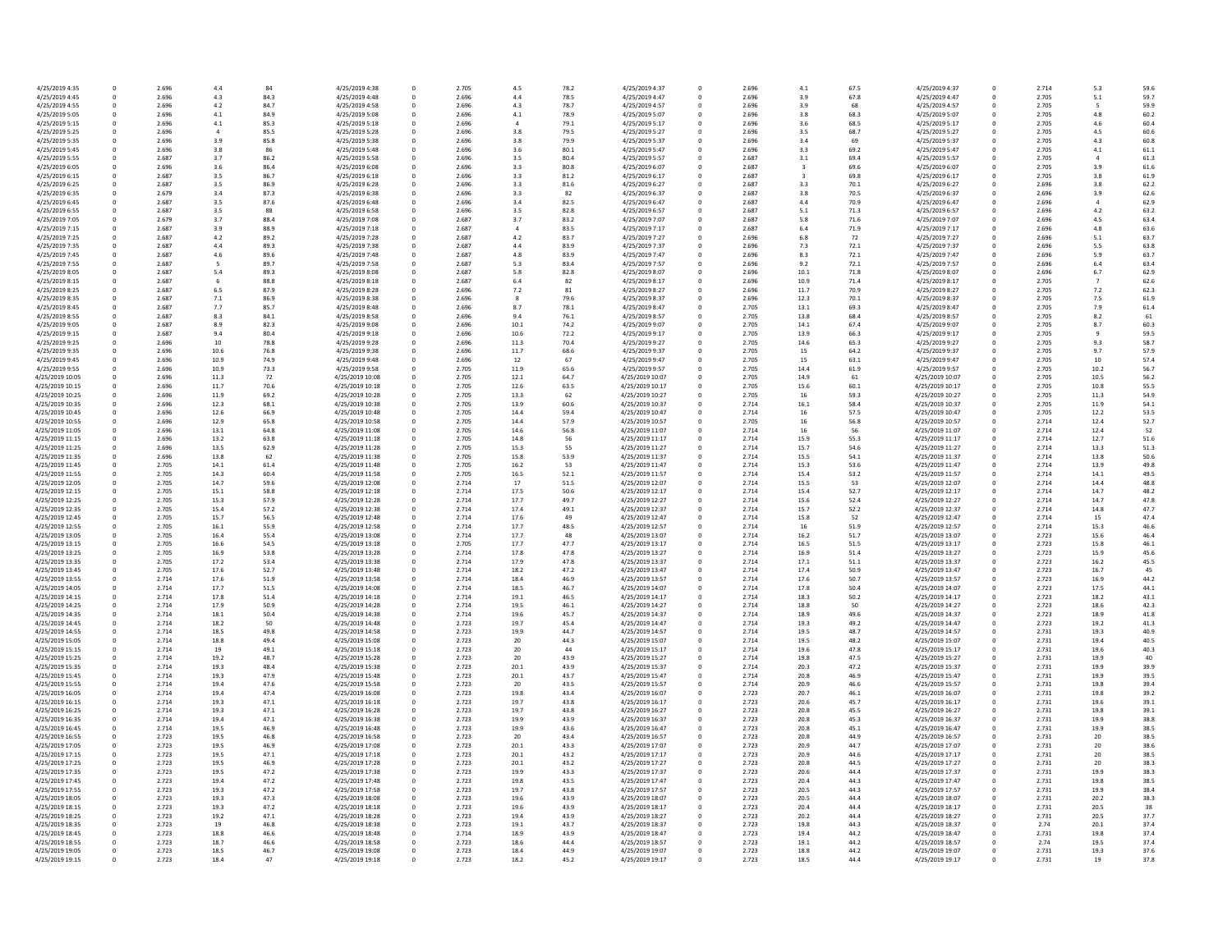| 4/25/2019 4:35  | 0           | 2.696 | 4.4  | 84   | 4/25/2019 4:38  | 0 | 2.705 | 4.5            | 78.2 | 4/25/2019 4:37  |
|-----------------|-------------|-------|------|------|-----------------|---|-------|----------------|------|-----------------|
| 4/25/2019 4:45  | 0           | 2.696 | 4.3  | 84.3 | 4/25/2019 4:48  | 0 | 2.696 | 4.4            | 78.5 | 4/25/2019 4:47  |
|                 |             |       |      |      |                 |   |       |                |      |                 |
| 4/25/2019 4:55  | 0           | 2.696 | 4.2  | 84.7 | 4/25/2019 4:58  | 0 | 2.696 | 4.3            | 78.7 | 4/25/2019 4:57  |
| 4/25/2019 5:05  | 0           | 2.696 | 4.1  | 84.9 | 4/25/2019 5:08  | 0 | 2.696 | 4.1            | 78.9 | 4/25/2019 5:07  |
| 4/25/2019 5:15  | 0           | 2.696 | 4.1  | 85.3 | 4/25/2019 5:18  | 0 | 2.696 | 4              | 79.1 | 4/25/2019 5:17  |
| 4/25/2019 5:25  | 0           | 2.696 |      | 85.5 | 4/25/2019 5:28  | 0 | 2.696 | 3.8            | 79.5 | 4/25/2019 5:27  |
|                 |             |       |      |      |                 |   |       |                |      |                 |
| 4/25/2019 5:35  | 0           | 2.696 | 3.9  | 85.8 | 4/25/2019 5:38  | 0 | 2.696 | 3.8            | 79.9 | 4/25/2019 5:37  |
| 4/25/2019 5:45  | 0           | 2.696 | 3.8  | 86   | 4/25/2019 5:48  | 0 | 2.696 | 3.6            | 80.1 | 4/25/2019 5:47  |
| 4/25/2019 5:55  | 0           | 2.687 | 3.7  | 86.2 | 4/25/2019 5:58  | 0 | 2.696 | 3.5            | 80.4 | 4/25/2019 5:57  |
| 4/25/2019 6:05  | 0           | 2.696 | 3.6  | 86.4 | 4/25/2019 6:08  | 0 | 2.696 | 3.3            | 80.8 | 4/25/2019 6:07  |
|                 |             |       |      |      |                 |   |       |                |      |                 |
| 4/25/2019 6:15  | 0           | 2.687 | 3.5  | 86.7 | 4/25/2019 6:18  | 0 | 2.696 | 3.3            | 81.2 | 4/25/2019 6:17  |
| 4/25/2019 6:25  | 0           | 2.687 | 3.5  | 86.9 | 4/25/2019 6:28  | 0 | 2.696 | 3.3            | 81.6 | 4/25/2019 6:27  |
| 4/25/2019 6:35  | 0           | 2.679 | 3.4  | 87.3 | 4/25/2019 6:38  | 0 | 2.696 | 3.3            | 82   | 4/25/2019 6:37  |
| 4/25/2019 6:45  | 0           | 2.687 | 3.5  | 87.6 | 4/25/2019 6:48  | 0 | 2.696 | 3.4            | 82.5 | 4/25/2019 6:47  |
|                 |             |       |      |      |                 |   |       |                |      |                 |
| 4/25/2019 6:55  | 0           | 2.687 | 3.5  | 88   | 4/25/2019 6:58  | 0 | 2.696 | 3.5            | 82.8 | 4/25/2019 6:57  |
| 4/25/2019 7:05  | 0           | 2.679 | 3.7  | 88.4 | 4/25/2019 7:08  | 0 | 2.687 | 3.7            | 83.2 | 4/25/2019 7:07  |
| 4/25/2019 7:15  | 0           | 2.687 | 3.9  | 88.9 | 4/25/2019 7:18  | 0 | 2.687 | $\overline{4}$ | 83.5 | 4/25/2019 7:17  |
| 4/25/2019 7:25  | $\Omega$    | 2.687 | 4.2  | 89.2 | 4/25/2019 7:28  | 0 | 2.687 | 4.2            | 83.7 | 4/25/2019 7:27  |
|                 |             |       |      |      |                 |   |       |                |      |                 |
| 4/25/2019 7:35  | 0           | 2.687 | 4.4  | 89.3 | 4/25/2019 7:38  | 0 | 2.687 | 4.4            | 83.9 | 4/25/2019 7:37  |
| 4/25/2019 7:45  | 0           | 2.687 | 4.6  | 89.6 | 4/25/2019 7:48  | 0 | 2.687 | 4.8            | 83.9 | 4/25/2019 7:47  |
| 4/25/2019 7:55  | 0           | 2.687 | 5    | 89.7 | 4/25/2019 7:58  | 0 | 2.687 | 5.3            | 83.4 | 4/25/2019 7:57  |
|                 | 0           |       |      |      |                 |   | 2.687 |                |      |                 |
| 4/25/2019 8:05  |             | 2.687 | 5.4  | 89.3 | 4/25/2019 8:08  | 0 |       | 5.8            | 82.8 | 4/25/2019 8:07  |
| 4/25/2019 8:15  | 0           | 2.687 | 6    | 88.8 | 4/25/2019 8:18  | 0 | 2.687 | 6.4            | 82   | 4/25/2019 8:17  |
| 4/25/2019 8:25  | $\mathbf 0$ | 2.687 | 6.5  | 87.9 | 4/25/2019 8:28  | 0 | 2.696 | 7.2            | 81   | 4/25/2019 8:27  |
| 4/25/2019 8:35  | 0           | 2.687 | 7.1  | 86.9 | 4/25/2019 8:38  | 0 | 2.696 | 8              | 79.6 | 4/25/2019 8:37  |
| 4/25/2019 8:45  | 0           | 2.687 | 7.7  | 85.7 | 4/25/2019 8:48  | 0 | 2.696 | 8.7            | 78.1 | 4/25/2019 8:47  |
|                 |             |       |      |      |                 |   |       |                |      |                 |
| 4/25/2019 8:55  | 0           | 2.687 | 8.3  | 84.1 | 4/25/2019 8:58  | 0 | 2.696 | 9.4            | 76.1 | 4/25/2019 8:57  |
| 4/25/2019 9:05  | $\Omega$    | 2.687 | 8.9  | 82.3 | 4/25/2019 9:08  | 0 | 2.696 | 10.1           | 74.2 | 4/25/2019 9:07  |
| 4/25/2019 9:15  | 0           | 2.687 | 9.4  | 80.4 | 4/25/2019 9:18  | 0 | 2.696 | 10.6           | 72.2 | 4/25/2019 9:17  |
|                 |             |       |      |      |                 |   |       |                |      |                 |
| 4/25/2019 9:25  | 0           | 2.696 | 10   | 78.8 | 4/25/2019 9:28  | 0 | 2.696 | 11.3           | 70.4 | 4/25/2019 9:27  |
| 4/25/2019 9:35  | 0           | 2.696 | 10.6 | 76.8 | 4/25/2019 9:38  | 0 | 2.696 | 11.7           | 68.6 | 4/25/2019 9:37  |
| 4/25/2019 9:45  | 0           | 2.696 | 10.9 | 74.9 | 4/25/2019 9:48  | 0 | 2.696 | 12             | 67   | 4/25/2019 9:47  |
| 4/25/2019 9:55  | 0           | 2.696 | 10.9 | 73.3 | 4/25/2019 9:58  | 0 | 2.705 | 11.9           | 65.6 | 4/25/2019 9:57  |
|                 |             |       |      |      |                 |   |       |                |      |                 |
| 4/25/2019 10:05 | 0           | 2.696 | 11.3 | 72   | 4/25/2019 10:08 | 0 | 2.705 | 12.1           | 64.7 | 4/25/2019 10:07 |
| 4/25/2019 10:15 | 0           | 2.696 | 11.7 | 70.6 | 4/25/2019 10:18 | 0 | 2.705 | 12.6           | 63.5 | 4/25/2019 10:17 |
| 4/25/2019 10:25 | 0           | 2.696 | 11.9 | 69.2 | 4/25/2019 10:28 | 0 | 2.705 | 13.3           | 62   | 4/25/2019 10:27 |
| 4/25/2019 10:35 | 0           | 2.696 | 12.3 | 68.1 | 4/25/2019 10:38 | 0 | 2.705 | 13.9           | 60.6 | 4/25/2019 10:37 |
|                 |             |       |      |      |                 |   |       |                |      |                 |
| 4/25/2019 10:45 | 0           | 2.696 | 12.6 | 66.9 | 4/25/2019 10:48 | 0 | 2.705 | 14.4           | 59.4 | 4/25/2019 10:47 |
| 4/25/2019 10:55 | 0           | 2.696 | 12.9 | 65.8 | 4/25/2019 10:58 | 0 | 2.705 | 14.4           | 57.9 | 4/25/2019 10:57 |
| 4/25/2019 11:05 | $\Omega$    | 2.696 | 13.1 | 64.8 | 4/25/2019 11:08 | 0 | 2.705 | 14.6           | 56.8 | 4/25/2019 11:07 |
|                 | 0           |       |      |      |                 |   |       |                |      |                 |
| 4/25/2019 11:15 |             | 2.696 | 13.2 | 63.8 | 4/25/2019 11:18 | 0 | 2.705 | 14.8           | 56   | 4/25/2019 11:17 |
| 4/25/2019 11:25 | $\Omega$    | 2.696 | 13.5 | 62.9 | 4/25/2019 11:28 | 0 | 2.705 | 15.3           | 55   | 4/25/2019 11:27 |
| 4/25/2019 11:35 | 0           | 2.696 | 13.8 | 62   | 4/25/2019 11:38 | 0 | 2.705 | 15.8           | 53.9 | 4/25/2019 11:37 |
| 4/25/2019 11:45 | 0           | 2.705 | 14.1 | 61.4 | 4/25/2019 11:48 | 0 | 2.705 | 16.2           | 53   | 4/25/2019 11:47 |
|                 |             |       |      |      |                 |   |       |                |      |                 |
| 4/25/2019 11:55 | $\Omega$    | 2.705 | 14.3 | 60.4 | 4/25/2019 11:58 | 0 | 2.705 | 16.5           | 52.1 | 4/25/2019 11:57 |
| 4/25/2019 12:05 | 0           | 2.705 | 14.7 | 59.6 | 4/25/2019 12:08 | 0 | 2.714 | 17             | 51.5 | 4/25/2019 12:07 |
| 4/25/2019 12:15 | 0           | 2.705 | 15.1 | 58.8 | 4/25/2019 12:18 | 0 | 2.714 | 17.5           | 50.6 | 4/25/2019 12:17 |
| 4/25/2019 12:25 | 0           | 2.705 | 15.3 | 57.9 | 4/25/2019 12:28 | 0 | 2.714 | 17.7           | 49.7 | 4/25/2019 12:27 |
|                 |             |       |      |      |                 |   |       |                |      |                 |
| 4/25/2019 12:35 | 0           | 2.705 | 15.4 | 57.2 | 4/25/2019 12:38 | 0 | 2.714 | 17.4           | 49.1 | 4/25/2019 12:37 |
| 4/25/2019 12:45 | 0           | 2.705 | 15.7 | 56.5 | 4/25/2019 12:48 | 0 | 2.714 | 17.6           | 49   | 4/25/2019 12:47 |
| 4/25/2019 12:55 | 0           | 2.705 | 16.1 | 55.9 | 4/25/2019 12:58 | 0 | 2.714 | 17.7           | 48.5 | 4/25/2019 12:57 |
| 4/25/2019 13:05 | $\Omega$    | 2.705 | 16.4 | 55.4 | 4/25/2019 13:08 | 0 | 2.714 | 17.7           | 48   | 4/25/2019 13:07 |
|                 |             |       |      |      |                 |   |       |                |      |                 |
| 4/25/2019 13:15 | 0           | 2.705 | 16.6 | 54.5 | 4/25/2019 13:18 | 0 | 2.705 | 17.7           | 47.7 | 4/25/2019 13:17 |
| 4/25/2019 13:25 | 0           | 2.705 | 16.9 | 53.8 | 4/25/2019 13:28 | 0 | 2.714 | 17.8           | 47.8 | 4/25/2019 13:27 |
| 4/25/2019 13:35 | 0           | 2.705 | 17.2 | 53.4 | 4/25/2019 13:38 | 0 | 2.714 | 17.9           | 47.8 | 4/25/2019 13:37 |
|                 | 0           |       |      |      |                 |   |       |                |      |                 |
| 4/25/2019 13:45 |             | 2.705 | 17.6 | 52.7 | 4/25/2019 13:48 | 0 | 2.714 | 18.2           | 47.2 | 4/25/2019 13:47 |
| 4/25/2019 13:55 | 0           | 2.714 | 17.6 | 51.9 | 4/25/2019 13:58 | 0 | 2.714 | 18.4           | 46.9 | 4/25/2019 13:57 |
| 4/25/2019 14:05 | 0           | 2.714 | 17.7 | 51.5 | 4/25/2019 14:08 | 0 | 2.714 | 18.5           | 46.7 | 4/25/2019 14:07 |
| 4/25/2019 14:15 | $\Omega$    | 2.714 | 17.8 | 51.4 | 4/25/2019 14:18 | 0 | 2.714 | 19.1           | 46.5 | 4/25/2019 14:17 |
|                 |             |       |      |      |                 |   |       |                |      |                 |
| 4/25/2019 14:25 | 0           | 2.714 | 17.9 | 50.9 | 4/25/2019 14:28 | 0 | 2.714 | 19.5           | 46.1 | 4/25/2019 14:27 |
| 4/25/2019 14:35 | 0           | 2.714 | 18.1 | 50.4 | 4/25/2019 14:38 | 0 | 2.714 | 19.6           | 45.7 | 4/25/2019 14:37 |
| 4/25/2019 14:45 |             | 2.714 | 18.2 | 50   | 4/25/2019 14:48 |   | 2.723 | 19.7           | 45.4 | 4/25/2019 14:47 |
| 4/25/2019 14:55 | 0           | 2.714 | 18.5 | 49.8 | 4/25/2019 14:58 | 0 | 2.723 | 19.9           | 44.7 | 4/25/2019 14:57 |
|                 |             |       |      |      |                 |   |       |                |      |                 |
| 4/25/2019 15:05 | 0           | 2.714 | 18.8 | 49.4 | 4/25/2019 15:08 | 0 | 2.723 | 20             | 44.3 | 4/25/2019 15:07 |
| 4/25/2019 15:15 | 0           | 2.714 | 19   | 49.1 | 4/25/2019 15:18 | 0 | 2.723 | 20             | 44   | 4/25/2019 15:17 |
| 4/25/2019 15:25 | 0           | 2.714 | 19.2 | 48.7 | 4/25/2019 15:28 | 0 | 2.723 | 20             | 43.9 | 4/25/2019 15:27 |
| 4/25/2019 15:35 | 0           | 2.714 | 19.3 | 48.4 | 4/25/2019 15:38 | 0 | 2.723 | 20.1           | 43.9 | 4/25/2019 15:37 |
|                 |             |       |      |      |                 |   |       |                |      |                 |
| 4/25/2019 15:45 | 0           | 2.714 | 19.3 | 47.9 | 4/25/2019 15:48 | 0 | 2.723 | 20.1           | 43.7 | 4/25/2019 15:47 |
| 4/25/2019 15:55 | 0           | 2.714 | 19.4 | 47.6 | 4/25/2019 15:58 | 0 | 2.723 | 20             | 43.5 | 4/25/2019 15:57 |
| 4/25/2019 16:05 | 0           | 2.714 | 19.4 | 47.4 | 4/25/2019 16:08 | 0 | 2.723 | 19.8           | 43.4 | 4/25/2019 16:07 |
| 4/25/2019 16:15 | 0           | 2.714 | 19.3 | 47.1 | 4/25/2019 16:18 | 0 | 2.723 | 19.7           | 43.8 | 4/25/2019 16:17 |
|                 |             |       |      |      |                 |   |       |                |      |                 |
| 4/25/2019 16:25 | 0           | 2.714 | 19.3 | 47.1 | 4/25/2019 16:28 | 0 | 2.723 | 19.7           | 43.8 | 4/25/2019 16:27 |
| 4/25/2019 16:35 | 0           | 2.714 | 19.4 | 47.1 | 4/25/2019 16:38 | 0 | 2.723 | 19.9           | 43.9 | 4/25/2019 16:37 |
| 4/25/2019 16:45 | 0           | 2.714 | 19.5 | 46.9 | 4/25/2019 16:48 | 0 | 2.723 | 19.9           | 43.6 | 4/25/2019 16:47 |
|                 | 0           | 2.723 | 19.5 | 46.8 | 4/25/2019 16:58 | 0 | 2.723 | 20             | 43.4 | 4/25/2019 16:57 |
| 4/25/2019 16:55 |             |       |      |      |                 |   |       |                |      |                 |
| 4/25/2019 17:05 | 0           | 2.723 | 19.5 | 46.9 | 4/25/2019 17:08 | 0 | 2.723 | 20.1           | 43.3 | 4/25/2019 17:07 |
| 4/25/2019 17:15 | 0           | 2.723 | 19.5 | 47.1 | 4/25/2019 17:18 | 0 | 2.723 | 20.1           | 43.2 | 4/25/2019 17:17 |
| 4/25/2019 17:25 | 0           | 2.723 | 19.5 | 46.9 | 4/25/2019 17:28 | 0 | 2.723 | 20.1           | 43.2 | 4/25/2019 17:27 |
|                 |             |       |      |      |                 |   |       |                |      |                 |
| 4/25/2019 17:35 | 0           | 2.723 | 19.5 | 47.2 | 4/25/2019 17:38 | 0 | 2.723 | 19.9           | 43.3 | 4/25/2019 17:37 |
| 4/25/2019 17:45 | 0           | 2.723 | 19.4 | 47.2 | 4/25/2019 17:48 | 0 | 2.723 | 19.8           | 43.5 | 4/25/2019 17:47 |
| 4/25/2019 17:55 | 0           | 2.723 | 19.3 | 47.2 | 4/25/2019 17:58 | 0 | 2.723 | 19.7           | 43.8 | 4/25/2019 17:57 |
| 4/25/2019 18:05 | 0           | 2.723 | 19.3 | 47.3 | 4/25/2019 18:08 | 0 | 2.723 | 19.6           | 43.9 | 4/25/2019 18:07 |
|                 |             |       |      |      |                 |   |       |                |      |                 |
| 4/25/2019 18:15 | 0           | 2.723 | 19.3 | 47.2 | 4/25/2019 18:18 | 0 | 2.723 | 19.6           | 43.9 | 4/25/2019 18:17 |
| 4/25/2019 18:25 | 0           | 2.723 | 19.2 | 47.1 | 4/25/2019 18:28 | 0 | 2.723 | 19.4           | 43.9 | 4/25/2019 18:27 |
| 4/25/2019 18:35 | 0           | 2.723 | 19   | 46.8 | 4/25/2019 18:38 | 0 | 2.723 | 19.1           | 43.7 | 4/25/2019 18:37 |
| 4/25/2019 18:45 | 0           | 2.723 | 18.8 | 46.6 | 4/25/2019 18:48 | 0 | 2.714 | 18.9           | 43.9 | 4/25/2019 18:47 |
|                 |             |       |      |      |                 |   |       |                |      |                 |
| 4/25/2019 18:55 | 0           | 2.723 | 18.7 | 46.6 | 4/25/2019 18:58 | 0 | 2.723 | 18.6           | 44.4 | 4/25/2019 18:57 |
| 4/25/2019 19:05 | 0           | 2.723 | 18.5 | 46.7 | 4/25/2019 19:08 | 0 | 2.723 | 18.4           | 44.9 | 4/25/2019 19:07 |
| 4/25/2019 19:15 | 0           | 2.723 | 18.4 | 47   | 4/25/2019 19:18 | 0 | 2.723 | 18.2           | 45.2 | 4/25/2019 19:17 |
|                 |             |       |      |      |                 |   |       |                |      |                 |

| .5                   | 78.2         | 4/25/2019 4:37                     | 0                | 2.696          | 4.1          | 67.5         | 4/25/2019 4:37                     | 0      | 2.714          | 5.3            | 59.6         |
|----------------------|--------------|------------------------------------|------------------|----------------|--------------|--------------|------------------------------------|--------|----------------|----------------|--------------|
| 4.4                  | 78.5         | 4/25/2019 4:47                     | 0                | 2.696          | 3.9          | 67.8         | 4/25/2019 4:47                     | 0      | 2.705          | $5.1$          | 59.7         |
| $\mathord{\cdot}$ .3 | 78.7         | 4/25/2019 4:57                     | 0                | 2.696          | 3.9          | 68           | 4/25/2019 4:57                     |        | 2.705          | 5              | 59.9         |
|                      | 78.9         | 4/25/2019 5:07                     | 0                | 2.696          | 3.8          | 68.3         | 4/25/2019 5:07                     |        | 2.705          | 4.8            | 60.2         |
| $\mathsf{L}1$        |              |                                    |                  |                |              |              |                                    |        |                |                |              |
| 4                    | 79.1         | 4/25/2019 5:17                     | 0                | 2.696          | 3.6          | 68.5         | 4/25/2019 5:17                     | 0      | 2.705          | 4.6            | 60.4         |
| 8.،                  | 79.5         | 4/25/2019 5:27                     | <sup>0</sup>     | 2.696          | 3.5          | 68.7         | 4/25/2019 5:27                     |        | 2.705          | 4.5            | 60.6         |
| 8.8                  | 79.9         | 4/25/2019 5:37                     |                  | 2.696          | 3.4          | 69           | 4/25/2019 5:37                     |        | 2.705          | 4.3            | 60.8         |
| 6.ة                  | 80.1         | 4/25/2019 5:47                     |                  | 2.696          | 3.3          | 69.2         | 4/25/2019 5:47                     |        | 2.705          | 4.1            | 61.1         |
|                      |              |                                    |                  |                |              |              |                                    |        |                |                |              |
| $.5\,$               | 80.4         | 4/25/2019 5:57                     | 0                | 2.687          | 3.1          | 69.4         | 4/25/2019 5:57                     |        | 2.705          |                | 61.3         |
| .3                   | 80.8         | 4/25/2019 6:07                     | <sup>0</sup>     | 2.687          |              | 69.6         | 4/25/2019 6:07                     | 0      | 2.705          | 3.9            | 61.6         |
| .3                   | 81.2         | 4/25/2019 6:17                     | <sup>0</sup>     | 2.687          | 3            | 69.8         | 4/25/2019 6:17                     |        | 2.705          | 3.8            | 61.9         |
| .3                   | 81.6         | 4/25/2019 6:27                     | 0                | 2.687          | 3.3          | 70.1         | 4/25/2019 6:27                     |        | 2.696          | 3.8            | 62.2         |
|                      |              |                                    |                  |                |              |              |                                    |        |                |                |              |
| .3                   | 82           | 4/25/2019 6:37                     |                  | 2.687          | 3.8          | 70.5         | 4/25/2019 6:37                     |        | 2.696          | 3.9            | 62.6         |
| .4                   | 82.5         | 4/25/2019 6:47                     | 0                | 2.687          | 4.4          | 70.9         | 4/25/2019 6:47                     |        | 2.696          |                | 62.9         |
| $.5\,$               | 82.8         | 4/25/2019 6:57                     | <sup>0</sup>     | 2.687          | $5.1$        | 71.3         | 4/25/2019 6:57                     |        | 2.696          | 4.2            | 63.2         |
| .7                   | 83.2         | 4/25/2019 7:07                     | 0                | 2.687          | $5.8\,$      | 71.6         | 4/25/2019 7:07                     |        | 2.696          | 4.5            | 63.4         |
|                      | 83.5         | 4/25/2019 7:17                     | <sup>0</sup>     | 2.687          | 6.4          | 71.9         | 4/25/2019 7:17                     |        | 2.696          | 4.8            | 63.6         |
|                      |              |                                    |                  |                |              |              |                                    |        |                |                |              |
| $\cdot$ .2           | 83.7         | 4/25/2019 7:27                     |                  | 2.696          | 6.8          | 72           | 4/25/2019 7:27                     |        | 2.696          | 5.1            | 63.7         |
| 4.                   | 83.9         | 4/25/2019 7:37                     | 0                | 2.696          | 7.3          | 72.1         | 4/25/2019 7:37                     |        | 2.696          | 5.5            | 63.8         |
| Ι.8                  | 83.9         | 4/25/2019 7:47                     | <sup>0</sup>     | 2.696          | 8.3          | 72.1         | 4/25/2019 7:47                     |        | 2.696          | 5.9            | 63.7         |
| .3                   | 83.4         | 4/25/2019 7:57                     | <sup>0</sup>     | 2.696          | 9.2          | 72.1         | 4/25/2019 7:57                     |        | 2.696          | 6.4            | 63.4         |
|                      |              |                                    |                  |                |              |              |                                    |        |                |                |              |
| $.8\,$               | 82.8         | 4/25/2019 8:07                     | <sup>0</sup>     | 2.696          | 10.1         | 71.8         | 4/25/2019 8:07                     |        | 2.696          | 6.7            | 62.9         |
| i.4                  | 82           | 4/25/2019 8:17                     | 0                | 2.696          | 10.9         | 71.4         | 4/25/2019 8:17                     |        | 2.705          | $\overline{7}$ | 62.6         |
| $^{\prime}.2$        | 81           | 4/25/2019 8:27                     |                  | 2.696          | 11.7         | 70.9         | 4/25/2019 8:27                     |        | 2.705          | 7.2            | 62.3         |
|                      | 79.6         | 4/25/2019 8:37                     | 0                | 2.696          | 12.3         | 70.1         | 4/25/2019 8:37                     |        | 2.705          | 7.5            | 61.9         |
|                      | 78.1         | 4/25/2019 8:47                     | 0                | 2.705          | 13.1         | 69.3         | 4/25/2019 8:47                     |        | 2.705          | 7.9            | 61.4         |
| 3.7                  |              |                                    |                  |                |              |              |                                    |        |                |                |              |
| 4.(                  | 76.1         | 4/25/2019 8:57                     | $\Omega$         | 2.705          | 13.8         | 68.4         | 4/25/2019 8:57                     | 0      | 2.705          | 8.2            | 61           |
| 0.1                  | 74.2         | 4/25/2019 9:07                     | 0                | 2.705          | 14.1         | 67.4         | 4/25/2019 9:07                     |        | 2.705          | 8.7            | 60.3         |
| 0.6                  | 72.2         | 4/25/2019 9:17                     | 0                | 2.705          | 13.9         | 66.3         | 4/25/2019 9:17                     |        | 2.705          | 9              | 59.5         |
| 1.3                  | 70.4         | 4/25/2019 9:27                     | 0                | 2.705          | 14.6         | 65.3         | 4/25/2019 9:27                     |        | 2.705          | 9.3            | 58.7         |
|                      |              |                                    |                  |                |              |              |                                    |        |                |                |              |
| 1.7                  | 68.6         | 4/25/2019 9:37                     |                  | 2.705          | 15           | 64.2         | 4/25/2019 9:37                     |        | 2.705          | 9.7            | 57.9         |
| L2                   | 67           | 4/25/2019 9:47                     | 0                | 2.705          | 15           | 63.1         | 4/25/2019 9:47                     | 0      | 2.705          | 10             | 57.4         |
| 1.9                  | 65.6         | 4/25/2019 9:57                     | 0                | 2.705          | 14.4         | 61.9         | 4/25/2019 9:57                     | 0      | 2.705          | 10.2           | 56.7         |
| 2.1                  | 64.7         | 4/25/2019 10:07                    | 0                | 2.705          | 14.9         | 61           | 4/25/2019 10:07                    | 0      | 2.705          | 10.5           | 56.2         |
|                      |              |                                    |                  |                |              |              |                                    |        |                |                |              |
| 2.6                  | 63.5         | 4/25/2019 10:17                    | 0                | 2.705          | 15.6         | 60.1         | 4/25/2019 10:17                    |        | 2.705          | 10.8           | 55.5         |
| 3.3                  | 62           | 4/25/2019 10:27                    | 0                | 2.705          | 16           | 59.3         | 4/25/2019 10:27                    |        | 2.705          | 11.3           | 54.9         |
| 3.9                  | 60.6         | 4/25/2019 10:37                    | 0                | 2.714          | 16.1         | 58.4         | 4/25/2019 10:37                    | 0      | 2.705          | 11.9           | 54.1         |
| 4.4                  | 59.4         | 4/25/2019 10:47                    | $\mathbf{0}$     | 2.714          | 16           | 57.5         | 4/25/2019 10:47                    |        | 2.705          | 12.2           | 53.5         |
|                      |              |                                    |                  |                |              |              |                                    |        |                |                |              |
| 4.4                  | 57.9         | 4/25/2019 10:57                    | 0                | 2.705          | 16           | 56.8         | 4/25/2019 10:57                    | 0      | 2.714          | 12.4           | 52.7         |
| 4.6                  | 56.8         | 4/25/2019 11:07                    | 0                | 2.714          | 16           | 56           | 4/25/2019 11:07                    |        | 2.714          | 12.4           | 52           |
| 4.8                  | 56           | 4/25/2019 11:17                    | 0                | 2.714          | 15.9         | 55.3         | 4/25/2019 11:17                    | 0      | 2.714          | 12.7           | 51.6         |
| 5.3                  | 55           | 4/25/2019 11:27                    | 0                | 2.714          | 15.7         | 54.6         | 4/25/2019 11:27                    | 0      | 2.714          | 13.3           | 51.3         |
|                      |              |                                    |                  |                |              |              |                                    |        |                |                |              |
| 5.8                  | 53.9         | 4/25/2019 11:37                    | 0                | 2.714          | 15.5         | 54.1         | 4/25/2019 11:37                    | 0      | 2.714          | 13.8           | 50.6         |
| 6.2                  | 53           | 4/25/2019 11:47                    | $\Omega$         | 2.714          | 15.3         | 53.6         | 4/25/2019 11:47                    | 0      | 2.714          | 13.9           | 49.8         |
| 6.5                  | 52.1         | 4/25/2019 11:57                    | 0                | 2.714          | 15.4         | 53.2         | 4/25/2019 11:57                    |        | 2.714          | 14.1           | 49.5         |
| L7                   | 51.5         | 4/25/2019 12:07                    | 0                | 2.714          | 15.5         | 53           | 4/25/2019 12:07                    | 0      | 2.714          | 14.4           | 48.8         |
|                      |              |                                    |                  |                |              |              |                                    |        |                |                |              |
| 7.5                  | 50.6         | 4/25/2019 12:17                    | 0                | 2.714          | 15.4         | 52.7         | 4/25/2019 12:17                    | 0      | 2.714          | 14.7           | 48.2         |
| 7.7                  | 49.7         | 4/25/2019 12:27                    | 0                | 2.714          | 15.6         | 52.4         | 4/25/2019 12:27                    |        | 2.714          | 14.7           | 47.8         |
| 7.4                  | 49.1         | 4/25/2019 12:37                    | 0                | 2.714          | 15.7         | 52.2         | 4/25/2019 12:37                    | 0      | 2.714          | 14.8           | 47.7         |
| 7.6                  | 49           | 4/25/2019 12:47                    | 0                | 2.714          | 15.8         | 52           | 4/25/2019 12:47                    |        | 2.714          | 15             | 47.4         |
|                      |              |                                    |                  |                |              |              |                                    |        |                |                |              |
| 7.7                  | 48.5         | 4/25/2019 12:57                    | 0                | 2.714          | 16           | 51.9         | 4/25/2019 12:57                    | 0      | 2.714          | 15.3           | 46.6         |
| 7.7                  | 48           | 4/25/2019 13:07                    | 0                | 2.714          | 16.2         | 51.7         | 4/25/2019 13:07                    |        | 2.723          | 15.6           | 46.4         |
| 7.7                  | 47.7         | 4/25/2019 13:17                    | 0                | 2.714          | 16.5         | 51.5         | 4/25/2019 13:17                    | 0      | 2.723          | 15.8           | 46.1         |
| 7.8                  | 47.8         | 4/25/2019 13:27                    | $\Omega$         | 2.714          | 16.9         | 51.4         | 4/25/2019 13:27                    | 0      | 2.723          | 15.9           | 45.6         |
|                      |              |                                    |                  |                |              |              |                                    |        |                |                |              |
| 7.9                  | 47.8         | 4/25/2019 13:37                    | 0                | 2.714          | 17.1         | 51.1         | 4/25/2019 13:37                    |        | 2.723          | 16.2           | 45.5         |
| 8.2                  | 47.2         | 4/25/2019 13:47                    | $\Omega$         | 2.714          | 17.4         | 50.9         | 4/25/2019 13:47                    | 0      | 2.723          | 16.7           | 45           |
| 8.4                  | 46.9         | 4/25/2019 13:57                    | 0                | 2.714          | 17.6         | 50.7         | 4/25/2019 13:57                    | 0      | 2.723          | 16.9           | 44.2         |
| 8.5                  | 46.7         | 4/25/2019 14:07                    | 0                | 2.714          | 17.8         | 50.4         | 4/25/2019 14:07                    | 0      | 2.723          | 17.5           | 44.1         |
| 9.1                  | 46.5         | 4/25/2019 14:17                    | 0                | 2.714          | 18.3         | 50.2         | 4/25/2019 14:17                    | 0      | 2.723          | 18.2           | 43.1         |
|                      |              |                                    |                  |                |              |              |                                    |        |                |                |              |
| 9.5                  | 46.1         | 4/25/2019 14:27                    | $\mathbf{0}$     | 2.714          | 18.8         | 50           | 4/25/2019 14:27                    |        | 2.723          | 18.6           | 42.3         |
| 9.6                  | 45.7         | 4/25/2019 14:37                    | 0                | 2.714          | 18.9         | 49.6         | 4/25/2019 14:37                    | 0      | 2.723          | 18.9           | 41.8         |
| 9.7                  | 45.4         | 4/25/2019 14:47                    | $\Omega$         | 2.714          | 19.3         | 49.2         | 4/25/2019 14:47                    | 0      | 2.723          | 19.2           | 41.3         |
| 9.9                  | 44.7         | 4/25/2019 14:57                    | 0                | 2.714          | 19.5         | 48.7         | 4/25/2019 14:57                    | 0      | 2.731          | 19.3           | 40.9         |
|                      | 44.3         | 4/25/2019 15:07                    | 0                | 2.714          | 19.5         | 48.2         | 4/25/2019 15:07                    |        | 2.731          | 19.4           | 40.5         |
|                      |              |                                    |                  |                |              |              |                                    | 0      |                |                |              |
| 20                   | 44           | 4/25/2019 15:17                    | 0                | 2.714          | 19.6         | 47.8         | 4/25/2019 15:17                    | 0      | 2.731          | 19.6           | 40.3         |
| 20.                  | 43.9         | 4/25/2019 15:27                    | 0                | 2.714          | 19.8         | 47.5         | 4/25/2019 15:27                    | 0      | 2.731          | 19.9           | 40           |
| 0.1                  | 43.9         | 4/25/2019 15:37                    | 0                | 2.714          | 20.3         | 47.2         | 4/25/2019 15:37                    |        | 2.731          | 19.9           | 39.9         |
| 0.1                  | 43.7         | 4/25/2019 15:47                    | 0                | 2.714          | 20.8         | 46.9         | 4/25/2019 15:47                    | 0      | 2.731          | 19.9           | 39.5         |
|                      | 43.5         | 4/25/2019 15:57                    | 0                | 2.714          | 20.9         | 46.6         | 4/25/2019 15:57                    |        | 2.731          | 19.8           | 39.4         |
|                      |              |                                    |                  |                |              |              |                                    |        |                |                |              |
| 9.8                  | 43.4         | 4/25/2019 16:07                    | 0                | 2.723          | 20.7         | 46.1         | 4/25/2019 16:07                    | 0      | 2.731          | 19.8           | 39.2         |
| 9.7                  | 43.8         | 4/25/2019 16:17                    | 0                | 2.723          | 20.6         | 45.7         | 4/25/2019 16:17                    | 0      | 2.731          | 19.6           | 39.1         |
| 9.7                  | 43.8         | 4/25/2019 16:27                    | 0                | 2.723          | 20.8         | 45.5         | 4/25/2019 16:27                    |        | 2.731          | 19.8           | 39.1         |
| 9.9                  | 43.9         | 4/25/2019 16:37                    | 0                | 2.723          | 20.8         | 45.3         | 4/25/2019 16:37                    |        | 2.731          | 19.9           | 38.8         |
|                      |              |                                    | 0                |                |              |              |                                    |        | 2.731          |                |              |
| 9.9                  | 43.6         | 4/25/2019 16:47                    |                  | 2.723          | 20.8         | 45.1         | 4/25/2019 16:47                    |        |                | 19.9           | 38.5         |
| 20                   | 43.4         | 4/25/2019 16:57                    | 0                | 2.723          | 20.8         | 44.9         | 4/25/2019 16:57                    |        | 2.731          | 20             | 38.5         |
| $0.1\,$              | 43.3         | 4/25/2019 17:07                    | 0                | 2.723          | 20.9         | 44.7         | 4/25/2019 17:07                    | 0      | 2.731          | 20             | 38.6         |
| 0.1                  | 43.2         | 4/25/2019 17:17                    | 0                | 2.723          | 20.9         | 44.6         | 4/25/2019 17:17                    |        | 2.731          | 20             | 38.5         |
| 0.1                  | 43.2         | 4/25/2019 17:27                    | 0                | 2.723          | 20.8         | 44.5         | 4/25/2019 17:27                    | 0      | 2.731          | 20             | 38.3         |
|                      |              |                                    |                  |                |              |              |                                    |        |                |                |              |
| 9.9                  | 43.3         | 4/25/2019 17:37                    | 0                | 2.723          | 20.6         | 44.4         | 4/25/2019 17:37                    |        | 2.731          | 19.9           | 38.3         |
| 9.8                  | 43.5         | 4/25/2019 17:47                    | 0                | 2.723          | 20.4         | 44.3         | 4/25/2019 17:47                    | 0      | 2.731          | 19.8           | 38.5         |
| 9.7                  | 43.8         | 4/25/2019 17:57                    | 0                | 2.723          | 20.5         | 44.3         | 4/25/2019 17:57                    | 0      | 2.731          | 19.9           | 38.4         |
| 9.6                  | 43.9         | 4/25/2019 18:07                    | 0                | 2.723          | 20.5         | 44.4         | 4/25/2019 18:07                    |        | 2.731          | 20.2           | 38.3         |
|                      |              |                                    |                  |                |              |              |                                    |        |                |                |              |
| 9.6                  | 43.9         | 4/25/2019 18:17                    | 0                | 2.723          | 20.4         | 44.4         | 4/25/2019 18:17                    | 0      | 2.731          | 20.5           | 38           |
| 9.4                  | 43.9         | 4/25/2019 18:27                    | 0                | 2.723          | 20.2         | 44.4         | 4/25/2019 18:27                    |        | 2.731          | 20.5           | 37.7         |
| 9.1                  | 43.7         | 4/25/2019 18:37                    | 0                | 2.723          | 19.8         | 44.3         | 4/25/2019 18:37                    | 0      | 2.74           | 20.1           | 37.4         |
| 8.9                  | 43.9         | 4/25/2019 18:47                    | 0                | 2.723          | 19.4         | 44.2         | 4/25/2019 18:47                    | 0      | 2.731          | 19.8           | 37.4         |
| 8.6                  |              | 4/25/2019 18:57                    | 0                | 2.723          | 19.1         | 44.2         | 4/25/2019 18:57                    |        | 2.74           | 19.5           | 37.4         |
|                      |              |                                    |                  |                |              |              |                                    |        |                |                |              |
|                      | 44.4         |                                    |                  |                |              |              |                                    |        |                |                |              |
| 8.4<br>8.2           | 44.9<br>45.2 | 4/25/2019 19:07<br>4/25/2019 19:17 | 0<br>$\mathbf 0$ | 2.723<br>2.723 | 18.8<br>18.5 | 44.2<br>44.4 | 4/25/2019 19:07<br>4/25/2019 19:17 | 0<br>0 | 2.731<br>2.731 | 19.3<br>19     | 37.6<br>37.8 |

59.6<br>59.7<br>59.9<br>60.2 4.8 60.2<br>4.6 60.4 61.3  $62.2$ <br> $62.6$ <br> $62.9$ <br> $63.2$ 4.2 63.2<br>4.5 63.4 4.5 63.4<br>4.8 63.6<br>5.1 63.7  $62.9$ <br> $62.6$ <br> $62.3$ <br> $61.9$ <br> $61.4$ <br> $61$  59.5 10.2 56.7<br>
10.5 56.2<br>
10.8 55.5<br>
11.3 54.9<br>
11.9 54.1<br>
12.2 53.5 12.2 53.5<br>12.4 52.7 12.4 52.7<br>12.4 52<br>12.7 51.6<br>13.3 51.3 13.8 50.6<br>13.9 49.8 13.9 49.8<br>14.1 49.5 14.1 49.5<br>14.4 48.8<br>14.7 48.2<br>14.7 47.8 14.7 47.8<br>14.8 47.7  $47.4$ <br> $46.6$ <br> $46.4$ <br> $46.1$ 15.9 45.6<br>16.2 45.5 16.7 45<br>16.9 44.2 16.9 44.2<br>
17.5 44.1<br>
18.2 43.1<br>
18.6 42.3 18.6 42.3<br>18.9 41.8 18.9 41.8<br>19.2 41.3 19.2 41.3<br>
19.3 40.9<br>
19.4 40.5<br>
19.6 40.3 19.6 40.3<br>19.9 40 19.9 40<br>19.9 39.9 19.9 39.9<br>
19.8 39.5<br>
19.8 39.4<br>
19.8 39.2<br>
19.6 39.1<br>
19.8 39.1 19.8 39.1<br>
19.9 38.8<br>
19.9 38.5<br>
20 38.5<br>
20 38.5<br>
20 38.5<br>
20 38.5<br>
20 38.5<br>
20 38.3<br>
19.9 38.3<br>
19.8 38.3<br>
20.2 38.4<br>
20.2 38.4<br>
20.2 38.3<br>
20.5 38.3<br>
20.5 37.7 20.5 37.7<br>
20.1 37.4<br>
19.8 37.4<br>
19.5 37.4<br>
19.3 37.6<br>
19 37.8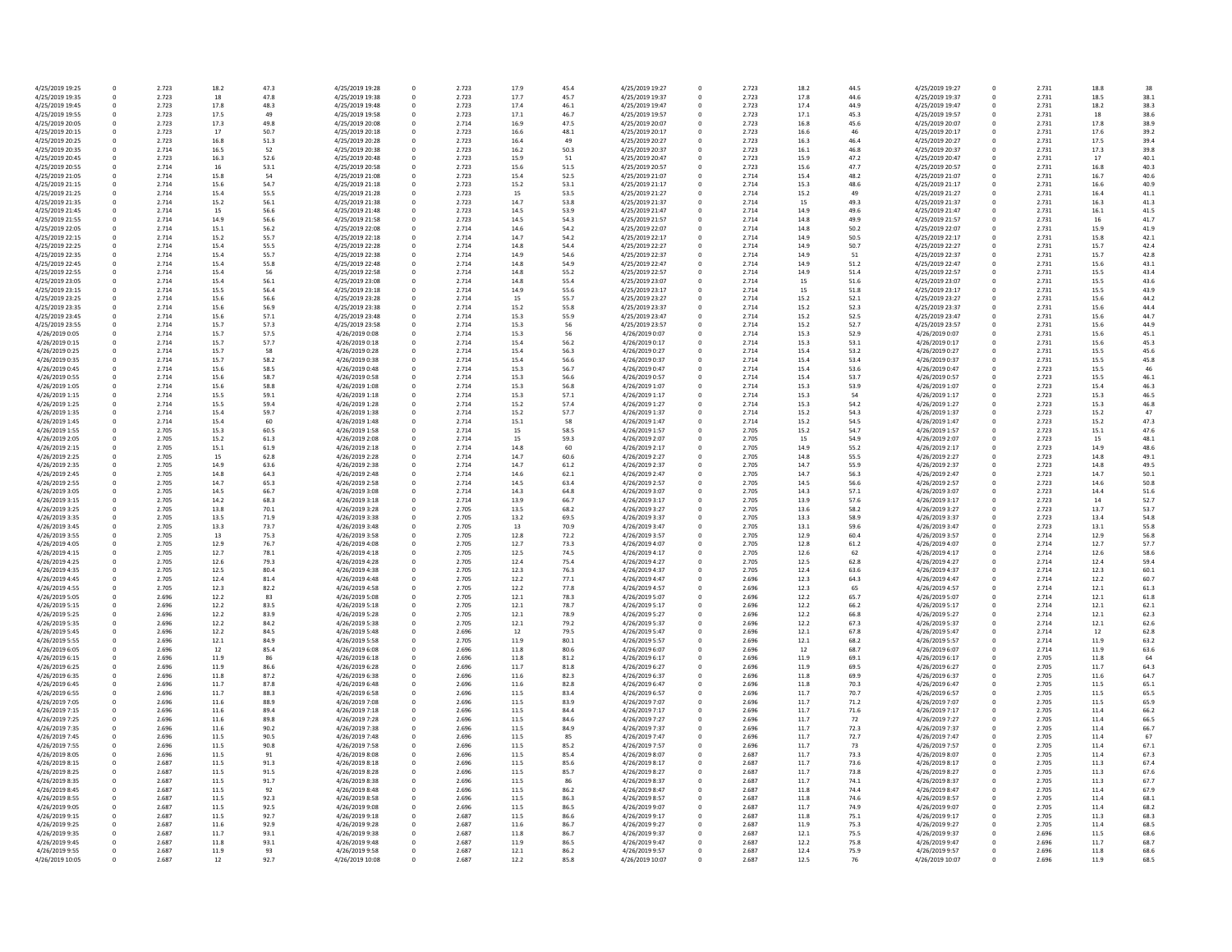| 4/25/2019 19:25 | 0           | 2.723 | 18.2 | 47.3 | 4/25/2019 19:28 | 0 | 2.723 | 17.9 | 45.4 | 4/25/2019 19:27 |
|-----------------|-------------|-------|------|------|-----------------|---|-------|------|------|-----------------|
| 4/25/2019 19:35 | $\mathbf 0$ | 2.723 | 18   | 47.8 | 4/25/2019 19:38 | 0 | 2.723 | 17.7 | 45.7 | 4/25/2019 19:37 |
| 4/25/2019 19:45 | 0           | 2.723 | 17.8 | 48.3 | 4/25/2019 19:48 | 0 | 2.723 | 17.4 | 46.1 | 4/25/2019 19:47 |
| 4/25/2019 19:55 | 0           | 2.723 | 17.5 | 49   | 4/25/2019 19:58 | 0 | 2.723 | 17.1 | 46.7 | 4/25/2019 19:57 |
| 4/25/2019 20:05 | $\mathbf 0$ | 2.723 | 17.3 | 49.8 | 4/25/2019 20:08 | 0 | 2.714 | 16.9 | 47.5 | 4/25/2019 20:07 |
| 4/25/2019 20:15 | 0           | 2.723 | 17   | 50.7 | 4/25/2019 20:18 | 0 | 2.723 | 16.6 | 48.1 | 4/25/2019 20:17 |
| 4/25/2019 20:25 | $\mathbf 0$ | 2.723 | 16.8 | 51.3 | 4/25/2019 20:28 | 0 | 2.723 | 16.4 | 49   | 4/25/2019 20:27 |
| 4/25/2019 20:35 | 0           | 2.714 | 16.5 | 52   | 4/25/2019 20:38 | 0 | 2.723 | 16.2 | 50.3 | 4/25/2019 20:37 |
| 4/25/2019 20:45 | 0           | 2.723 | 16.3 | 52.6 | 4/25/2019 20:48 | 0 | 2.723 | 15.9 | 51   | 4/25/2019 20:47 |
|                 |             |       |      |      |                 |   |       |      |      |                 |
| 4/25/2019 20:55 | $\mathbf 0$ | 2.714 | 16   | 53.1 | 4/25/2019 20:58 | 0 | 2.723 | 15.6 | 51.5 | 4/25/2019 20:57 |
| 4/25/2019 21:05 | 0           | 2.714 | 15.8 | 54   | 4/25/2019 21:08 | 0 | 2.723 | 15.4 | 52.5 | 4/25/2019 21:07 |
| 4/25/2019 21:15 | 0           | 2.714 | 15.6 | 54.7 | 4/25/2019 21:18 | 0 | 2.723 | 15.2 | 53.1 | 4/25/2019 21:17 |
| 4/25/2019 21:25 | 0           | 2.714 | 15.4 | 55.5 | 4/25/2019 21:28 | 0 | 2.723 | 15   | 53.5 | 4/25/2019 21:27 |
| 4/25/2019 21:35 | 0           | 2.714 | 15.2 | 56.1 | 4/25/2019 21:38 | 0 | 2.723 | 14.7 | 53.8 | 4/25/2019 21:37 |
| 4/25/2019 21:45 | 0           | 2.714 | 15   | 56.6 | 4/25/2019 21:48 | 0 | 2.723 | 14.5 | 53.9 | 4/25/2019 21:47 |
| 4/25/2019 21:55 | 0           | 2.714 | 14.9 | 56.6 | 4/25/2019 21:58 | 0 | 2.723 | 14.5 | 54.3 | 4/25/2019 21:57 |
| 4/25/2019 22:05 | $\mathbf 0$ | 2.714 | 15.1 | 56.2 | 4/25/2019 22:08 | 0 | 2.714 | 14.6 | 54.2 | 4/25/2019 22:07 |
| 4/25/2019 22:15 | 0           | 2.714 | 15.2 | 55.7 | 4/25/2019 22:18 | 0 | 2.714 | 14.7 | 54.2 | 4/25/2019 22:17 |
| 4/25/2019 22:25 | $\mathbf 0$ | 2.714 | 15.4 | 55.5 | 4/25/2019 22:28 | 0 | 2.714 | 14.8 | 54.4 | 4/25/2019 22:27 |
| 4/25/2019 22:35 | 0           | 2.714 | 15.4 | 55.7 | 4/25/2019 22:38 | 0 | 2.714 | 14.9 | 54.6 | 4/25/2019 22:37 |
| 4/25/2019 22:45 |             | 2.714 | 15.4 |      | 4/25/2019 22:48 |   | 2.714 | 14.8 | 54.9 | 4/25/2019 22:47 |
|                 | 0           |       |      | 55.8 |                 | 0 |       |      |      |                 |
| 4/25/2019 22:55 | 0           | 2.714 | 15.4 | 56   | 4/25/2019 22:58 | 0 | 2.714 | 14.8 | 55.2 | 4/25/2019 22:57 |
| 4/25/2019 23:05 | 0           | 2.714 | 15.4 | 56.1 | 4/25/2019 23:08 | 0 | 2.714 | 14.8 | 55.4 | 4/25/2019 23:07 |
| 4/25/2019 23:15 | $\mathbf 0$ | 2.714 | 15.5 | 56.4 | 4/25/2019 23:18 | 0 | 2.714 | 14.9 | 55.6 | 4/25/2019 23:17 |
| 4/25/2019 23:25 | 0           | 2.714 | 15.6 | 56.6 | 4/25/2019 23:28 | 0 | 2.714 | 15   | 55.7 | 4/25/2019 23:27 |
| 4/25/2019 23:35 | 0           | 2.714 | 15.6 | 56.9 | 4/25/2019 23:38 | 0 | 2.714 | 15.2 | 55.8 | 4/25/2019 23:37 |
| 4/25/2019 23:45 | 0           | 2.714 | 15.6 | 57.1 | 4/25/2019 23:48 | 0 | 2.714 | 15.3 | 55.9 | 4/25/2019 23:47 |
| 4/25/2019 23:55 | 0           | 2.714 | 15.7 | 57.3 | 4/25/2019 23:58 | 0 | 2.714 | 15.3 | 56   | 4/25/2019 23:57 |
| 4/26/2019 0:05  | 0           | 2.714 | 15.7 | 57.5 | 4/26/2019 0:08  | 0 | 2.714 | 15.3 | 56   | 4/26/2019 0:07  |
| 4/26/2019 0:15  | 0           | 2.714 | 15.7 | 57.7 | 4/26/2019 0:18  | 0 | 2.714 | 15.4 | 56.2 | 4/26/2019 0:17  |
|                 |             |       |      |      |                 |   |       |      |      |                 |
| 4/26/2019 0:25  | 0           | 2.714 | 15.7 | 58   | 4/26/2019 0:28  | 0 | 2.714 | 15.4 | 56.3 | 4/26/2019 0:27  |
| 4/26/2019 0:35  | 0           | 2.714 | 15.7 | 58.2 | 4/26/2019 0:38  | 0 | 2.714 | 15.4 | 56.6 | 4/26/2019 0:37  |
| 4/26/2019 0:45  | 0           | 2.714 | 15.6 | 58.5 | 4/26/2019 0:48  | 0 | 2.714 | 15.3 | 56.7 | 4/26/2019 0:47  |
| 4/26/2019 0:55  | 0           | 2.714 | 15.6 | 58.7 | 4/26/2019 0:58  | 0 | 2.714 | 15.3 | 56.6 | 4/26/2019 0:57  |
| 4/26/2019 1:05  | 0           | 2.714 | 15.6 | 58.8 | 4/26/2019 1:08  | 0 | 2.714 | 15.3 | 56.8 | 4/26/2019 1:07  |
| 4/26/2019 1:15  | 0           | 2.714 | 15.5 | 59.1 | 4/26/2019 1:18  | 0 | 2.714 | 15.3 | 57.1 | 4/26/2019 1:17  |
| 4/26/2019 1:25  | 0           | 2.714 | 15.5 | 59.4 | 4/26/2019 1:28  | 0 | 2.714 | 15.2 | 57.4 | 4/26/2019 1:27  |
| 4/26/2019 1:35  | 0           | 2.714 | 15.4 | 59.7 | 4/26/2019 1:38  | 0 | 2.714 | 15.2 | 57.7 | 4/26/2019 1:37  |
| 4/26/2019 1:45  | 0           | 2.714 | 15.4 | 60   | 4/26/2019 1:48  | 0 | 2.714 | 15.1 | 58   | 4/26/2019 1:47  |
| 4/26/2019 1:55  | 0           | 2.705 | 15.3 | 60.5 | 4/26/2019 1:58  | 0 | 2.714 | 15   | 58.5 | 4/26/2019 1:57  |
|                 |             |       |      |      |                 |   |       |      |      |                 |
| 4/26/2019 2:05  | 0           | 2.705 | 15.2 | 61.3 | 4/26/2019 2:08  | 0 | 2.714 | 15   | 59.3 | 4/26/2019 2:07  |
| 4/26/2019 2:15  | $\Omega$    | 2.705 | 15.1 | 61.9 | 4/26/2019 2:18  | 0 | 2.714 | 14.8 | 60   | 4/26/2019 2:17  |
| 4/26/2019 2:25  | 0           | 2.705 | 15   | 62.8 | 4/26/2019 2:28  | 0 | 2.714 | 14.7 | 60.6 | 4/26/2019 2:27  |
| 4/26/2019 2:35  | 0           | 2.705 | 14.9 | 63.6 | 4/26/2019 2:38  | 0 | 2.714 | 14.7 | 61.2 | 4/26/2019 2:37  |
| 4/26/2019 2:45  | $\Omega$    | 2.705 | 14.8 | 64.3 | 4/26/2019 2:48  | 0 | 2.714 | 14.6 | 62.1 | 4/26/2019 2:47  |
| 4/26/2019 2:55  | 0           | 2.705 | 14.7 | 65.3 | 4/26/2019 2:58  | 0 | 2.714 | 14.5 | 63.4 | 4/26/2019 2:57  |
| 4/26/2019 3:05  | 0           | 2.705 | 14.5 | 66.7 | 4/26/2019 3:08  | 0 | 2.714 | 14.3 | 64.8 | 4/26/2019 3:07  |
| 4/26/2019 3:15  | 0           | 2.705 | 14.2 | 68.3 | 4/26/2019 3:18  | 0 | 2.714 | 13.9 | 66.7 | 4/26/2019 3:17  |
| 4/26/2019 3:25  | 0           | 2.705 | 13.8 | 70.1 | 4/26/2019 3:28  | 0 | 2.705 | 13.5 | 68.2 | 4/26/2019 3:27  |
| 4/26/2019 3:35  | 0           | 2.705 | 13.5 | 71.9 | 4/26/2019 3:38  | 0 | 2.705 | 13.2 | 69.5 | 4/26/2019 3:37  |
|                 |             |       |      |      |                 |   |       |      |      |                 |
| 4/26/2019 3:45  | $\mathbf 0$ | 2.705 | 13.3 | 73.7 | 4/26/2019 3:48  | 0 | 2.705 | 13   | 70.9 | 4/26/2019 3:47  |
| 4/26/2019 3:55  | 0           | 2.705 | 13   | 75.3 | 4/26/2019 3:58  | 0 | 2.705 | 12.8 | 72.2 | 4/26/2019 3:57  |
| 4/26/2019 4:05  | 0           | 2.705 | 12.9 | 76.7 | 4/26/2019 4:08  | 0 | 2.705 | 12.7 | 73.3 | 4/26/2019 4:07  |
| 4/26/2019 4:15  | 0           | 2.705 | 12.7 | 78.1 | 4/26/2019 4:18  | 0 | 2.705 | 12.5 | 74.5 | 4/26/2019 4:17  |
| 4/26/2019 4:25  | 0           | 2.705 | 12.6 | 79.3 | 4/26/2019 4:28  | 0 | 2.705 | 12.4 | 75.4 | 4/26/2019 4:27  |
| 4/26/2019 4:35  | 0           | 2.705 | 12.5 | 80.4 | 4/26/2019 4:38  | 0 | 2.705 | 12.3 | 76.3 | 4/26/2019 4:37  |
| 4/26/2019 4:45  | 0           | 2.705 | 12.4 | 81.4 | 4/26/2019 4:48  | 0 | 2.705 | 12.2 | 77.1 | 4/26/2019 4:47  |
| 4/26/2019 4:55  | $\mathbf 0$ | 2.705 | 12.3 | 82.2 | 4/26/2019 4:58  | 0 | 2.705 | 12.2 | 77.8 | 4/26/2019 4:57  |
| 4/26/2019 5:05  | $\Omega$    | 2.696 | 12.2 | 83   | 4/26/2019 5:08  | 0 | 2.705 | 12.1 | 78.3 | 4/26/2019 5:07  |
| 4/26/2019 5:15  | 0           | 2.696 | 12.2 | 83.5 | 4/26/2019 5:18  | 0 | 2.705 | 12.1 | 78.7 | 4/26/2019 5:17  |
| 4/26/2019 5:25  | $\mathbf 0$ | 2.696 | 12.2 | 83.9 | 4/26/2019 5:28  | 0 | 2.705 | 12.1 | 78.9 | 4/26/2019 5:27  |
|                 |             |       |      |      |                 |   |       |      |      |                 |
| 4/26/2019 5:35  | 0           | 2.696 | 12.2 | 84.2 | 4/26/2019 5:38  |   | 2.705 | 12.1 | 79.2 | 4/26/2019 5:37  |
| 4/26/2019 5:45  | 0           | 2.696 | 12.2 | 84.5 | 4/26/2019 5:48  | 0 | 2.696 | 12   | 79.5 | 4/26/2019 5:47  |
| 4/26/2019 5:55  | 0           | 2.696 | 12.1 | 84.9 | 4/26/2019 5:58  | 0 | 2.705 | 11.9 | 80.1 | 4/26/2019 5:57  |
| 4/26/2019 6:05  | 0           | 2.696 | 12   | 85.4 | 4/26/2019 6:08  | 0 | 2.696 | 11.8 | 80.6 | 4/26/2019 6:07  |
| 4/26/2019 6:15  | 0           | 2.696 | 11.9 | 86   | 4/26/2019 6:18  | 0 | 2.696 | 11.8 | 81.2 | 4/26/2019 6:17  |
| 4/26/2019 6:25  | 0           | 2.696 | 11.9 | 86.6 | 4/26/2019 6:28  | 0 | 2.696 | 11.7 | 81.8 | 4/26/2019 6:27  |
| 4/26/2019 6:35  | 0           | 2.696 | 11.8 | 87.2 | 4/26/2019 6:38  |   | 2.696 | 11.6 | 82.3 | 4/26/2019 6:37  |
| 4/26/2019 6:45  | 0           | 2.696 | 11.7 | 87.8 | 4/26/2019 6:48  | 0 | 2.696 | 11.6 | 82.8 | 4/26/2019 6:47  |
| 4/26/2019 6:55  | 0           | 2.696 | 11.7 | 88.3 | 4/26/2019 6:58  | 0 | 2.696 | 11.5 | 83.4 | 4/26/2019 6:57  |
| 4/26/2019 7:05  | 0           | 2.696 | 11.6 | 88.9 | 4/26/2019 7:08  | 0 | 2.696 | 11.5 | 83.9 | 4/26/2019 7:07  |
| 4/26/2019 7:15  | 0           | 2.696 | 11.6 | 89.4 | 4/26/2019 7:18  | 0 | 2.696 | 11.5 | 84.4 | 4/26/2019 7:17  |
|                 |             |       |      |      |                 |   |       |      |      |                 |
| 4/26/2019 7:25  | 0           | 2.696 | 11.6 | 89.8 | 4/26/2019 7:28  |   | 2.696 | 11.5 | 84.6 | 4/26/2019 7:27  |
| 4/26/2019 7:35  | 0           | 2.696 | 11.6 | 90.2 | 4/26/2019 7:38  | 0 | 2.696 | 11.5 | 84.9 | 4/26/2019 7:37  |
| 4/26/2019 7:45  | 0           | 2.696 | 11.5 | 90.5 | 4/26/2019 7:48  | 0 | 2.696 | 11.5 | 85   | 4/26/2019 7:47  |
| 4/26/2019 7:55  | 0           | 2.696 | 11.5 | 90.8 | 4/26/2019 7:58  | 0 | 2.696 | 11.5 | 85.2 | 4/26/2019 7:57  |
| 4/26/2019 8:05  | 0           | 2.696 | 11.5 | 91   | 4/26/2019 8:08  | 0 | 2.696 | 11.5 | 85.4 | 4/26/2019 8:07  |
| 4/26/2019 8:15  | 0           | 2.687 | 11.5 | 91.3 | 4/26/2019 8:18  | 0 | 2.696 | 11.5 | 85.6 | 4/26/2019 8:17  |
| 4/26/2019 8:25  | 0           | 2.687 | 11.5 | 91.5 | 4/26/2019 8:28  | 0 | 2.696 | 11.5 | 85.7 | 4/26/2019 8:27  |
| 4/26/2019 8:35  | 0           | 2.687 | 11.5 | 91.7 | 4/26/2019 8:38  | 0 | 2.696 | 11.5 | 86   | 4/26/2019 8:37  |
| 4/26/2019 8:45  | 0           | 2.687 | 11.5 | 92   | 4/26/2019 8:48  | 0 | 2.696 | 11.5 | 86.2 | 4/26/2019 8:47  |
| 4/26/2019 8:55  |             | 2.687 |      | 92.3 | 4/26/2019 8:58  |   | 2.696 |      | 86.3 |                 |
|                 | 0           |       | 11.5 |      |                 | 0 |       | 11.5 |      | 4/26/2019 8:57  |
| 4/26/2019 9:05  | 0           | 2.687 | 11.5 | 92.5 | 4/26/2019 9:08  | 0 | 2.696 | 11.5 | 86.5 | 4/26/2019 9:07  |
| 4/26/2019 9:15  | 0           | 2.687 | 11.5 | 92.7 | 4/26/2019 9:18  | 0 | 2.687 | 11.5 | 86.6 | 4/26/2019 9:17  |
| 4/26/2019 9:25  | 0           | 2.687 | 11.6 | 92.9 | 4/26/2019 9:28  | 0 | 2.687 | 11.6 | 86.7 | 4/26/2019 9:27  |
| 4/26/2019 9:35  | 0           | 2.687 | 11.7 | 93.1 | 4/26/2019 9:38  | 0 | 2.687 | 11.8 | 86.7 | 4/26/2019 9:37  |
| 4/26/2019 9:45  | 0           | 2.687 | 11.8 | 93.1 | 4/26/2019 9:48  | 0 | 2.687 | 11.9 | 86.5 | 4/26/2019 9:47  |
| 4/26/2019 9:55  | 0           | 2.687 | 11.9 | 93   | 4/26/2019 9:58  | 0 | 2.687 | 12.1 | 86.2 | 4/26/2019 9:57  |
| 4/26/2019 10:05 | 0           | 2.687 | 12   | 92.7 | 4/26/2019 10:08 | 0 | 2.687 | 12.2 | 85.8 | 4/26/2019 10:07 |
|                 |             |       |      |      |                 |   |       |      |      |                 |

| 15.4 | 4/25/2019 19:27 | 0 | 2.723 | 18.2 | 44.5 | 4/25/2019 19:27 | 0           | 2.731 | 18.8 | 38   |
|------|-----------------|---|-------|------|------|-----------------|-------------|-------|------|------|
| 15.7 | 4/25/2019 19:37 | 0 | 2.723 | 17.8 | 44.6 | 4/25/2019 19:37 | 0           | 2.731 | 18.5 | 38.1 |
| 16.1 | 4/25/2019 19:47 | 0 | 2.723 | 17.4 | 44.9 | 4/25/2019 19:47 | 0           | 2.731 | 18.2 | 38.3 |
|      |                 |   |       |      |      |                 |             |       |      |      |
| 16.7 | 4/25/2019 19:57 | 0 | 2.723 | 17.1 | 45.3 | 4/25/2019 19:57 | 0           | 2.731 | 18   | 38.6 |
| 17.5 | 4/25/2019 20:07 | 0 | 2.723 | 16.8 | 45.6 | 4/25/2019 20:07 | 0           | 2.731 | 17.8 | 38.9 |
| 18.1 | 4/25/2019 20:17 | 0 | 2.723 | 16.6 | 46   | 4/25/2019 20:17 | 0           | 2.731 | 17.6 | 39.2 |
| 49   | 4/25/2019 20:27 | 0 | 2.723 | 16.3 | 46.4 | 4/25/2019 20:27 | 0           | 2.731 | 17.5 | 39.4 |
|      |                 |   |       |      |      | 4/25/2019 20:37 |             |       |      |      |
| 50.3 | 4/25/2019 20:37 | 0 | 2.723 | 16.1 | 46.8 |                 | $\mathbf 0$ | 2.731 | 17.3 | 39.8 |
| 51   | 4/25/2019 20:47 | 0 | 2.723 | 15.9 | 47.2 | 4/25/2019 20:47 | 0           | 2.731 | 17   | 40.1 |
| 51.5 | 4/25/2019 20:57 | 0 | 2.723 | 15.6 | 47.7 | 4/25/2019 20:57 | 0           | 2.731 | 16.8 | 40.3 |
| 52.5 | 4/25/2019 21:07 | 0 | 2.714 | 15.4 | 48.2 | 4/25/2019 21:07 | 0           | 2.731 | 16.7 | 40.6 |
| 53.1 | 4/25/2019 21:17 | 0 | 2.714 | 15.3 | 48.6 | 4/25/2019 21:17 |             | 2.731 | 16.6 | 40.9 |
|      |                 |   |       |      |      |                 | 0           |       |      |      |
| 53.5 | 4/25/2019 21:27 | 0 | 2.714 | 15.2 | 49   | 4/25/2019 21:27 | $\mathbf 0$ | 2.731 | 16.4 | 41.1 |
| 53.8 | 4/25/2019 21:37 | 0 | 2.714 | 15   | 49.3 | 4/25/2019 21:37 | 0           | 2.731 | 16.3 | 41.3 |
| 53.9 | 4/25/2019 21:47 | 0 | 2.714 | 14.9 | 49.6 | 4/25/2019 21:47 | 0           | 2.731 | 16.1 | 41.5 |
| 54.3 | 4/25/2019 21:57 | 0 | 2.714 | 14.8 | 49.9 | 4/25/2019 21:57 | 0           | 2.731 | 16   | 41.7 |
|      |                 |   |       |      |      |                 |             |       |      |      |
| 54.2 | 4/25/2019 22:07 | 0 | 2.714 | 14.8 | 50.2 | 4/25/2019 22:07 | 0           | 2.731 | 15.9 | 41.9 |
| 54.2 | 4/25/2019 22:17 | 0 | 2.714 | 14.9 | 50.5 | 4/25/2019 22:17 | 0           | 2.731 | 15.8 | 42.1 |
| 54.4 | 4/25/2019 22:27 | 0 | 2.714 | 14.9 | 50.7 | 4/25/2019 22:27 | 0           | 2.731 | 15.7 | 42.4 |
| 54.6 | 4/25/2019 22:37 | 0 | 2.714 | 14.9 | 51   | 4/25/2019 22:37 | 0           | 2.731 | 15.7 | 42.8 |
| 54.9 | 4/25/2019 22:47 | 0 | 2.714 | 14.9 | 51.2 | 4/25/2019 22:47 | 0           | 2.731 | 15.6 | 43.1 |
|      |                 |   |       |      |      |                 |             |       |      |      |
| 5.2  | 4/25/2019 22:57 | 0 | 2.714 | 14.9 | 51.4 | 4/25/2019 22:57 | 0           | 2.731 | 15.5 | 43.4 |
| 5.4  | 4/25/2019 23:07 | 0 | 2.714 | 15   | 51.6 | 4/25/2019 23:07 | 0           | 2.731 | 15.5 | 43.6 |
| 5.6  | 4/25/2019 23:17 | 0 | 2.714 | 15   | 51.8 | 4/25/2019 23:17 | 0           | 2.731 | 15.5 | 43.9 |
| 5.7  | 4/25/2019 23:27 | 0 | 2.714 | 15.2 | 52.1 | 4/25/2019 23:27 | 0           | 2.731 | 15.6 | 44.2 |
| 5.8  | 4/25/2019 23:37 | 0 | 2.714 | 15.2 | 52.3 | 4/25/2019 23:37 | 0           | 2.731 | 15.6 | 44.4 |
|      |                 |   |       |      |      |                 |             |       |      |      |
| 5.9  | 4/25/2019 23:47 | 0 | 2.714 | 15.2 | 52.5 | 4/25/2019 23:47 | 0           | 2.731 | 15.6 | 44.7 |
| 56   | 4/25/2019 23:57 | 0 | 2.714 | 15.2 | 52.7 | 4/25/2019 23:57 | 0           | 2.731 | 15.6 | 44.9 |
| 56   | 4/26/2019 0:07  | 0 | 2.714 | 15.3 | 52.9 | 4/26/2019 0:07  | 0           | 2.731 | 15.6 | 45.1 |
| 56.2 | 4/26/2019 0:17  | 0 | 2.714 | 15.3 | 53.1 | 4/26/2019 0:17  | 0           | 2.731 | 15.6 | 45.3 |
| 56.3 | 4/26/2019 0:27  | 0 | 2.714 | 15.4 | 53.2 | 4/26/2019 0:27  | 0           | 2.731 | 15.5 | 45.6 |
|      |                 |   |       |      |      |                 |             |       |      |      |
| 6.6  | 4/26/2019 0:37  | 0 | 2.714 | 15.4 | 53.4 | 4/26/2019 0:37  | 0           | 2.731 | 15.5 | 45.8 |
| 56.7 | 4/26/2019 0:47  | 0 | 2.714 | 15.4 | 53.6 | 4/26/2019 0:47  | 0           | 2.723 | 15.5 | 46   |
| 6.6  | 4/26/2019 0:57  | 0 | 2.714 | 15.4 | 53.7 | 4/26/2019 0:57  | 0           | 2.723 | 15.5 | 46.1 |
| 6.8  | 4/26/2019 1:07  | 0 | 2.714 | 15.3 | 53.9 | 4/26/2019 1:07  | 0           | 2.723 | 15.4 | 46.3 |
|      |                 |   |       |      |      |                 |             |       |      |      |
| 57.1 | 4/26/2019 1:17  | 0 | 2.714 | 15.3 | 54   | 4/26/2019 1:17  | 0           | 2.723 | 15.3 | 46.5 |
| 57.4 | 4/26/2019 1:27  | 0 | 2.714 | 15.3 | 54.2 | 4/26/2019 1:27  | 0           | 2.723 | 15.3 | 46.8 |
| 57.7 | 4/26/2019 1:37  | 0 | 2.714 | 15.2 | 54.3 | 4/26/2019 1:37  | 0           | 2.723 | 15.2 | 47   |
| 58   | 4/26/2019 1:47  | 0 | 2.714 | 15.2 | 54.5 | 4/26/2019 1:47  | 0           | 2.723 | 15.2 | 47.3 |
| 58.5 | 4/26/2019 1:57  | 0 | 2.705 | 15.2 | 54.7 | 4/26/2019 1:57  | 0           | 2.723 | 15.1 | 47.6 |
|      |                 |   |       |      |      |                 |             |       |      |      |
| 59.3 | 4/26/2019 2:07  | 0 | 2.705 | 15   | 54.9 | 4/26/2019 2:07  | 0           | 2.723 | 15   | 48.1 |
| 60   | 4/26/2019 2:17  | 0 | 2.705 | 14.9 | 55.2 | 4/26/2019 2:17  | 0           | 2.723 | 14.9 | 48.6 |
| 6.0ة | 4/26/2019 2:27  | 0 | 2.705 | 14.8 | 55.5 | 4/26/2019 2:27  | 0           | 2.723 | 14.8 | 49.1 |
| 51.2 | 4/26/2019 2:37  | 0 | 2.705 | 14.7 | 55.9 | 4/26/2019 2:37  | 0           | 2.723 | 14.8 | 49.5 |
| 52.1 | 4/26/2019 2:47  | 0 | 2.705 | 14.7 | 56.3 | 4/26/2019 2:47  | 0           | 2.723 | 14.7 | 50.1 |
|      |                 |   |       |      |      |                 |             |       |      |      |
| 3.4  | 4/26/2019 2:57  | 0 | 2.705 | 14.5 | 56.6 | 4/26/2019 2:57  | 0           | 2.723 | 14.6 | 50.8 |
| 54.8 | 4/26/2019 3:07  | 0 | 2.705 | 14.3 | 57.1 | 4/26/2019 3:07  | 0           | 2.723 | 14.4 | 51.6 |
| 6.7  | 4/26/2019 3:17  | 0 | 2.705 | 13.9 | 57.6 | 4/26/2019 3:17  | 0           | 2.723 | 14   | 52.7 |
| 58.2 | 4/26/2019 3:27  | 0 | 2.705 | 13.6 | 58.2 | 4/26/2019 3:27  | 0           | 2.723 | 13.7 | 53.7 |
|      |                 |   |       |      |      |                 |             |       |      |      |
| 59.5 | 4/26/2019 3:37  | 0 | 2.705 | 13.3 | 58.9 | 4/26/2019 3:37  | 0           | 2.723 | 13.4 | 54.8 |
| 70.9 | 4/26/2019 3:47  | 0 | 2.705 | 13.1 | 59.6 | 4/26/2019 3:47  | 0           | 2.723 | 13.1 | 55.8 |
| 2.2  | 4/26/2019 3:57  | 0 | 2.705 | 12.9 | 60.4 | 4/26/2019 3:57  | 0           | 2.714 | 12.9 | 56.8 |
| 73.3 | 4/26/2019 4:07  | 0 | 2.705 | 12.8 | 61.2 | 4/26/2019 4:07  | 0           | 2.714 | 12.7 | 57.7 |
| 4.5  | 4/26/2019 4:17  | 0 | 2.705 | 12.6 | 62   | 4/26/2019 4:17  | 0           | 2.714 | 12.6 | 58.6 |
|      |                 |   |       |      |      |                 |             |       |      |      |
| 75.4 | 4/26/2019 4:27  | 0 | 2.705 | 12.5 | 62.8 | 4/26/2019 4:27  | 0           | 2.714 | 12.4 | 59.4 |
| 76.3 | 4/26/2019 4:37  | 0 | 2.705 | 12.4 | 63.6 | 4/26/2019 4:37  | 0           | 2.714 | 12.3 | 60.1 |
| 7.1  | 4/26/2019 4:47  | 0 | 2.696 | 12.3 | 64.3 | 4/26/2019 4:47  | 0           | 2.714 | 12.2 | 60.7 |
| 7.8  | 4/26/2019 4:57  | 0 | 2.696 | 12.3 | 65   | 4/26/2019 4:57  | 0           | 2.714 | 12.1 | 61.3 |
| 78.3 | 4/26/2019 5:07  | 0 | 2.696 | 12.2 | 65.7 | 4/26/2019 5:07  | 0           | 2.714 | 12.1 | 61.8 |
|      |                 |   |       |      |      |                 |             |       |      |      |
| 78.7 | 4/26/2019 5:17  | 0 | 2.696 | 12.2 | 66.2 | 4/26/2019 5:17  | 0           | 2.714 | 12.1 | 62.1 |
| 78.9 | 4/26/2019 5:27  | 0 | 2.696 | 12.2 | 66.8 | 4/26/2019 5:27  | 0           | 2.714 | 12.1 | 62.3 |
| 79.2 | 4/26/2019 5:37  | 0 | 2.696 | 12.2 | 67.3 | 4/26/2019 5:37  | 0           | 2.714 | 12.1 | 62.6 |
| 9.5  | 4/26/2019 5:47  | 0 | 2.696 | 12.1 | 67.8 | 4/26/2019 5:47  | 0           | 2.714 | 12   | 62.8 |
| 30.1 | 4/26/2019 5:57  | 0 | 2.696 | 12.1 | 68.2 | 4/26/2019 5:57  | 0           | 2.714 | 11.9 | 63.2 |
| 30.6 | 4/26/2019 6:07  | 0 | 2.696 | 12   | 68.7 | 4/26/2019 6:07  | 0           | 2.714 | 11.9 | 63.6 |
| 31.2 | 4/26/2019 6:17  | 0 | 2.696 | 11.9 | 69.1 | 4/26/2019 6:17  | 0           | 2.705 | 11.8 | 64   |
|      |                 |   |       |      |      |                 |             |       |      |      |
| 31.8 | 4/26/2019 6:27  | 0 | 2.696 | 11.9 | 69.5 | 4/26/2019 6:27  | 0           | 2.705 | 11.7 | 64.3 |
| 32.3 | 4/26/2019 6:37  | 0 | 2.696 | 11.8 | 69.9 | 4/26/2019 6:37  | 0           | 2.705 | 11.6 | 64.7 |
| 32.8 | 4/26/2019 6:47  | 0 | 2.696 | 11.8 | 70.3 | 4/26/2019 6:47  | 0           | 2.705 | 11.5 | 65.1 |
| 3.4  | 4/26/2019 6:57  | 0 | 2.696 | 11.7 | 70.7 | 4/26/2019 6:57  | 0           | 2.705 | 11.5 | 65.5 |
| 33.9 | 4/26/2019 7:07  | 0 | 2.696 | 11.7 | 71.2 | 4/26/2019 7:07  | 0           | 2.705 | 11.5 | 65.9 |
|      |                 |   |       |      |      |                 |             |       |      |      |
| 34.4 | 4/26/2019 7:17  | 0 | 2.696 | 11.7 | 71.6 | 4/26/2019 7:17  | 0           | 2.705 | 11.4 | 66.2 |
| 34.6 | 4/26/2019 7:27  | 0 | 2.696 | 11.7 | 72   | 4/26/2019 7:27  | 0           | 2.705 | 11.4 | 66.5 |
| 34.9 | 4/26/2019 7:37  | 0 | 2.696 | 11.7 | 72.3 | 4/26/2019 7:37  | 0           | 2.705 | 11.4 | 66.7 |
| 85   | 4/26/2019 7:47  | 0 | 2.696 | 11.7 | 72.7 | 4/26/2019 7:47  | 0           | 2.705 | 11.4 | 67   |
| 35.2 | 4/26/2019 7:57  | 0 | 2.696 | 11.7 | 73   | 4/26/2019 7:57  | 0           | 2.705 | 11.4 | 67.1 |
|      |                 |   |       |      |      |                 |             |       |      |      |
| 35.4 | 4/26/2019 8:07  | 0 | 2.687 | 11.7 | 73.3 | 4/26/2019 8:07  | 0           | 2.705 | 11.4 | 67.3 |
| 35.6 | 4/26/2019 8:17  | 0 | 2.687 | 11.7 | 73.6 | 4/26/2019 8:17  | 0           | 2.705 | 11.3 | 67.4 |
| 35.7 | 4/26/2019 8:27  | 0 | 2.687 | 11.7 | 73.8 | 4/26/2019 8:27  | 0           | 2.705 | 11.3 | 67.6 |
| 86   | 4/26/2019 8:37  | 0 | 2.687 | 11.7 | 74.1 | 4/26/2019 8:37  | 0           | 2.705 | 11.3 | 67.7 |
| 36.2 | 4/26/2019 8:47  | 0 | 2.687 | 11.8 | 74.4 | 4/26/2019 8:47  | 0           | 2.705 | 11.4 | 67.9 |
|      | 4/26/2019 8:57  |   |       |      |      |                 |             | 2.705 |      |      |
| 36.3 |                 | 0 | 2.687 | 11.8 | 74.6 | 4/26/2019 8:57  | 0           |       | 11.4 | 68.1 |
| 86.5 | 4/26/2019 9:07  | 0 | 2.687 | 11.7 | 74.9 | 4/26/2019 9:07  | 0           | 2.705 | 11.4 | 68.2 |
| 86.6 | 4/26/2019 9:17  | 0 | 2.687 | 11.8 | 75.1 | 4/26/2019 9:17  | 0           | 2.705 | 11.3 | 68.3 |
| 36.7 | 4/26/2019 9:27  | 0 | 2.687 | 11.9 | 75.3 | 4/26/2019 9:27  | 0           | 2.705 | 11.4 | 68.5 |
| 36.7 | 4/26/2019 9:37  | 0 | 2.687 | 12.1 | 75.5 | 4/26/2019 9:37  | 0           | 2.696 | 11.5 | 68.6 |
| 86.5 | 4/26/2019 9:47  | 0 | 2.687 | 12.2 | 75.8 | 4/26/2019 9:47  | $\mathbf 0$ | 2.696 | 11.7 | 68.7 |
|      |                 |   |       |      |      |                 |             |       |      |      |
| 36.2 | 4/26/2019 9:57  | 0 | 2.687 | 12.4 | 75.9 | 4/26/2019 9:57  | 0           | 2.696 | 11.8 | 68.6 |
| 35.8 | 4/26/2019 10:07 | 0 | 2.687 | 12.5 | 76   | 4/26/2019 10:07 | 0           | 2.696 | 11.9 | 68.5 |

18.8<br>
18.5<br>
18.5<br>
18.7<br>
18.7<br>
18 38.3<br>
18<br>
17.8<br>
17.8<br>
19.8<br>
19.8<br>
19.8<br>
19.8<br>
19.9<br>
17.3<br>
19.8<br>
40.1<br>
16.8<br>
40.9<br>
11.5<br>
40.6<br>
16.4<br>
16.1<br>
16.4<br>
14.1<br>
16.3<br>
41.1<br>
41.5<br>
41.1<br>
16.9<br>
42.1<br>
42.1<br>
15.9<br>
42.1<br>
15.9<br>
42.1<br>
15.9<br> 12.7 57.7<br>
12.6 58.6<br>
12.4 59.4<br>
12.3 60.1<br>
12.2 60.7<br>
12.1 61.3<br>
12.1 61.8<br>
12.1 62.1 12.1 62.1<br>
12.1 62.3<br>
12.1 62.6<br>
12 62.6<br>
12 63.8<br>
11.9 63.2<br>
11.9 63.6<br>
11.8 64<br>
11.7 64.3<br>
11.5 65.5<br>
11.5 65.5<br>
11.4 66.2<br>
11.4 66.5<br>
11.4 67.1<br>
11.4 67.1<br>
11.4 67.3<br>
11.4 67.7<br>
11.4 67.3<br>
11.4 67.7<br>
11.4 67.7<br>
11.4 67.